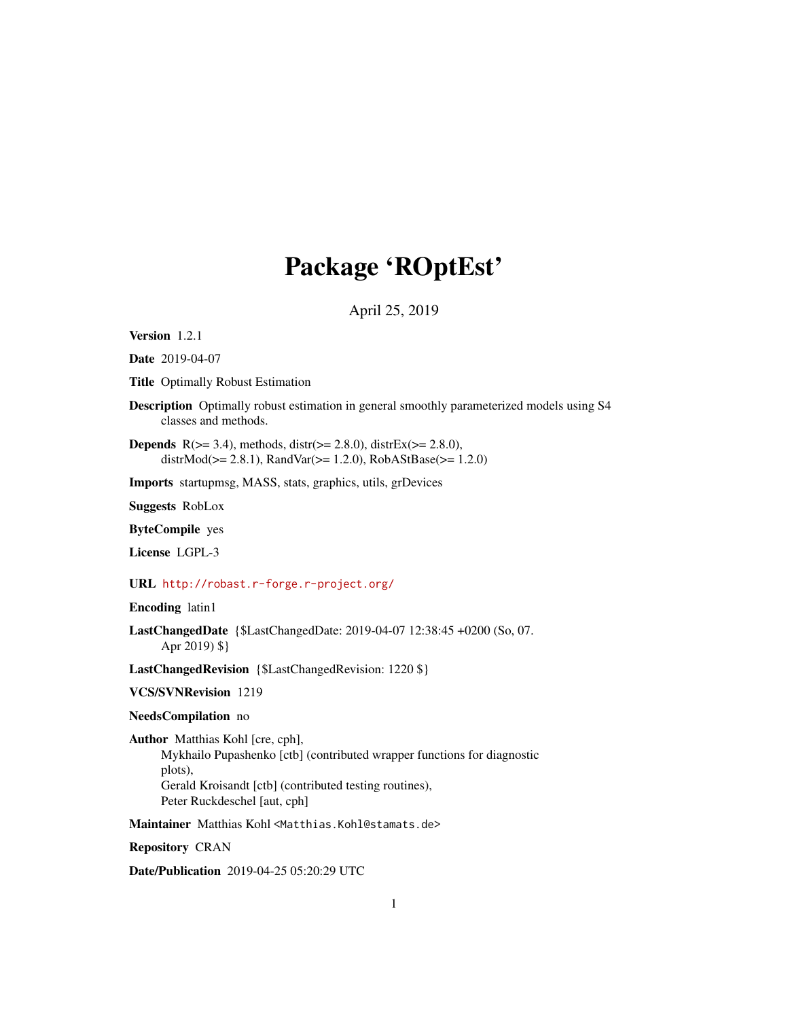# Package 'ROptEst'

April 25, 2019

<span id="page-0-0"></span>Version 1.2.1

Date 2019-04-07

Title Optimally Robust Estimation

Description Optimally robust estimation in general smoothly parameterized models using S4 classes and methods.

**Depends** R( $>= 3.4$ ), methods, distr( $>= 2.8.0$ ), distrEx( $>= 2.8.0$ ), distrMod(>= 2.8.1), RandVar(>= 1.2.0), RobAStBase(>= 1.2.0)

Imports startupmsg, MASS, stats, graphics, utils, grDevices

Suggests RobLox

ByteCompile yes

License LGPL-3

URL <http://robast.r-forge.r-project.org/>

Encoding latin1

LastChangedDate {\$LastChangedDate: 2019-04-07 12:38:45 +0200 (So, 07. Apr 2019) \$}

LastChangedRevision {\$LastChangedRevision: 1220 \$}

VCS/SVNRevision 1219

### NeedsCompilation no

Author Matthias Kohl [cre, cph], Mykhailo Pupashenko [ctb] (contributed wrapper functions for diagnostic plots), Gerald Kroisandt [ctb] (contributed testing routines), Peter Ruckdeschel [aut, cph]

Maintainer Matthias Kohl <Matthias.Kohl@stamats.de>

Repository CRAN

Date/Publication 2019-04-25 05:20:29 UTC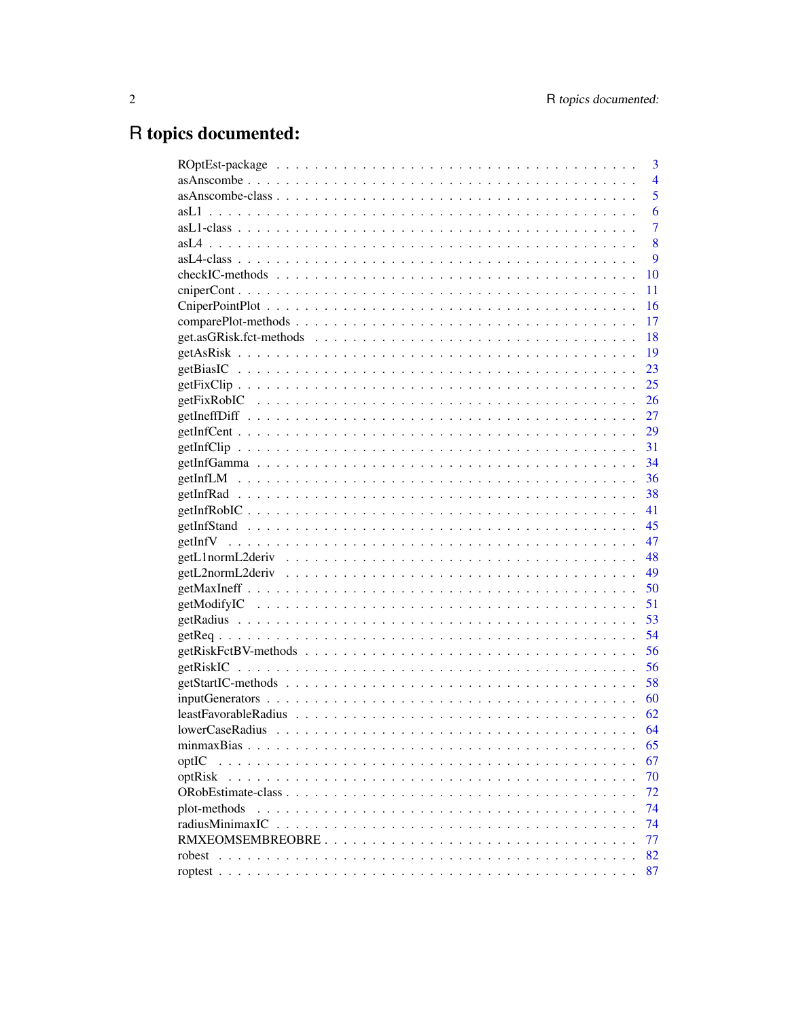# R topics documented:

|                 | 3              |
|-----------------|----------------|
|                 | $\overline{4}$ |
|                 | 5              |
|                 | 6              |
|                 | 7              |
|                 | 8              |
|                 | 9              |
|                 | 10             |
|                 | 11             |
|                 | 16             |
|                 | 17             |
|                 | 18             |
|                 | 19             |
|                 | 23             |
|                 | 25             |
|                 | 26             |
|                 | 27             |
|                 | 29             |
|                 |                |
|                 | 34             |
|                 | 36             |
|                 | 38             |
|                 | 41             |
|                 | 45             |
|                 | 47             |
|                 | 48             |
|                 | 49             |
|                 | 50             |
|                 | 51             |
|                 | 53             |
|                 | 54             |
|                 | 56             |
|                 | 56             |
|                 | 58             |
|                 |                |
|                 |                |
|                 |                |
|                 | 65             |
| optIC           | 67             |
| optRisk         | 70             |
|                 | 72             |
| plot-methods    | 74             |
| radiusMinimaxIC | 74             |
|                 | 77             |
| robest          | 82             |
|                 | 87             |
|                 |                |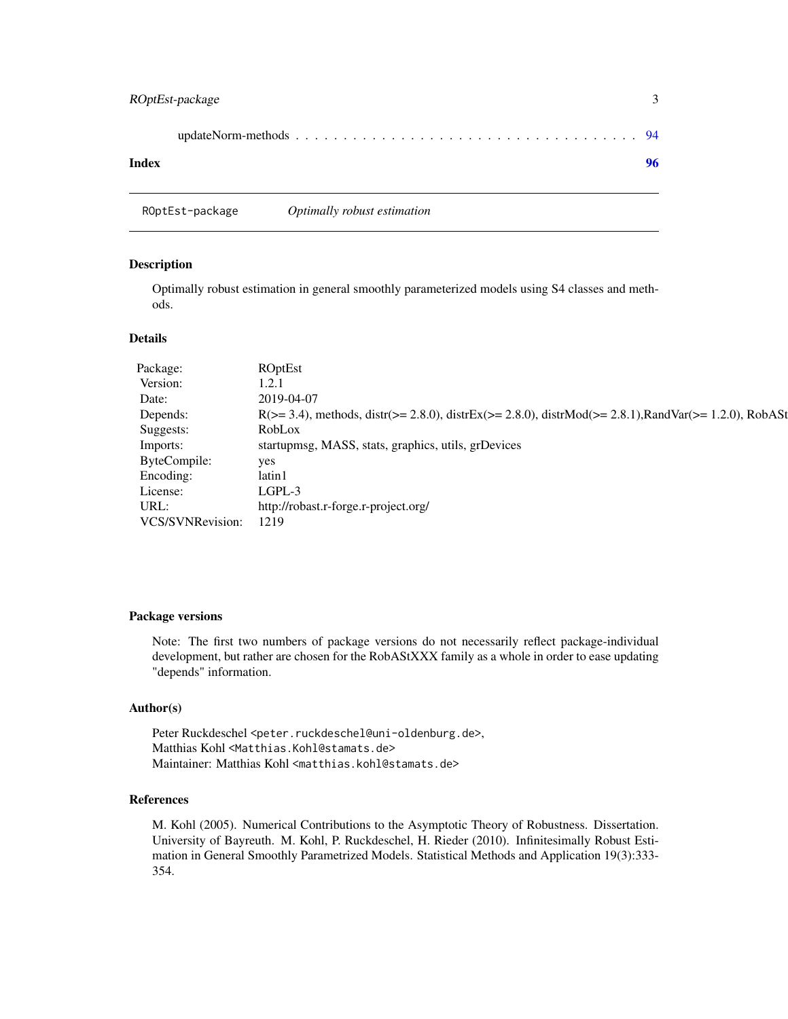<span id="page-2-0"></span>

| Index |  |
|-------|--|

ROptEst-package *Optimally robust estimation*

#### Description

Optimally robust estimation in general smoothly parameterized models using S4 classes and methods.

# Details

| Package:         | <b>ROptEst</b>                                                                                           |
|------------------|----------------------------------------------------------------------------------------------------------|
| Version:         | 1.2.1                                                                                                    |
| Date:            | 2019-04-07                                                                                               |
| Depends:         | $R(>= 3.4)$ , methods, distr(>= 2.8.0), distrEx(>= 2.8.0), distrMod(>= 2.8.1), RandVar(>= 1.2.0), RobASt |
| Suggests:        | RobLox                                                                                                   |
| Imports:         | startupmsg, MASS, stats, graphics, utils, grDevices                                                      |
| ByteCompile:     | yes                                                                                                      |
| Encoding:        | latin1                                                                                                   |
| License:         | $LGPL-3$                                                                                                 |
| URL:             | http://robast.r-forge.r-project.org/                                                                     |
| VCS/SVNRevision: | 1219                                                                                                     |

# Package versions

Note: The first two numbers of package versions do not necessarily reflect package-individual development, but rather are chosen for the RobAStXXX family as a whole in order to ease updating "depends" information.

# Author(s)

Peter Ruckdeschel <peter.ruckdeschel@uni-oldenburg.de>, Matthias Kohl <Matthias.Kohl@stamats.de> Maintainer: Matthias Kohl <matthias.kohl@stamats.de>

# References

M. Kohl (2005). Numerical Contributions to the Asymptotic Theory of Robustness. Dissertation. University of Bayreuth. M. Kohl, P. Ruckdeschel, H. Rieder (2010). Infinitesimally Robust Estimation in General Smoothly Parametrized Models. Statistical Methods and Application 19(3):333- 354.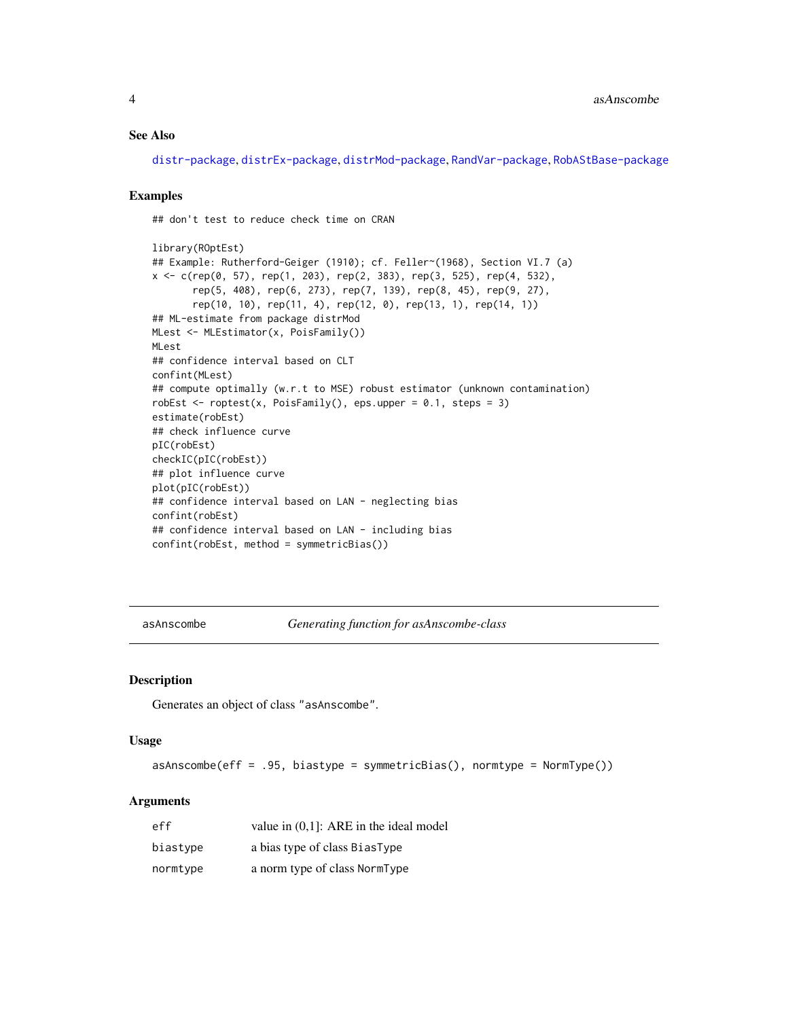#### <span id="page-3-0"></span>See Also

[distr-package](#page-0-0), [distrEx-package](#page-0-0), [distrMod-package](#page-0-0), [RandVar-package](#page-0-0), [RobAStBase-package](#page-0-0)

#### Examples

## don't test to reduce check time on CRAN

```
library(ROptEst)
## Example: Rutherford-Geiger (1910); cf. Feller~(1968), Section VI.7 (a)
x <- c(rep(0, 57), rep(1, 203), rep(2, 383), rep(3, 525), rep(4, 532),
       rep(5, 408), rep(6, 273), rep(7, 139), rep(8, 45), rep(9, 27),
       rep(10, 10), rep(11, 4), rep(12, 0), rep(13, 1), rep(14, 1))
## ML-estimate from package distrMod
MLest <- MLEstimator(x, PoisFamily())
MLest
## confidence interval based on CLT
confint(MLest)
## compute optimally (w.r.t to MSE) robust estimator (unknown contamination)
robEst \leq roptest(x, PoisFamily(), eps.upper = 0.1, steps = 3)
estimate(robEst)
## check influence curve
pIC(robEst)
checkIC(pIC(robEst))
## plot influence curve
plot(pIC(robEst))
## confidence interval based on LAN - neglecting bias
confint(robEst)
## confidence interval based on LAN - including bias
confint(robEst, method = symmetricBias())
```
<span id="page-3-1"></span>asAnscombe *Generating function for asAnscombe-class*

## Description

Generates an object of class "asAnscombe".

## Usage

asAnscombe(eff = .95, biastype = symmetricBias(), normtype = NormType())

| eff      | value in $(0,1)$ : ARE in the ideal model |
|----------|-------------------------------------------|
| biastype | a bias type of class BiasType             |
| normtype | a norm type of class NormType             |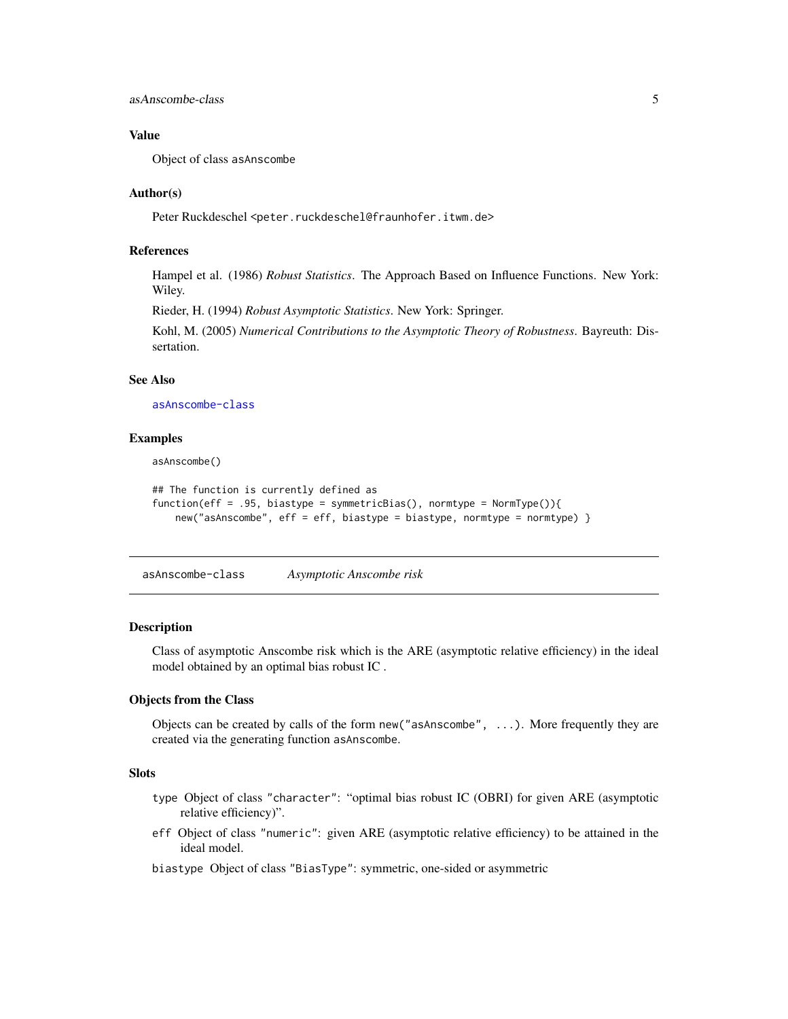<span id="page-4-0"></span>asAnscombe-class 5

## Value

Object of class asAnscombe

## Author(s)

Peter Ruckdeschel <peter.ruckdeschel@fraunhofer.itwm.de>

## References

Hampel et al. (1986) *Robust Statistics*. The Approach Based on Influence Functions. New York: Wiley.

Rieder, H. (1994) *Robust Asymptotic Statistics*. New York: Springer.

Kohl, M. (2005) *Numerical Contributions to the Asymptotic Theory of Robustness*. Bayreuth: Dissertation.

## See Also

[asAnscombe-class](#page-4-1)

#### Examples

asAnscombe()

```
## The function is currently defined as
function(eff = .95, biastype = symmetricBias(), normtype = NormType()){
   new("asAnscombe", eff = eff, biastype = biastype, normtype = normtype) }
```
<span id="page-4-1"></span>asAnscombe-class *Asymptotic Anscombe risk*

#### Description

Class of asymptotic Anscombe risk which is the ARE (asymptotic relative efficiency) in the ideal model obtained by an optimal bias robust IC .

# Objects from the Class

Objects can be created by calls of the form new("asAnscombe", ...). More frequently they are created via the generating function asAnscombe.

# **Slots**

- type Object of class "character": "optimal bias robust IC (OBRI) for given ARE (asymptotic relative efficiency)".
- eff Object of class "numeric": given ARE (asymptotic relative efficiency) to be attained in the ideal model.
- biastype Object of class "BiasType": symmetric, one-sided or asymmetric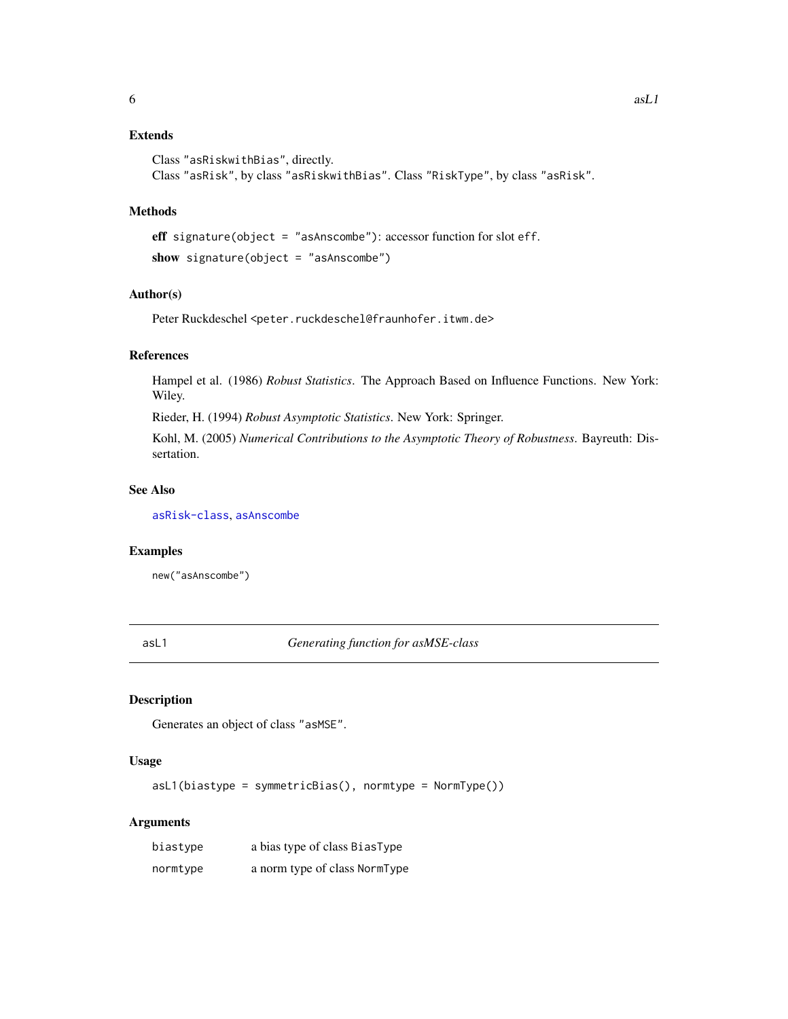# <span id="page-5-0"></span>Extends

```
Class "asRiskwithBias", directly.
Class "asRisk", by class "asRiskwithBias". Class "RiskType", by class "asRisk".
```
# Methods

```
eff signature(object = "asAnscombe"): accessor function for slot eff.
show signature(object = "asAnscombe")
```
## Author(s)

Peter Ruckdeschel <peter.ruckdeschel@fraunhofer.itwm.de>

#### References

Hampel et al. (1986) *Robust Statistics*. The Approach Based on Influence Functions. New York: Wiley.

Rieder, H. (1994) *Robust Asymptotic Statistics*. New York: Springer.

Kohl, M. (2005) *Numerical Contributions to the Asymptotic Theory of Robustness*. Bayreuth: Dissertation.

# See Also

[asRisk-class](#page-0-0), [asAnscombe](#page-3-1)

# Examples

new("asAnscombe")

<span id="page-5-1"></span>asL1 *Generating function for asMSE-class*

# Description

Generates an object of class "asMSE".

## Usage

asL1(biastype = symmetricBias(), normtype = NormType())

| biastype | a bias type of class BiasType |
|----------|-------------------------------|
| normtype | a norm type of class NormType |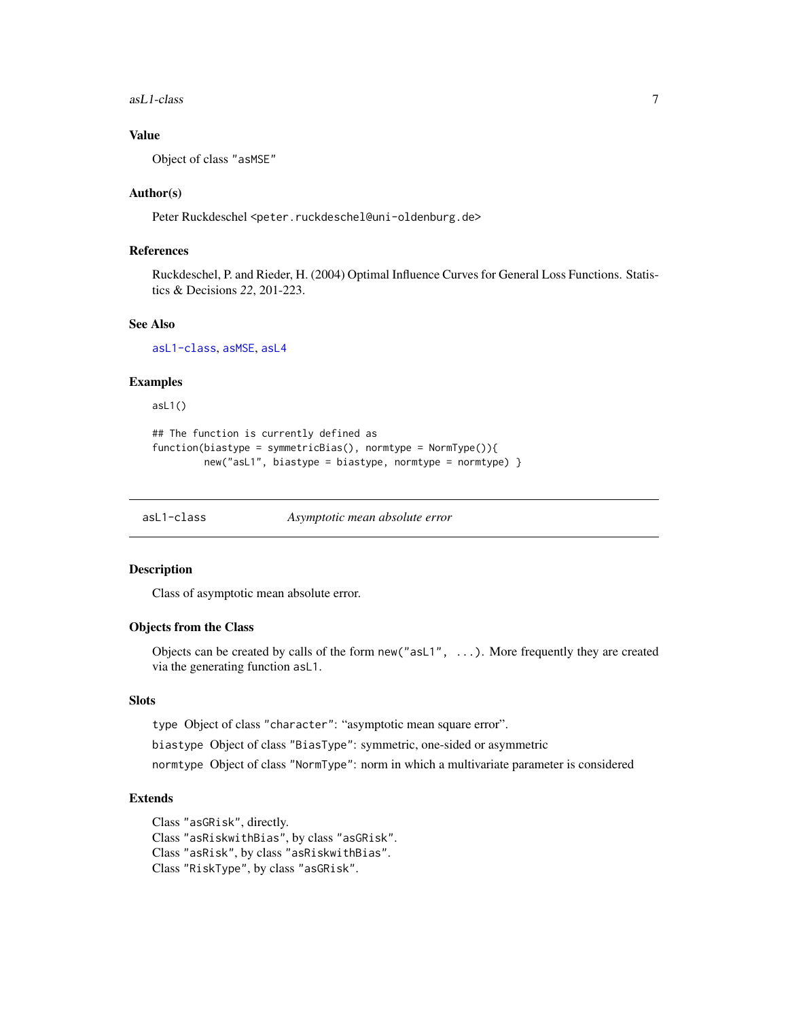<span id="page-6-0"></span> $asL1$ -class  $7$ 

# Value

Object of class "asMSE"

## Author(s)

Peter Ruckdeschel <peter.ruckdeschel@uni-oldenburg.de>

# References

Ruckdeschel, P. and Rieder, H. (2004) Optimal Influence Curves for General Loss Functions. Statistics & Decisions *22*, 201-223.

## See Also

[asL1-class](#page-6-1), [asMSE](#page-0-0), [asL4](#page-7-1)

# Examples

asL1()

```
## The function is currently defined as
function(biastype = symmetricBias(), normtype = NormType() {
        new("asL1", biastype = biastype, normtype = normtype) }
```
<span id="page-6-1"></span>asL1-class *Asymptotic mean absolute error*

#### Description

Class of asymptotic mean absolute error.

## Objects from the Class

Objects can be created by calls of the form  $new("asL1", \ldots)$ . More frequently they are created via the generating function asL1.

# **Slots**

type Object of class "character": "asymptotic mean square error".

biastype Object of class "BiasType": symmetric, one-sided or asymmetric

normtype Object of class "NormType": norm in which a multivariate parameter is considered

## Extends

Class "asGRisk", directly. Class "asRiskwithBias", by class "asGRisk". Class "asRisk", by class "asRiskwithBias". Class "RiskType", by class "asGRisk".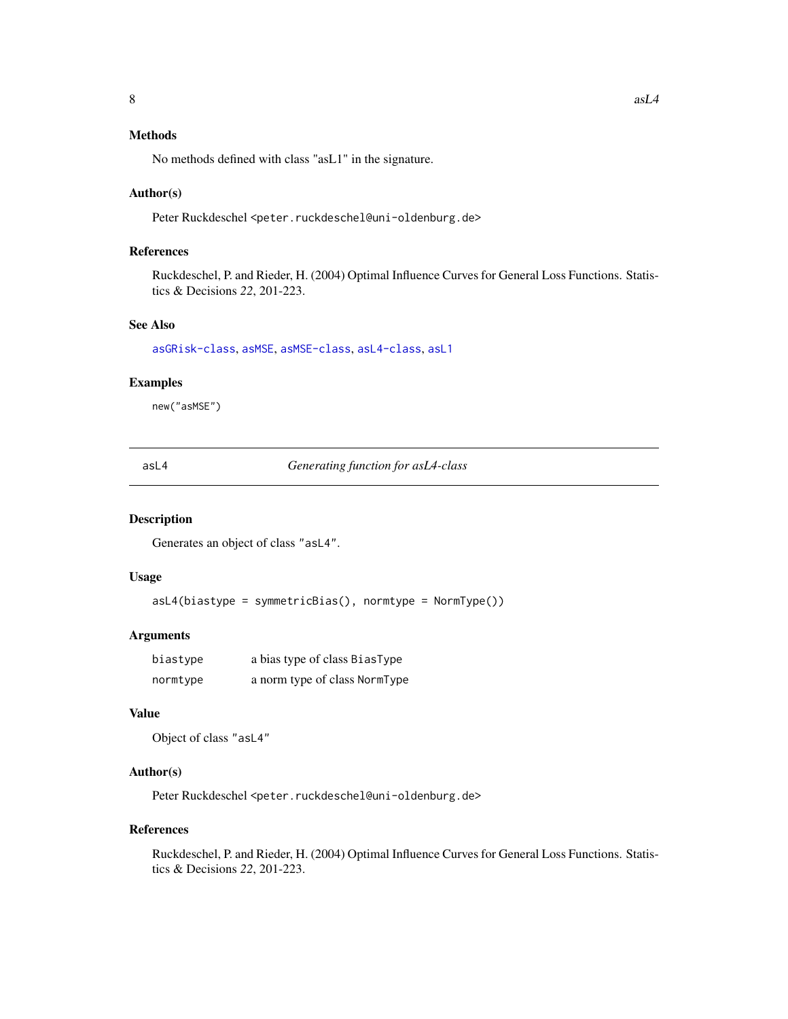# <span id="page-7-0"></span>Methods

No methods defined with class "asL1" in the signature.

#### Author(s)

Peter Ruckdeschel <peter.ruckdeschel@uni-oldenburg.de>

# References

Ruckdeschel, P. and Rieder, H. (2004) Optimal Influence Curves for General Loss Functions. Statistics & Decisions *22*, 201-223.

# See Also

[asGRisk-class](#page-0-0), [asMSE](#page-0-0), [asMSE-class](#page-0-0), [asL4-class](#page-8-1), [asL1](#page-5-1)

## Examples

new("asMSE")

<span id="page-7-1"></span>asL4 *Generating function for asL4-class*

#### Description

Generates an object of class "asL4".

## Usage

asL4(biastype = symmetricBias(), normtype = NormType())

# Arguments

| biastype | a bias type of class BiasType |
|----------|-------------------------------|
| normtype | a norm type of class NormType |

## Value

Object of class "asL4"

# Author(s)

Peter Ruckdeschel <peter.ruckdeschel@uni-oldenburg.de>

## References

Ruckdeschel, P. and Rieder, H. (2004) Optimal Influence Curves for General Loss Functions. Statistics & Decisions *22*, 201-223.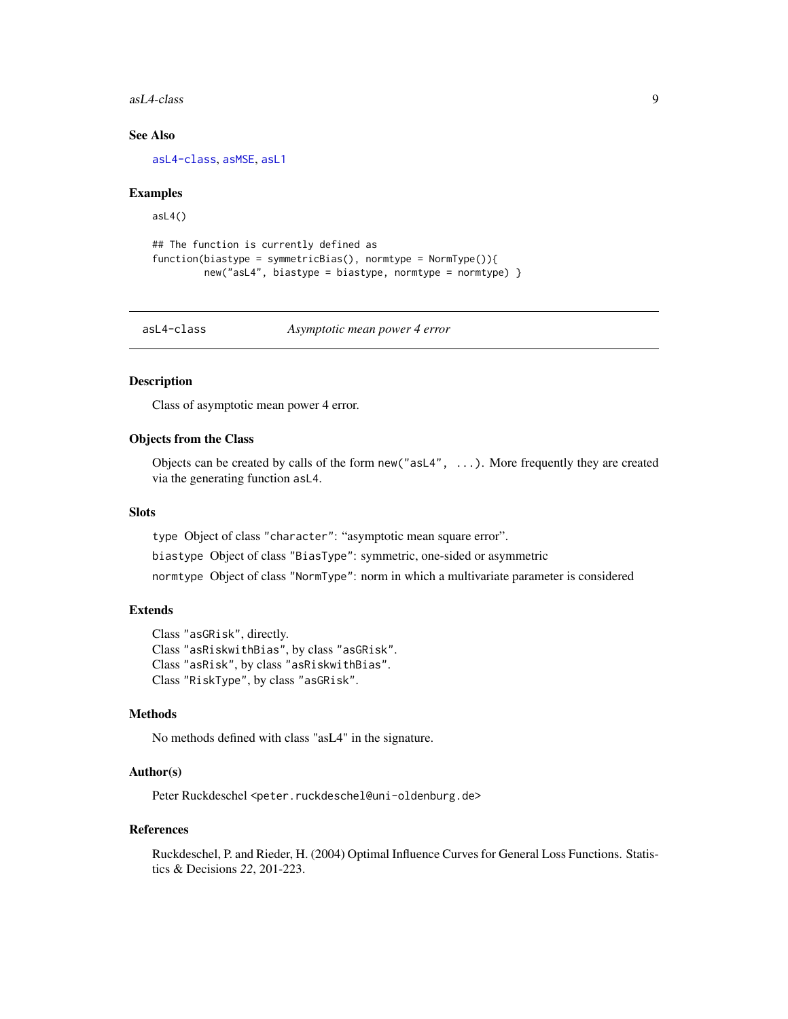#### <span id="page-8-0"></span>asL4-class 9

# See Also

[asL4-class](#page-8-1), [asMSE](#page-0-0), [asL1](#page-5-1)

## Examples

asL4()

```
## The function is currently defined as
function(biastype = symmetricBias(), normtype = NormType()new("asL4", biastype = biastype, normtype = normtype) }
```
<span id="page-8-1"></span>asL4-class *Asymptotic mean power 4 error*

# Description

Class of asymptotic mean power 4 error.

# Objects from the Class

Objects can be created by calls of the form  $new("asL4", \ldots)$ . More frequently they are created via the generating function asL4.

## **Slots**

type Object of class "character": "asymptotic mean square error".

biastype Object of class "BiasType": symmetric, one-sided or asymmetric

normtype Object of class "NormType": norm in which a multivariate parameter is considered

# Extends

Class "asGRisk", directly. Class "asRiskwithBias", by class "asGRisk". Class "asRisk", by class "asRiskwithBias". Class "RiskType", by class "asGRisk".

# Methods

No methods defined with class "asL4" in the signature.

# Author(s)

Peter Ruckdeschel <peter.ruckdeschel@uni-oldenburg.de>

## References

Ruckdeschel, P. and Rieder, H. (2004) Optimal Influence Curves for General Loss Functions. Statistics & Decisions *22*, 201-223.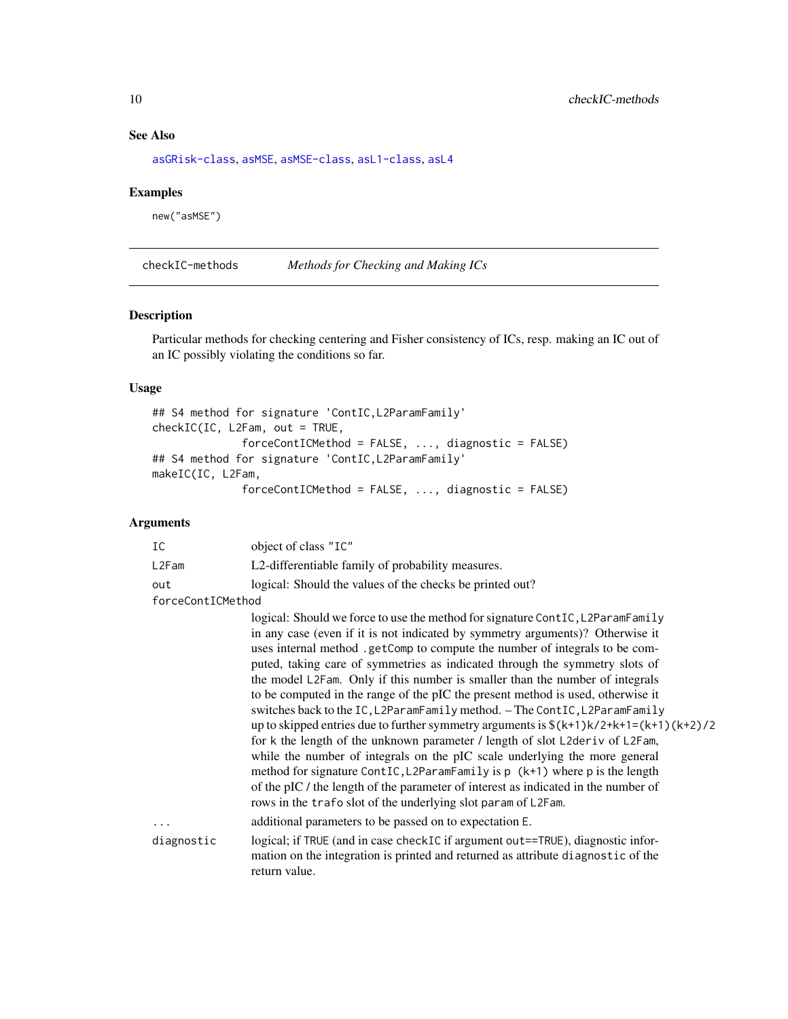# See Also

[asGRisk-class](#page-0-0), [asMSE](#page-0-0), [asMSE-class](#page-0-0), [asL1-class](#page-6-1), [asL4](#page-7-1)

# Examples

new("asMSE")

checkIC-methods *Methods for Checking and Making ICs*

#### Description

Particular methods for checking centering and Fisher consistency of ICs, resp. making an IC out of an IC possibly violating the conditions so far.

# Usage

```
## S4 method for signature 'ContIC,L2ParamFamily'
checkIC(IC, L2Fam, out = TRUE,
              forceContICMethod = FALSE, ..., diagnostic = FALSE)
## S4 method for signature 'ContIC,L2ParamFamily'
makeIC(IC, L2Fam,
              forceContICMethod = FALSE, ..., diagnostic = FALSE)
```

| IC                | object of class "IC"                                                                                                                                                                                                                                                                                                                                                                                                                                                                                                                                                                                                                                                                                                                                                                                                                                                                                                                                                                                                                                                           |  |  |  |  |
|-------------------|--------------------------------------------------------------------------------------------------------------------------------------------------------------------------------------------------------------------------------------------------------------------------------------------------------------------------------------------------------------------------------------------------------------------------------------------------------------------------------------------------------------------------------------------------------------------------------------------------------------------------------------------------------------------------------------------------------------------------------------------------------------------------------------------------------------------------------------------------------------------------------------------------------------------------------------------------------------------------------------------------------------------------------------------------------------------------------|--|--|--|--|
| L2Fam             | L2-differentiable family of probability measures.                                                                                                                                                                                                                                                                                                                                                                                                                                                                                                                                                                                                                                                                                                                                                                                                                                                                                                                                                                                                                              |  |  |  |  |
| out               | logical: Should the values of the checks be printed out?                                                                                                                                                                                                                                                                                                                                                                                                                                                                                                                                                                                                                                                                                                                                                                                                                                                                                                                                                                                                                       |  |  |  |  |
| forceContICMethod |                                                                                                                                                                                                                                                                                                                                                                                                                                                                                                                                                                                                                                                                                                                                                                                                                                                                                                                                                                                                                                                                                |  |  |  |  |
|                   | logical: Should we force to use the method for signature ContIC, L2ParamFamily<br>in any case (even if it is not indicated by symmetry arguments)? Otherwise it<br>uses internal method.getComp to compute the number of integrals to be com-<br>puted, taking care of symmetries as indicated through the symmetry slots of<br>the model L2Fam. Only if this number is smaller than the number of integrals<br>to be computed in the range of the pIC the present method is used, otherwise it<br>switches back to the IC, L2ParamFamily method. - The ContIC, L2ParamFamily<br>up to skipped entries due to further symmetry arguments is $\frac{k+1}{k^2+1-(k+1)(k+2)}$<br>for k the length of the unknown parameter / length of slot L2deriv of L2Fam,<br>while the number of integrals on the pIC scale underlying the more general<br>method for signature ContIC, L2ParamFamily is p (k+1) where p is the length<br>of the pIC / the length of the parameter of interest as indicated in the number of<br>rows in the trafo slot of the underlying slot param of L2Fam. |  |  |  |  |
| $\ddotsc$         | additional parameters to be passed on to expectation E.                                                                                                                                                                                                                                                                                                                                                                                                                                                                                                                                                                                                                                                                                                                                                                                                                                                                                                                                                                                                                        |  |  |  |  |
| diagnostic        | logical; if TRUE (and in case checkIC if argument out==TRUE), diagnostic infor-<br>mation on the integration is printed and returned as attribute diagnostic of the<br>return value.                                                                                                                                                                                                                                                                                                                                                                                                                                                                                                                                                                                                                                                                                                                                                                                                                                                                                           |  |  |  |  |

<span id="page-9-0"></span>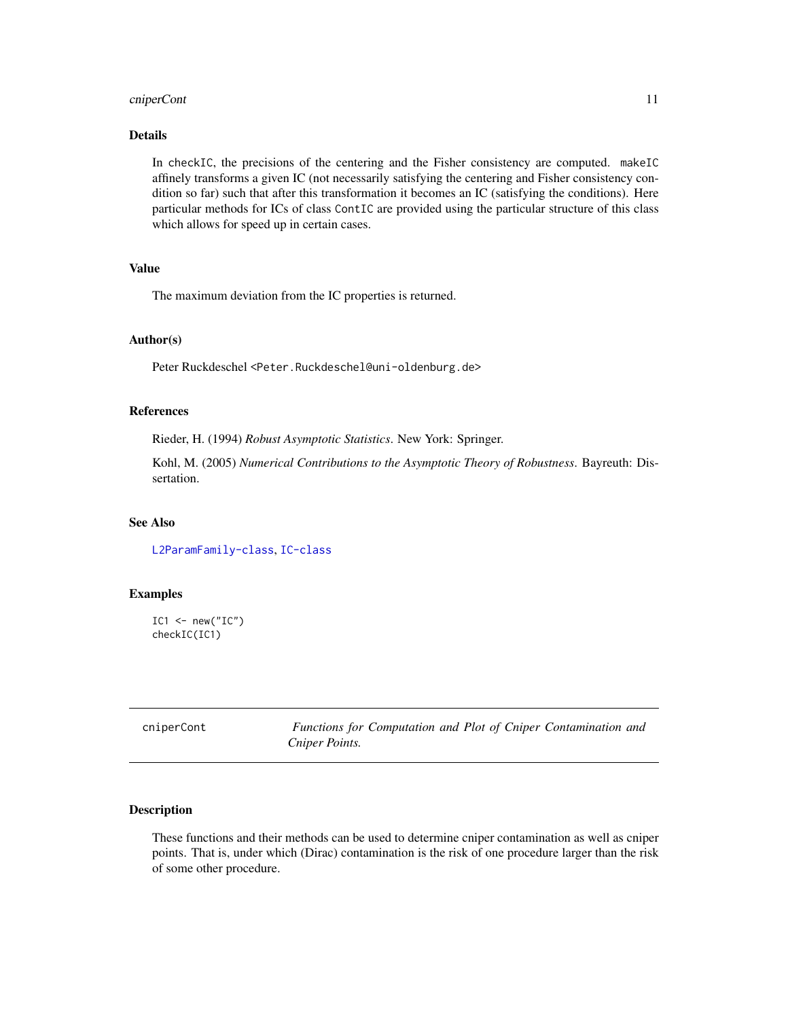# <span id="page-10-0"></span>cniperCont 11

# Details

In checkIC, the precisions of the centering and the Fisher consistency are computed. makeIC affinely transforms a given IC (not necessarily satisfying the centering and Fisher consistency condition so far) such that after this transformation it becomes an IC (satisfying the conditions). Here particular methods for ICs of class ContIC are provided using the particular structure of this class which allows for speed up in certain cases.

# Value

The maximum deviation from the IC properties is returned.

# Author(s)

Peter Ruckdeschel <Peter.Ruckdeschel@uni-oldenburg.de>

# References

Rieder, H. (1994) *Robust Asymptotic Statistics*. New York: Springer.

Kohl, M. (2005) *Numerical Contributions to the Asymptotic Theory of Robustness*. Bayreuth: Dissertation.

# See Also

[L2ParamFamily-class](#page-0-0), [IC-class](#page-0-0)

## Examples

```
IC1 < -new("IC")checkIC(IC1)
```

| cniperCont | Functions for Computation and Plot of Cniper Contamination and |
|------------|----------------------------------------------------------------|
|            | Cniper Points.                                                 |

#### Description

These functions and their methods can be used to determine cniper contamination as well as cniper points. That is, under which (Dirac) contamination is the risk of one procedure larger than the risk of some other procedure.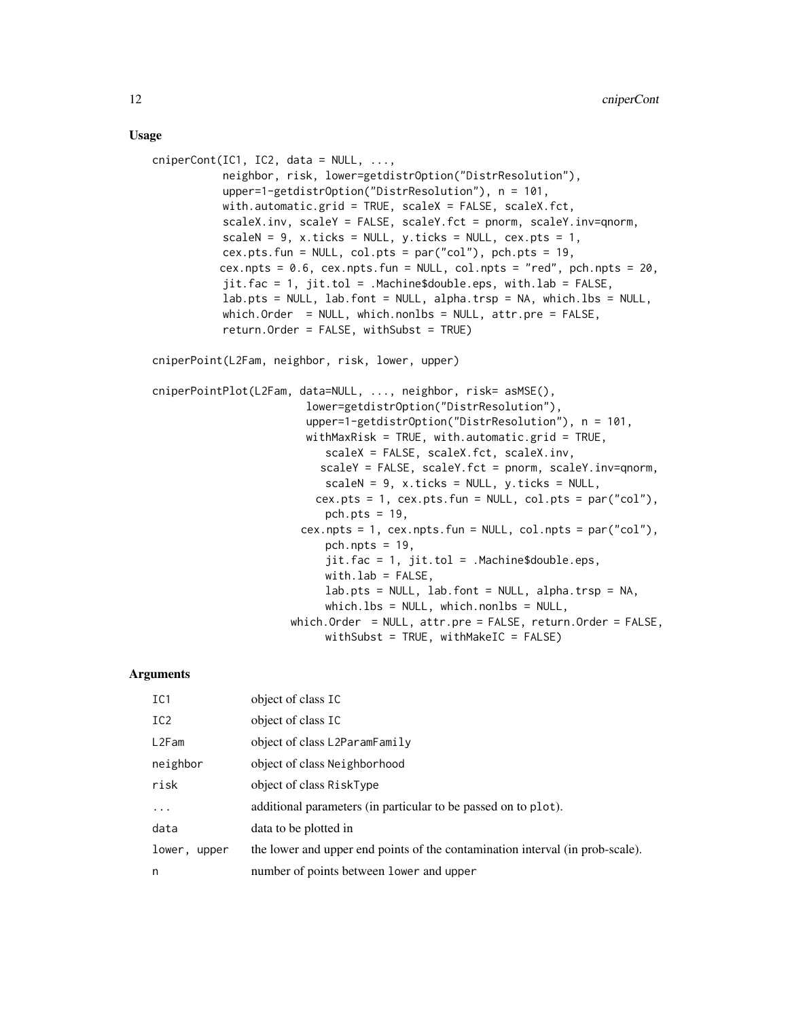## Usage

```
cniperCont(IC1, IC2, data = NULL, ...,neighbor, risk, lower=getdistrOption("DistrResolution"),
           upper=1-getdistrOption("DistrResolution"), n = 101,
           with.automatic.grid = TRUE, scaleX = FALSE, scaleX.fct,
           scaleX.inv, scaleY = FALSE, scaleY.fct = pnorm, scaleY.inv=qnorm,
           scaleN = 9, x.ticks = NULL, y.ticks = NULL, cex.pts = 1,
           cex.pts.fun = NULL, col.pts = par("col"), pch.pts = 19,
          cex.npts = 0.6, cex.npts.fun = NULL, col.npts = "red", pch.npts = 20,
           jit.fac = 1, jit.tol = .Machine$double.eps, with.lab = FALSE,
           lab.pts = NULL, lab.font = NULL, alpha.trsp = NA, which.lbs = NULL,
           which.Order = NULL, which.nonlbs = NULL, attr.pre = FALSE,
           return.Order = FALSE, withSubst = TRUE)
cniperPoint(L2Fam, neighbor, risk, lower, upper)
cniperPointPlot(L2Fam, data=NULL, ..., neighbor, risk= asMSE(),
                        lower=getdistrOption("DistrResolution"),
                        upper=1-getdistrOption("DistrResolution"), n = 101,
                        withMaxRisk = TRUE, with.automatic.grid = TRUE,
                           scaleX = FALSE, scaleX.fct, scaleX.inv,
                          scaleY = FALSE, scaleY.fct = pnorm, scaleY.inv=qnorm,
                           scaleN = 9, x.ticks = NULL, y.ticks = NULL,
                         cex.pts = 1, cex.pts.fun = NULL, col.pts = par("col"),
                           pch.pts = 19,
                       cex.npts = 1, cex.npts.fun = NULL, col.npts = par("col"),
                           pch.npts = 19,
                           jit.fac = 1, jit.tol = .Machine$double.eps,
                           with.lab = FALSE,
                           lab.pts = NULL, lab.font = NULL, alpha.trsp = NA,
                           which.lbs = NULL, which.nonlbs = NULL,
                     which.Order = NULL, attr.pre = FALSE, return.Order = FALSE,
                           withSubst = TRUE, withMakeIC = FALSE)
```

| IC1             | object of class IC                                                            |
|-----------------|-------------------------------------------------------------------------------|
| IC <sub>2</sub> | object of class IC                                                            |
| L2Fam           | object of class L2ParamFamily                                                 |
| neighbor        | object of class Neighborhood                                                  |
| risk            | object of class RiskType                                                      |
| .               | additional parameters (in particular to be passed on to plot).                |
| data            | data to be plotted in                                                         |
| lower, upper    | the lower and upper end points of the contamination interval (in prob-scale). |
| n               | number of points between lower and upper                                      |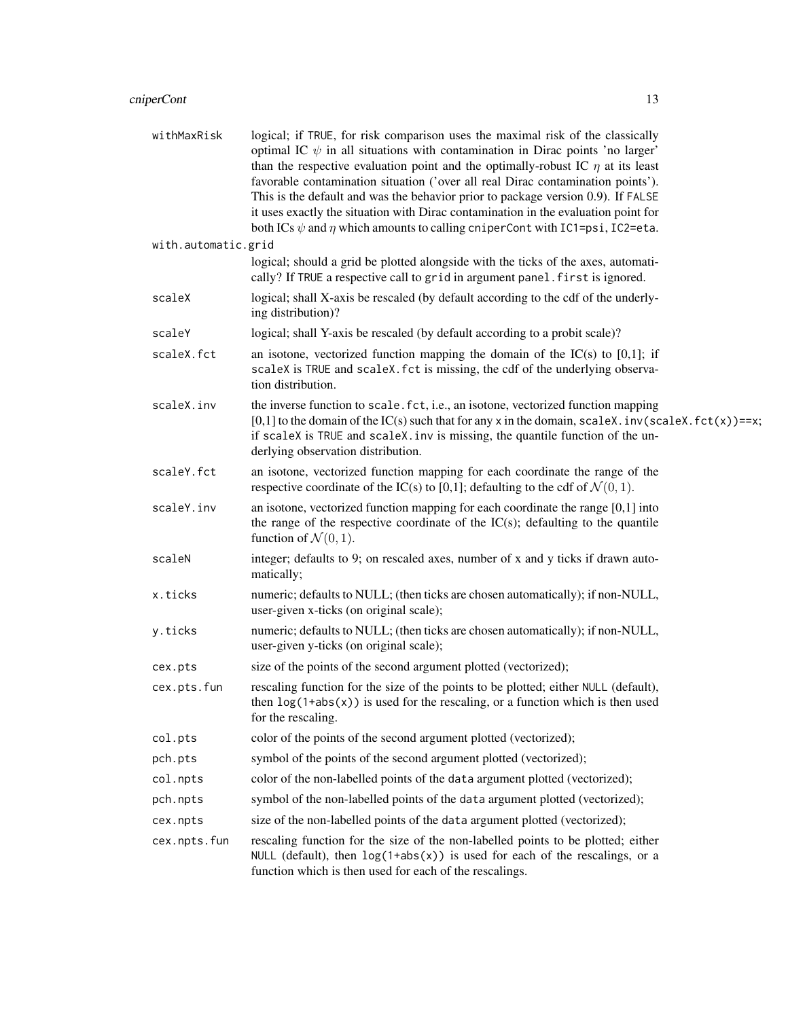| withMaxRisk         | logical; if TRUE, for risk comparison uses the maximal risk of the classically<br>optimal IC $\psi$ in all situations with contamination in Dirac points 'no larger'<br>than the respective evaluation point and the optimally-robust IC $\eta$ at its least<br>favorable contamination situation ('over all real Dirac contamination points').<br>This is the default and was the behavior prior to package version 0.9). If FALSE<br>it uses exactly the situation with Dirac contamination in the evaluation point for<br>both ICs $\psi$ and $\eta$ which amounts to calling cniperCont with IC1=psi, IC2=eta. |
|---------------------|--------------------------------------------------------------------------------------------------------------------------------------------------------------------------------------------------------------------------------------------------------------------------------------------------------------------------------------------------------------------------------------------------------------------------------------------------------------------------------------------------------------------------------------------------------------------------------------------------------------------|
| with.automatic.grid |                                                                                                                                                                                                                                                                                                                                                                                                                                                                                                                                                                                                                    |
|                     | logical; should a grid be plotted alongside with the ticks of the axes, automati-<br>cally? If TRUE a respective call to grid in argument panel. first is ignored.                                                                                                                                                                                                                                                                                                                                                                                                                                                 |
| scaleX              | logical; shall X-axis be rescaled (by default according to the cdf of the underly-<br>ing distribution)?                                                                                                                                                                                                                                                                                                                                                                                                                                                                                                           |
| scaleY              | logical; shall Y-axis be rescaled (by default according to a probit scale)?                                                                                                                                                                                                                                                                                                                                                                                                                                                                                                                                        |
| scaleX.fct          | an isotone, vectorized function mapping the domain of the $IC(s)$ to $[0,1]$ ; if<br>scaleX is TRUE and scaleX. fct is missing, the cdf of the underlying observa-<br>tion distribution.                                                                                                                                                                                                                                                                                                                                                                                                                           |
| scaleX.inv          | the inverse function to scale. fct, i.e., an isotone, vectorized function mapping<br>[0,1] to the domain of the IC(s) such that for any x in the domain, scaleX. $inv$ (scaleX. $fct(x)$ )==x;<br>if scaleX is TRUE and scaleX. inv is missing, the quantile function of the un-<br>derlying observation distribution.                                                                                                                                                                                                                                                                                             |
| scaleY.fct          | an isotone, vectorized function mapping for each coordinate the range of the<br>respective coordinate of the IC(s) to [0,1]; defaulting to the cdf of $\mathcal{N}(0, 1)$ .                                                                                                                                                                                                                                                                                                                                                                                                                                        |
| scaleY.inv          | an isotone, vectorized function mapping for each coordinate the range $[0,1]$ into<br>the range of the respective coordinate of the $IC(s)$ ; defaulting to the quantile<br>function of $\mathcal{N}(0,1)$ .                                                                                                                                                                                                                                                                                                                                                                                                       |
| scaleN              | integer; defaults to 9; on rescaled axes, number of x and y ticks if drawn auto-<br>matically;                                                                                                                                                                                                                                                                                                                                                                                                                                                                                                                     |
| x.ticks             | numeric; defaults to NULL; (then ticks are chosen automatically); if non-NULL,<br>user-given x-ticks (on original scale);                                                                                                                                                                                                                                                                                                                                                                                                                                                                                          |
| y.ticks             | numeric; defaults to NULL; (then ticks are chosen automatically); if non-NULL,<br>user-given y-ticks (on original scale);                                                                                                                                                                                                                                                                                                                                                                                                                                                                                          |
| cex.pts             | size of the points of the second argument plotted (vectorized);                                                                                                                                                                                                                                                                                                                                                                                                                                                                                                                                                    |
| cex.pts.fun         | rescaling function for the size of the points to be plotted; either NULL (default),<br>then $log(1 + abs(x))$ is used for the rescaling, or a function which is then used<br>for the rescaling.                                                                                                                                                                                                                                                                                                                                                                                                                    |
| col.pts             | color of the points of the second argument plotted (vectorized);                                                                                                                                                                                                                                                                                                                                                                                                                                                                                                                                                   |
| pch.pts             | symbol of the points of the second argument plotted (vectorized);                                                                                                                                                                                                                                                                                                                                                                                                                                                                                                                                                  |
| col.npts            | color of the non-labelled points of the data argument plotted (vectorized);                                                                                                                                                                                                                                                                                                                                                                                                                                                                                                                                        |
| pch.npts            | symbol of the non-labelled points of the data argument plotted (vectorized);                                                                                                                                                                                                                                                                                                                                                                                                                                                                                                                                       |
| cex.npts            | size of the non-labelled points of the data argument plotted (vectorized);                                                                                                                                                                                                                                                                                                                                                                                                                                                                                                                                         |
| cex.npts.fun        | rescaling function for the size of the non-labelled points to be plotted; either<br>NULL (default), then $log(1+abs(x))$ is used for each of the rescalings, or a<br>function which is then used for each of the rescalings.                                                                                                                                                                                                                                                                                                                                                                                       |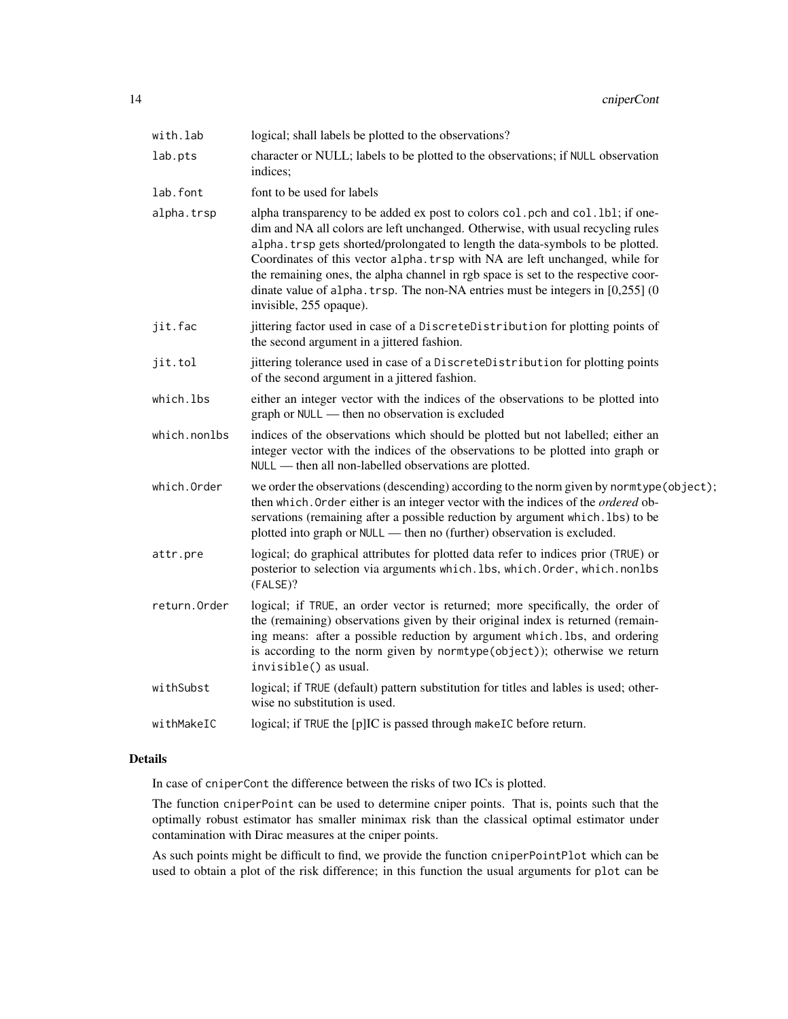| with.lab     | logical; shall labels be plotted to the observations?                                                                                                                                                                                                                                                                                                                                                                                                                                                                                    |
|--------------|------------------------------------------------------------------------------------------------------------------------------------------------------------------------------------------------------------------------------------------------------------------------------------------------------------------------------------------------------------------------------------------------------------------------------------------------------------------------------------------------------------------------------------------|
| lab.pts      | character or NULL; labels to be plotted to the observations; if NULL observation<br>indices;                                                                                                                                                                                                                                                                                                                                                                                                                                             |
| lab.font     | font to be used for labels                                                                                                                                                                                                                                                                                                                                                                                                                                                                                                               |
| alpha.trsp   | alpha transparency to be added ex post to colors col. pch and col. 1b1; if one-<br>dim and NA all colors are left unchanged. Otherwise, with usual recycling rules<br>alpha. trsp gets shorted/prolongated to length the data-symbols to be plotted.<br>Coordinates of this vector alpha. trsp with NA are left unchanged, while for<br>the remaining ones, the alpha channel in rgb space is set to the respective coor-<br>dinate value of alpha. trsp. The non-NA entries must be integers in $[0,255]$ (0<br>invisible, 255 opaque). |
| jit.fac      | jittering factor used in case of a DiscreteDistribution for plotting points of<br>the second argument in a jittered fashion.                                                                                                                                                                                                                                                                                                                                                                                                             |
| jit.tol      | jittering tolerance used in case of a DiscreteDistribution for plotting points<br>of the second argument in a jittered fashion.                                                                                                                                                                                                                                                                                                                                                                                                          |
| which.lbs    | either an integer vector with the indices of the observations to be plotted into<br>graph or NULL — then no observation is excluded                                                                                                                                                                                                                                                                                                                                                                                                      |
| which.nonlbs | indices of the observations which should be plotted but not labelled; either an<br>integer vector with the indices of the observations to be plotted into graph or<br>NULL — then all non-labelled observations are plotted.                                                                                                                                                                                                                                                                                                             |
| which.Order  | we order the observations (descending) according to the norm given by normtype (object);<br>then which. Order either is an integer vector with the indices of the <i>ordered</i> ob-<br>servations (remaining after a possible reduction by argument which. lbs) to be<br>plotted into graph or NULL - then no (further) observation is excluded.                                                                                                                                                                                        |
| attr.pre     | logical; do graphical attributes for plotted data refer to indices prior (TRUE) or<br>posterior to selection via arguments which. lbs, which. Order, which. nonlbs<br>(FALSE)?                                                                                                                                                                                                                                                                                                                                                           |
| return.Order | logical; if TRUE, an order vector is returned; more specifically, the order of<br>the (remaining) observations given by their original index is returned (remain-<br>ing means: after a possible reduction by argument which. lbs, and ordering<br>is according to the norm given by normtype(object)); otherwise we return<br>invisible() as usual.                                                                                                                                                                                     |
| withSubst    | logical; if TRUE (default) pattern substitution for titles and lables is used; other-<br>wise no substitution is used.                                                                                                                                                                                                                                                                                                                                                                                                                   |
| withMakeIC   | logical; if TRUE the [p]IC is passed through makeIC before return.                                                                                                                                                                                                                                                                                                                                                                                                                                                                       |

# Details

In case of cniperCont the difference between the risks of two ICs is plotted.

The function cniperPoint can be used to determine cniper points. That is, points such that the optimally robust estimator has smaller minimax risk than the classical optimal estimator under contamination with Dirac measures at the cniper points.

As such points might be difficult to find, we provide the function cniperPointPlot which can be used to obtain a plot of the risk difference; in this function the usual arguments for plot can be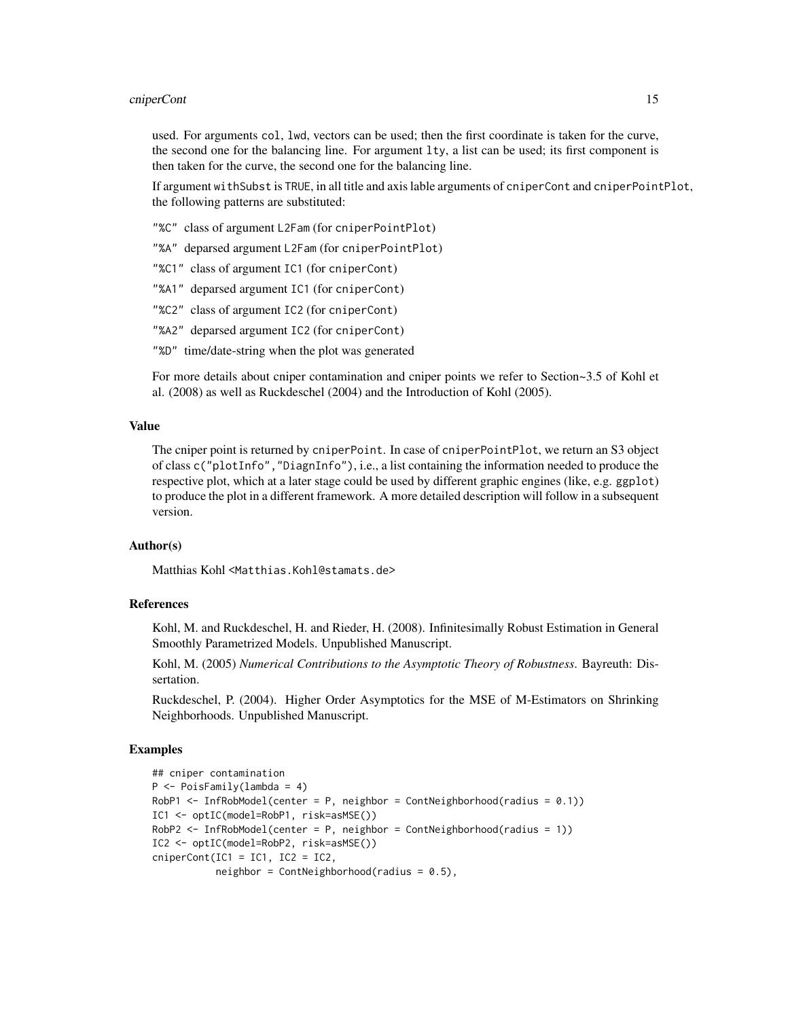## cniperCont 15

used. For arguments col, lwd, vectors can be used; then the first coordinate is taken for the curve, the second one for the balancing line. For argument  $l$ ty, a list can be used; its first component is then taken for the curve, the second one for the balancing line.

If argument withSubst is TRUE, in all title and axis lable arguments of cniperCont and cniperPointPlot, the following patterns are substituted:

"%C" class of argument L2Fam (for cniperPointPlot)

"%A" deparsed argument L2Fam (for cniperPointPlot)

- "%C1" class of argument IC1 (for cniperCont)
- "%A1" deparsed argument IC1 (for cniperCont)
- "%C2" class of argument IC2 (for cniperCont)
- "%A2" deparsed argument IC2 (for cniperCont)
- "%D" time/date-string when the plot was generated

For more details about cniper contamination and cniper points we refer to Section~3.5 of Kohl et al. (2008) as well as Ruckdeschel (2004) and the Introduction of Kohl (2005).

## Value

The cniper point is returned by cniperPoint. In case of cniperPointPlot, we return an S3 object of class c("plotInfo","DiagnInfo"), i.e., a list containing the information needed to produce the respective plot, which at a later stage could be used by different graphic engines (like, e.g. ggplot) to produce the plot in a different framework. A more detailed description will follow in a subsequent version.

#### Author(s)

Matthias Kohl <Matthias.Kohl@stamats.de>

## References

Kohl, M. and Ruckdeschel, H. and Rieder, H. (2008). Infinitesimally Robust Estimation in General Smoothly Parametrized Models. Unpublished Manuscript.

Kohl, M. (2005) *Numerical Contributions to the Asymptotic Theory of Robustness*. Bayreuth: Dissertation.

Ruckdeschel, P. (2004). Higher Order Asymptotics for the MSE of M-Estimators on Shrinking Neighborhoods. Unpublished Manuscript.

## Examples

```
## cniper contamination
P <- PoisFamily(lambda = 4)
RobP1 \leq InfRobModel(center = P, neighbor = ContNeighborhood(radius = 0.1))
IC1 <- optIC(model=RobP1, risk=asMSE())
RobP2 <- InfRobModel(center = P, neighbor = ContNeighborhood(radius = 1))
IC2 <- optIC(model=RobP2, risk=asMSE())
cniperCont(IC1 = IC1, IC2 = IC2,neighbor = ContNeighbourhood(radius = 0.5),
```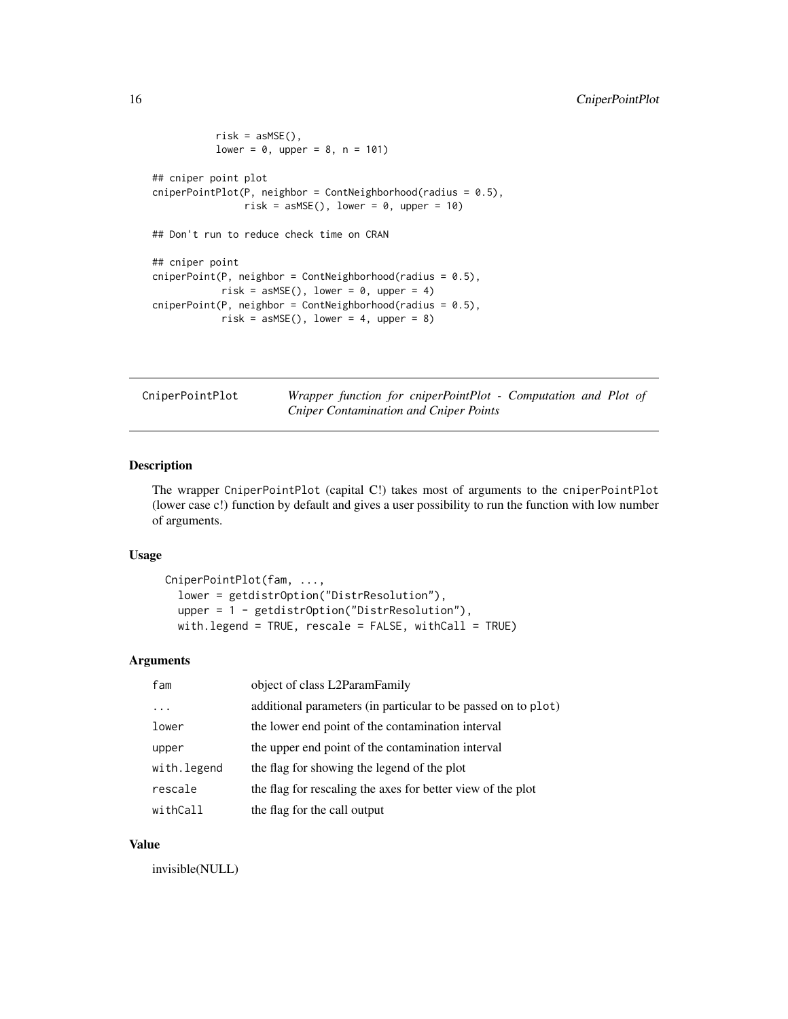```
risk = asMSE(),
          lower = 0, upper = 8, n = 101)## cniper point plot
cniperPointPlot(P, neighbor = ContNeighborhood(radius = 0.5),
               risk = asMSE(), lower = 0, upper = 10)
## Don't run to reduce check time on CRAN
## cniper point
cniperPoint(P, neighbor = ContNeighborhood(radius = 0.5),
           risk = askE(), lower = 0, upper = 4)cniperPoint(P, neighbor = ContNeighborhood(radius = 0.5),
           risk = asMSE(), lower = 4, upper = 8)
```

| CniperPointPlot | Wrapper function for cniperPointPlot - Computation and Plot of |  |  |  |
|-----------------|----------------------------------------------------------------|--|--|--|
|                 | Cniper Contamination and Cniper Points                         |  |  |  |

# Description

The wrapper CniperPointPlot (capital C!) takes most of arguments to the cniperPointPlot (lower case c!) function by default and gives a user possibility to run the function with low number of arguments.

# Usage

```
CniperPointPlot(fam, ...,
 lower = getdistrOption("DistrResolution"),
 upper = 1 - getdistrOption("DistrResolution"),
 with.legend = TRUE, rescale = FALSE, withCall = TRUE)
```
# Arguments

| fam          | object of class L2ParamFamily                                 |
|--------------|---------------------------------------------------------------|
| .            | additional parameters (in particular to be passed on to plot) |
| lower        | the lower end point of the contamination interval             |
| upper        | the upper end point of the contamination interval             |
| with. legend | the flag for showing the legend of the plot                   |
| rescale      | the flag for rescaling the axes for better view of the plot   |
| withCall     | the flag for the call output                                  |

#### Value

invisible(NULL)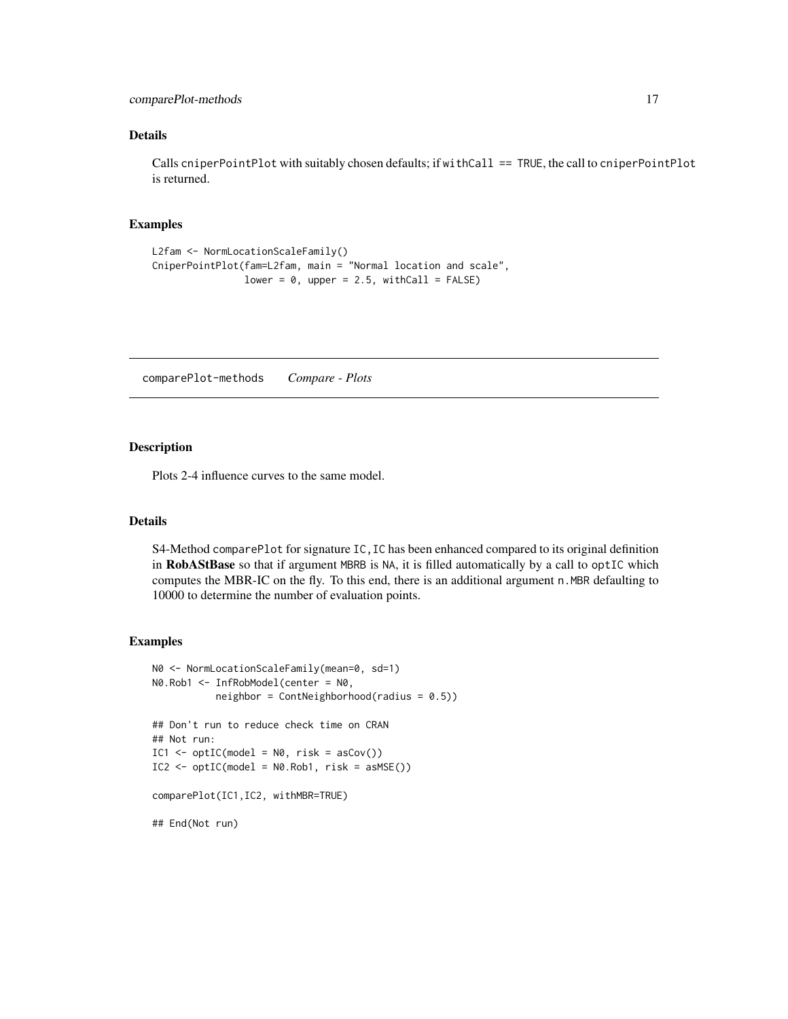# <span id="page-16-0"></span>comparePlot-methods 17

# Details

Calls cniperPointPlot with suitably chosen defaults; if withCall == TRUE, the call to cniperPointPlot is returned.

## Examples

```
L2fam <- NormLocationScaleFamily()
CniperPointPlot(fam=L2fam, main = "Normal location and scale",
                lower = 0, upper = 2.5, withCall = FALSE)
```
comparePlot-methods *Compare - Plots*

# Description

Plots 2-4 influence curves to the same model.

# Details

S4-Method comparePlot for signature IC,IC has been enhanced compared to its original definition in RobAStBase so that if argument MBRB is NA, it is filled automatically by a call to optIC which computes the MBR-IC on the fly. To this end, there is an additional argument n. MBR defaulting to 10000 to determine the number of evaluation points.

#### Examples

```
N0 <- NormLocationScaleFamily(mean=0, sd=1)
N0.Rob1 <- InfRobModel(center = N0,
           neighbor = ContNeighbourhood(radius = 0.5))## Don't run to reduce check time on CRAN
## Not run:
IC1 \leq - optIC(model = N0, risk = asCov())IC2 \leq optIC(model = N0.Rob1, risk = asMSE()comparePlot(IC1,IC2, withMBR=TRUE)
## End(Not run)
```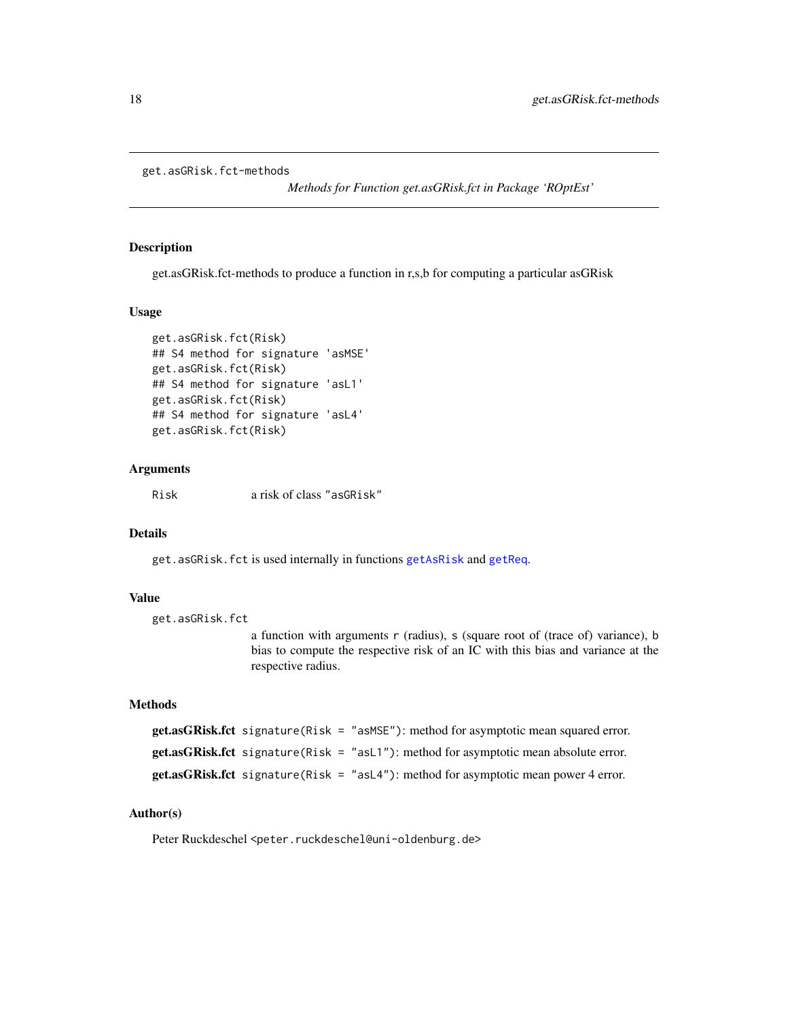```
get.asGRisk.fct-methods
```
*Methods for Function get.asGRisk.fct in Package 'ROptEst'*

## Description

get.asGRisk.fct-methods to produce a function in r,s,b for computing a particular asGRisk

#### Usage

```
get.asGRisk.fct(Risk)
## S4 method for signature 'asMSE'
get.asGRisk.fct(Risk)
## S4 method for signature 'asL1'
get.asGRisk.fct(Risk)
## S4 method for signature 'asL4'
get.asGRisk.fct(Risk)
```
# **Arguments**

Risk a risk of class "asGRisk"

#### Details

get.asGRisk.fct is used internally in functions [getAsRisk](#page-18-1) and [getReq](#page-53-1).

#### Value

```
get.asGRisk.fct
```
a function with arguments r (radius), s (square root of (trace of) variance), b bias to compute the respective risk of an IC with this bias and variance at the respective radius.

# Methods

```
get.asGRisk.fct signature(Risk = "asMSE"): method for asymptotic mean squared error.
get.asGRisk.fct signature(Risk = "asL1"): method for asymptotic mean absolute error.
get.asGRisk.fct signature(Risk = "asL4"): method for asymptotic mean power 4 error.
```
# Author(s)

Peter Ruckdeschel <peter.ruckdeschel@uni-oldenburg.de>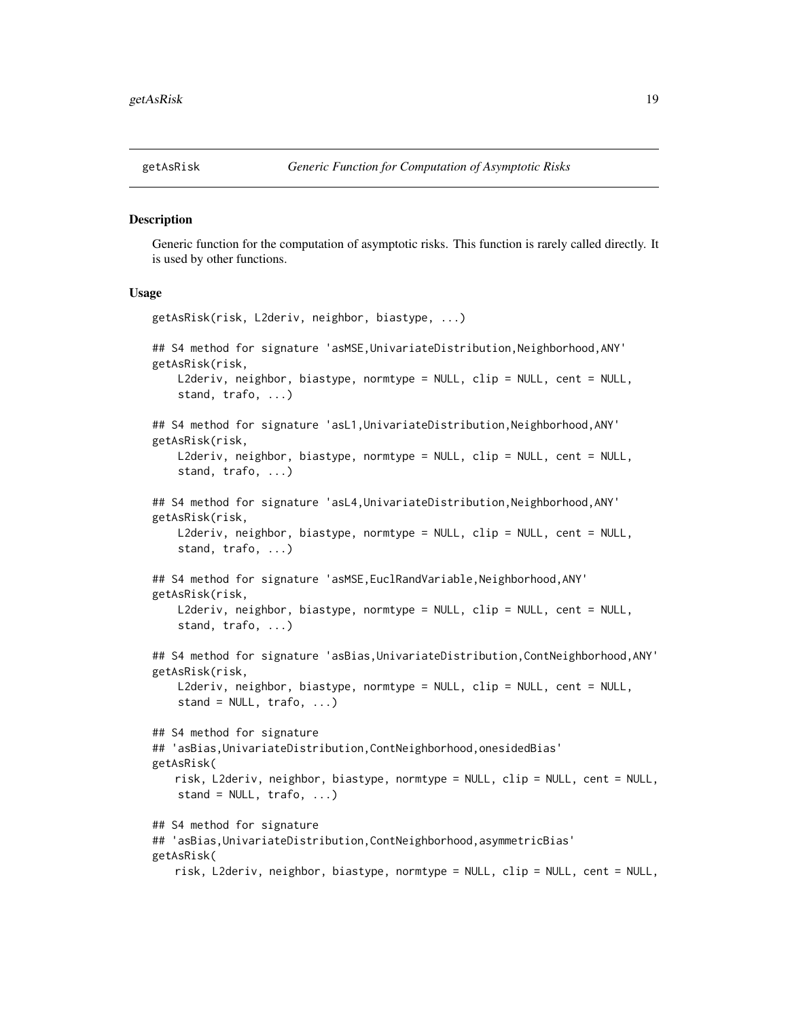<span id="page-18-1"></span><span id="page-18-0"></span>

#### Description

Generic function for the computation of asymptotic risks. This function is rarely called directly. It is used by other functions.

#### Usage

```
getAsRisk(risk, L2deriv, neighbor, biastype, ...)
## S4 method for signature 'asMSE, UnivariateDistribution, Neighborhood, ANY'
getAsRisk(risk,
    L2deriv, neighbor, biastype, normtype = NULL, clip = NULL, cent = NULL,
    stand, trafo, ...)
## S4 method for signature 'asL1, UnivariateDistribution, Neighborhood, ANY'
getAsRisk(risk,
    L2deriv, neighbor, biastype, normtype = NULL, clip = NULL, cent = NULL,
    stand, trafo, ...)
## S4 method for signature 'asL4,UnivariateDistribution,Neighborhood,ANY'
getAsRisk(risk,
    L2deriv, neighbor, biastype, normtype = NULL, clip = NULL, cent = NULL,
    stand, trafo, ...)
## S4 method for signature 'asMSE, EuclRandVariable, Neighborhood, ANY'
getAsRisk(risk,
    L2deriv, neighbor, biastype, normtype = NULL, clip = NULL, cent = NULL,
    stand, trafo, ...)
## S4 method for signature 'asBias,UnivariateDistribution,ContNeighborhood,ANY'
getAsRisk(risk,
    L2deriv, neighbor, biastype, normtype = NULL, clip = NULL, cent = NULL,
    stand = NULL, train (...)## S4 method for signature
## 'asBias,UnivariateDistribution,ContNeighborhood,onesidedBias'
getAsRisk(
   risk, L2deriv, neighbor, biastype, normtype = NULL, clip = NULL, cent = NULL,
    stand = NULL, trafo, ...)## S4 method for signature
## 'asBias,UnivariateDistribution,ContNeighborhood,asymmetricBias'
getAsRisk(
   risk, L2deriv, neighbor, biastype, normtype = NULL, clip = NULL, cent = NULL,
```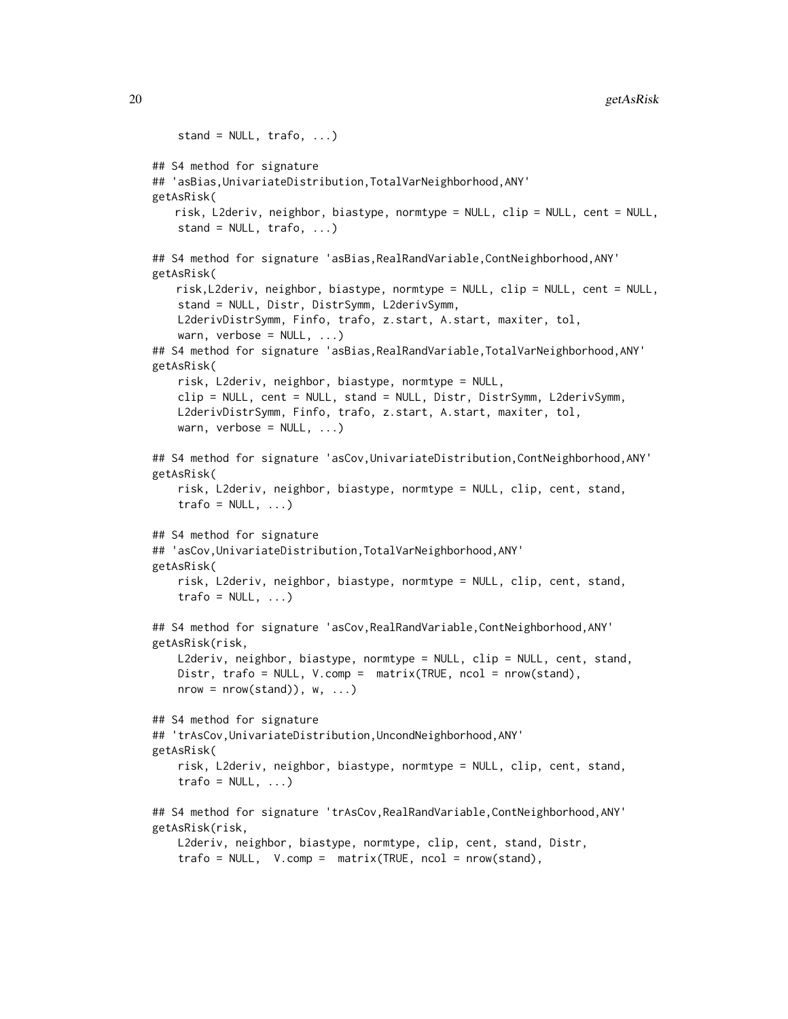```
stand = NULL, train, t =## S4 method for signature
## 'asBias,UnivariateDistribution,TotalVarNeighborhood,ANY'
getAsRisk(
   risk, L2deriv, neighbor, biastype, normtype = NULL, clip = NULL, cent = NULL,
   stand = NULL, train (...)## S4 method for signature 'asBias,RealRandVariable,ContNeighborhood,ANY'
getAsRisk(
   risk,L2deriv, neighbor, biastype, normtype = NULL, clip = NULL, cent = NULL,
   stand = NULL, Distr, DistrSymm, L2derivSymm,
   L2derivDistrSymm, Finfo, trafo, z.start, A.start, maxiter, tol,
   warn, verbose = NULL, \ldots)## S4 method for signature 'asBias,RealRandVariable,TotalVarNeighborhood,ANY'
getAsRisk(
   risk, L2deriv, neighbor, biastype, normtype = NULL,
   clip = NULL, cent = NULL, stand = NULL, Distr, DistrSymm, L2derivSymm,
   L2derivDistrSymm, Finfo, trafo, z.start, A.start, maxiter, tol,
   warn, verbose = NULL, \ldots)## S4 method for signature 'asCov,UnivariateDistribution,ContNeighborhood,ANY'
getAsRisk(
   risk, L2deriv, neighbor, biastype, normtype = NULL, clip, cent, stand,
    trafo = NULL, ...## S4 method for signature
## 'asCov,UnivariateDistribution,TotalVarNeighborhood,ANY'
getAsRisk(
   risk, L2deriv, neighbor, biastype, normtype = NULL, clip, cent, stand,
    trafo = NULL, ...## S4 method for signature 'asCov,RealRandVariable,ContNeighborhood,ANY'
getAsRisk(risk,
   L2deriv, neighbor, biastype, normtype = NULL, clip = NULL, cent, stand,
   Distr, trafo = NULL, V.comp = matrix(TRUE, ncol = nrow(stand),
   nrow = nrow(stat)), w, ...)
## S4 method for signature
## 'trAsCov,UnivariateDistribution,UncondNeighborhood,ANY'
getAsRisk(
   risk, L2deriv, neighbor, biastype, normtype = NULL, clip, cent, stand,
   trafo = NULL, ...## S4 method for signature 'trAsCov,RealRandVariable,ContNeighborhood,ANY'
getAsRisk(risk,
   L2deriv, neighbor, biastype, normtype, clip, cent, stand, Distr,
   trafo = NULL, V.comp = matrix(TRUE, ncol = nrow(stand),
```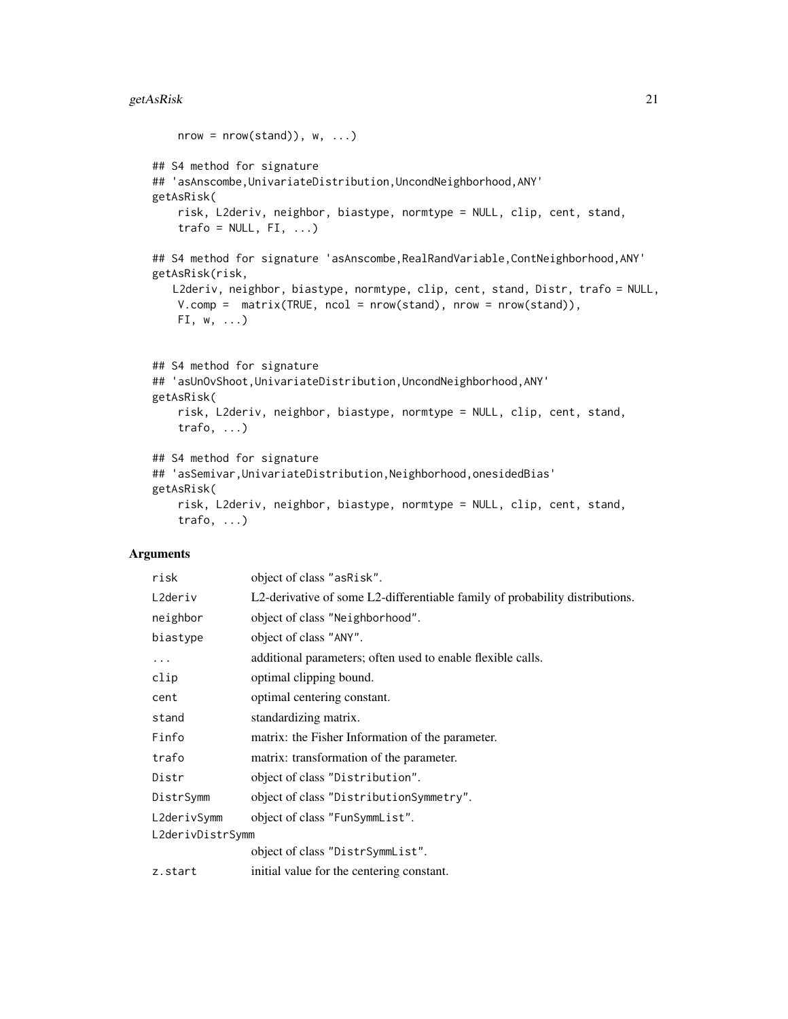```
nrow = nrow(stat)), w, ...)
## S4 method for signature
## 'asAnscombe, UnivariateDistribution, UncondNeighborhood, ANY'
getAsRisk(
   risk, L2deriv, neighbor, biastype, normtype = NULL, clip, cent, stand,
   trafo = NULL, FI, ...## S4 method for signature 'asAnscombe,RealRandVariable,ContNeighborhood,ANY'
getAsRisk(risk,
   L2deriv, neighbor, biastype, normtype, clip, cent, stand, Distr, trafo = NULL,
   V.compile = matrix(TRUE, ncol = nrow(stat)), nrow = nrow(stat)),FI, w, ...## S4 method for signature
## 'asUnOvShoot,UnivariateDistribution,UncondNeighborhood,ANY'
getAsRisk(
   risk, L2deriv, neighbor, biastype, normtype = NULL, clip, cent, stand,
   trafo, ...)
## S4 method for signature
## 'asSemivar,UnivariateDistribution,Neighborhood,onesidedBias'
getAsRisk(
   risk, L2deriv, neighbor, biastype, normtype = NULL, clip, cent, stand,
   trafo, ...)
```

| risk             | object of class "asRisk".                                                    |
|------------------|------------------------------------------------------------------------------|
| L2deriv          | L2-derivative of some L2-differentiable family of probability distributions. |
| neighbor         | object of class "Neighborhood".                                              |
| biastype         | object of class "ANY".                                                       |
| .                | additional parameters; often used to enable flexible calls.                  |
| clip             | optimal clipping bound.                                                      |
| cent             | optimal centering constant.                                                  |
| stand            | standardizing matrix.                                                        |
| Finfo            | matrix: the Fisher Information of the parameter.                             |
| trafo            | matrix: transformation of the parameter.                                     |
| Distr            | object of class "Distribution".                                              |
| DistrSymm        | object of class "DistributionSymmetry".                                      |
| L2derivSymm      | object of class "FunSymmList".                                               |
| L2derivDistrSymm |                                                                              |
|                  | object of class "DistrSymmList".                                             |
| z.start          | initial value for the centering constant.                                    |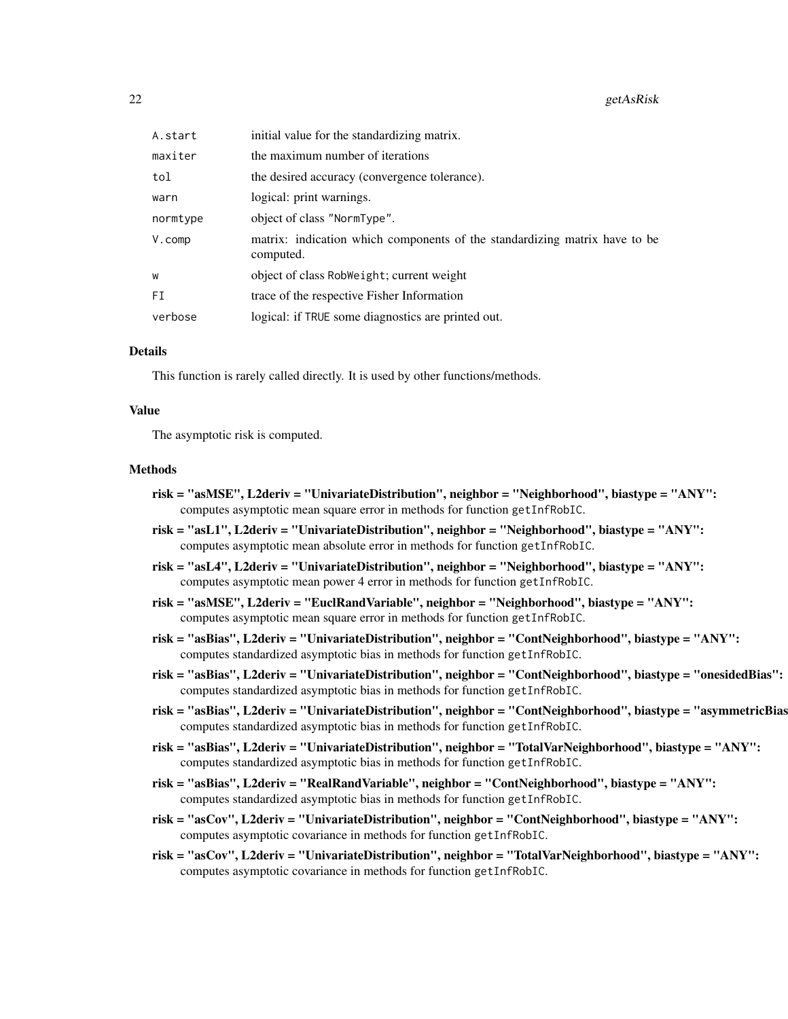| A.start    | initial value for the standardizing matrix.                                             |
|------------|-----------------------------------------------------------------------------------------|
| maxiter    | the maximum number of iterations                                                        |
| tol        | the desired accuracy (convergence tolerance).                                           |
| warn       | logical: print warnings.                                                                |
| normtype   | object of class "NormType".                                                             |
| $V$ . comp | matrix: indication which components of the standardizing matrix have to be<br>computed. |
| W          | object of class RobWeight; current weight                                               |
| FI         | trace of the respective Fisher Information                                              |
| verbose    | logical: if TRUE some diagnostics are printed out.                                      |

## Details

This function is rarely called directly. It is used by other functions/methods.

#### Value

The asymptotic risk is computed.

#### Methods

- risk = "asMSE", L2deriv = "UnivariateDistribution", neighbor = "Neighborhood", biastype = "ANY": computes asymptotic mean square error in methods for function getInfRobIC.
- risk = "asL1", L2deriv = "UnivariateDistribution", neighbor = "Neighborhood", biastype = "ANY": computes asymptotic mean absolute error in methods for function getInfRobIC.
- risk = "asL4", L2deriv = "UnivariateDistribution", neighbor = "Neighborhood", biastype = "ANY": computes asymptotic mean power 4 error in methods for function getInfRobIC.
- risk = "asMSE", L2deriv = "EuclRandVariable", neighbor = "Neighborhood", biastype = "ANY": computes asymptotic mean square error in methods for function getInfRobIC.
- risk = "asBias", L2deriv = "UnivariateDistribution", neighbor = "ContNeighborhood", biastype = "ANY": computes standardized asymptotic bias in methods for function getInfRobIC.
- risk = "asBias", L2deriv = "UnivariateDistribution", neighbor = "ContNeighborhood", biastype = "onesidedBias": computes standardized asymptotic bias in methods for function getInfRobIC.
- risk = "asBias", L2deriv = "UnivariateDistribution", neighbor = "ContNeighborhood", biastype = "asymmetricBias": computes standardized asymptotic bias in methods for function getInfRobIC.
- risk = "asBias", L2deriv = "UnivariateDistribution", neighbor = "TotalVarNeighborhood", biastype = "ANY": computes standardized asymptotic bias in methods for function getInfRobIC.
- risk = "asBias", L2deriv = "RealRandVariable", neighbor = "ContNeighborhood", biastype = "ANY": computes standardized asymptotic bias in methods for function getInfRobIC.
- risk = "asCov", L2deriv = "UnivariateDistribution", neighbor = "ContNeighborhood", biastype = "ANY": computes asymptotic covariance in methods for function getInfRobIC.
- risk = "asCov", L2deriv = "UnivariateDistribution", neighbor = "TotalVarNeighborhood", biastype = "ANY": computes asymptotic covariance in methods for function getInfRobIC.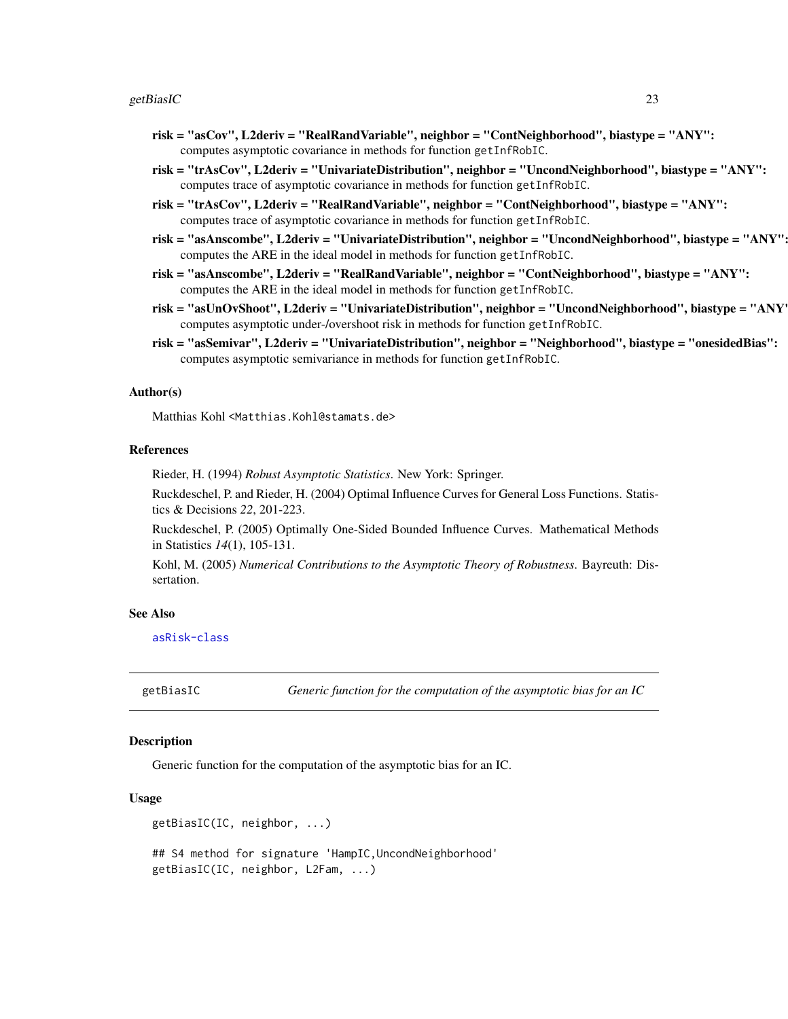#### <span id="page-22-0"></span>getBiasIC 23

- risk = "asCov", L2deriv = "RealRandVariable", neighbor = "ContNeighborhood", biastype = "ANY": computes asymptotic covariance in methods for function getInfRobIC.
- risk = "trAsCov", L2deriv = "UnivariateDistribution", neighbor = "UncondNeighborhood", biastype = "ANY": computes trace of asymptotic covariance in methods for function getInfRobIC.
- risk = "trAsCov", L2deriv = "RealRandVariable", neighbor = "ContNeighborhood", biastype = "ANY": computes trace of asymptotic covariance in methods for function getInfRobIC.
- risk = "asAnscombe", L2deriv = "UnivariateDistribution", neighbor = "UncondNeighborhood", biastype = "ANY": computes the ARE in the ideal model in methods for function getInfRobIC.
- risk = "asAnscombe", L2deriv = "RealRandVariable", neighbor = "ContNeighborhood", biastype = "ANY": computes the ARE in the ideal model in methods for function getInfRobIC.
- risk = "asUnOvShoot", L2deriv = "UnivariateDistribution", neighbor = "UncondNeighborhood", biastype = "ANY": computes asymptotic under-/overshoot risk in methods for function getInfRobIC.
- risk = "asSemivar", L2deriv = "UnivariateDistribution", neighbor = "Neighborhood", biastype = "onesidedBias": computes asymptotic semivariance in methods for function getInfRobIC.

#### Author(s)

Matthias Kohl <Matthias.Kohl@stamats.de>

#### References

Rieder, H. (1994) *Robust Asymptotic Statistics*. New York: Springer.

Ruckdeschel, P. and Rieder, H. (2004) Optimal Influence Curves for General Loss Functions. Statistics & Decisions *22*, 201-223.

Ruckdeschel, P. (2005) Optimally One-Sided Bounded Influence Curves. Mathematical Methods in Statistics *14*(1), 105-131.

Kohl, M. (2005) *Numerical Contributions to the Asymptotic Theory of Robustness*. Bayreuth: Dissertation.

## See Also

[asRisk-class](#page-0-0)

getBiasIC *Generic function for the computation of the asymptotic bias for an IC*

#### **Description**

Generic function for the computation of the asymptotic bias for an IC.

## Usage

```
getBiasIC(IC, neighbor, ...)
## S4 method for signature 'HampIC,UncondNeighborhood'
getBiasIC(IC, neighbor, L2Fam, ...)
```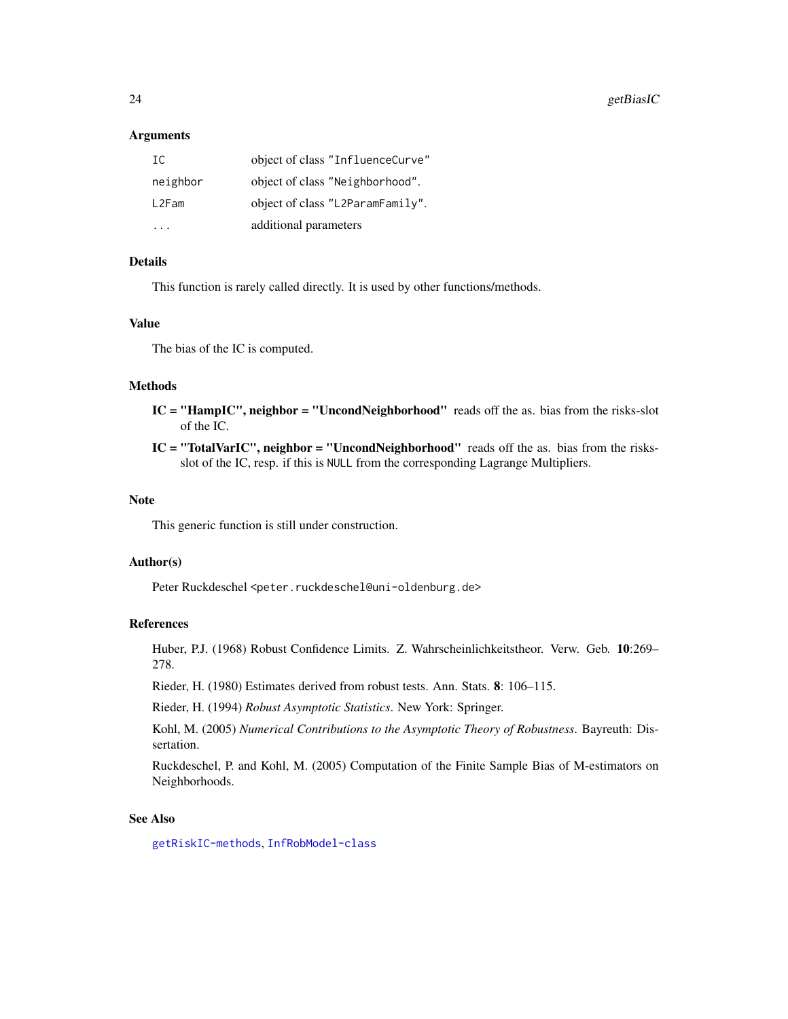## **Arguments**

| IC       | object of class "InfluenceCurve" |
|----------|----------------------------------|
| neighbor | object of class "Neighborhood".  |
| L2Fam    | object of class "L2ParamFamily". |
|          | additional parameters            |

# Details

This function is rarely called directly. It is used by other functions/methods.

#### Value

The bias of the IC is computed.

# Methods

- IC = "HampIC", neighbor = "UncondNeighborhood" reads off the as. bias from the risks-slot of the IC.
- $IC = "TotalVarIC", neighbor = "UncondNeighbourhood" reads off the as. bias from the risks$ slot of the IC, resp. if this is NULL from the corresponding Lagrange Multipliers.

## Note

This generic function is still under construction.

#### Author(s)

Peter Ruckdeschel <peter.ruckdeschel@uni-oldenburg.de>

## References

Huber, P.J. (1968) Robust Confidence Limits. Z. Wahrscheinlichkeitstheor. Verw. Geb. 10:269– 278.

Rieder, H. (1980) Estimates derived from robust tests. Ann. Stats. 8: 106–115.

Rieder, H. (1994) *Robust Asymptotic Statistics*. New York: Springer.

Kohl, M. (2005) *Numerical Contributions to the Asymptotic Theory of Robustness*. Bayreuth: Dissertation.

Ruckdeschel, P. and Kohl, M. (2005) Computation of the Finite Sample Bias of M-estimators on Neighborhoods.

## See Also

[getRiskIC-methods](#page-55-1), [InfRobModel-class](#page-0-0)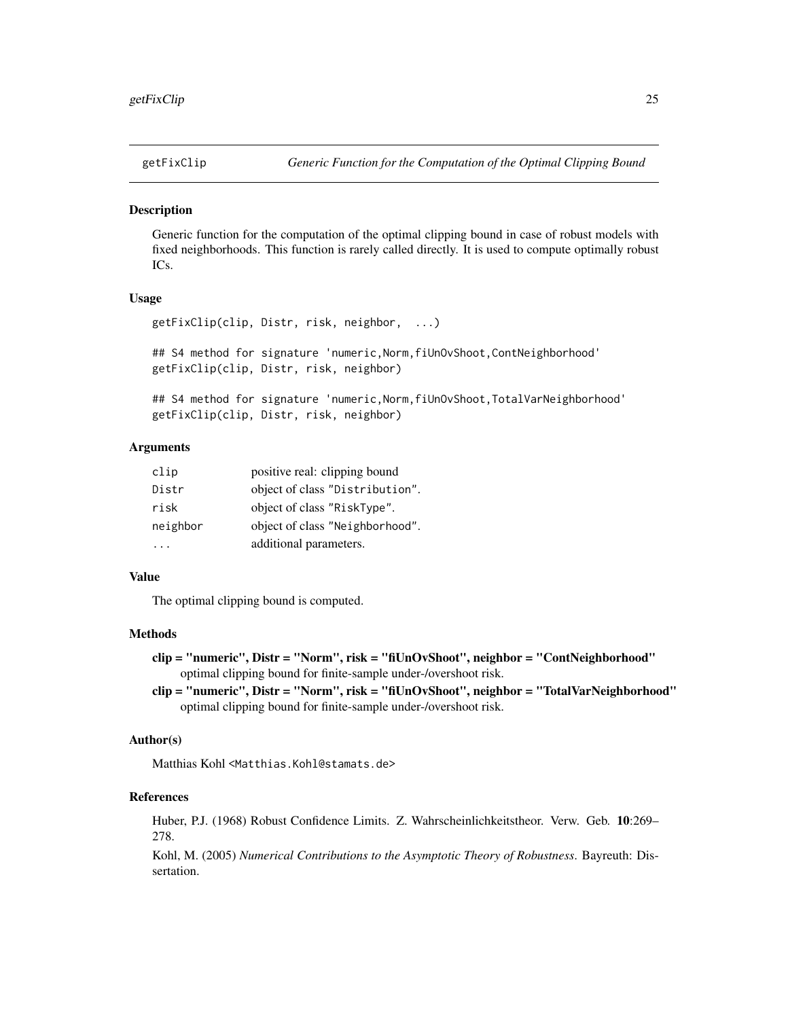<span id="page-24-0"></span>

## **Description**

Generic function for the computation of the optimal clipping bound in case of robust models with fixed neighborhoods. This function is rarely called directly. It is used to compute optimally robust ICs.

## Usage

```
getFixClip(clip, Distr, risk, neighbor, ...)
## S4 method for signature 'numeric,Norm,fiUnOvShoot,ContNeighborhood'
getFixClip(clip, Distr, risk, neighbor)
```
## S4 method for signature 'numeric,Norm,fiUnOvShoot,TotalVarNeighborhood' getFixClip(clip, Distr, risk, neighbor)

# Arguments

| clip     | positive real: clipping bound   |
|----------|---------------------------------|
| Distr    | object of class "Distribution". |
| risk     | object of class "RiskType".     |
| neighbor | object of class "Neighborhood". |
|          | additional parameters.          |

# Value

The optimal clipping bound is computed.

## Methods

```
clip = "numeric", Distr = "Norm", risk = "fiUnOvShoot", neighbor = "ContNeighborhood"
     optimal clipping bound for finite-sample under-/overshoot risk.
```
clip = "numeric", Distr = "Norm", risk = "fiUnOvShoot", neighbor = "TotalVarNeighborhood" optimal clipping bound for finite-sample under-/overshoot risk.

#### Author(s)

Matthias Kohl <Matthias.Kohl@stamats.de>

## References

Huber, P.J. (1968) Robust Confidence Limits. Z. Wahrscheinlichkeitstheor. Verw. Geb. 10:269– 278.

Kohl, M. (2005) *Numerical Contributions to the Asymptotic Theory of Robustness*. Bayreuth: Dissertation.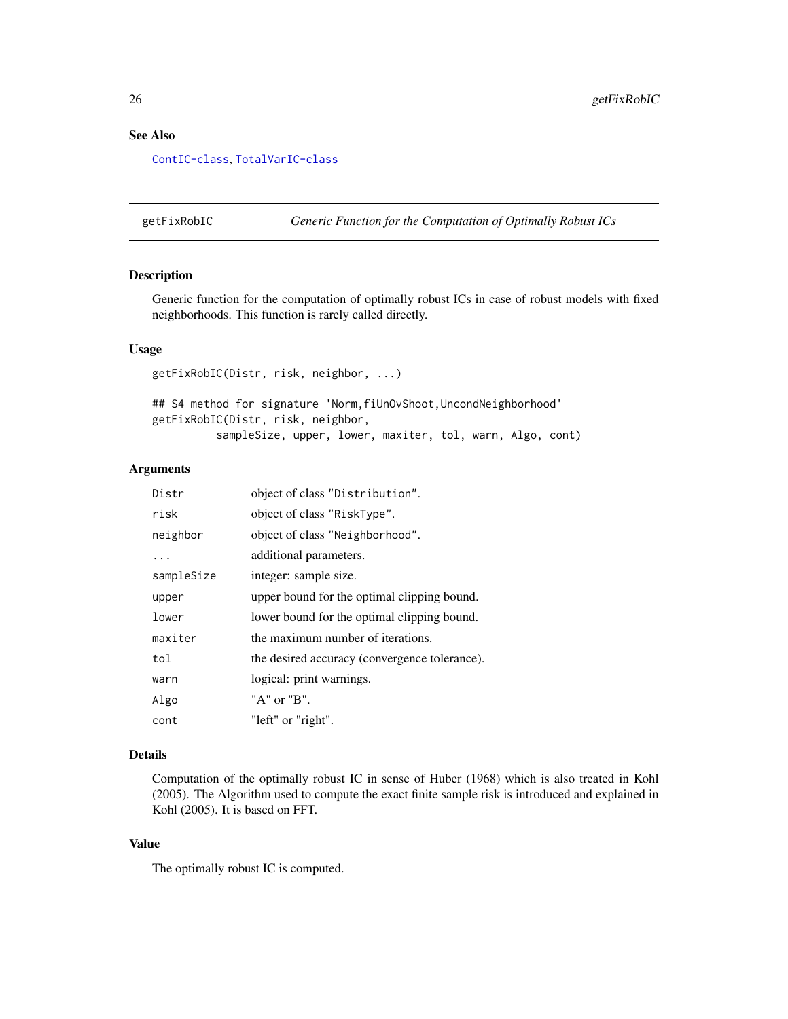# <span id="page-25-0"></span>See Also

#### [ContIC-class](#page-0-0), [TotalVarIC-class](#page-0-0)

getFixRobIC *Generic Function for the Computation of Optimally Robust ICs*

# **Description**

Generic function for the computation of optimally robust ICs in case of robust models with fixed neighborhoods. This function is rarely called directly.

#### Usage

getFixRobIC(Distr, risk, neighbor, ...) ## S4 method for signature 'Norm, fiUnOvShoot, UncondNeighborhood' getFixRobIC(Distr, risk, neighbor, sampleSize, upper, lower, maxiter, tol, warn, Algo, cont)

# Arguments

| Distr      | object of class "Distribution".               |
|------------|-----------------------------------------------|
| risk       | object of class "RiskType".                   |
| neighbor   | object of class "Neighborhood".               |
| .          | additional parameters.                        |
| sampleSize | integer: sample size.                         |
| upper      | upper bound for the optimal clipping bound.   |
| lower      | lower bound for the optimal clipping bound.   |
| maxiter    | the maximum number of iterations.             |
| tol        | the desired accuracy (convergence tolerance). |
| warn       | logical: print warnings.                      |
| Algo       | "A" or "B".                                   |
| cont       | "left" or "right".                            |

#### Details

Computation of the optimally robust IC in sense of Huber (1968) which is also treated in Kohl (2005). The Algorithm used to compute the exact finite sample risk is introduced and explained in Kohl (2005). It is based on FFT.

# Value

The optimally robust IC is computed.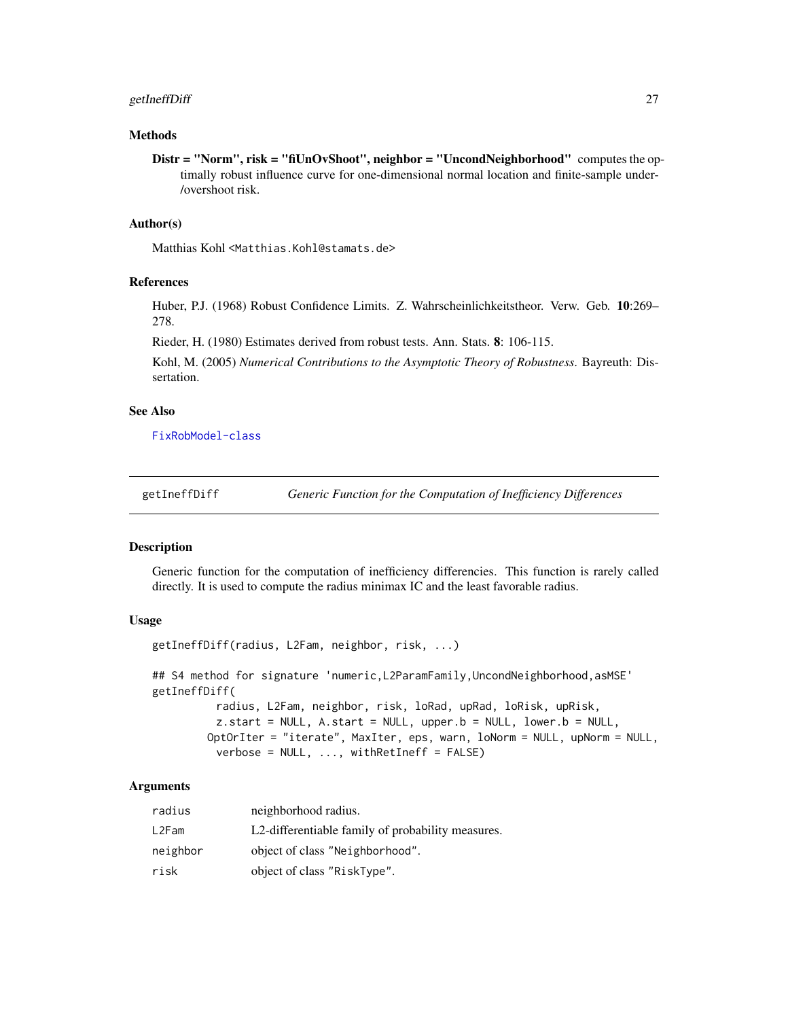# <span id="page-26-0"></span>getIneffDiff 27

## Methods

Distr = "Norm", risk = "fiUnOvShoot", neighbor = "UncondNeighborhood" computes the optimally robust influence curve for one-dimensional normal location and finite-sample under- /overshoot risk.

#### Author(s)

Matthias Kohl <Matthias.Kohl@stamats.de>

# References

Huber, P.J. (1968) Robust Confidence Limits. Z. Wahrscheinlichkeitstheor. Verw. Geb. 10:269– 278.

Rieder, H. (1980) Estimates derived from robust tests. Ann. Stats. 8: 106-115.

Kohl, M. (2005) *Numerical Contributions to the Asymptotic Theory of Robustness*. Bayreuth: Dissertation.

# See Also

[FixRobModel-class](#page-0-0)

getIneffDiff *Generic Function for the Computation of Inefficiency Differences*

#### Description

Generic function for the computation of inefficiency differencies. This function is rarely called directly. It is used to compute the radius minimax IC and the least favorable radius.

## Usage

```
getIneffDiff(radius, L2Fam, neighbor, risk, ...)
## S4 method for signature 'numeric,L2ParamFamily,UncondNeighborhood,asMSE'
getIneffDiff(
          radius, L2Fam, neighbor, risk, loRad, upRad, loRisk, upRisk,
          z.start = NULL, A.start = NULL, upper.b = NULL, lower.b = NULL,
        OptOrIter = "iterate", MaxIter, eps, warn, loNorm = NULL, upNorm = NULL,
          verbose = NULL, ..., withReturnff = FALSE)
```

| radius   | neighborhood radius.                              |
|----------|---------------------------------------------------|
| L2Fam    | L2-differentiable family of probability measures. |
| neighbor | object of class "Neighborhood".                   |
| risk     | object of class "RiskType".                       |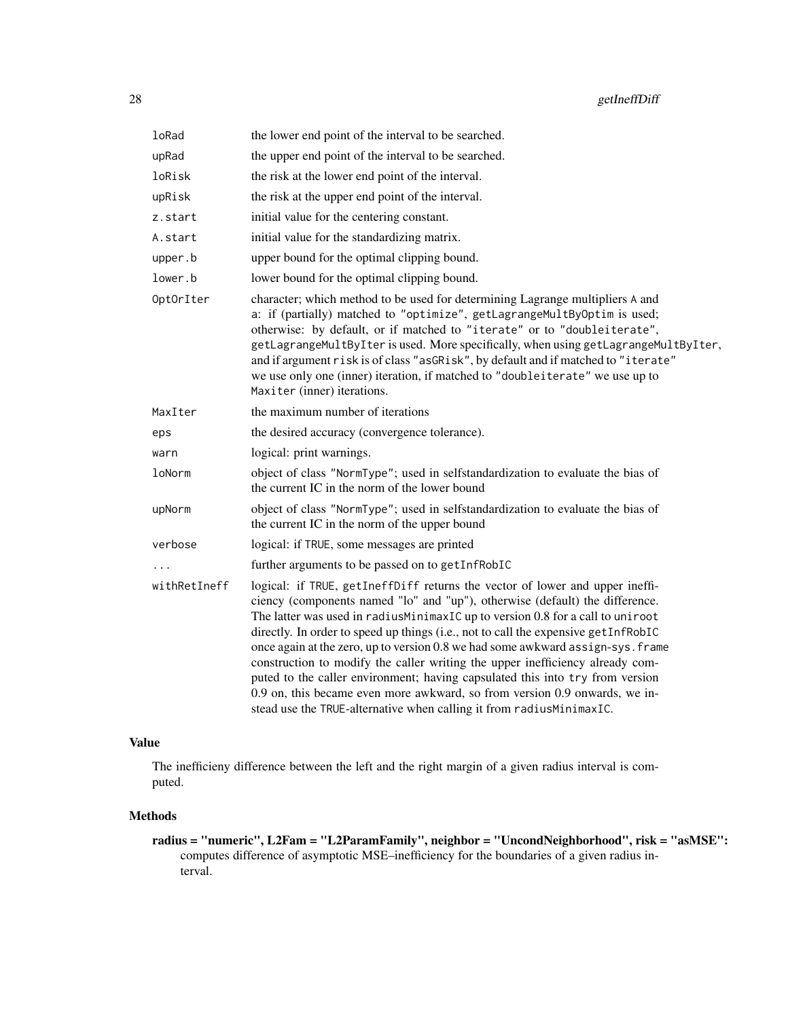| loRad        | the lower end point of the interval to be searched.                                                                                                                                                                                                                                                                                                                                                                                                                                                                                                                                                                                                                                                                                             |
|--------------|-------------------------------------------------------------------------------------------------------------------------------------------------------------------------------------------------------------------------------------------------------------------------------------------------------------------------------------------------------------------------------------------------------------------------------------------------------------------------------------------------------------------------------------------------------------------------------------------------------------------------------------------------------------------------------------------------------------------------------------------------|
| upRad        | the upper end point of the interval to be searched.                                                                                                                                                                                                                                                                                                                                                                                                                                                                                                                                                                                                                                                                                             |
| loRisk       | the risk at the lower end point of the interval.                                                                                                                                                                                                                                                                                                                                                                                                                                                                                                                                                                                                                                                                                                |
| upRisk       | the risk at the upper end point of the interval.                                                                                                                                                                                                                                                                                                                                                                                                                                                                                                                                                                                                                                                                                                |
| z.start      | initial value for the centering constant.                                                                                                                                                                                                                                                                                                                                                                                                                                                                                                                                                                                                                                                                                                       |
| A.start      | initial value for the standardizing matrix.                                                                                                                                                                                                                                                                                                                                                                                                                                                                                                                                                                                                                                                                                                     |
| upper.b      | upper bound for the optimal clipping bound.                                                                                                                                                                                                                                                                                                                                                                                                                                                                                                                                                                                                                                                                                                     |
| lower.b      | lower bound for the optimal clipping bound.                                                                                                                                                                                                                                                                                                                                                                                                                                                                                                                                                                                                                                                                                                     |
| OptOrIter    | character; which method to be used for determining Lagrange multipliers A and<br>a: if (partially) matched to "optimize", getLagrangeMultByOptim is used;<br>otherwise: by default, or if matched to "iterate" or to "doubleiterate",<br>getLagrangeMultByIter is used. More specifically, when using getLagrangeMultByIter,<br>and if argument risk is of class "asGRisk", by default and if matched to "iterate"<br>we use only one (inner) iteration, if matched to "doubleiterate" we use up to<br>Maxiter (inner) iterations.                                                                                                                                                                                                              |
| MaxIter      | the maximum number of iterations                                                                                                                                                                                                                                                                                                                                                                                                                                                                                                                                                                                                                                                                                                                |
| eps          | the desired accuracy (convergence tolerance).                                                                                                                                                                                                                                                                                                                                                                                                                                                                                                                                                                                                                                                                                                   |
| warn         | logical: print warnings.                                                                                                                                                                                                                                                                                                                                                                                                                                                                                                                                                                                                                                                                                                                        |
| loNorm       | object of class "NormType"; used in selfstandardization to evaluate the bias of<br>the current IC in the norm of the lower bound                                                                                                                                                                                                                                                                                                                                                                                                                                                                                                                                                                                                                |
| upNorm       | object of class "NormType"; used in selfstandardization to evaluate the bias of<br>the current IC in the norm of the upper bound                                                                                                                                                                                                                                                                                                                                                                                                                                                                                                                                                                                                                |
| verbose      | logical: if TRUE, some messages are printed                                                                                                                                                                                                                                                                                                                                                                                                                                                                                                                                                                                                                                                                                                     |
|              | further arguments to be passed on to getInfRobIC                                                                                                                                                                                                                                                                                                                                                                                                                                                                                                                                                                                                                                                                                                |
| withRetIneff | logical: if TRUE, getIneffDiff returns the vector of lower and upper ineffi-<br>ciency (components named "lo" and "up"), otherwise (default) the difference.<br>The latter was used in radiusMinimaxIC up to version 0.8 for a call to uniroot<br>directly. In order to speed up things (i.e., not to call the expensive getInfRobIC<br>once again at the zero, up to version 0.8 we had some awkward assign-sys. frame<br>construction to modify the caller writing the upper inefficiency already com-<br>puted to the caller environment; having capsulated this into try from version<br>0.9 on, this became even more awkward, so from version 0.9 onwards, we in-<br>stead use the TRUE-alternative when calling it from radiusMinimaxIC. |

# Value

The inefficieny difference between the left and the right margin of a given radius interval is computed.

# Methods

radius = "numeric", L2Fam = "L2ParamFamily", neighbor = "UncondNeighborhood", risk = "asMSE": computes difference of asymptotic MSE–inefficiency for the boundaries of a given radius interval.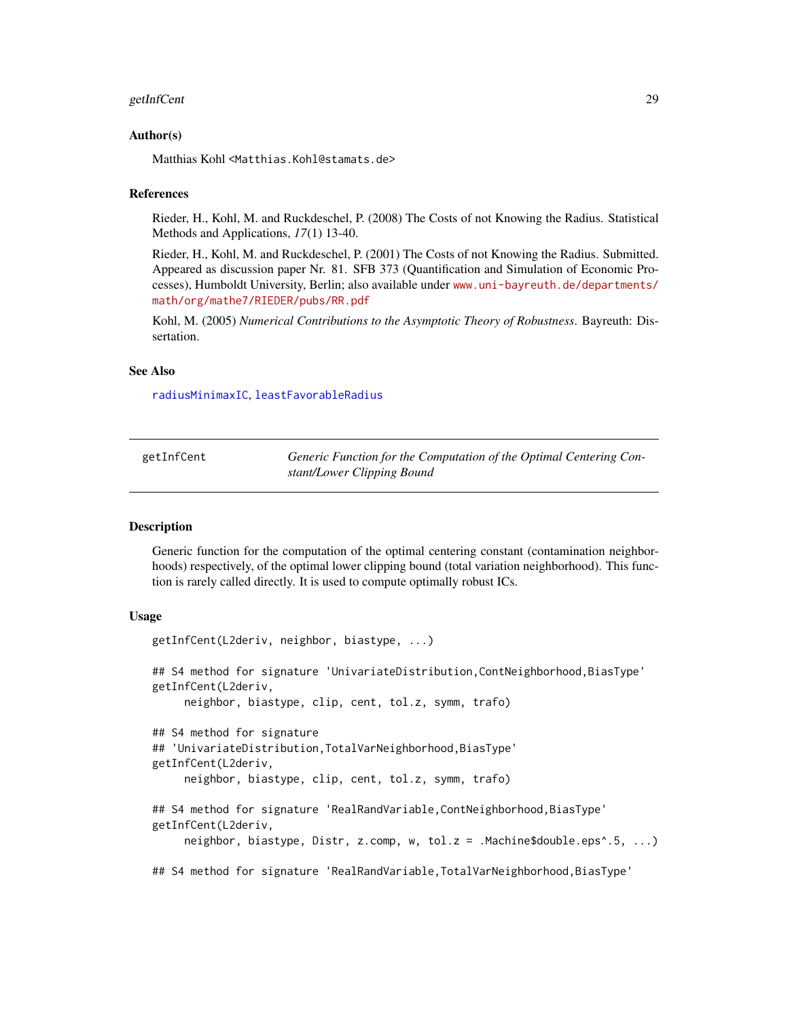#### <span id="page-28-0"></span>getInfCent 29

## Author(s)

Matthias Kohl <Matthias.Kohl@stamats.de>

#### References

Rieder, H., Kohl, M. and Ruckdeschel, P. (2008) The Costs of not Knowing the Radius. Statistical Methods and Applications, *17*(1) 13-40.

Rieder, H., Kohl, M. and Ruckdeschel, P. (2001) The Costs of not Knowing the Radius. Submitted. Appeared as discussion paper Nr. 81. SFB 373 (Quantification and Simulation of Economic Processes), Humboldt University, Berlin; also available under [www.uni-bayreuth.de/departments/](www.uni-bayreuth.de/departments/math/org/mathe7/RIEDER/pubs/RR.pdf) [math/org/mathe7/RIEDER/pubs/RR.pdf](www.uni-bayreuth.de/departments/math/org/mathe7/RIEDER/pubs/RR.pdf)

Kohl, M. (2005) *Numerical Contributions to the Asymptotic Theory of Robustness*. Bayreuth: Dissertation.

## See Also

[radiusMinimaxIC](#page-73-1), [leastFavorableRadius](#page-61-1)

| getInfCent | Generic Function for the Computation of the Optimal Centering Con- |
|------------|--------------------------------------------------------------------|
|            | stant/Lower Clipping Bound                                         |

#### **Description**

Generic function for the computation of the optimal centering constant (contamination neighborhoods) respectively, of the optimal lower clipping bound (total variation neighborhood). This function is rarely called directly. It is used to compute optimally robust ICs.

#### Usage

```
getInfCent(L2deriv, neighbor, biastype, ...)
## S4 method for signature 'UnivariateDistribution,ContNeighborhood,BiasType'
getInfCent(L2deriv,
     neighbor, biastype, clip, cent, tol.z, symm, trafo)
## S4 method for signature
## 'UnivariateDistribution,TotalVarNeighborhood,BiasType'
getInfCent(L2deriv,
     neighbor, biastype, clip, cent, tol.z, symm, trafo)
## S4 method for signature 'RealRandVariable, ContNeighborhood, BiasType'
getInfCent(L2deriv,
     neighbor, biastype, Distr, z.comp, w, tol.z = .Machine$double.eps^.5, ...)
## S4 method for signature 'RealRandVariable,TotalVarNeighborhood,BiasType'
```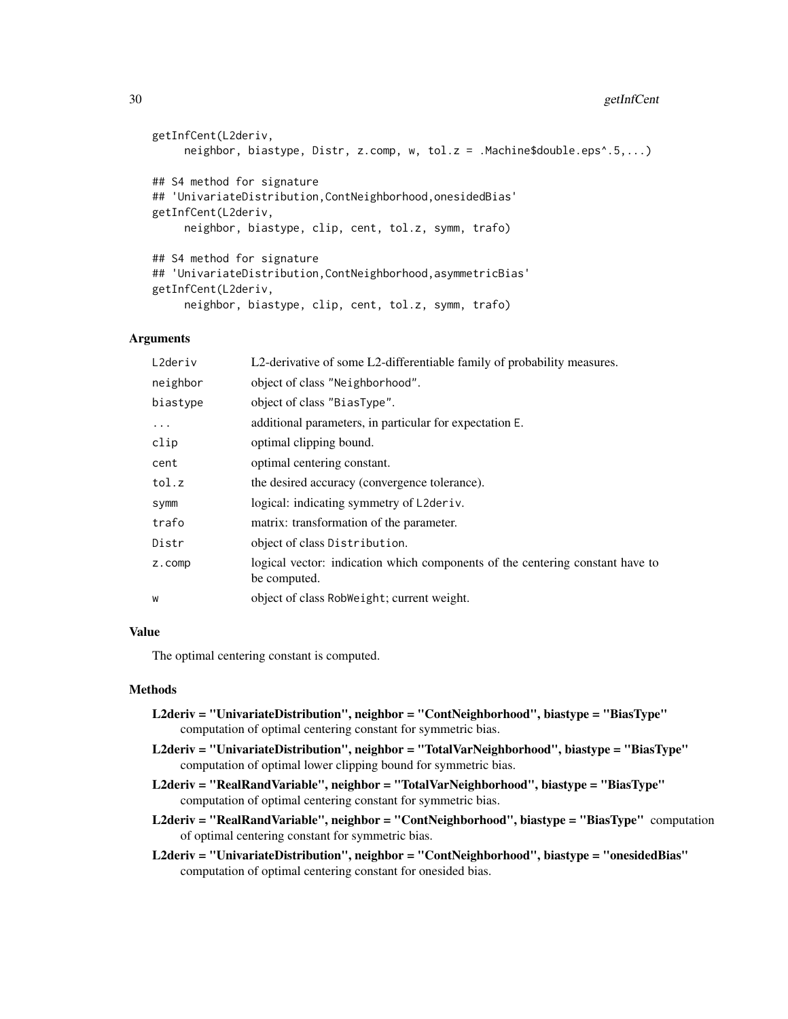```
getInfCent(L2deriv,
     neighbor, biastype, Distr, z.comp, w, tol.z = .Machine$double.eps^.5,...)
## S4 method for signature
## 'UnivariateDistribution,ContNeighborhood,onesidedBias'
getInfCent(L2deriv,
     neighbor, biastype, clip, cent, tol.z, symm, trafo)
## S4 method for signature
## 'UnivariateDistribution,ContNeighborhood,asymmetricBias'
getInfCent(L2deriv,
     neighbor, biastype, clip, cent, tol.z, symm, trafo)
```
# Arguments

| L2deriv  | L2-derivative of some L2-differentiable family of probability measures.                       |
|----------|-----------------------------------------------------------------------------------------------|
| neighbor | object of class "Neighborhood".                                                               |
| biastype | object of class "BiasType".                                                                   |
| .        | additional parameters, in particular for expectation E.                                       |
| clip     | optimal clipping bound.                                                                       |
| cent     | optimal centering constant.                                                                   |
| tol.z    | the desired accuracy (convergence tolerance).                                                 |
| symm     | logical: indicating symmetry of L2deriv.                                                      |
| trafo    | matrix: transformation of the parameter.                                                      |
| Distr    | object of class Distribution.                                                                 |
| z.comp   | logical vector: indication which components of the centering constant have to<br>be computed. |
| W        | object of class RobWeight; current weight.                                                    |
|          |                                                                                               |

# Value

The optimal centering constant is computed.

## **Methods**

| L2deriv = "UnivariateDistribution", neighbor = "ContNeighborhood", biastype = "BiasType" |  |
|------------------------------------------------------------------------------------------|--|
| computation of optimal centering constant for symmetric bias.                            |  |

- L2deriv = "UnivariateDistribution", neighbor = "TotalVarNeighborhood", biastype = "BiasType" computation of optimal lower clipping bound for symmetric bias.
- L2deriv = "RealRandVariable", neighbor = "TotalVarNeighborhood", biastype = "BiasType" computation of optimal centering constant for symmetric bias.
- L2deriv = "RealRandVariable", neighbor = "ContNeighborhood", biastype = "BiasType" computation of optimal centering constant for symmetric bias.

```
L2deriv = "UnivariateDistribution", neighbor = "ContNeighborhood", biastype = "onesidedBias"
     computation of optimal centering constant for onesided bias.
```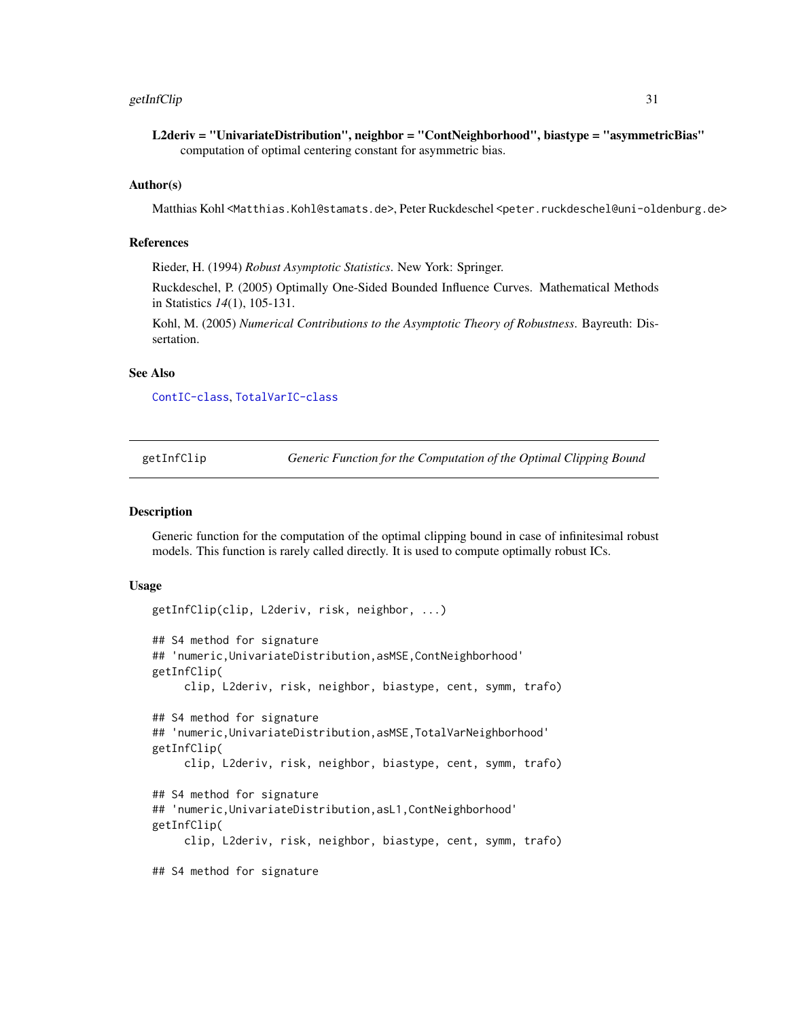## <span id="page-30-0"></span>getInfClip 31

L2deriv = "UnivariateDistribution", neighbor = "ContNeighborhood", biastype = "asymmetricBias" computation of optimal centering constant for asymmetric bias.

#### Author(s)

Matthias Kohl <Matthias.Kohl@stamats.de>, Peter Ruckdeschel <peter.ruckdeschel@uni-oldenburg.de>

## References

Rieder, H. (1994) *Robust Asymptotic Statistics*. New York: Springer.

Ruckdeschel, P. (2005) Optimally One-Sided Bounded Influence Curves. Mathematical Methods in Statistics *14*(1), 105-131.

Kohl, M. (2005) *Numerical Contributions to the Asymptotic Theory of Robustness*. Bayreuth: Dissertation.

#### See Also

[ContIC-class](#page-0-0), [TotalVarIC-class](#page-0-0)

getInfClip *Generic Function for the Computation of the Optimal Clipping Bound*

#### **Description**

Generic function for the computation of the optimal clipping bound in case of infinitesimal robust models. This function is rarely called directly. It is used to compute optimally robust ICs.

#### Usage

```
getInfClip(clip, L2deriv, risk, neighbor, ...)
## S4 method for signature
## 'numeric,UnivariateDistribution,asMSE,ContNeighborhood'
getInfClip(
     clip, L2deriv, risk, neighbor, biastype, cent, symm, trafo)
## S4 method for signature
## 'numeric,UnivariateDistribution,asMSE,TotalVarNeighborhood'
getInfClip(
     clip, L2deriv, risk, neighbor, biastype, cent, symm, trafo)
## S4 method for signature
## 'numeric,UnivariateDistribution,asL1,ContNeighborhood'
getInfClip(
     clip, L2deriv, risk, neighbor, biastype, cent, symm, trafo)
## S4 method for signature
```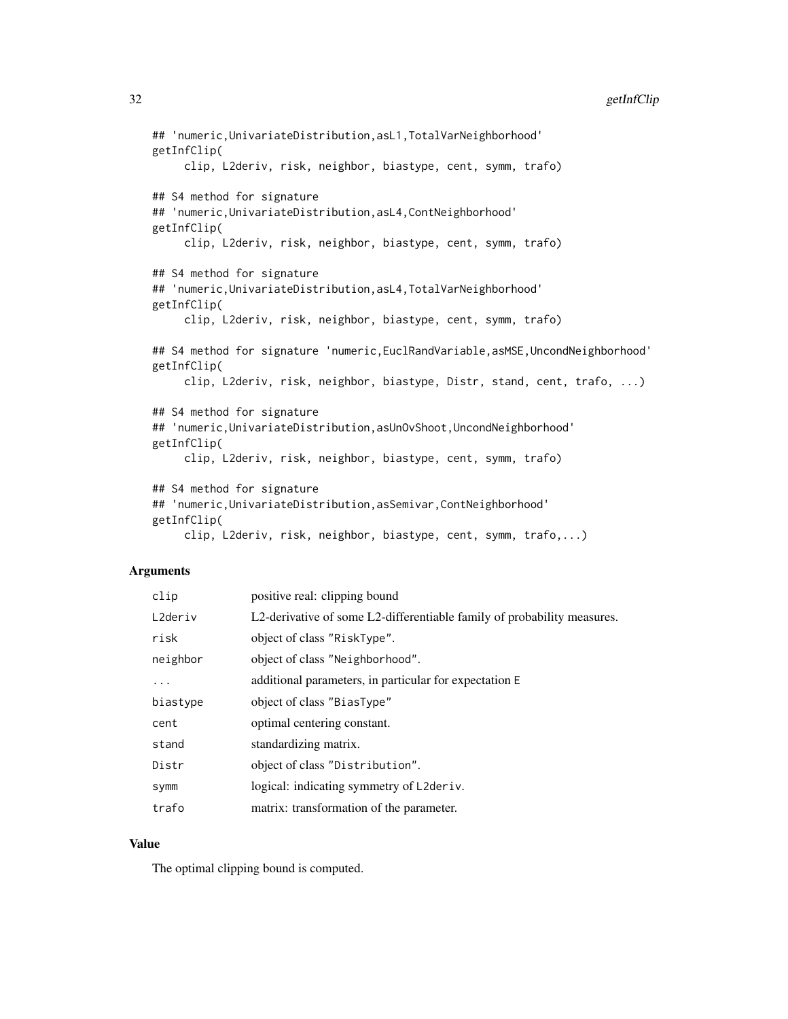```
## 'numeric,UnivariateDistribution,asL1,TotalVarNeighborhood'
getInfClip(
     clip, L2deriv, risk, neighbor, biastype, cent, symm, trafo)
## S4 method for signature
## 'numeric,UnivariateDistribution,asL4,ContNeighborhood'
getInfClip(
     clip, L2deriv, risk, neighbor, biastype, cent, symm, trafo)
## S4 method for signature
## 'numeric,UnivariateDistribution,asL4,TotalVarNeighborhood'
getInfClip(
     clip, L2deriv, risk, neighbor, biastype, cent, symm, trafo)
## S4 method for signature 'numeric,EuclRandVariable,asMSE,UncondNeighborhood'
getInfClip(
     clip, L2deriv, risk, neighbor, biastype, Distr, stand, cent, trafo, ...)
## S4 method for signature
## 'numeric,UnivariateDistribution,asUnOvShoot,UncondNeighborhood'
getInfClip(
     clip, L2deriv, risk, neighbor, biastype, cent, symm, trafo)
## S4 method for signature
## 'numeric,UnivariateDistribution,asSemivar,ContNeighborhood'
getInfClip(
     clip, L2deriv, risk, neighbor, biastype, cent, symm, trafo,...)
```
## Arguments

| clip     | positive real: clipping bound                                           |
|----------|-------------------------------------------------------------------------|
| L2deriv  | L2-derivative of some L2-differentiable family of probability measures. |
| risk     | object of class "RiskType".                                             |
| neighbor | object of class "Neighborhood".                                         |
| .        | additional parameters, in particular for expectation E                  |
| biastype | object of class "BiasType"                                              |
| cent     | optimal centering constant.                                             |
| stand    | standardizing matrix.                                                   |
| Distr    | object of class "Distribution".                                         |
| symm     | logical: indicating symmetry of L2deriv.                                |
| trafo    | matrix: transformation of the parameter.                                |

# Value

The optimal clipping bound is computed.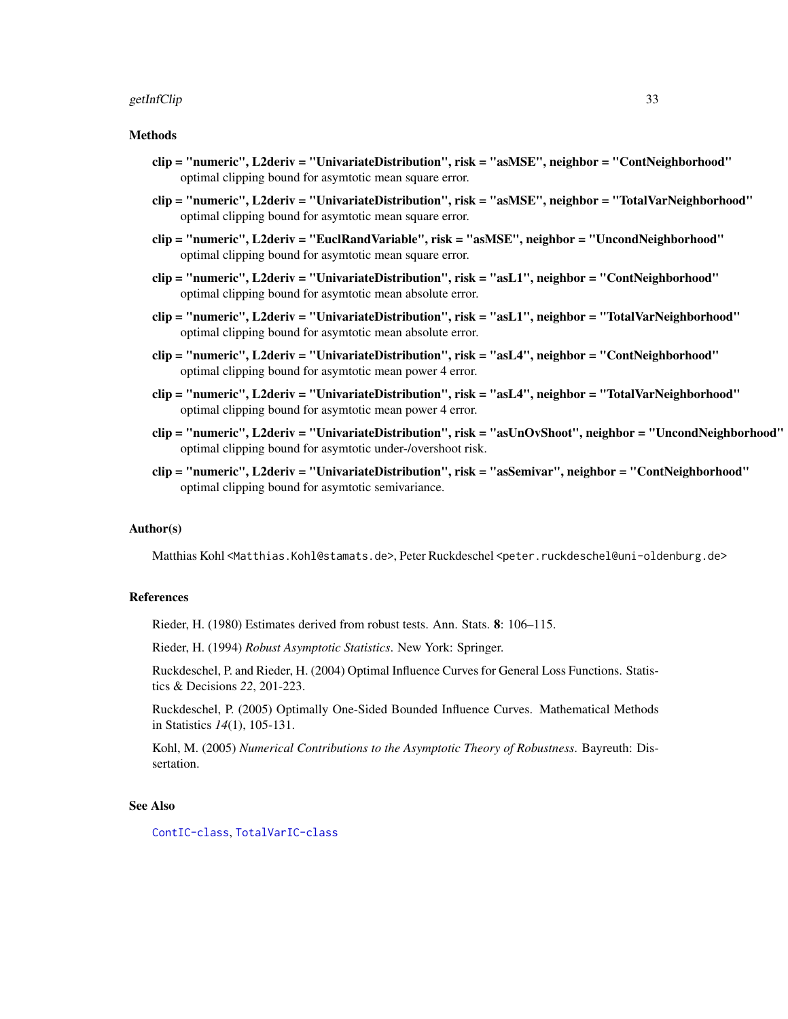#### getInfClip 33

## Methods

- clip = "numeric", L2deriv = "UnivariateDistribution", risk = "asMSE", neighbor = "ContNeighborhood" optimal clipping bound for asymtotic mean square error.
- clip = "numeric", L2deriv = "UnivariateDistribution", risk = "asMSE", neighbor = "TotalVarNeighborhood" optimal clipping bound for asymtotic mean square error.
- clip = "numeric", L2deriv = "EuclRandVariable", risk = "asMSE", neighbor = "UncondNeighborhood" optimal clipping bound for asymtotic mean square error.
- clip = "numeric", L2deriv = "UnivariateDistribution", risk = "asL1", neighbor = "ContNeighborhood" optimal clipping bound for asymtotic mean absolute error.
- clip = "numeric", L2deriv = "UnivariateDistribution", risk = "asL1", neighbor = "TotalVarNeighborhood" optimal clipping bound for asymtotic mean absolute error.
- clip = "numeric", L2deriv = "UnivariateDistribution", risk = "asL4", neighbor = "ContNeighborhood" optimal clipping bound for asymtotic mean power 4 error.
- clip = "numeric", L2deriv = "UnivariateDistribution", risk = "asL4", neighbor = "TotalVarNeighborhood" optimal clipping bound for asymtotic mean power 4 error.
- clip = "numeric", L2deriv = "UnivariateDistribution", risk = "asUnOvShoot", neighbor = "UncondNeighborhood" optimal clipping bound for asymtotic under-/overshoot risk.
- clip = "numeric", L2deriv = "UnivariateDistribution", risk = "asSemivar", neighbor = "ContNeighborhood" optimal clipping bound for asymtotic semivariance.

## Author(s)

Matthias Kohl <Matthias.Kohl@stamats.de>, Peter Ruckdeschel <peter.ruckdeschel@uni-oldenburg.de>

## References

Rieder, H. (1980) Estimates derived from robust tests. Ann. Stats. 8: 106–115.

Rieder, H. (1994) *Robust Asymptotic Statistics*. New York: Springer.

Ruckdeschel, P. and Rieder, H. (2004) Optimal Influence Curves for General Loss Functions. Statistics & Decisions *22*, 201-223.

Ruckdeschel, P. (2005) Optimally One-Sided Bounded Influence Curves. Mathematical Methods in Statistics *14*(1), 105-131.

Kohl, M. (2005) *Numerical Contributions to the Asymptotic Theory of Robustness*. Bayreuth: Dissertation.

#### See Also

[ContIC-class](#page-0-0), [TotalVarIC-class](#page-0-0)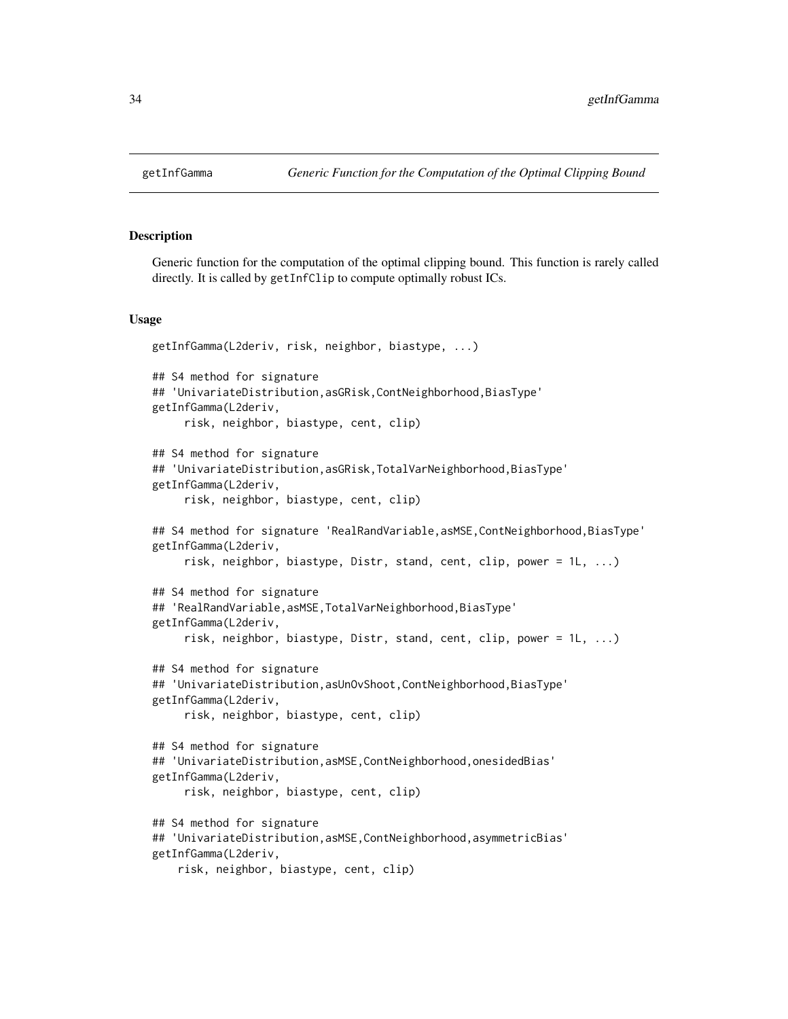#### Description

Generic function for the computation of the optimal clipping bound. This function is rarely called directly. It is called by getInfClip to compute optimally robust ICs.

#### Usage

```
getInfGamma(L2deriv, risk, neighbor, biastype, ...)
## S4 method for signature
## 'UnivariateDistribution,asGRisk,ContNeighborhood,BiasType'
getInfGamma(L2deriv,
     risk, neighbor, biastype, cent, clip)
## S4 method for signature
## 'UnivariateDistribution,asGRisk,TotalVarNeighborhood,BiasType'
getInfGamma(L2deriv,
     risk, neighbor, biastype, cent, clip)
## S4 method for signature 'RealRandVariable,asMSE,ContNeighborhood,BiasType'
getInfGamma(L2deriv,
     risk, neighbor, biastype, Distr, stand, cent, clip, power = 1L, ...)
## S4 method for signature
## 'RealRandVariable,asMSE,TotalVarNeighborhood,BiasType'
getInfGamma(L2deriv,
     risk, neighbor, biastype, Distr, stand, cent, clip, power = 1L, ...)
## S4 method for signature
## 'UnivariateDistribution,asUnOvShoot,ContNeighborhood,BiasType'
getInfGamma(L2deriv,
     risk, neighbor, biastype, cent, clip)
## S4 method for signature
## 'UnivariateDistribution,asMSE,ContNeighborhood,onesidedBias'
getInfGamma(L2deriv,
     risk, neighbor, biastype, cent, clip)
## S4 method for signature
## 'UnivariateDistribution,asMSE,ContNeighborhood,asymmetricBias'
getInfGamma(L2deriv,
   risk, neighbor, biastype, cent, clip)
```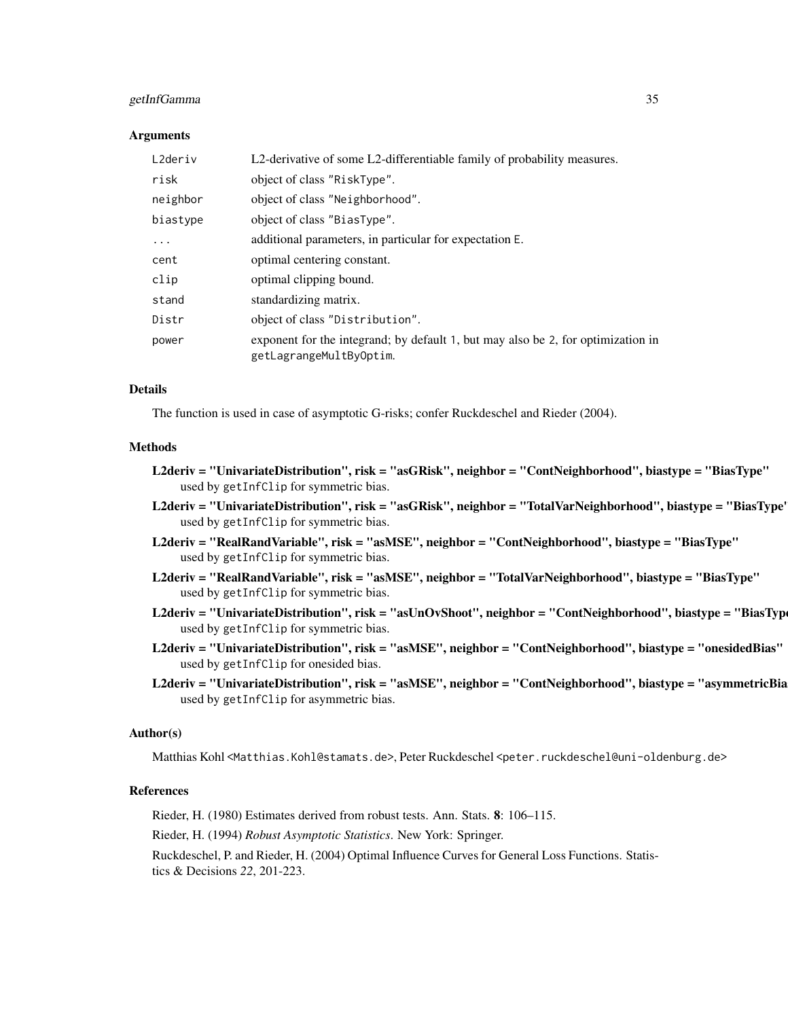## getInfGamma 35

#### Arguments

| L2deriv  | L2-derivative of some L2-differentiable family of probability measures.                                     |
|----------|-------------------------------------------------------------------------------------------------------------|
| risk     | object of class "RiskType".                                                                                 |
| neighbor | object of class "Neighborhood".                                                                             |
| biastype | object of class "BiasType".                                                                                 |
| $\ddots$ | additional parameters, in particular for expectation E.                                                     |
| cent     | optimal centering constant.                                                                                 |
| clip     | optimal clipping bound.                                                                                     |
| stand    | standardizing matrix.                                                                                       |
| Distr    | object of class "Distribution".                                                                             |
| power    | exponent for the integrand; by default 1, but may also be 2, for optimization in<br>getLagrangeMultByOptim. |

# Details

The function is used in case of asymptotic G-risks; confer Ruckdeschel and Rieder (2004).

#### Methods

- L2deriv = "UnivariateDistribution", risk = "asGRisk", neighbor = "ContNeighborhood", biastype = "BiasType" used by getInfClip for symmetric bias.
- L2deriv = "UnivariateDistribution", risk = "asGRisk", neighbor = "TotalVarNeighborhood", biastype = "BiasType" used by getInfClip for symmetric bias.
- L2deriv = "RealRandVariable", risk = "asMSE", neighbor = "ContNeighborhood", biastype = "BiasType" used by getInfClip for symmetric bias.
- L2deriv = "RealRandVariable", risk = "asMSE", neighbor = "TotalVarNeighborhood", biastype = "BiasType" used by getInfClip for symmetric bias.
- L2deriv = "UnivariateDistribution", risk = "asUnOvShoot", neighbor = "ContNeighborhood", biastype = "BiasTyp used by getInfClip for symmetric bias.
- L2deriv = "UnivariateDistribution", risk = "asMSE", neighbor = "ContNeighborhood", biastype = "onesidedBias" used by getInfClip for onesided bias.
- L2deriv = "UnivariateDistribution", risk = "asMSE", neighbor = "ContNeighborhood", biastype = "asymmetricBia used by getInfClip for asymmetric bias.

#### Author(s)

Matthias Kohl <Matthias.Kohl@stamats.de>, Peter Ruckdeschel <peter.ruckdeschel@uni-oldenburg.de>

## References

Rieder, H. (1980) Estimates derived from robust tests. Ann. Stats. 8: 106–115.

Rieder, H. (1994) *Robust Asymptotic Statistics*. New York: Springer.

Ruckdeschel, P. and Rieder, H. (2004) Optimal Influence Curves for General Loss Functions. Statistics & Decisions *22*, 201-223.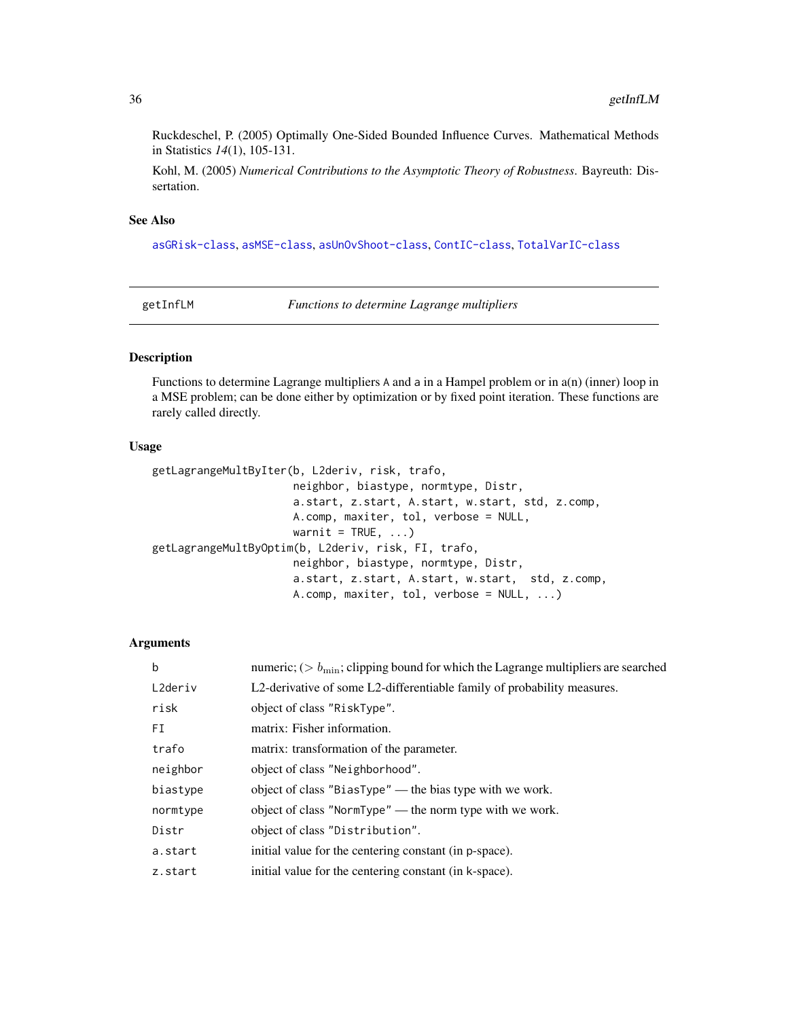<span id="page-35-0"></span>Ruckdeschel, P. (2005) Optimally One-Sided Bounded Influence Curves. Mathematical Methods in Statistics *14*(1), 105-131.

Kohl, M. (2005) *Numerical Contributions to the Asymptotic Theory of Robustness*. Bayreuth: Dissertation.

## See Also

[asGRisk-class](#page-0-0), [asMSE-class](#page-0-0), [asUnOvShoot-class](#page-0-0), [ContIC-class](#page-0-0), [TotalVarIC-class](#page-0-0)

getInfLM *Functions to determine Lagrange multipliers*

## Description

Functions to determine Lagrange multipliers A and a in a Hampel problem or in a(n) (inner) loop in a MSE problem; can be done either by optimization or by fixed point iteration. These functions are rarely called directly.

# Usage

```
getLagrangeMultByIter(b, L2deriv, risk, trafo,
                      neighbor, biastype, normtype, Distr,
                      a.start, z.start, A.start, w.start, std, z.comp,
                      A.comp, maxiter, tol, verbose = NULL,
                      warnit = TRUE, \ldots)getLagrangeMultByOptim(b, L2deriv, risk, FI, trafo,
                      neighbor, biastype, normtype, Distr,
                      a.start, z.start, A.start, w.start, std, z.comp,
                      A.comp, maxiter, tol, verbose = NULL, ...)
```

| $\mathbf b$ | numeric; ( $> b_{\text{min}}$ ; clipping bound for which the Lagrange multipliers are searched |
|-------------|------------------------------------------------------------------------------------------------|
| L2deriv     | L2-derivative of some L2-differentiable family of probability measures.                        |
| risk        | object of class "RiskType".                                                                    |
| FI          | matrix: Fisher information.                                                                    |
| trafo       | matrix: transformation of the parameter.                                                       |
| neighbor    | object of class "Neighborhood".                                                                |
| biastype    | object of class "BiasType" — the bias type with we work.                                       |
| normtype    | object of class "NormType" — the norm type with we work.                                       |
| Distr       | object of class "Distribution".                                                                |
| a.start     | initial value for the centering constant (in p-space).                                         |
| z.start     | initial value for the centering constant (in k-space).                                         |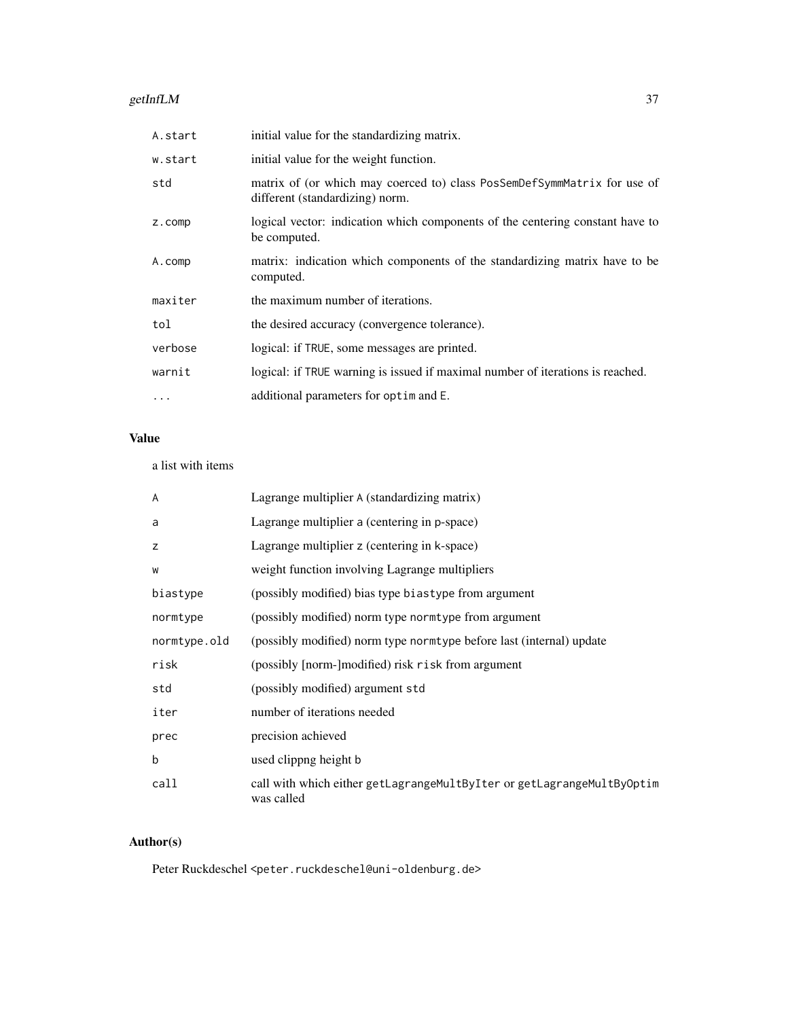#### getInfLM  $37$

| A.start  | initial value for the standardizing matrix.                                                                 |
|----------|-------------------------------------------------------------------------------------------------------------|
| w.start  | initial value for the weight function.                                                                      |
| std      | matrix of (or which may coerced to) class PosSemDefSymmMatrix for use of<br>different (standardizing) norm. |
| z.comp   | logical vector: indication which components of the centering constant have to<br>be computed.               |
| A.comp   | matrix: indication which components of the standardizing matrix have to be<br>computed.                     |
| maxiter  | the maximum number of iterations.                                                                           |
| tol      | the desired accuracy (convergence tolerance).                                                               |
| verbose  | logical: if TRUE, some messages are printed.                                                                |
| warnit   | logical: if TRUE warning is issued if maximal number of iterations is reached.                              |
| $\cdots$ | additional parameters for optim and E.                                                                      |

# Value

### a list with items

| A            | Lagrange multiplier A (standardizing matrix)                                         |
|--------------|--------------------------------------------------------------------------------------|
| a            | Lagrange multiplier a (centering in p-space)                                         |
| z            | Lagrange multiplier z (centering in k-space)                                         |
| W            | weight function involving Lagrange multipliers                                       |
| biastype     | (possibly modified) bias type biastype from argument                                 |
| normtype     | (possibly modified) norm type norm type from argument                                |
| normtype.old | (possibly modified) norm type norm type before last (internal) update                |
| risk         | (possibly [norm-]modified) risk risk from argument                                   |
| std          | (possibly modified) argument std                                                     |
| iter         | number of iterations needed                                                          |
| prec         | precision achieved                                                                   |
| b            | used clippng height b                                                                |
| call         | call with which either getLagrangeMultByIter or getLagrangeMultByOptim<br>was called |

# Author(s)

Peter Ruckdeschel <peter.ruckdeschel@uni-oldenburg.de>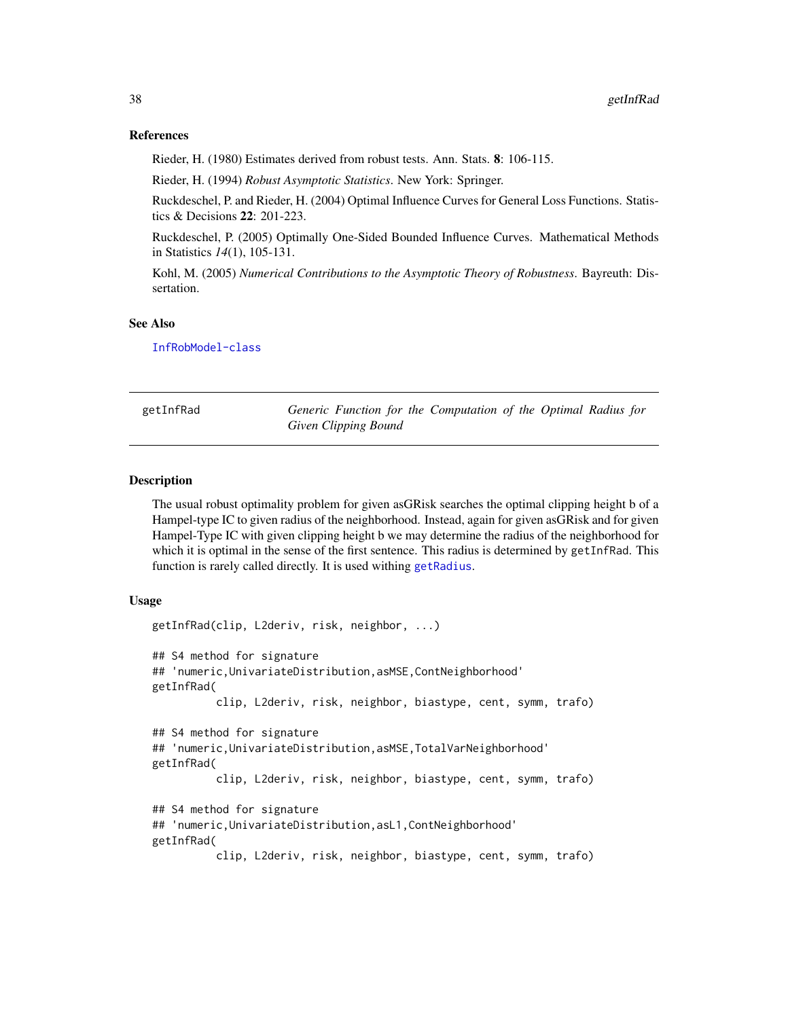### References

Rieder, H. (1980) Estimates derived from robust tests. Ann. Stats. 8: 106-115.

Rieder, H. (1994) *Robust Asymptotic Statistics*. New York: Springer.

Ruckdeschel, P. and Rieder, H. (2004) Optimal Influence Curves for General Loss Functions. Statistics & Decisions 22: 201-223.

Ruckdeschel, P. (2005) Optimally One-Sided Bounded Influence Curves. Mathematical Methods in Statistics *14*(1), 105-131.

Kohl, M. (2005) *Numerical Contributions to the Asymptotic Theory of Robustness*. Bayreuth: Dissertation.

#### See Also

[InfRobModel-class](#page-0-0)

getInfRad *Generic Function for the Computation of the Optimal Radius for Given Clipping Bound*

#### Description

The usual robust optimality problem for given asGRisk searches the optimal clipping height b of a Hampel-type IC to given radius of the neighborhood. Instead, again for given asGRisk and for given Hampel-Type IC with given clipping height b we may determine the radius of the neighborhood for which it is optimal in the sense of the first sentence. This radius is determined by getInfRad. This function is rarely called directly. It is used withing [getRadius](#page-52-0).

### Usage

```
getInfRad(clip, L2deriv, risk, neighbor, ...)
## S4 method for signature
## 'numeric,UnivariateDistribution,asMSE,ContNeighborhood'
getInfRad(
          clip, L2deriv, risk, neighbor, biastype, cent, symm, trafo)
## S4 method for signature
## 'numeric,UnivariateDistribution,asMSE,TotalVarNeighborhood'
getInfRad(
          clip, L2deriv, risk, neighbor, biastype, cent, symm, trafo)
## S4 method for signature
## 'numeric,UnivariateDistribution,asL1,ContNeighborhood'
getInfRad(
          clip, L2deriv, risk, neighbor, biastype, cent, symm, trafo)
```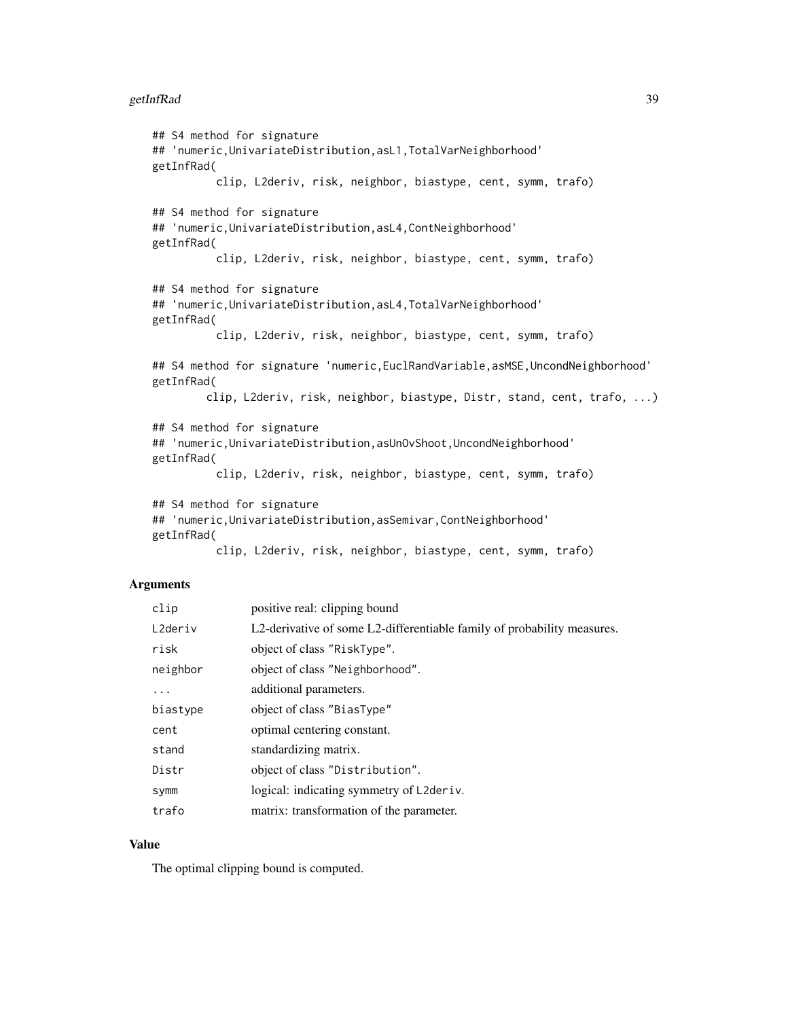### getInfRad 39

```
## S4 method for signature
## 'numeric,UnivariateDistribution,asL1,TotalVarNeighborhood'
getInfRad(
          clip, L2deriv, risk, neighbor, biastype, cent, symm, trafo)
## S4 method for signature
## 'numeric,UnivariateDistribution,asL4,ContNeighborhood'
getInfRad(
         clip, L2deriv, risk, neighbor, biastype, cent, symm, trafo)
## S4 method for signature
## 'numeric,UnivariateDistribution,asL4,TotalVarNeighborhood'
getInfRad(
          clip, L2deriv, risk, neighbor, biastype, cent, symm, trafo)
## S4 method for signature 'numeric,EuclRandVariable,asMSE,UncondNeighborhood'
getInfRad(
        clip, L2deriv, risk, neighbor, biastype, Distr, stand, cent, trafo, ...)
## S4 method for signature
## 'numeric,UnivariateDistribution,asUnOvShoot,UncondNeighborhood'
getInfRad(
          clip, L2deriv, risk, neighbor, biastype, cent, symm, trafo)
## S4 method for signature
## 'numeric,UnivariateDistribution,asSemivar,ContNeighborhood'
getInfRad(
          clip, L2deriv, risk, neighbor, biastype, cent, symm, trafo)
```
# Arguments

| clip     | positive real: clipping bound                                           |
|----------|-------------------------------------------------------------------------|
| L2deriv  | L2-derivative of some L2-differentiable family of probability measures. |
| risk     | object of class "RiskType".                                             |
| neighbor | object of class "Neighborhood".                                         |
| $\cdots$ | additional parameters.                                                  |
| biastype | object of class "BiasType"                                              |
| cent     | optimal centering constant.                                             |
| stand    | standardizing matrix.                                                   |
| Distr    | object of class "Distribution".                                         |
| Symm     | logical: indicating symmetry of L2deriv.                                |
| trafo    | matrix: transformation of the parameter.                                |

# Value

The optimal clipping bound is computed.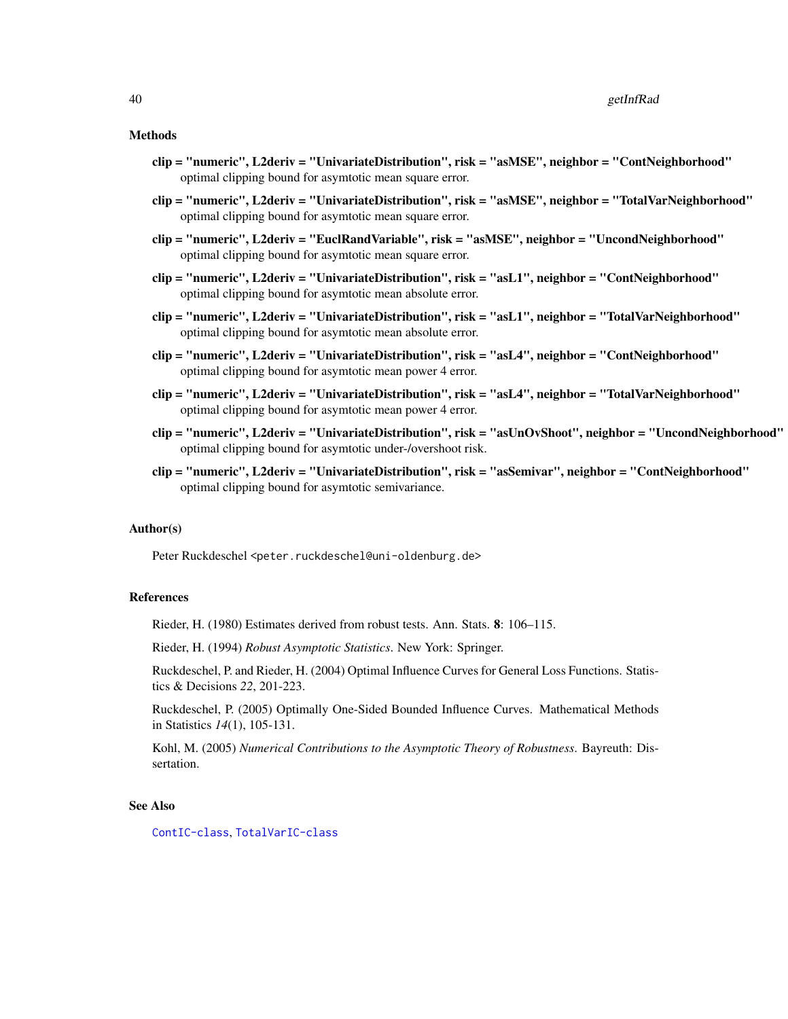#### 40 getInfRad

#### Methods

- clip = "numeric", L2deriv = "UnivariateDistribution", risk = "asMSE", neighbor = "ContNeighborhood" optimal clipping bound for asymtotic mean square error.
- clip = "numeric", L2deriv = "UnivariateDistribution", risk = "asMSE", neighbor = "TotalVarNeighborhood" optimal clipping bound for asymtotic mean square error.
- clip = "numeric", L2deriv = "EuclRandVariable", risk = "asMSE", neighbor = "UncondNeighborhood" optimal clipping bound for asymtotic mean square error.
- clip = "numeric", L2deriv = "UnivariateDistribution", risk = "asL1", neighbor = "ContNeighborhood" optimal clipping bound for asymtotic mean absolute error.
- clip = "numeric", L2deriv = "UnivariateDistribution", risk = "asL1", neighbor = "TotalVarNeighborhood" optimal clipping bound for asymtotic mean absolute error.
- clip = "numeric", L2deriv = "UnivariateDistribution", risk = "asL4", neighbor = "ContNeighborhood" optimal clipping bound for asymtotic mean power 4 error.
- clip = "numeric", L2deriv = "UnivariateDistribution", risk = "asL4", neighbor = "TotalVarNeighborhood" optimal clipping bound for asymtotic mean power 4 error.
- clip = "numeric", L2deriv = "UnivariateDistribution", risk = "asUnOvShoot", neighbor = "UncondNeighborhood" optimal clipping bound for asymtotic under-/overshoot risk.
- clip = "numeric", L2deriv = "UnivariateDistribution", risk = "asSemivar", neighbor = "ContNeighborhood" optimal clipping bound for asymtotic semivariance.

### Author(s)

Peter Ruckdeschel <peter.ruckdeschel@uni-oldenburg.de>

### References

Rieder, H. (1980) Estimates derived from robust tests. Ann. Stats. 8: 106–115.

Rieder, H. (1994) *Robust Asymptotic Statistics*. New York: Springer.

Ruckdeschel, P. and Rieder, H. (2004) Optimal Influence Curves for General Loss Functions. Statistics & Decisions *22*, 201-223.

Ruckdeschel, P. (2005) Optimally One-Sided Bounded Influence Curves. Mathematical Methods in Statistics *14*(1), 105-131.

Kohl, M. (2005) *Numerical Contributions to the Asymptotic Theory of Robustness*. Bayreuth: Dissertation.

#### See Also

[ContIC-class](#page-0-0), [TotalVarIC-class](#page-0-0)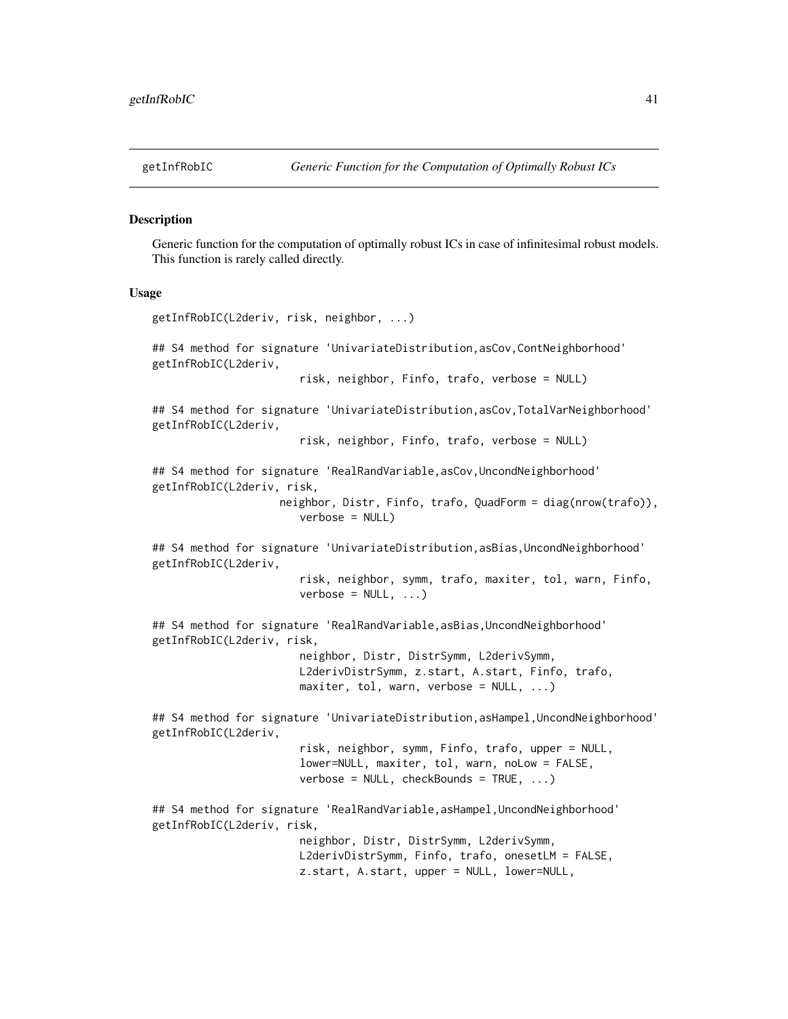#### Description

Generic function for the computation of optimally robust ICs in case of infinitesimal robust models. This function is rarely called directly.

#### Usage

```
getInfRobIC(L2deriv, risk, neighbor, ...)
## S4 method for signature 'UnivariateDistribution,asCov,ContNeighborhood'
getInfRobIC(L2deriv,
                       risk, neighbor, Finfo, trafo, verbose = NULL)
## S4 method for signature 'UnivariateDistribution,asCov,TotalVarNeighborhood'
getInfRobIC(L2deriv,
                       risk, neighbor, Finfo, trafo, verbose = NULL)
## S4 method for signature 'RealRandVariable,asCov,UncondNeighborhood'
getInfRobIC(L2deriv, risk,
                    neighbor, Distr, Finfo, trafo, QuadForm = diag(nrow(trafo)),
                       verbose = NULL)
## S4 method for signature 'UnivariateDistribution, asBias, UncondNeighborhood'
getInfRobIC(L2deriv,
                       risk, neighbor, symm, trafo, maxiter, tol, warn, Finfo,
                       verbose = NULL, ...)## S4 method for signature 'RealRandVariable, asBias, UncondNeighborhood'
getInfRobIC(L2deriv, risk,
                       neighbor, Distr, DistrSymm, L2derivSymm,
                       L2derivDistrSymm, z.start, A.start, Finfo, trafo,
                       maxiter, tol, warn, verbose = NULL, ...)## S4 method for signature 'UnivariateDistribution, asHampel, UncondNeighborhood'
getInfRobIC(L2deriv,
                       risk, neighbor, symm, Finfo, trafo, upper = NULL,
                       lower=NULL, maxiter, tol, warn, noLow = FALSE,
                       verbose = NULL, checkBounds = TRUE, ...)
## S4 method for signature 'RealRandVariable, asHampel, UncondNeighborhood'
getInfRobIC(L2deriv, risk,
                       neighbor, Distr, DistrSymm, L2derivSymm,
                       L2derivDistrSymm, Finfo, trafo, onesetLM = FALSE,
                       z.start, A.start, upper = NULL, lower=NULL,
```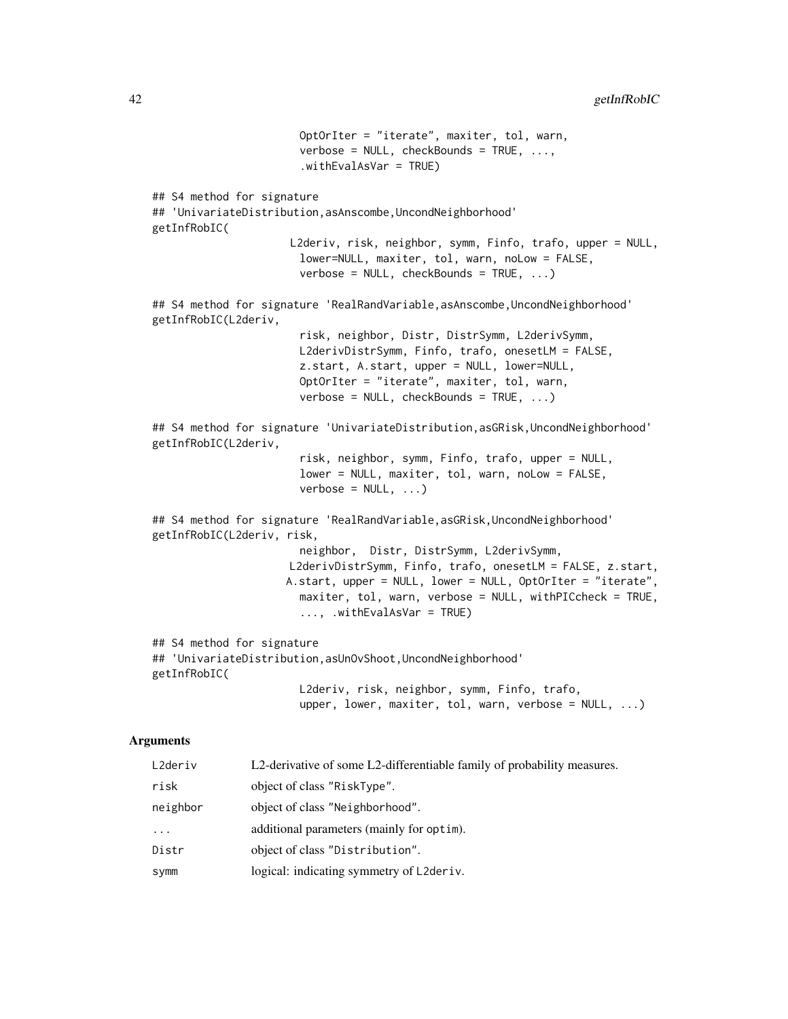```
OptOrIter = "iterate", maxiter, tol, warn,
                       verbose = NULL, checkBounds = TRUE, ...,
                       .withEvalAsVar = TRUE)
## S4 method for signature
## 'UnivariateDistribution,asAnscombe,UncondNeighborhood'
getInfRobIC(
                     L2deriv, risk, neighbor, symm, Finfo, trafo, upper = NULL,
                       lower=NULL, maxiter, tol, warn, noLow = FALSE,
                       verbose = NULL, checkBounds = TRUE, ...)## S4 method for signature 'RealRandVariable, asAnscombe, UncondNeighborhood'
getInfRobIC(L2deriv,
                       risk, neighbor, Distr, DistrSymm, L2derivSymm,
                       L2derivDistrSymm, Finfo, trafo, onesetLM = FALSE,
                       z.start, A.start, upper = NULL, lower=NULL,
                       OptOrIter = "iterate", maxiter, tol, warn,
                       verbose = NULL, checkBounds = TRUE, ...)## S4 method for signature 'UnivariateDistribution,asGRisk,UncondNeighborhood'
getInfRobIC(L2deriv,
                       risk, neighbor, symm, Finfo, trafo, upper = NULL,
                       lower = NULL, maxiter, tol, warn, noLow = FALSE,
                       verbose = NULL, ...)## S4 method for signature 'RealRandVariable, asGRisk, UncondNeighborhood'
getInfRobIC(L2deriv, risk,
                       neighbor, Distr, DistrSymm, L2derivSymm,
                     L2derivDistrSymm, Finfo, trafo, onesetLM = FALSE, z.start,
                     A.start, upper = NULL, lower = NULL, OptOrIter = "iterate",
                       maxiter, tol, warn, verbose = NULL, withPICcheck = TRUE,
                       ..., .withEvalAsVar = TRUE)
## S4 method for signature
## 'UnivariateDistribution,asUnOvShoot,UncondNeighborhood'
getInfRobIC(
                       L2deriv, risk, neighbor, symm, Finfo, trafo,
```

```
Arguments
```

| L2deriv  | L2-derivative of some L2-differentiable family of probability measures. |
|----------|-------------------------------------------------------------------------|
| risk     | object of class "RiskType".                                             |
| neighbor | object of class "Neighborhood".                                         |
| $\ddots$ | additional parameters (mainly for optim).                               |
| Distr    | object of class "Distribution".                                         |
| symm     | logical: indicating symmetry of L2deriv.                                |

upper, lower, maxiter, tol, warn, verbose =  $NULL, ...)$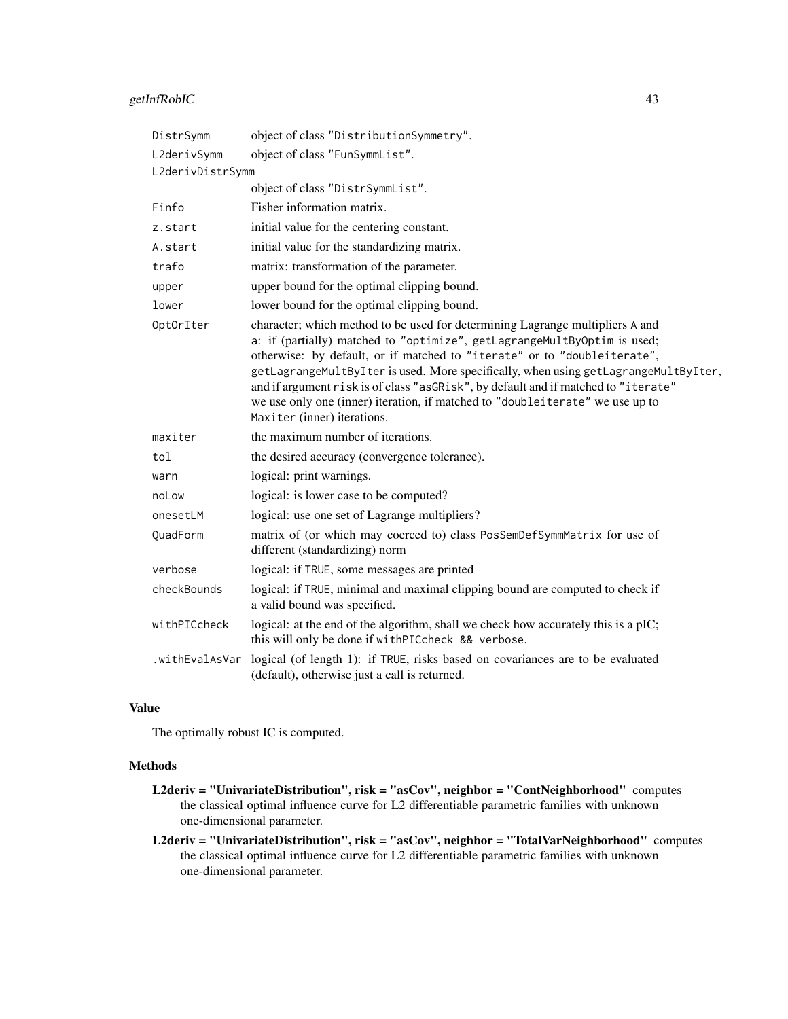# getInfRobIC 43

| DistrSymm        | object of class "DistributionSymmetry".                                                                                                                                                                                                                                                                                                                                                                                                                                                                                            |
|------------------|------------------------------------------------------------------------------------------------------------------------------------------------------------------------------------------------------------------------------------------------------------------------------------------------------------------------------------------------------------------------------------------------------------------------------------------------------------------------------------------------------------------------------------|
| L2derivSymm      | object of class "FunSymmList".                                                                                                                                                                                                                                                                                                                                                                                                                                                                                                     |
| L2derivDistrSymm |                                                                                                                                                                                                                                                                                                                                                                                                                                                                                                                                    |
|                  | object of class "DistrSymmList".                                                                                                                                                                                                                                                                                                                                                                                                                                                                                                   |
| Finfo            | Fisher information matrix.                                                                                                                                                                                                                                                                                                                                                                                                                                                                                                         |
| z.start          | initial value for the centering constant.                                                                                                                                                                                                                                                                                                                                                                                                                                                                                          |
| A.start          | initial value for the standardizing matrix.                                                                                                                                                                                                                                                                                                                                                                                                                                                                                        |
| trafo            | matrix: transformation of the parameter.                                                                                                                                                                                                                                                                                                                                                                                                                                                                                           |
| upper            | upper bound for the optimal clipping bound.                                                                                                                                                                                                                                                                                                                                                                                                                                                                                        |
| lower            | lower bound for the optimal clipping bound.                                                                                                                                                                                                                                                                                                                                                                                                                                                                                        |
| OptOrIter        | character; which method to be used for determining Lagrange multipliers A and<br>a: if (partially) matched to "optimize", getLagrangeMultByOptim is used;<br>otherwise: by default, or if matched to "iterate" or to "doubleiterate",<br>getLagrangeMultByIter is used. More specifically, when using getLagrangeMultByIter,<br>and if argument risk is of class "asGRisk", by default and if matched to "iterate"<br>we use only one (inner) iteration, if matched to "doubleiterate" we use up to<br>Maxiter (inner) iterations. |
| maxiter          | the maximum number of iterations.                                                                                                                                                                                                                                                                                                                                                                                                                                                                                                  |
| tol              | the desired accuracy (convergence tolerance).                                                                                                                                                                                                                                                                                                                                                                                                                                                                                      |
| warn             | logical: print warnings.                                                                                                                                                                                                                                                                                                                                                                                                                                                                                                           |
| noLow            | logical: is lower case to be computed?                                                                                                                                                                                                                                                                                                                                                                                                                                                                                             |
| onesetLM         | logical: use one set of Lagrange multipliers?                                                                                                                                                                                                                                                                                                                                                                                                                                                                                      |
| QuadForm         | matrix of (or which may coerced to) class PosSemDefSymmMatrix for use of<br>different (standardizing) norm                                                                                                                                                                                                                                                                                                                                                                                                                         |
| verbose          | logical: if TRUE, some messages are printed                                                                                                                                                                                                                                                                                                                                                                                                                                                                                        |
| checkBounds      | logical: if TRUE, minimal and maximal clipping bound are computed to check if<br>a valid bound was specified.                                                                                                                                                                                                                                                                                                                                                                                                                      |
| withPICcheck     | logical: at the end of the algorithm, shall we check how accurately this is a pIC;<br>this will only be done if withPICcheck && verbose.                                                                                                                                                                                                                                                                                                                                                                                           |
| .withEvalAsVar   | logical (of length 1): if TRUE, risks based on covariances are to be evaluated<br>(default), otherwise just a call is returned.                                                                                                                                                                                                                                                                                                                                                                                                    |

# Value

The optimally robust IC is computed.

# Methods

- L2deriv = "UnivariateDistribution", risk = "asCov", neighbor = "ContNeighborhood" computes the classical optimal influence curve for L2 differentiable parametric families with unknown one-dimensional parameter.
- L2deriv = "UnivariateDistribution", risk = "asCov", neighbor = "TotalVarNeighborhood" computes the classical optimal influence curve for L2 differentiable parametric families with unknown one-dimensional parameter.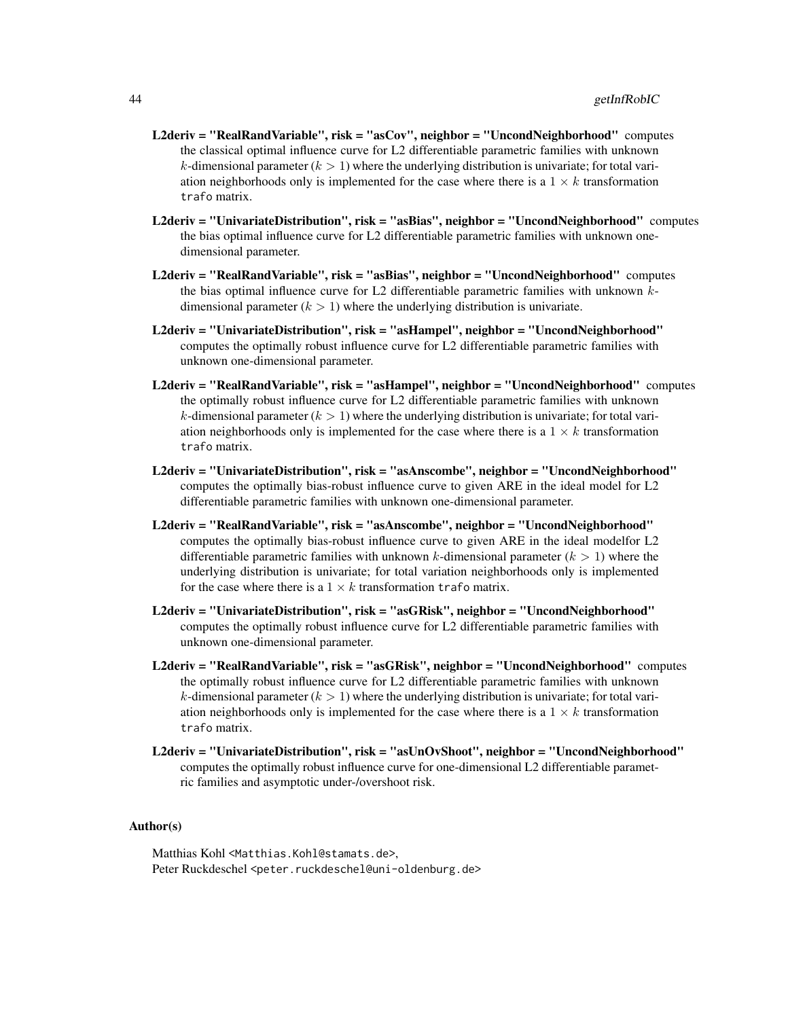- L2deriv = "RealRandVariable", risk = "asCov", neighbor = "UncondNeighborhood" computes the classical optimal influence curve for L2 differentiable parametric families with unknown k-dimensional parameter  $(k > 1)$  where the underlying distribution is univariate; for total variation neighborhoods only is implemented for the case where there is a  $1 \times k$  transformation trafo matrix.
- L2deriv = "UnivariateDistribution", risk = "asBias", neighbor = "UncondNeighborhood" computes the bias optimal influence curve for L2 differentiable parametric families with unknown onedimensional parameter.
- L2deriv = "RealRandVariable", risk = "asBias", neighbor = "UncondNeighborhood" computes the bias optimal influence curve for L2 differentiable parametric families with unknown  $k$ dimensional parameter  $(k > 1)$  where the underlying distribution is univariate.
- L2deriv = "UnivariateDistribution", risk = "asHampel", neighbor = "UncondNeighborhood" computes the optimally robust influence curve for L2 differentiable parametric families with unknown one-dimensional parameter.
- L2deriv = "RealRandVariable", risk = "asHampel", neighbor = "UncondNeighborhood" computes the optimally robust influence curve for L2 differentiable parametric families with unknown k-dimensional parameter  $(k > 1)$  where the underlying distribution is univariate; for total variation neighborhoods only is implemented for the case where there is a  $1 \times k$  transformation trafo matrix.
- L2deriv = "UnivariateDistribution", risk = "asAnscombe", neighbor = "UncondNeighborhood" computes the optimally bias-robust influence curve to given ARE in the ideal model for L2 differentiable parametric families with unknown one-dimensional parameter.
- L2deriv = "RealRandVariable", risk = "asAnscombe", neighbor = "UncondNeighborhood" computes the optimally bias-robust influence curve to given ARE in the ideal modelfor L2 differentiable parametric families with unknown k-dimensional parameter  $(k > 1)$  where the underlying distribution is univariate; for total variation neighborhoods only is implemented for the case where there is a  $1 \times k$  transformation trafo matrix.
- L2deriv = "UnivariateDistribution", risk = "asGRisk", neighbor = "UncondNeighborhood" computes the optimally robust influence curve for L2 differentiable parametric families with unknown one-dimensional parameter.
- L2deriv = "RealRandVariable", risk = "asGRisk", neighbor = "UncondNeighborhood" computes the optimally robust influence curve for L2 differentiable parametric families with unknown k-dimensional parameter ( $k > 1$ ) where the underlying distribution is univariate; for total variation neighborhoods only is implemented for the case where there is a  $1 \times k$  transformation trafo matrix.
- L2deriv = "UnivariateDistribution", risk = "asUnOvShoot", neighbor = "UncondNeighborhood" computes the optimally robust influence curve for one-dimensional L2 differentiable parametric families and asymptotic under-/overshoot risk.

## Author(s)

Matthias Kohl <Matthias.Kohl@stamats.de>, Peter Ruckdeschel <peter.ruckdeschel@uni-oldenburg.de>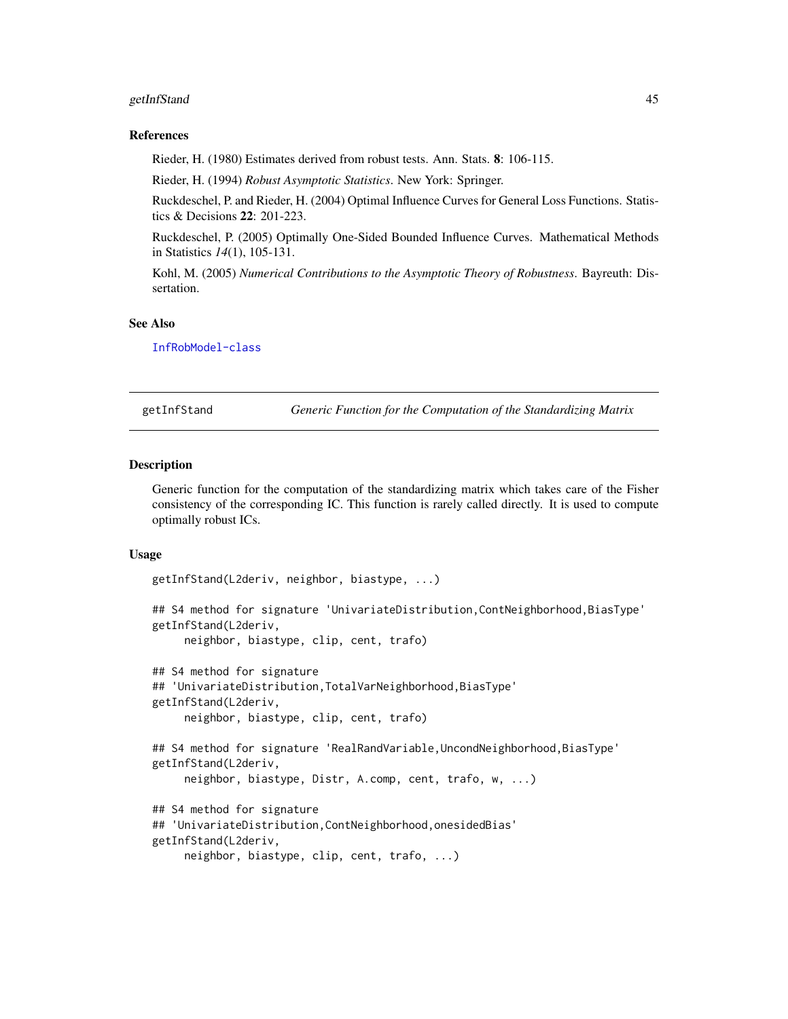# getInfStand 45

### References

Rieder, H. (1980) Estimates derived from robust tests. Ann. Stats. 8: 106-115.

Rieder, H. (1994) *Robust Asymptotic Statistics*. New York: Springer.

Ruckdeschel, P. and Rieder, H. (2004) Optimal Influence Curves for General Loss Functions. Statistics & Decisions 22: 201-223.

Ruckdeschel, P. (2005) Optimally One-Sided Bounded Influence Curves. Mathematical Methods in Statistics *14*(1), 105-131.

Kohl, M. (2005) *Numerical Contributions to the Asymptotic Theory of Robustness*. Bayreuth: Dissertation.

### See Also

[InfRobModel-class](#page-0-0)

getInfStand *Generic Function for the Computation of the Standardizing Matrix*

### Description

Generic function for the computation of the standardizing matrix which takes care of the Fisher consistency of the corresponding IC. This function is rarely called directly. It is used to compute optimally robust ICs.

### Usage

getInfStand(L2deriv, neighbor, biastype, ...)

```
## S4 method for signature 'UnivariateDistribution,ContNeighborhood,BiasType'
getInfStand(L2deriv,
     neighbor, biastype, clip, cent, trafo)
## S4 method for signature
## 'UnivariateDistribution,TotalVarNeighborhood,BiasType'
getInfStand(L2deriv,
     neighbor, biastype, clip, cent, trafo)
## S4 method for signature 'RealRandVariable,UncondNeighborhood,BiasType'
getInfStand(L2deriv,
     neighbor, biastype, Distr, A.comp, cent, trafo, w, ...)
## S4 method for signature
## 'UnivariateDistribution,ContNeighborhood,onesidedBias'
getInfStand(L2deriv,
     neighbor, biastype, clip, cent, trafo, ...)
```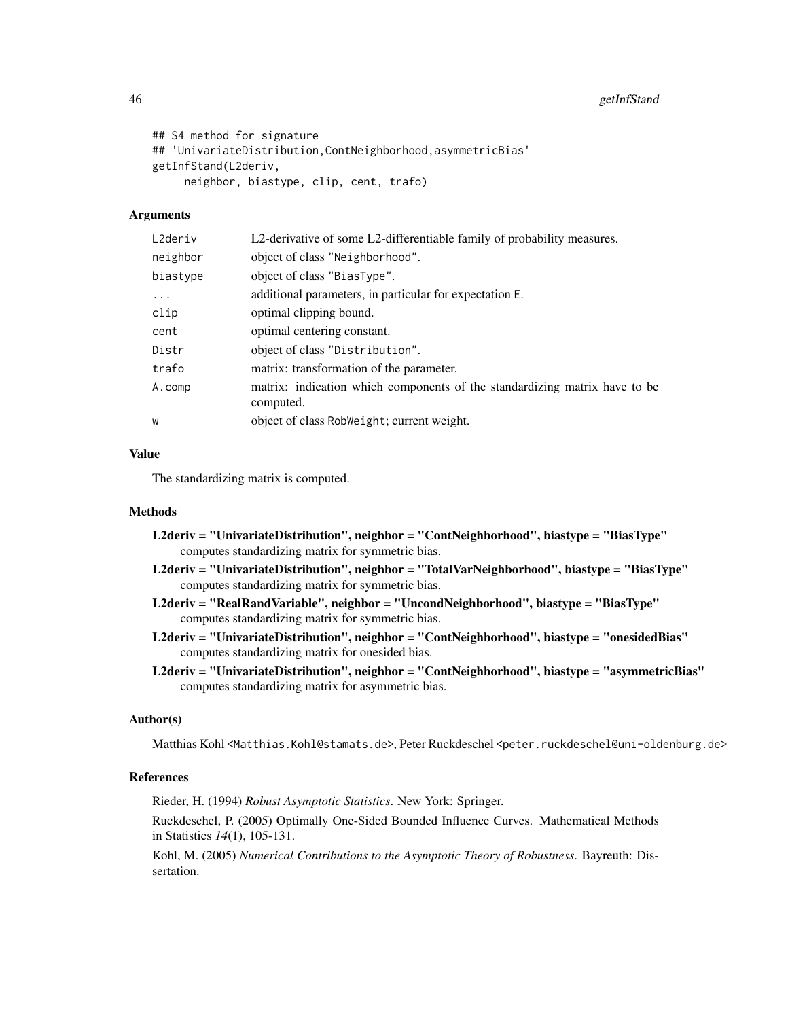```
## S4 method for signature
## 'UnivariateDistribution,ContNeighborhood,asymmetricBias'
getInfStand(L2deriv,
     neighbor, biastype, clip, cent, trafo)
```
# Arguments

| L2deriv  | L2-derivative of some L2-differentiable family of probability measures.                 |
|----------|-----------------------------------------------------------------------------------------|
| neighbor | object of class "Neighborhood".                                                         |
| biastype | object of class "BiasType".                                                             |
| $\cdots$ | additional parameters, in particular for expectation E.                                 |
| clip     | optimal clipping bound.                                                                 |
| cent     | optimal centering constant.                                                             |
| Distr    | object of class "Distribution".                                                         |
| trafo    | matrix: transformation of the parameter.                                                |
| A.comp   | matrix: indication which components of the standardizing matrix have to be<br>computed. |
| W        | object of class RobWeight; current weight.                                              |
|          |                                                                                         |

# Value

The standardizing matrix is computed.

# Methods

| L2deriv = "UnivariateDistribution", neighbor = "ContNeighborhood", biastype = "BiasType"<br>computes standardizing matrix for symmetric bias.        |
|------------------------------------------------------------------------------------------------------------------------------------------------------|
| "L2deriv = "UnivariateDistribution", neighbor = "TotalVarNeighborhood", biastype = "BiasType<br>computes standardizing matrix for symmetric bias.    |
| L2deriv = ''RealRandVariable'', neighbor = ''UncondNeighborhood'', biastype = ''BiasType''<br>computes standardizing matrix for symmetric bias.      |
| "L2deriv = "UnivariateDistribution", neighbor = "ContNeighborhood", biastype = "onesidedBias<br>computes standardizing matrix for onesided bias.     |
| "L2deriv = "UnivariateDistribution", neighbor = "ContNeighborhood", biastype = "asymmetricBias<br>computes standardizing matrix for asymmetric bias. |

### Author(s)

Matthias Kohl <Matthias.Kohl@stamats.de>, Peter Ruckdeschel <peter.ruckdeschel@uni-oldenburg.de>

# References

Rieder, H. (1994) *Robust Asymptotic Statistics*. New York: Springer.

Ruckdeschel, P. (2005) Optimally One-Sided Bounded Influence Curves. Mathematical Methods in Statistics *14*(1), 105-131.

Kohl, M. (2005) *Numerical Contributions to the Asymptotic Theory of Robustness*. Bayreuth: Dissertation.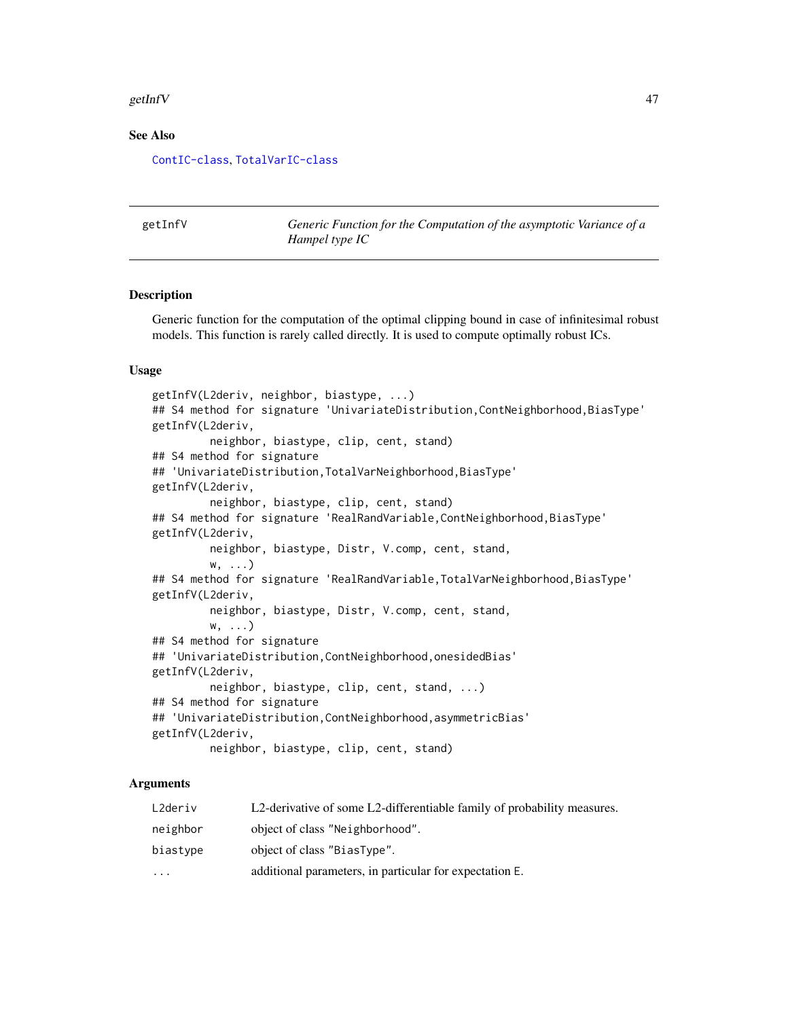#### getInfV and the settlement of the settlement of the settlement of the settlement of the settlement of the settlement of the settlement of the settlement of the settlement of the settlement of the settlement of the settleme

### See Also

[ContIC-class](#page-0-0), [TotalVarIC-class](#page-0-0)

<span id="page-46-0"></span>getInfV *Generic Function for the Computation of the asymptotic Variance of a Hampel type IC*

### **Description**

Generic function for the computation of the optimal clipping bound in case of infinitesimal robust models. This function is rarely called directly. It is used to compute optimally robust ICs.

### Usage

```
getInfV(L2deriv, neighbor, biastype, ...)
## S4 method for signature 'UnivariateDistribution,ContNeighborhood,BiasType'
getInfV(L2deriv,
         neighbor, biastype, clip, cent, stand)
## S4 method for signature
## 'UnivariateDistribution,TotalVarNeighborhood,BiasType'
getInfV(L2deriv,
         neighbor, biastype, clip, cent, stand)
## S4 method for signature 'RealRandVariable,ContNeighborhood,BiasType'
getInfV(L2deriv,
         neighbor, biastype, Distr, V.comp, cent, stand,
         w, ...)
## S4 method for signature 'RealRandVariable,TotalVarNeighborhood,BiasType'
getInfV(L2deriv,
         neighbor, biastype, Distr, V.comp, cent, stand,
         w, ...)
## S4 method for signature
## 'UnivariateDistribution,ContNeighborhood,onesidedBias'
getInfV(L2deriv,
         neighbor, biastype, clip, cent, stand, ...)
## S4 method for signature
## 'UnivariateDistribution,ContNeighborhood,asymmetricBias'
getInfV(L2deriv,
         neighbor, biastype, clip, cent, stand)
```
# Arguments

| L2deriv  | L2-derivative of some L2-differentiable family of probability measures. |
|----------|-------------------------------------------------------------------------|
| neighbor | object of class "Neighborhood".                                         |
| biastype | object of class "BiasType".                                             |
| $\cdots$ | additional parameters, in particular for expectation E.                 |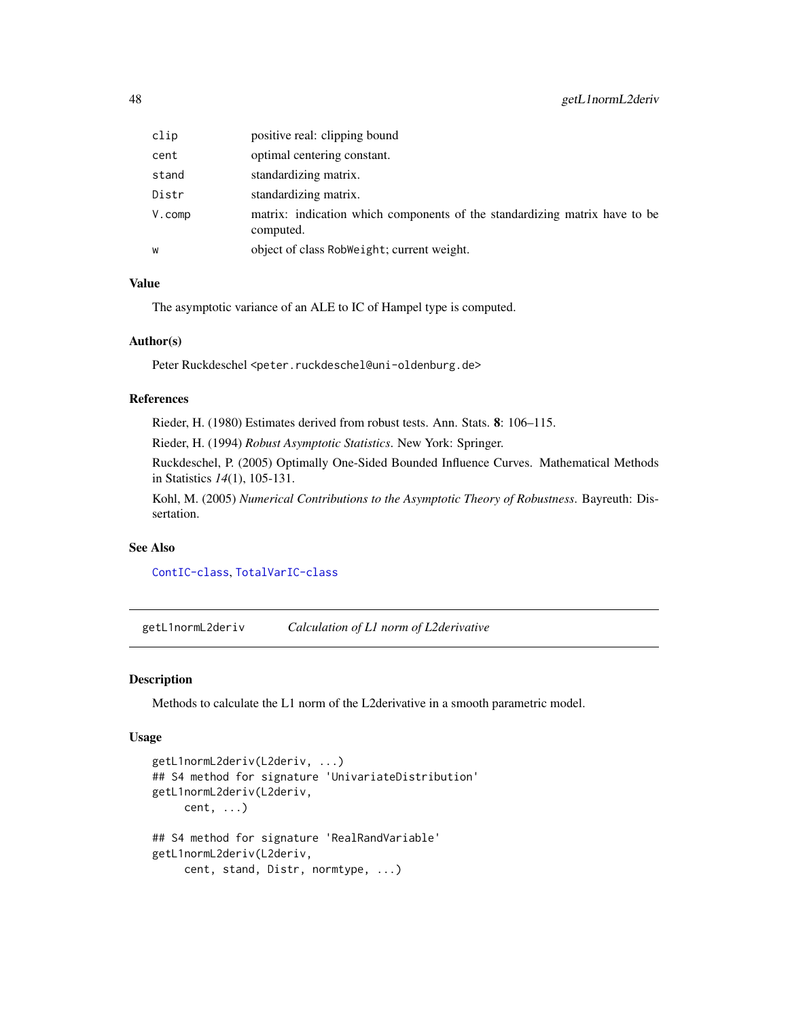| clip       | positive real: clipping bound                                                           |
|------------|-----------------------------------------------------------------------------------------|
| cent       | optimal centering constant.                                                             |
| stand      | standardizing matrix.                                                                   |
| Distr      | standardizing matrix.                                                                   |
| $V$ . comp | matrix: indication which components of the standardizing matrix have to be<br>computed. |
| W          | object of class RobWeight; current weight.                                              |

# Value

The asymptotic variance of an ALE to IC of Hampel type is computed.

# Author(s)

Peter Ruckdeschel <peter.ruckdeschel@uni-oldenburg.de>

# References

Rieder, H. (1980) Estimates derived from robust tests. Ann. Stats. 8: 106–115.

Rieder, H. (1994) *Robust Asymptotic Statistics*. New York: Springer.

Ruckdeschel, P. (2005) Optimally One-Sided Bounded Influence Curves. Mathematical Methods in Statistics *14*(1), 105-131.

Kohl, M. (2005) *Numerical Contributions to the Asymptotic Theory of Robustness*. Bayreuth: Dissertation.

# See Also

[ContIC-class](#page-0-0), [TotalVarIC-class](#page-0-0)

getL1normL2deriv *Calculation of L1 norm of L2derivative*

### Description

Methods to calculate the L1 norm of the L2derivative in a smooth parametric model.

### Usage

```
getL1normL2deriv(L2deriv, ...)
## S4 method for signature 'UnivariateDistribution'
getL1normL2deriv(L2deriv,
     cent, ...)
## S4 method for signature 'RealRandVariable'
getL1normL2deriv(L2deriv,
     cent, stand, Distr, normtype, ...)
```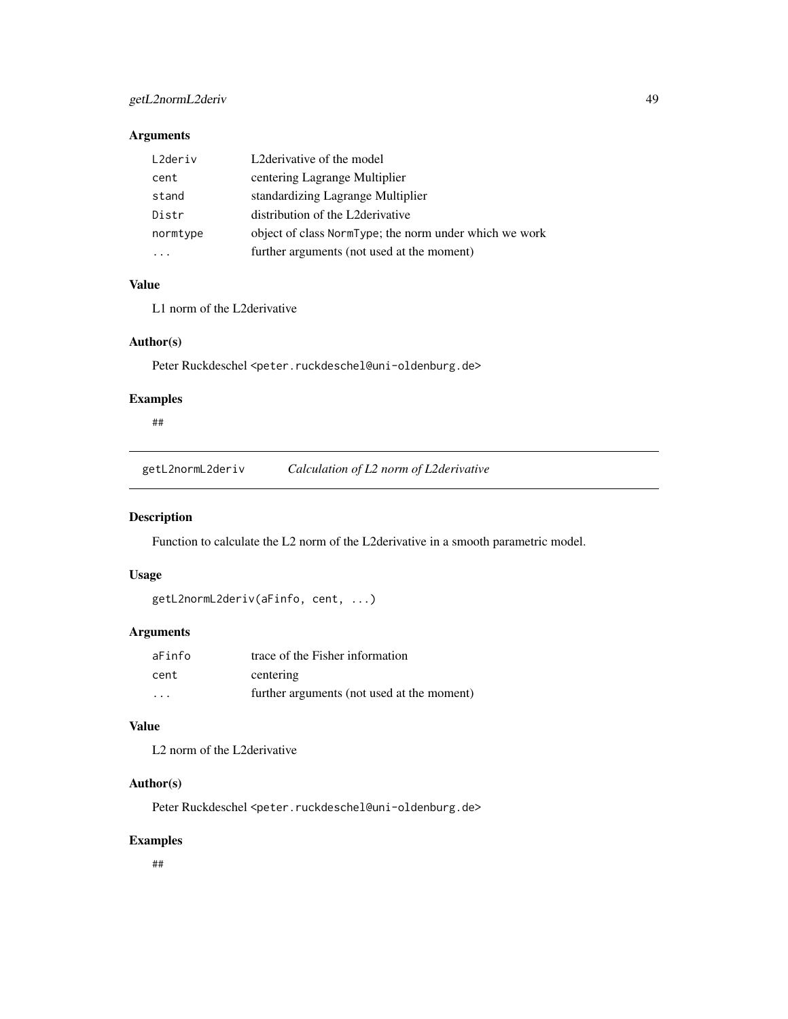# getL2normL2deriv 49

# Arguments

| L2deriv  | L2 derivative of the model                             |
|----------|--------------------------------------------------------|
| cent     | centering Lagrange Multiplier                          |
| stand    | standardizing Lagrange Multiplier                      |
| Distr    | distribution of the L2 derivative                      |
| normtype | object of class NormType; the norm under which we work |
|          | further arguments (not used at the moment)             |

# Value

L1 norm of the L2derivative

### Author(s)

Peter Ruckdeschel <peter.ruckdeschel@uni-oldenburg.de>

# Examples

##

getL2normL2deriv *Calculation of L2 norm of L2derivative*

# Description

Function to calculate the L2 norm of the L2derivative in a smooth parametric model.

# Usage

```
getL2normL2deriv(aFinfo, cent, ...)
```
# Arguments

| aFinfo                  | trace of the Fisher information            |
|-------------------------|--------------------------------------------|
| cent                    | centering                                  |
| $\cdot$ $\cdot$ $\cdot$ | further arguments (not used at the moment) |

# Value

L2 norm of the L2derivative

# Author(s)

Peter Ruckdeschel <peter.ruckdeschel@uni-oldenburg.de>

# Examples

##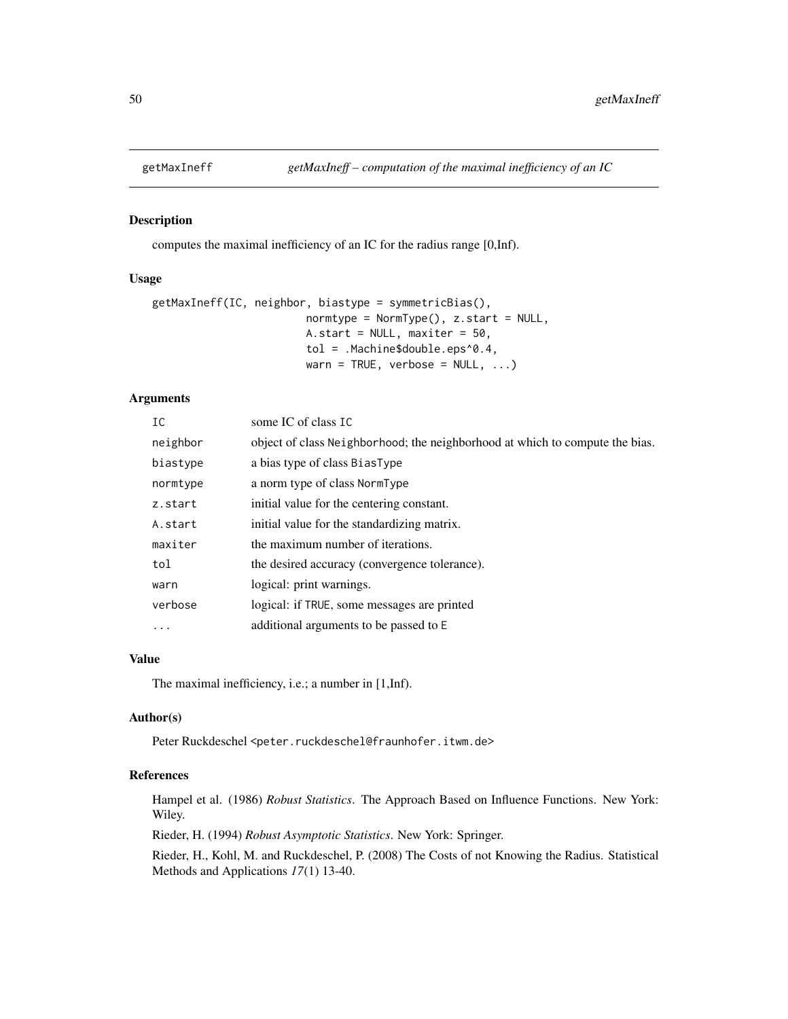## Description

computes the maximal inefficiency of an IC for the radius range [0,Inf).

## Usage

```
getMaxIneff(IC, neighbor, biastype = symmetricBias(),
                       normtype = NormType(), z.start = NULL,A.start = NULL, maxiter = 50,
                       tol = .Machine$double.eps^0.4,
                       warn = TRUE, verbose = NULL, ...)
```
# Arguments

| IC       | some IC of class IC                                                          |
|----------|------------------------------------------------------------------------------|
| neighbor | object of class Neighborhood; the neighborhood at which to compute the bias. |
| biastype | a bias type of class BiasType                                                |
| normtype | a norm type of class NormType                                                |
| z.start  | initial value for the centering constant.                                    |
| A.start  | initial value for the standardizing matrix.                                  |
| maxiter  | the maximum number of iterations.                                            |
| tol      | the desired accuracy (convergence tolerance).                                |
| warn     | logical: print warnings.                                                     |
| verbose  | logical: if TRUE, some messages are printed                                  |
| $\cdots$ | additional arguments to be passed to E                                       |

# Value

The maximal inefficiency, i.e.; a number in [1,Inf).

# Author(s)

Peter Ruckdeschel<peter.ruckdeschel@fraunhofer.itwm.de>

# References

Hampel et al. (1986) *Robust Statistics*. The Approach Based on Influence Functions. New York: Wiley.

Rieder, H. (1994) *Robust Asymptotic Statistics*. New York: Springer.

Rieder, H., Kohl, M. and Ruckdeschel, P. (2008) The Costs of not Knowing the Radius. Statistical Methods and Applications *17*(1) 13-40.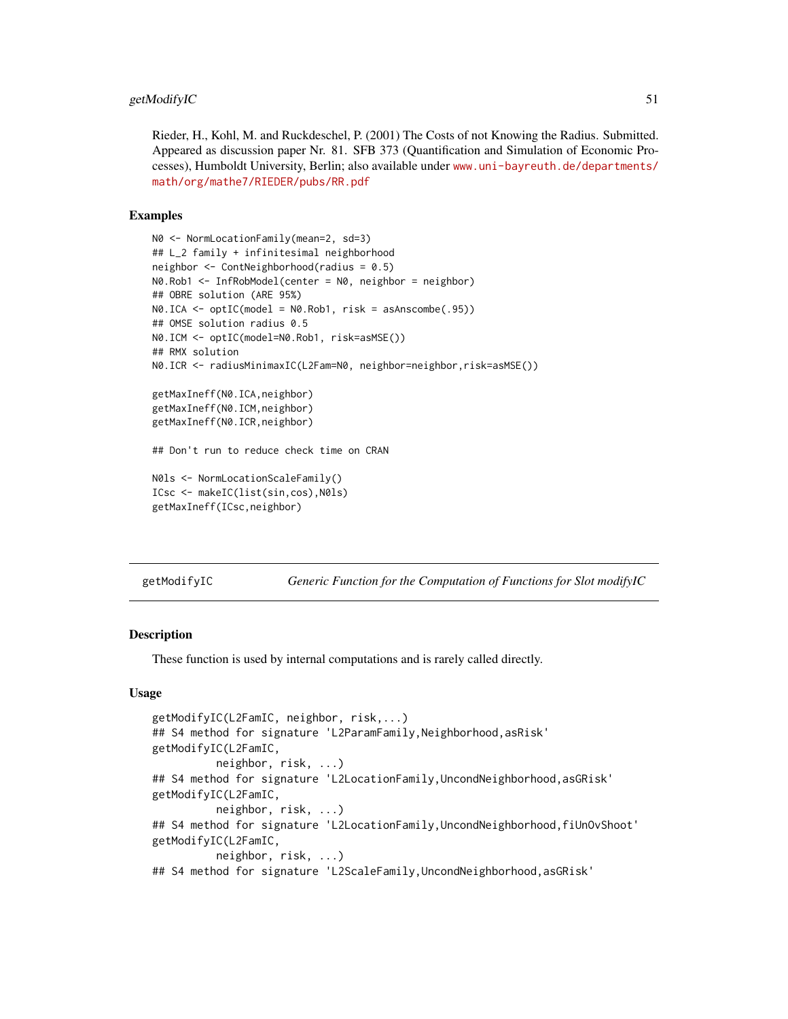Rieder, H., Kohl, M. and Ruckdeschel, P. (2001) The Costs of not Knowing the Radius. Submitted. Appeared as discussion paper Nr. 81. SFB 373 (Quantification and Simulation of Economic Processes), Humboldt University, Berlin; also available under [www.uni-bayreuth.de/departments/](www.uni-bayreuth.de/departments/math/org/mathe7/RIEDER/pubs/RR.pdf) [math/org/mathe7/RIEDER/pubs/RR.pdf](www.uni-bayreuth.de/departments/math/org/mathe7/RIEDER/pubs/RR.pdf)

#### Examples

```
N0 <- NormLocationFamily(mean=2, sd=3)
## L_2 family + infinitesimal neighborhood
neighbor <- ContNeighborhood(radius = 0.5)
N0.Rob1 <- InfRobModel(center = N0, neighbor = neighbor)
## OBRE solution (ARE 95%)
N0.ICA <- optIC(model = N0.Rob1, risk = asAnscombe(.95))
## OMSE solution radius 0.5
N0.ICM <- optIC(model=N0.Rob1, risk=asMSE())
## RMX solution
N0.ICR <- radiusMinimaxIC(L2Fam=N0, neighbor=neighbor,risk=asMSE())
getMaxIneff(N0.ICA,neighbor)
getMaxIneff(N0.ICM,neighbor)
getMaxIneff(N0.ICR,neighbor)
## Don't run to reduce check time on CRAN
N0ls <- NormLocationScaleFamily()
ICsc <- makeIC(list(sin,cos),N0ls)
getMaxIneff(ICsc,neighbor)
```
getModifyIC *Generic Function for the Computation of Functions for Slot modifyIC*

## Description

These function is used by internal computations and is rarely called directly.

### Usage

```
getModifyIC(L2FamIC, neighbor, risk,...)
## S4 method for signature 'L2ParamFamily,Neighborhood,asRisk'
getModifyIC(L2FamIC,
          neighbor, risk, ...)
## S4 method for signature 'L2LocationFamily, UncondNeighborhood, asGRisk'
getModifyIC(L2FamIC,
          neighbor, risk, ...)
## S4 method for signature 'L2LocationFamily,UncondNeighborhood,fiUnOvShoot'
getModifyIC(L2FamIC,
          neighbor, risk, ...)
## S4 method for signature 'L2ScaleFamily,UncondNeighborhood,asGRisk'
```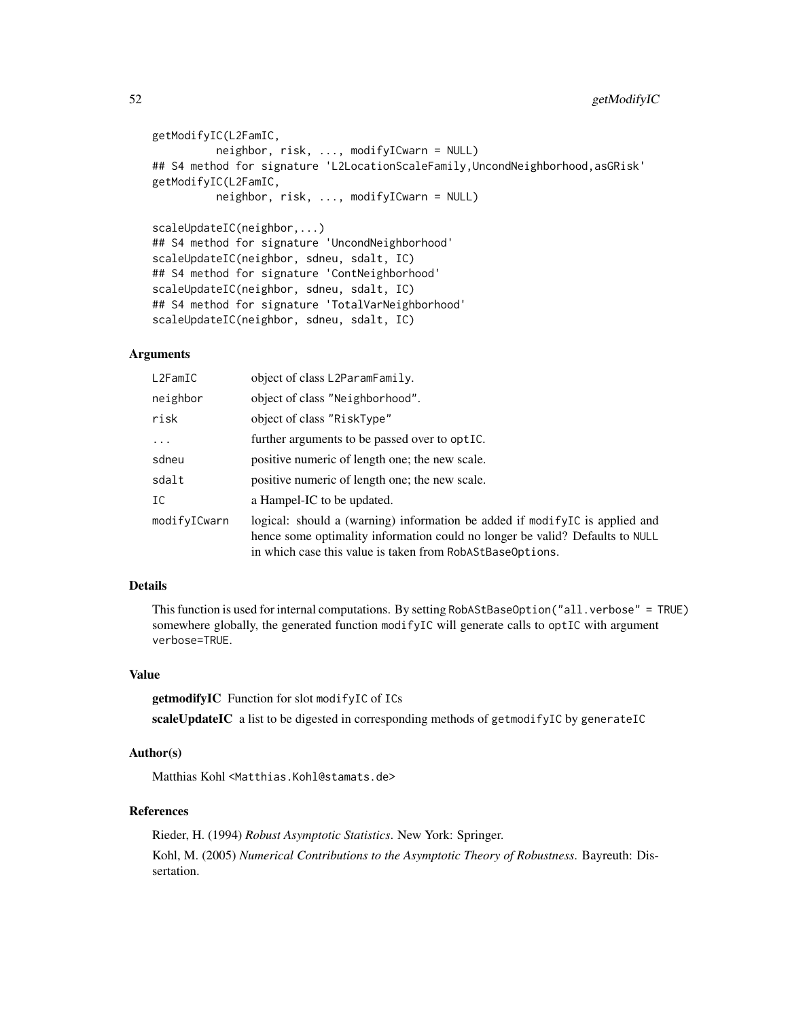```
getModifyIC(L2FamIC,
         neighbor, risk, ..., modifyICwarn = NULL)
## S4 method for signature 'L2LocationScaleFamily,UncondNeighborhood,asGRisk'
getModifyIC(L2FamIC,
          neighbor, risk, ..., modifyICwarn = NULL)
scaleUpdateIC(neighbor,...)
## S4 method for signature 'UncondNeighborhood'
scaleUpdateIC(neighbor, sdneu, sdalt, IC)
## S4 method for signature 'ContNeighborhood'
scaleUpdateIC(neighbor, sdneu, sdalt, IC)
## S4 method for signature 'TotalVarNeighborhood'
scaleUpdateIC(neighbor, sdneu, sdalt, IC)
```
### Arguments

| L2FamIC      | object of class L2ParamFamily.                                                                                                                                                                                           |
|--------------|--------------------------------------------------------------------------------------------------------------------------------------------------------------------------------------------------------------------------|
| neighbor     | object of class "Neighborhood".                                                                                                                                                                                          |
| risk         | object of class "RiskType"                                                                                                                                                                                               |
| $\cdots$     | further arguments to be passed over to optIC.                                                                                                                                                                            |
| sdneu        | positive numeric of length one; the new scale.                                                                                                                                                                           |
| sdalt        | positive numeric of length one; the new scale.                                                                                                                                                                           |
| IC           | a Hampel-IC to be updated.                                                                                                                                                                                               |
| modifyICwarn | logical: should a (warning) information be added if modifyle is applied and<br>hence some optimality information could no longer be valid? Defaults to NULL<br>in which case this value is taken from RobAStBaseOptions. |

### Details

This function is used for internal computations. By setting RobAStBaseOption("all.verbose" = TRUE) somewhere globally, the generated function modifyIC will generate calls to optIC with argument verbose=TRUE.

# Value

getmodifyIC Function for slot modifyIC of ICs

scaleUpdateIC a list to be digested in corresponding methods of getmodifyIC by generateIC

#### Author(s)

Matthias Kohl <Matthias.Kohl@stamats.de>

#### References

Rieder, H. (1994) *Robust Asymptotic Statistics*. New York: Springer. Kohl, M. (2005) *Numerical Contributions to the Asymptotic Theory of Robustness*. Bayreuth: Dissertation.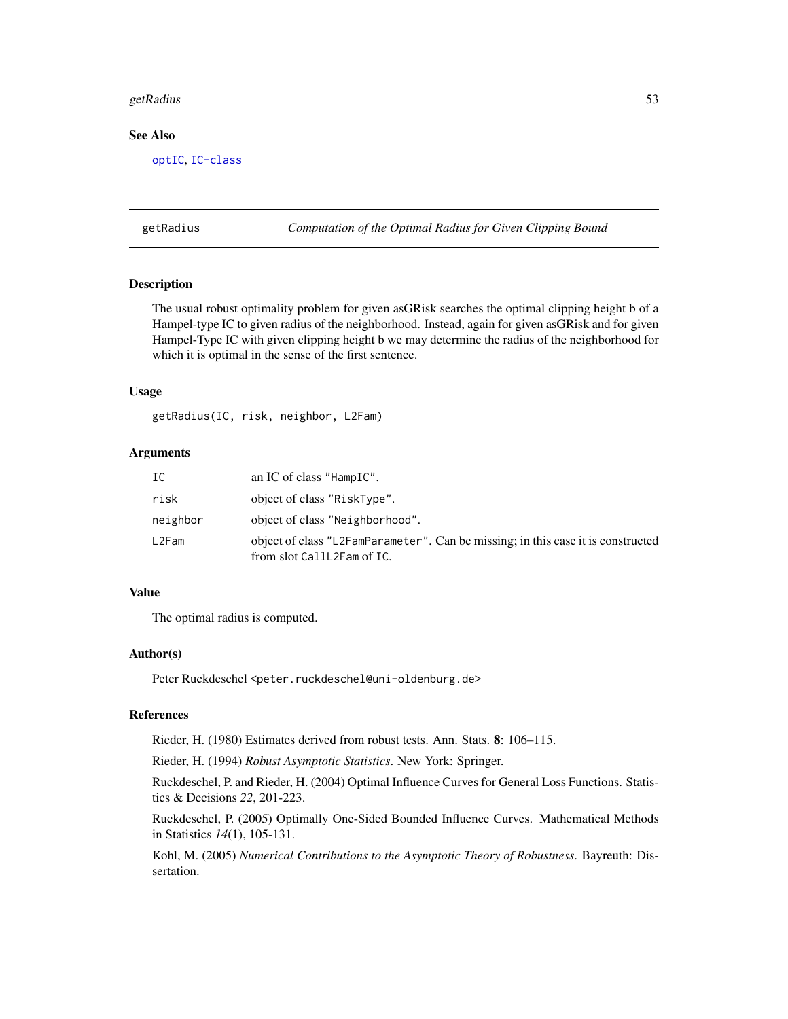#### getRadius 53

### See Also

[optIC](#page-66-0), [IC-class](#page-0-0)

<span id="page-52-0"></span>getRadius *Computation of the Optimal Radius for Given Clipping Bound*

# **Description**

The usual robust optimality problem for given asGRisk searches the optimal clipping height b of a Hampel-type IC to given radius of the neighborhood. Instead, again for given asGRisk and for given Hampel-Type IC with given clipping height b we may determine the radius of the neighborhood for which it is optimal in the sense of the first sentence.

# Usage

getRadius(IC, risk, neighbor, L2Fam)

# Arguments

| IC       | an IC of class "HampIC".                                                                                       |
|----------|----------------------------------------------------------------------------------------------------------------|
| risk     | object of class "RiskType".                                                                                    |
| neighbor | object of class "Neighborhood".                                                                                |
| L2Fam    | object of class "L2FamParameter". Can be missing; in this case it is constructed<br>from slot CallL2Fam of IC. |

# Value

The optimal radius is computed.

### Author(s)

Peter Ruckdeschel <peter.ruckdeschel@uni-oldenburg.de>

# References

Rieder, H. (1980) Estimates derived from robust tests. Ann. Stats. 8: 106–115.

Rieder, H. (1994) *Robust Asymptotic Statistics*. New York: Springer.

Ruckdeschel, P. and Rieder, H. (2004) Optimal Influence Curves for General Loss Functions. Statistics & Decisions *22*, 201-223.

Ruckdeschel, P. (2005) Optimally One-Sided Bounded Influence Curves. Mathematical Methods in Statistics *14*(1), 105-131.

Kohl, M. (2005) *Numerical Contributions to the Asymptotic Theory of Robustness*. Bayreuth: Dissertation.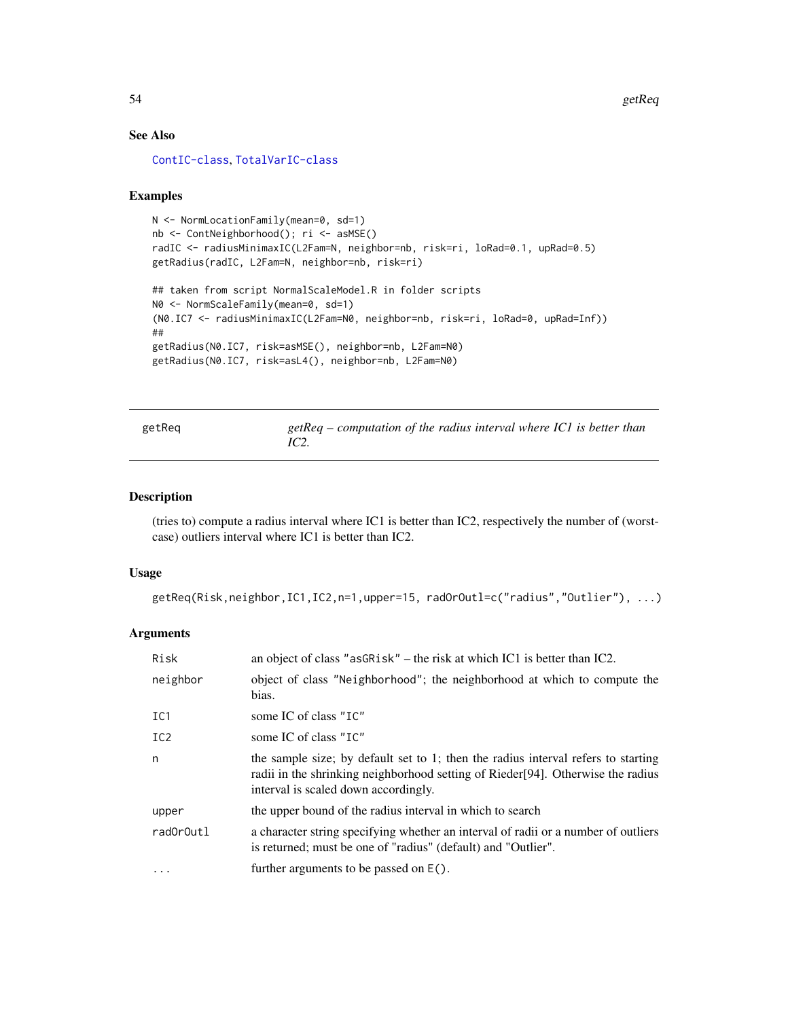# See Also

[ContIC-class](#page-0-0), [TotalVarIC-class](#page-0-0)

### Examples

```
N <- NormLocationFamily(mean=0, sd=1)
nb <- ContNeighborhood(); ri <- asMSE()
radIC <- radiusMinimaxIC(L2Fam=N, neighbor=nb, risk=ri, loRad=0.1, upRad=0.5)
getRadius(radIC, L2Fam=N, neighbor=nb, risk=ri)
## taken from script NormalScaleModel.R in folder scripts
N0 <- NormScaleFamily(mean=0, sd=1)
(N0.IC7 <- radiusMinimaxIC(L2Fam=N0, neighbor=nb, risk=ri, loRad=0, upRad=Inf))
##
getRadius(N0.IC7, risk=asMSE(), neighbor=nb, L2Fam=N0)
getRadius(N0.IC7, risk=asL4(), neighbor=nb, L2Fam=N0)
```

| getReg | $getReg$ – computation of the radius interval where IC1 is better than<br>IC2. |  |
|--------|--------------------------------------------------------------------------------|--|
|        |                                                                                |  |

# Description

(tries to) compute a radius interval where IC1 is better than IC2, respectively the number of (worstcase) outliers interval where IC1 is better than IC2.

# Usage

```
getReq(Risk,neighbor,IC1,IC2,n=1,upper=15, radOrOutl=c("radius","Outlier"), ...)
```
### Arguments

| Risk            | an object of class "as GR is k" $-$ the risk at which IC1 is better than IC2.                                                                                                                                 |
|-----------------|---------------------------------------------------------------------------------------------------------------------------------------------------------------------------------------------------------------|
| neighbor        | object of class "Neighborhood"; the neighborhood at which to compute the<br>bias.                                                                                                                             |
| IC1             | some IC of class "IC"                                                                                                                                                                                         |
| IC <sub>2</sub> | some IC of class "IC"                                                                                                                                                                                         |
| n               | the sample size; by default set to 1; then the radius interval refers to starting<br>radii in the shrinking neighborhood setting of Rieder [94]. Otherwise the radius<br>interval is scaled down accordingly. |
| upper           | the upper bound of the radius interval in which to search                                                                                                                                                     |
| radOrOutl       | a character string specifying whether an interval of radii or a number of outliers<br>is returned; must be one of "radius" (default) and "Outlier".                                                           |
| $\cdots$        | further arguments to be passed on $E()$ .                                                                                                                                                                     |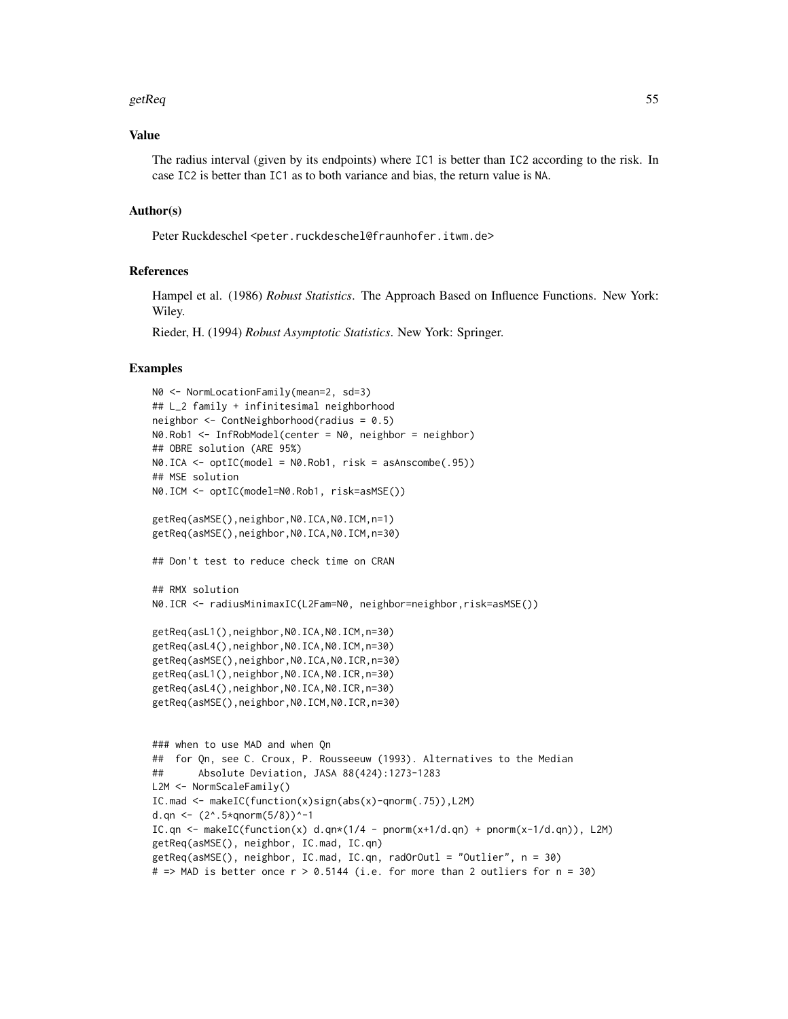#### getReq 55

### Value

The radius interval (given by its endpoints) where IC1 is better than IC2 according to the risk. In case IC2 is better than IC1 as to both variance and bias, the return value is NA.

### Author(s)

Peter Ruckdeschel<peter.ruckdeschel@fraunhofer.itwm.de>

### References

Hampel et al. (1986) *Robust Statistics*. The Approach Based on Influence Functions. New York: Wiley.

Rieder, H. (1994) *Robust Asymptotic Statistics*. New York: Springer.

# Examples

```
N0 <- NormLocationFamily(mean=2, sd=3)
## L_2 family + infinitesimal neighborhood
neighbor <- ContNeighborhood(radius = 0.5)
N0.Rob1 <- InfRobModel(center = N0, neighbor = neighbor)
## OBRE solution (ARE 95%)
N\emptyset.ICA \leq optIC(model = N\emptyset.Rob1, risk = asAnscombe(.95))
## MSE solution
N0.ICM <- optIC(model=N0.Rob1, risk=asMSE())
getReq(asMSE(),neighbor,N0.ICA,N0.ICM,n=1)
getReq(asMSE(),neighbor,N0.ICA,N0.ICM,n=30)
## Don't test to reduce check time on CRAN
## RMX solution
N0.ICR <- radiusMinimaxIC(L2Fam=N0, neighbor=neighbor,risk=asMSE())
getReq(asL1(),neighbor,N0.ICA,N0.ICM,n=30)
getReq(asL4(),neighbor,N0.ICA,N0.ICM,n=30)
getReq(asMSE(),neighbor,N0.ICA,N0.ICR,n=30)
getReq(asL1(),neighbor,N0.ICA,N0.ICR,n=30)
getReq(asL4(),neighbor,N0.ICA,N0.ICR,n=30)
getReq(asMSE(),neighbor,N0.ICM,N0.ICR,n=30)
### when to use MAD and when Qn
## for Qn, see C. Croux, P. Rousseeuw (1993). Alternatives to the Median
## Absolute Deviation, JASA 88(424):1273-1283
L2M <- NormScaleFamily()
IC.mad <- makeIC(function(x)sign(abs(x)-qnorm(.75)),L2M)
d.qn <- (2^* .5 \times qnorm(5/8))^2 - 1IC.qn <- makeIC(function(x) d.qn*(1/4 - pnorm(x+1/d.qn) + pnorm(x-1/d.qn)), L2M)
getReq(asMSE(), neighbor, IC.mad, IC.qn)
getReq(asMSE(), neighbor, IC.mad, IC.qn, radOrOutl = "Outlier", n = 30)
# => MAD is better once r > 0.5144 (i.e. for more than 2 outliers for n = 30)
```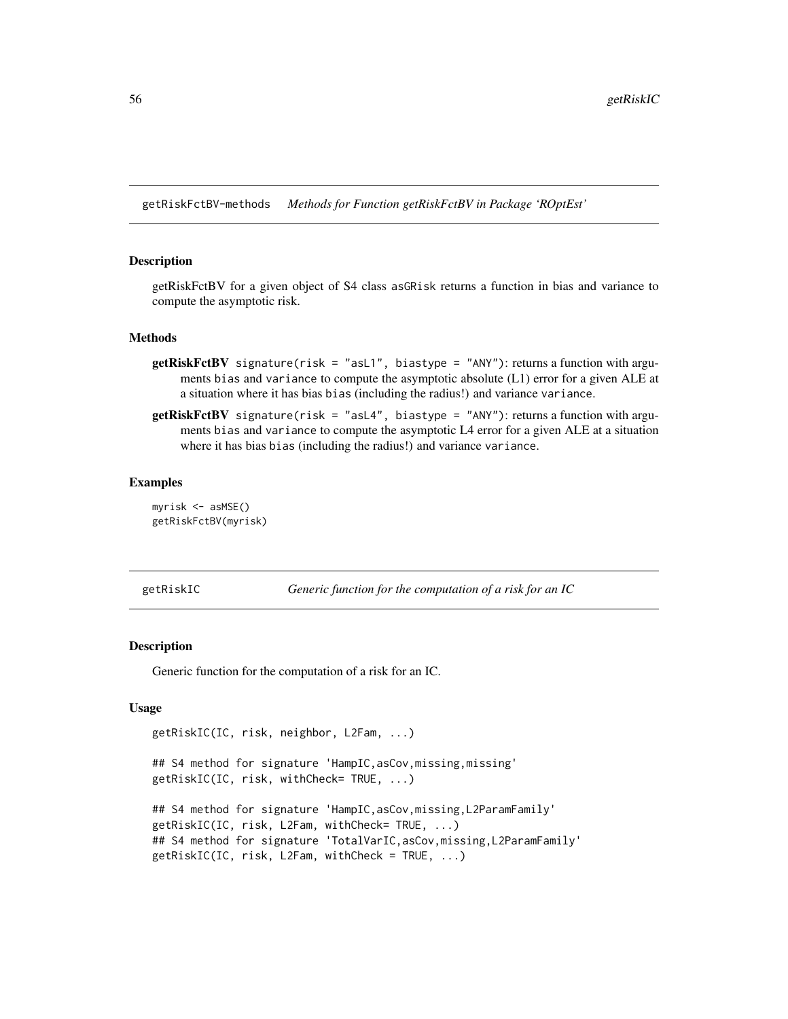getRiskFctBV-methods *Methods for Function getRiskFctBV in Package 'ROptEst'*

#### Description

getRiskFctBV for a given object of S4 class asGRisk returns a function in bias and variance to compute the asymptotic risk.

# Methods

- **getRiskFctBV** signature(risk = "asL1", biastype = "ANY"): returns a function with arguments bias and variance to compute the asymptotic absolute (L1) error for a given ALE at a situation where it has bias bias (including the radius!) and variance variance.
- **getRiskFctBV** signature(risk = "asL4", biastype = "ANY"): returns a function with arguments bias and variance to compute the asymptotic L4 error for a given ALE at a situation where it has bias bias (including the radius!) and variance variance.

#### Examples

```
myrisk <- asMSE()
getRiskFctBV(myrisk)
```
<span id="page-55-0"></span>

getRiskIC *Generic function for the computation of a risk for an IC*

#### **Description**

Generic function for the computation of a risk for an IC.

### Usage

```
getRiskIC(IC, risk, neighbor, L2Fam, ...)
```
## S4 method for signature 'HampIC,asCov,missing,missing' getRiskIC(IC, risk, withCheck= TRUE, ...)

```
## S4 method for signature 'HampIC, asCov, missing, L2ParamFamily'
getRiskIC(IC, risk, L2Fam, withCheck= TRUE, ...)
## S4 method for signature 'TotalVarIC, asCov, missing, L2ParamFamily'
getRiskIC(IC, risk, L2Fam, withCheck = TRUE, ...)
```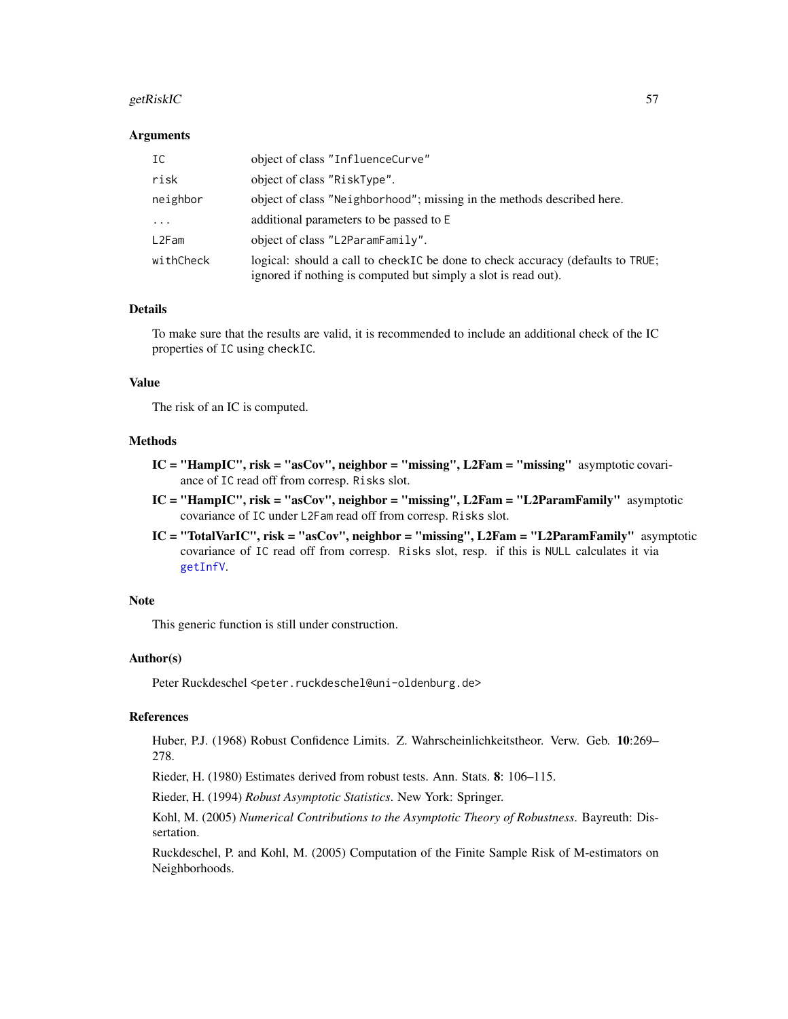#### getRiskIC 57 September 1988 of the September 1988 of the September 1988 of the September 1988 of the September 1988 of the September 1988 of the September 1988 of the September 1988 of the September 1988 of the September 1

### Arguments

| IC        | object of class "InfluenceCurve"                                                                                                                 |
|-----------|--------------------------------------------------------------------------------------------------------------------------------------------------|
| risk      | object of class "RiskType".                                                                                                                      |
| neighbor  | object of class "Neighborhood"; missing in the methods described here.                                                                           |
| .         | additional parameters to be passed to E                                                                                                          |
| L2Fam     | object of class "L2ParamFamily".                                                                                                                 |
| withCheck | logical: should a call to checkIC be done to check accuracy (defaults to TRUE;<br>ignored if nothing is computed but simply a slot is read out). |

### Details

To make sure that the results are valid, it is recommended to include an additional check of the IC properties of IC using checkIC.

#### Value

The risk of an IC is computed.

#### Methods

- $IC = "HampIC",$  risk = "asCov", neighbor = "missing",  $L2Fam = "missing"$  asymptotic covariance of IC read off from corresp. Risks slot.
- $IC = "HampIC", risk = "asCov", neighbor = "missing", L2Fam = "L2ParamFamily" asymptotic$ covariance of IC under L2Fam read off from corresp. Risks slot.
- IC = "TotalVarIC", risk = "asCov", neighbor = "missing", L2Fam = "L2ParamFamily" asymptotic covariance of IC read off from corresp. Risks slot, resp. if this is NULL calculates it via [getInfV](#page-46-0).

#### Note

This generic function is still under construction.

### Author(s)

Peter Ruckdeschel <peter.ruckdeschel@uni-oldenburg.de>

#### References

Huber, P.J. (1968) Robust Confidence Limits. Z. Wahrscheinlichkeitstheor. Verw. Geb. 10:269– 278.

Rieder, H. (1980) Estimates derived from robust tests. Ann. Stats. 8: 106–115.

Rieder, H. (1994) *Robust Asymptotic Statistics*. New York: Springer.

Kohl, M. (2005) *Numerical Contributions to the Asymptotic Theory of Robustness*. Bayreuth: Dissertation.

Ruckdeschel, P. and Kohl, M. (2005) Computation of the Finite Sample Risk of M-estimators on Neighborhoods.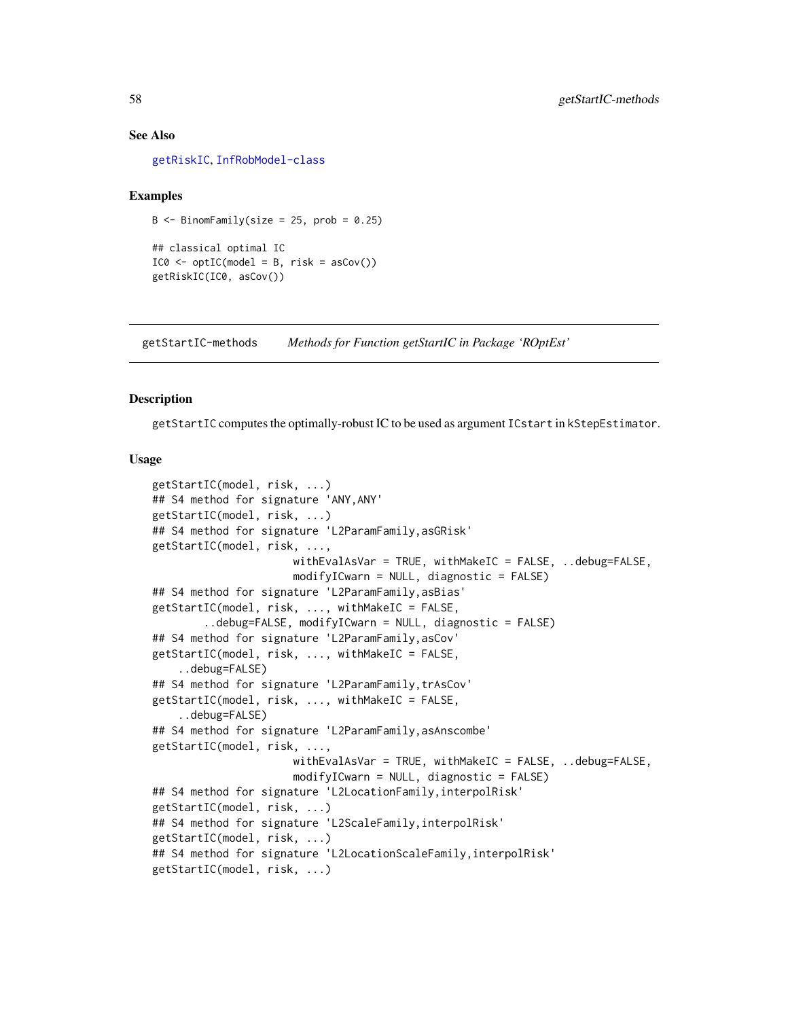#### See Also

[getRiskIC](#page-55-0), [InfRobModel-class](#page-0-0)

#### Examples

```
B \le - BinomFamily(size = 25, prob = 0.25)
## classical optimal IC
IC0 \leq optIC(model = B, risk = asCov())getRiskIC(IC0, asCov())
```
getStartIC-methods *Methods for Function getStartIC in Package 'ROptEst'*

#### **Description**

getStartIC computes the optimally-robust IC to be used as argument ICstart in kStepEstimator.

#### Usage

```
getStartIC(model, risk, ...)
## S4 method for signature 'ANY,ANY'
getStartIC(model, risk, ...)
## S4 method for signature 'L2ParamFamily,asGRisk'
getStartIC(model, risk, ...,
                      withEvalAsVar = TRUE, withMakeIC = FALSE, ..debug=FALSE,
                      modifyICwarn = NULL, diagonalize = FALSE)## S4 method for signature 'L2ParamFamily,asBias'
getStartIC(model, risk, ..., withMakeIC = FALSE,
        ..debug=FALSE, modifyICwarn = NULL, diagnostic = FALSE)
## S4 method for signature 'L2ParamFamily,asCov'
getStartIC(model, risk, ..., withMakeIC = FALSE,
    ..debug=FALSE)
## S4 method for signature 'L2ParamFamily,trAsCov'
getStartIC(model, risk, ..., withMakeIC = FALSE,
    ..debug=FALSE)
## S4 method for signature 'L2ParamFamily,asAnscombe'
getStartIC(model, risk, ...,
                      withEvalAsVar = TRUE, withMakeIC = FALSE, ..debug=FALSE,
                      modifyICwarn = NULL, diagnostic = FALSE)
## S4 method for signature 'L2LocationFamily,interpolRisk'
getStartIC(model, risk, ...)
## S4 method for signature 'L2ScaleFamily, interpolRisk'
getStartIC(model, risk, ...)
## S4 method for signature 'L2LocationScaleFamily, interpolRisk'
getStartIC(model, risk, ...)
```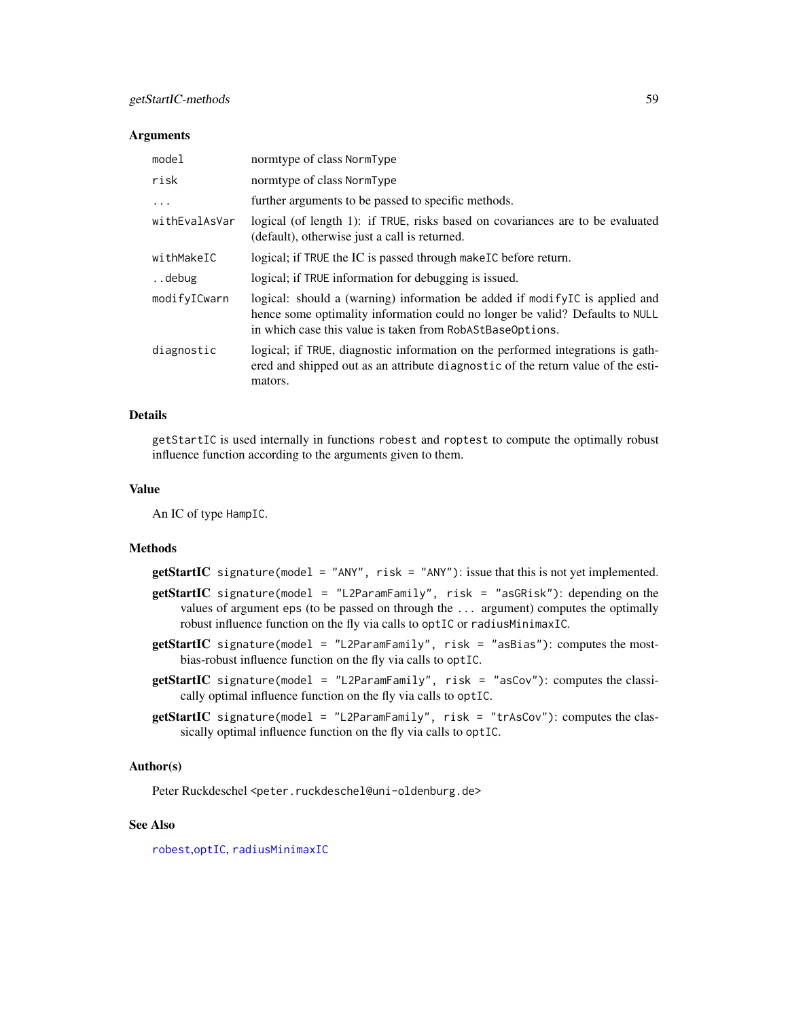#### **Arguments**

| model         | normtype of class NormType                                                                                                                                                                                                |
|---------------|---------------------------------------------------------------------------------------------------------------------------------------------------------------------------------------------------------------------------|
| risk          | normtype of class NormType                                                                                                                                                                                                |
| .             | further arguments to be passed to specific methods.                                                                                                                                                                       |
| withEvalAsVar | logical (of length 1): if TRUE, risks based on covariances are to be evaluated<br>(default), otherwise just a call is returned.                                                                                           |
| withMakeIC    | logical; if TRUE the IC is passed through make IC before return.                                                                                                                                                          |
| debug         | logical; if TRUE information for debugging is issued.                                                                                                                                                                     |
| modifyICwarn  | logical: should a (warning) information be added if modify IC is applied and<br>hence some optimality information could no longer be valid? Defaults to NULL<br>in which case this value is taken from RobAStBaseOptions. |
| diagnostic    | logical; if TRUE, diagnostic information on the performed integrations is gath-<br>ered and shipped out as an attribute diagnostic of the return value of the esti-<br>mators.                                            |

## Details

getStartIC is used internally in functions robest and roptest to compute the optimally robust influence function according to the arguments given to them.

# Value

An IC of type HampIC.

# Methods

getStartIC signature(model = "ANY", risk = "ANY"): issue that this is not yet implemented.

- getStartIC signature(model = "L2ParamFamily", risk = "asGRisk"): depending on the values of argument eps (to be passed on through the ... argument) computes the optimally robust influence function on the fly via calls to optIC or radiusMinimaxIC.
- getStartIC signature(model = "L2ParamFamily", risk = "asBias"): computes the mostbias-robust influence function on the fly via calls to optIC.
- getStartIC signature(model = "L2ParamFamily", risk = "asCov"): computes the classically optimal influence function on the fly via calls to optIC.
- getStartIC signature(model = "L2ParamFamily", risk = "trAsCov"): computes the classically optimal influence function on the fly via calls to optIC.

# Author(s)

Peter Ruckdeschel <peter.ruckdeschel@uni-oldenburg.de>

# See Also

[robest](#page-81-0),[optIC](#page-66-0), [radiusMinimaxIC](#page-73-0)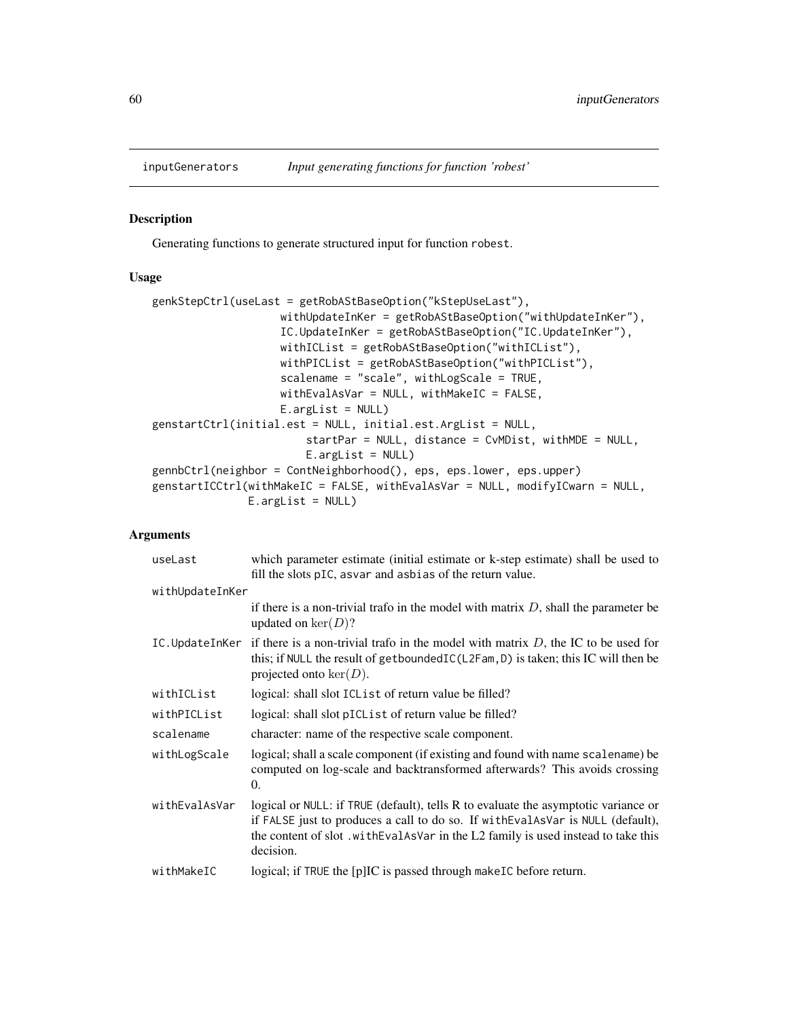# Description

Generating functions to generate structured input for function robest.

### Usage

```
genkStepCtrl(useLast = getRobAStBaseOption("kStepUseLast"),
                   withUpdateInKer = getRobAStBaseOption("withUpdateInKer"),
                   IC.UpdateInKer = getRobAStBaseOption("IC.UpdateInKer"),
                   withICList = getRobAStBaseOption("withICList"),
                   withPICList = getRobAStBaseOption("withPICList"),
                   scalename = "scale", withLogScale = TRUE,
                   withEvalAsVar = NULL, withMakeIC = FALSE,
                   E.argList = NULL)
genstartCtrl(initial.est = NULL, initial.est.ArgList = NULL,
                        startPar = NULL, distance = CvMDist, withMDE = NULL,
                        E.argList = NULL)
gennbCtrl(neighbor = ContNeighborhood(), eps, eps.lower, eps.upper)
genstartICCtrl(withMakeIC = FALSE, withEvalAsVar = NULL, modifyICwarn = NULL,
               E.argList = NULL)
```
# Arguments

| useLast         | which parameter estimate (initial estimate or k-step estimate) shall be used to<br>fill the slots pIC, asvar and asbias of the return value.                                                                                                                             |
|-----------------|--------------------------------------------------------------------------------------------------------------------------------------------------------------------------------------------------------------------------------------------------------------------------|
| withUpdateInKer |                                                                                                                                                                                                                                                                          |
|                 | if there is a non-trivial trafo in the model with matrix $D$ , shall the parameter be<br>updated on $\ker(D)$ ?                                                                                                                                                          |
|                 | IC. Update In Ker if there is a non-trivial trafo in the model with matrix $D$ , the IC to be used for<br>this; if NULL the result of getboundedIC(L2Fam, D) is taken; this IC will then be<br>projected onto $\ker(D)$ .                                                |
| withICList      | logical: shall slot ICList of return value be filled?                                                                                                                                                                                                                    |
| withPICList     | logical: shall slot pICL is t of return value be filled?                                                                                                                                                                                                                 |
| scalename       | character: name of the respective scale component.                                                                                                                                                                                                                       |
| withLogScale    | logical; shall a scale component (if existing and found with name scalename) be<br>computed on log-scale and backtransformed afterwards? This avoids crossing<br>0.                                                                                                      |
| withEvalAsVar   | logical or NULL: if TRUE (default), tells R to evaluate the asymptotic variance or<br>if FALSE just to produces a call to do so. If with EvalAsVar is NULL (default),<br>the content of slot .with Eval AsVar in the L2 family is used instead to take this<br>decision. |
| withMakeIC      | logical; if TRUE the [p]IC is passed through make IC before return.                                                                                                                                                                                                      |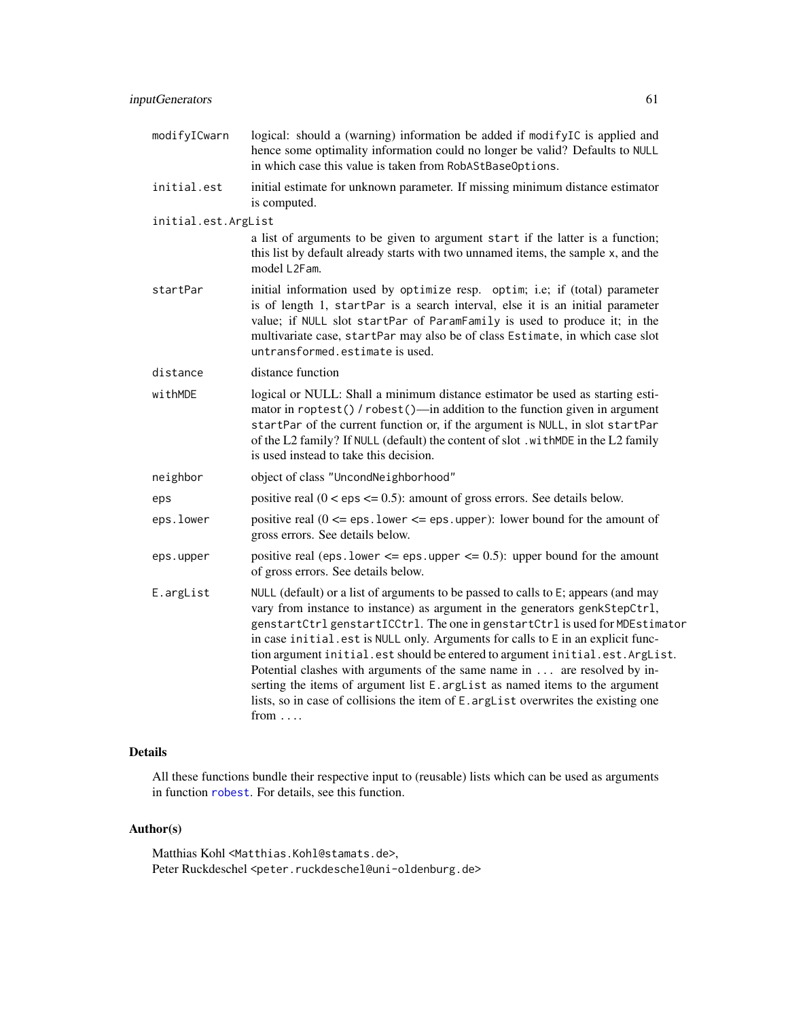| modifyICwarn        | logical: should a (warning) information be added if modifyIC is applied and<br>hence some optimality information could no longer be valid? Defaults to NULL<br>in which case this value is taken from RobAStBaseOptions.                                                                                                                                                                                                                                                                                                                                                                                                                                                               |
|---------------------|----------------------------------------------------------------------------------------------------------------------------------------------------------------------------------------------------------------------------------------------------------------------------------------------------------------------------------------------------------------------------------------------------------------------------------------------------------------------------------------------------------------------------------------------------------------------------------------------------------------------------------------------------------------------------------------|
| initial.est         | initial estimate for unknown parameter. If missing minimum distance estimator<br>is computed.                                                                                                                                                                                                                                                                                                                                                                                                                                                                                                                                                                                          |
| initial.est.ArgList |                                                                                                                                                                                                                                                                                                                                                                                                                                                                                                                                                                                                                                                                                        |
|                     | a list of arguments to be given to argument start if the latter is a function;<br>this list by default already starts with two unnamed items, the sample x, and the<br>model L2Fam.                                                                                                                                                                                                                                                                                                                                                                                                                                                                                                    |
| startPar            | initial information used by optimize resp. optim; i.e; if (total) parameter<br>is of length 1, startPar is a search interval, else it is an initial parameter<br>value; if NULL slot startPar of ParamFamily is used to produce it; in the<br>multivariate case, startPar may also be of class Estimate, in which case slot<br>untransformed.estimate is used.                                                                                                                                                                                                                                                                                                                         |
| distance            | distance function                                                                                                                                                                                                                                                                                                                                                                                                                                                                                                                                                                                                                                                                      |
| withMDE             | logical or NULL: Shall a minimum distance estimator be used as starting esti-<br>mator in roptest() / robest()—in addition to the function given in argument<br>startPar of the current function or, if the argument is NULL, in slot startPar<br>of the L2 family? If NULL (default) the content of slot. with MDE in the L2 family<br>is used instead to take this decision.                                                                                                                                                                                                                                                                                                         |
| neighbor            | object of class "UncondNeighborhood"                                                                                                                                                                                                                                                                                                                                                                                                                                                                                                                                                                                                                                                   |
| eps                 | positive real $(0 < eps \le 0.5)$ : amount of gross errors. See details below.                                                                                                                                                                                                                                                                                                                                                                                                                                                                                                                                                                                                         |
| eps.lower           | positive real $(0 \leq -eps \cdot 1$ ower $\leq -eps \cdot 1$ upper): lower bound for the amount of<br>gross errors. See details below.                                                                                                                                                                                                                                                                                                                                                                                                                                                                                                                                                |
| eps.upper           | positive real (eps. lower $\leq$ eps. upper $\leq$ 0.5): upper bound for the amount<br>of gross errors. See details below.                                                                                                                                                                                                                                                                                                                                                                                                                                                                                                                                                             |
| E.argList           | NULL (default) or a list of arguments to be passed to calls to E; appears (and may<br>vary from instance to instance) as argument in the generators genkStepCtrl,<br>genstartCtrl genstartICCtrl. The one in genstartCtrl is used for MDEstimator<br>in case initial.est is NULL only. Arguments for calls to E in an explicit func-<br>tion argument initial.est should be entered to argument initial.est.ArgList.<br>Potential clashes with arguments of the same name in are resolved by in-<br>serting the items of argument list E. argList as named items to the argument<br>lists, so in case of collisions the item of E. argList overwrites the existing one<br>from $\dots$ |

# Details

All these functions bundle their respective input to (reusable) lists which can be used as arguments in function [robest](#page-81-0). For details, see this function.

# Author(s)

Matthias Kohl <Matthias.Kohl@stamats.de>, Peter Ruckdeschel <peter.ruckdeschel@uni-oldenburg.de>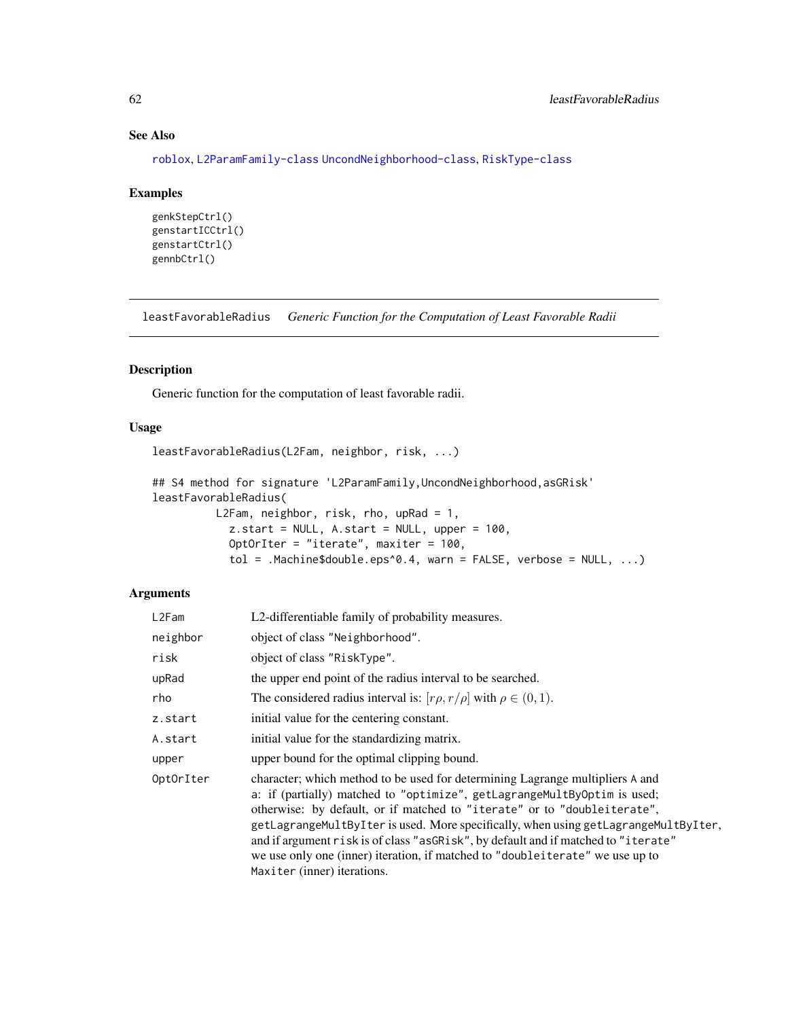# See Also

[roblox](#page-0-0), [L2ParamFamily-class](#page-0-0) [UncondNeighborhood-class](#page-0-0), [RiskType-class](#page-0-0)

#### Examples

```
genkStepCtrl()
genstartICCtrl()
genstartCtrl()
gennbCtrl()
```
leastFavorableRadius *Generic Function for the Computation of Least Favorable Radii*

# Description

Generic function for the computation of least favorable radii.

### Usage

leastFavorableRadius(L2Fam, neighbor, risk, ...)

```
## S4 method for signature 'L2ParamFamily, UncondNeighborhood, asGRisk'
leastFavorableRadius(
         L2Fam, neighbor, risk, rho, upRad = 1,
            z.start = NULL, A.start = NULL, upper = 100,
            OptOrIter = "iterate", maxiter = 100,
            tol = .Machine$double.eps^0.4, warn = FALSE, verbose = NULL, ...)
```
# Arguments

| L2Fam     | L2-differentiable family of probability measures.                                                                                                                                                                                                                                                                                                                                                                                                                                                                                  |
|-----------|------------------------------------------------------------------------------------------------------------------------------------------------------------------------------------------------------------------------------------------------------------------------------------------------------------------------------------------------------------------------------------------------------------------------------------------------------------------------------------------------------------------------------------|
| neighbor  | object of class "Neighborhood".                                                                                                                                                                                                                                                                                                                                                                                                                                                                                                    |
| risk      | object of class "RiskType".                                                                                                                                                                                                                                                                                                                                                                                                                                                                                                        |
| upRad     | the upper end point of the radius interval to be searched.                                                                                                                                                                                                                                                                                                                                                                                                                                                                         |
| rho       | The considered radius interval is: $[r\rho, r/\rho]$ with $\rho \in (0, 1)$ .                                                                                                                                                                                                                                                                                                                                                                                                                                                      |
| z.start   | initial value for the centering constant.                                                                                                                                                                                                                                                                                                                                                                                                                                                                                          |
| A.start   | initial value for the standardizing matrix.                                                                                                                                                                                                                                                                                                                                                                                                                                                                                        |
| upper     | upper bound for the optimal clipping bound.                                                                                                                                                                                                                                                                                                                                                                                                                                                                                        |
| OptOrIter | character; which method to be used for determining Lagrange multipliers A and<br>a: if (partially) matched to "optimize", getLagrangeMultByOptim is used;<br>otherwise: by default, or if matched to "iterate" or to "doubleiterate",<br>getLagrangeMultByIter is used. More specifically, when using getLagrangeMultByIter,<br>and if argument risk is of class "asGRisk", by default and if matched to "iterate"<br>we use only one (inner) iteration, if matched to "doubleiterate" we use up to<br>Maxiter (inner) iterations. |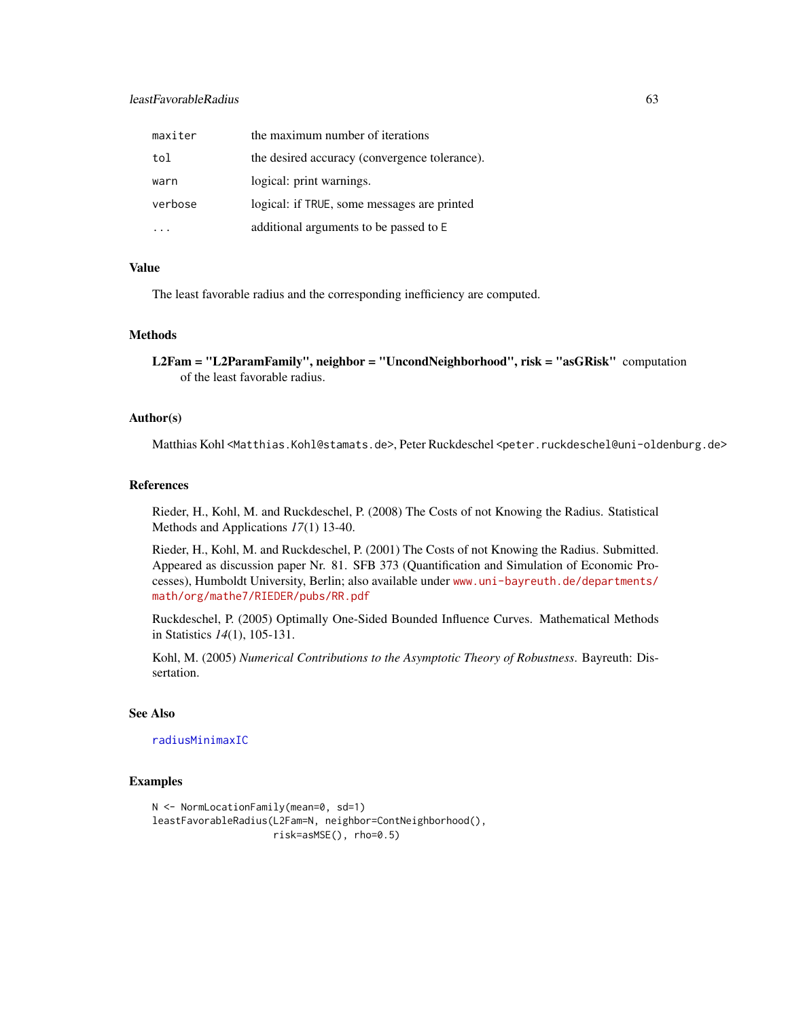# leastFavorableRadius 63

| maxiter | the maximum number of iterations              |
|---------|-----------------------------------------------|
| tol     | the desired accuracy (convergence tolerance). |
| warn    | logical: print warnings.                      |
| verbose | logical: if TRUE, some messages are printed   |
|         | additional arguments to be passed to E        |

### Value

The least favorable radius and the corresponding inefficiency are computed.

# Methods

L2Fam = "L2ParamFamily", neighbor = "UncondNeighborhood", risk = "asGRisk" computation of the least favorable radius.

# Author(s)

Matthias Kohl <Matthias.Kohl@stamats.de>, Peter Ruckdeschel <peter.ruckdeschel@uni-oldenburg.de>

#### References

Rieder, H., Kohl, M. and Ruckdeschel, P. (2008) The Costs of not Knowing the Radius. Statistical Methods and Applications *17*(1) 13-40.

Rieder, H., Kohl, M. and Ruckdeschel, P. (2001) The Costs of not Knowing the Radius. Submitted. Appeared as discussion paper Nr. 81. SFB 373 (Quantification and Simulation of Economic Processes), Humboldt University, Berlin; also available under [www.uni-bayreuth.de/departments/](www.uni-bayreuth.de/departments/math/org/mathe7/RIEDER/pubs/RR.pdf) [math/org/mathe7/RIEDER/pubs/RR.pdf](www.uni-bayreuth.de/departments/math/org/mathe7/RIEDER/pubs/RR.pdf)

Ruckdeschel, P. (2005) Optimally One-Sided Bounded Influence Curves. Mathematical Methods in Statistics *14*(1), 105-131.

Kohl, M. (2005) *Numerical Contributions to the Asymptotic Theory of Robustness*. Bayreuth: Dissertation.

# See Also

[radiusMinimaxIC](#page-73-0)

### Examples

```
N <- NormLocationFamily(mean=0, sd=1)
leastFavorableRadius(L2Fam=N, neighbor=ContNeighborhood(),
                     risk=asMSE(), rho=0.5)
```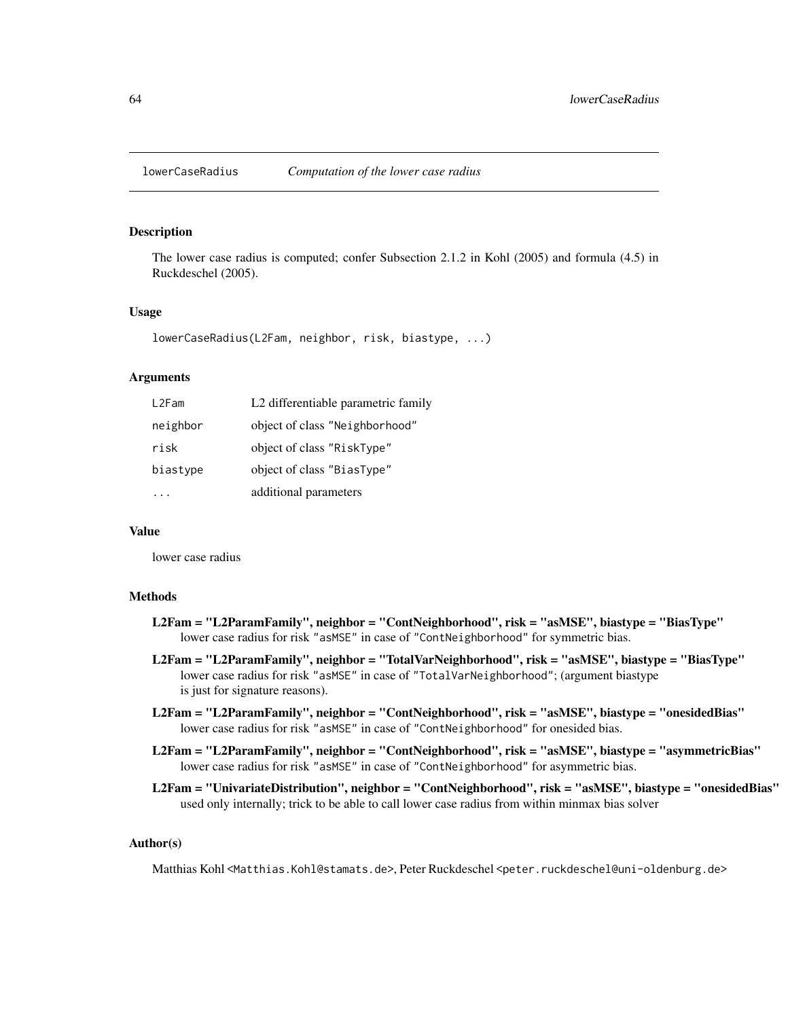# Description

The lower case radius is computed; confer Subsection 2.1.2 in Kohl (2005) and formula (4.5) in Ruckdeschel (2005).

### Usage

```
lowerCaseRadius(L2Fam, neighbor, risk, biastype, ...)
```
### Arguments

| L2Fam    | L2 differentiable parametric family |
|----------|-------------------------------------|
| neighbor | object of class "Neighborhood"      |
| risk     | object of class "RiskType"          |
| biastype | object of class "BiasType"          |
|          | additional parameters               |

### Value

lower case radius

# Methods

- L2Fam = "L2ParamFamily", neighbor = "ContNeighborhood", risk = "asMSE", biastype = "BiasType" lower case radius for risk "asMSE" in case of "ContNeighborhood" for symmetric bias.
- L2Fam = "L2ParamFamily", neighbor = "TotalVarNeighborhood", risk = "asMSE", biastype = "BiasType" lower case radius for risk "asMSE" in case of "TotalVarNeighborhood"; (argument biastype is just for signature reasons).
- L2Fam = "L2ParamFamily", neighbor = "ContNeighborhood", risk = "asMSE", biastype = "onesidedBias" lower case radius for risk "asMSE" in case of "ContNeighborhood" for onesided bias.
- L2Fam = "L2ParamFamily", neighbor = "ContNeighborhood", risk = "asMSE", biastype = "asymmetricBias" lower case radius for risk "asMSE" in case of "ContNeighborhood" for asymmetric bias.
- L2Fam = "UnivariateDistribution", neighbor = "ContNeighborhood", risk = "asMSE", biastype = "onesidedBias" used only internally; trick to be able to call lower case radius from within minmax bias solver

### Author(s)

Matthias Kohl <Matthias.Kohl@stamats.de>, Peter Ruckdeschel <peter.ruckdeschel@uni-oldenburg.de>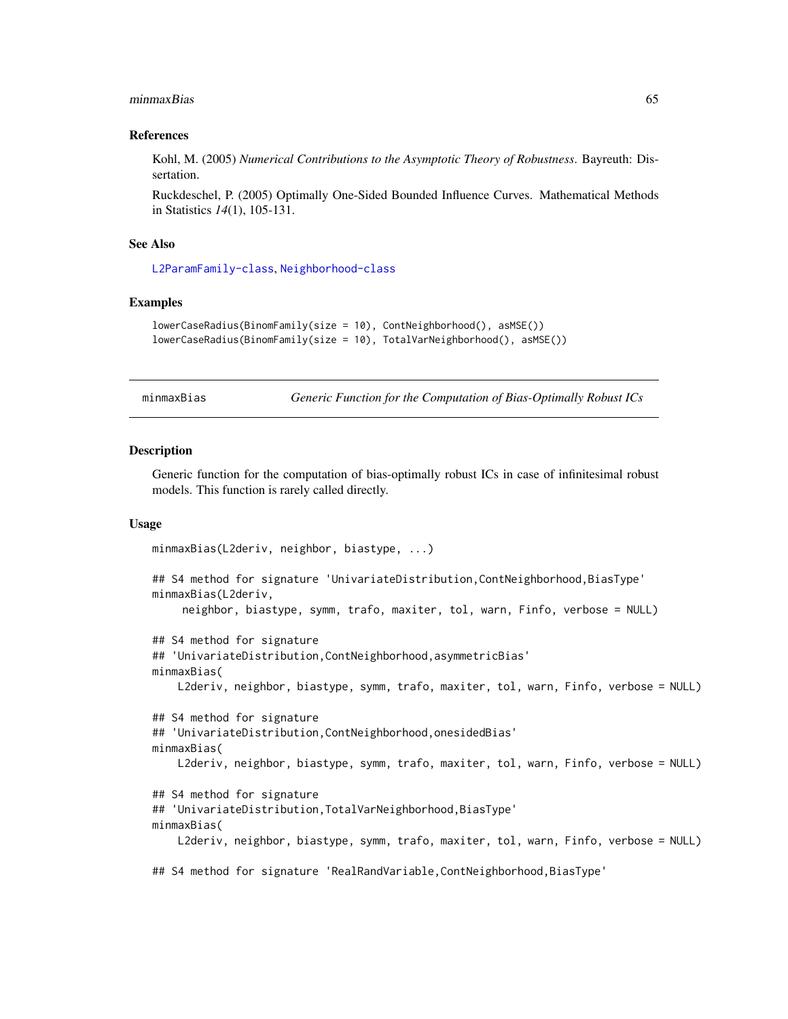#### minmaxBias 65

### References

Kohl, M. (2005) *Numerical Contributions to the Asymptotic Theory of Robustness*. Bayreuth: Dissertation.

Ruckdeschel, P. (2005) Optimally One-Sided Bounded Influence Curves. Mathematical Methods in Statistics *14*(1), 105-131.

### See Also

[L2ParamFamily-class](#page-0-0), [Neighborhood-class](#page-0-0)

# Examples

```
lowerCaseRadius(BinomFamily(size = 10), ContNeighborhood(), asMSE())
lowerCaseRadius(BinomFamily(size = 10), TotalVarNeighborhood(), asMSE())
```
minmaxBias *Generic Function for the Computation of Bias-Optimally Robust ICs*

#### Description

Generic function for the computation of bias-optimally robust ICs in case of infinitesimal robust models. This function is rarely called directly.

### Usage

```
minmaxBias(L2deriv, neighbor, biastype, ...)
## S4 method for signature 'UnivariateDistribution,ContNeighborhood,BiasType'
minmaxBias(L2deriv,
    neighbor, biastype, symm, trafo, maxiter, tol, warn, Finfo, verbose = NULL)
## S4 method for signature
## 'UnivariateDistribution,ContNeighborhood,asymmetricBias'
minmaxBias(
    L2deriv, neighbor, biastype, symm, trafo, maxiter, tol, warn, Finfo, verbose = NULL)
## S4 method for signature
## 'UnivariateDistribution,ContNeighborhood,onesidedBias'
minmaxBias(
    L2deriv, neighbor, biastype, symm, trafo, maxiter, tol, warn, Finfo, verbose = NULL)
## S4 method for signature
## 'UnivariateDistribution,TotalVarNeighborhood,BiasType'
minmaxBias(
    L2deriv, neighbor, biastype, symm, trafo, maxiter, tol, warn, Finfo, verbose = NULL)
## S4 method for signature 'RealRandVariable,ContNeighborhood,BiasType'
```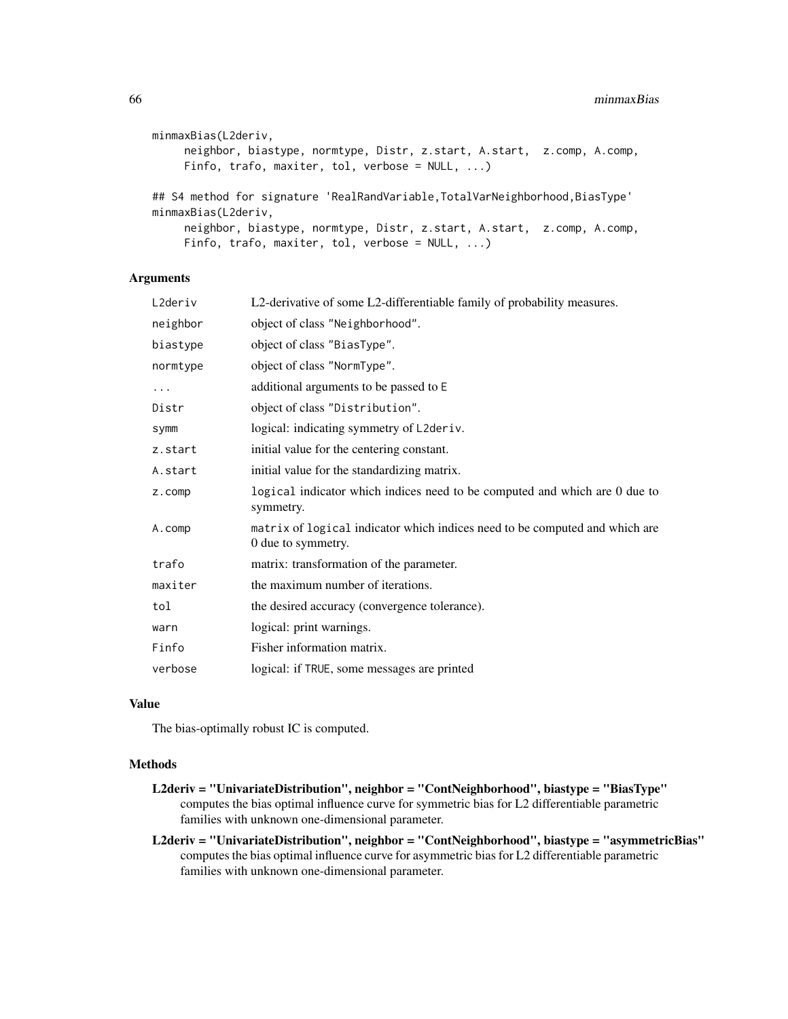```
minmaxBias(L2deriv,
     neighbor, biastype, normtype, Distr, z.start, A.start, z.comp, A.comp,
     Finfo, trafo, maxiter, tol, verbose = NULL, ...)## S4 method for signature 'RealRandVariable,TotalVarNeighborhood,BiasType'
minmaxBias(L2deriv,
     neighbor, biastype, normtype, Distr, z.start, A.start, z.comp, A.comp,
     Finfo, trafo, maxiter, tol, verbose = NULL, ...)
```
### Arguments

| L2deriv  | L2-derivative of some L2-differentiable family of probability measures.                           |
|----------|---------------------------------------------------------------------------------------------------|
| neighbor | object of class "Neighborhood".                                                                   |
| biastype | object of class "BiasType".                                                                       |
| normtype | object of class "NormType".                                                                       |
| $\cdots$ | additional arguments to be passed to E                                                            |
| Distr    | object of class "Distribution".                                                                   |
| symm     | logical: indicating symmetry of L2deriv.                                                          |
| z.start  | initial value for the centering constant.                                                         |
| A.start  | initial value for the standardizing matrix.                                                       |
| z.comp   | logical indicator which indices need to be computed and which are 0 due to<br>symmetry.           |
| A.comp   | matrix of logical indicator which indices need to be computed and which are<br>0 due to symmetry. |
| trafo    | matrix: transformation of the parameter.                                                          |
| maxiter  | the maximum number of iterations.                                                                 |
| tol      | the desired accuracy (convergence tolerance).                                                     |
| warn     | logical: print warnings.                                                                          |
| Finfo    | Fisher information matrix.                                                                        |
| verbose  | logical: if TRUE, some messages are printed                                                       |
|          |                                                                                                   |

# Value

The bias-optimally robust IC is computed.

# Methods

- L2deriv = "UnivariateDistribution", neighbor = "ContNeighborhood", biastype = "BiasType" computes the bias optimal influence curve for symmetric bias for L2 differentiable parametric families with unknown one-dimensional parameter.
- L2deriv = "UnivariateDistribution", neighbor = "ContNeighborhood", biastype = "asymmetricBias" computes the bias optimal influence curve for asymmetric bias for L2 differentiable parametric families with unknown one-dimensional parameter.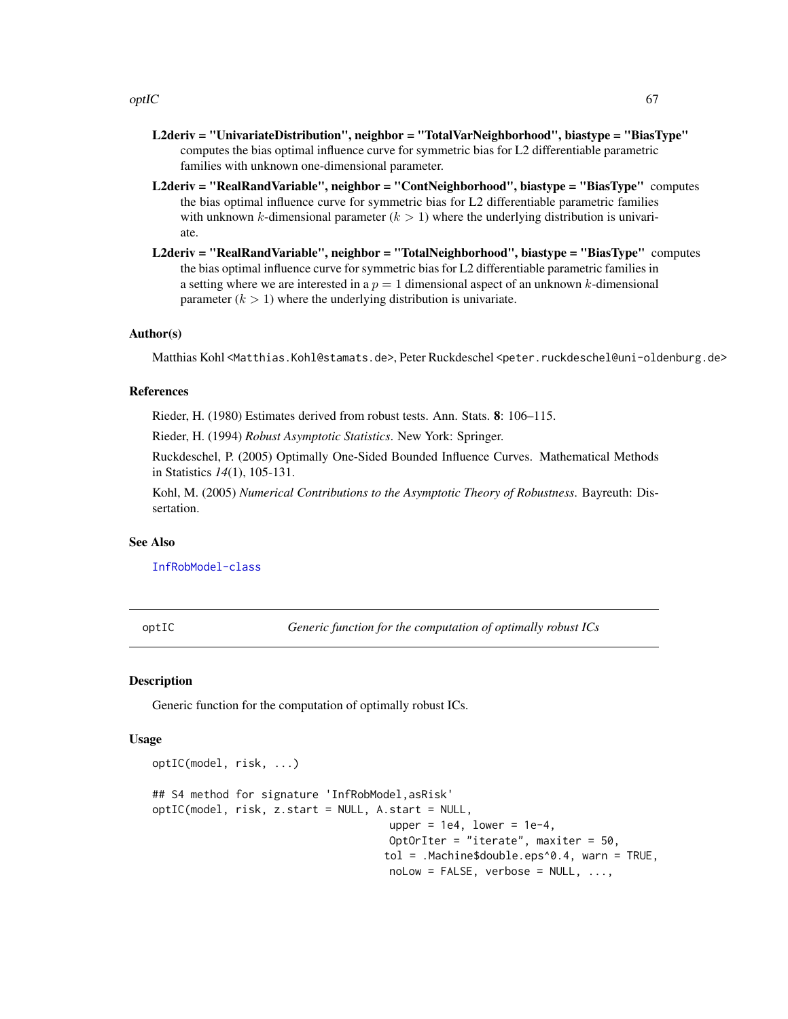$optC$  67

- L2deriv = "UnivariateDistribution", neighbor = "TotalVarNeighborhood", biastype = "BiasType" computes the bias optimal influence curve for symmetric bias for L2 differentiable parametric families with unknown one-dimensional parameter.
- L2deriv = "RealRandVariable", neighbor = "ContNeighborhood", biastype = "BiasType" computes the bias optimal influence curve for symmetric bias for L2 differentiable parametric families with unknown k-dimensional parameter  $(k > 1)$  where the underlying distribution is univariate.
- L2deriv = "RealRandVariable", neighbor = "TotalNeighborhood", biastype = "BiasType" computes the bias optimal influence curve for symmetric bias for L2 differentiable parametric families in a setting where we are interested in a  $p = 1$  dimensional aspect of an unknown k-dimensional parameter  $(k > 1)$  where the underlying distribution is univariate.

# Author(s)

Matthias Kohl <Matthias.Kohl@stamats.de>, Peter Ruckdeschel <peter.ruckdeschel@uni-oldenburg.de>

# References

Rieder, H. (1980) Estimates derived from robust tests. Ann. Stats. 8: 106–115.

Rieder, H. (1994) *Robust Asymptotic Statistics*. New York: Springer.

Ruckdeschel, P. (2005) Optimally One-Sided Bounded Influence Curves. Mathematical Methods in Statistics *14*(1), 105-131.

Kohl, M. (2005) *Numerical Contributions to the Asymptotic Theory of Robustness*. Bayreuth: Dissertation.

#### See Also

[InfRobModel-class](#page-0-0)

<span id="page-66-0"></span>optIC *Generic function for the computation of optimally robust ICs*

#### Description

Generic function for the computation of optimally robust ICs.

#### Usage

```
optIC(model, risk, ...)
## S4 method for signature 'InfRobModel,asRisk'
optIC(model, risk, z.start = NULL, A.start = NULL,
                                     upper = 1e4, lower = 1e-4,
                                     OptOrIter = "iterate", maxiter = 50,
                                    tol = .Machine$double.eps^0.4, warn = TRUE,
                                     nolow = FALSE, verbose = NULL, ...,
```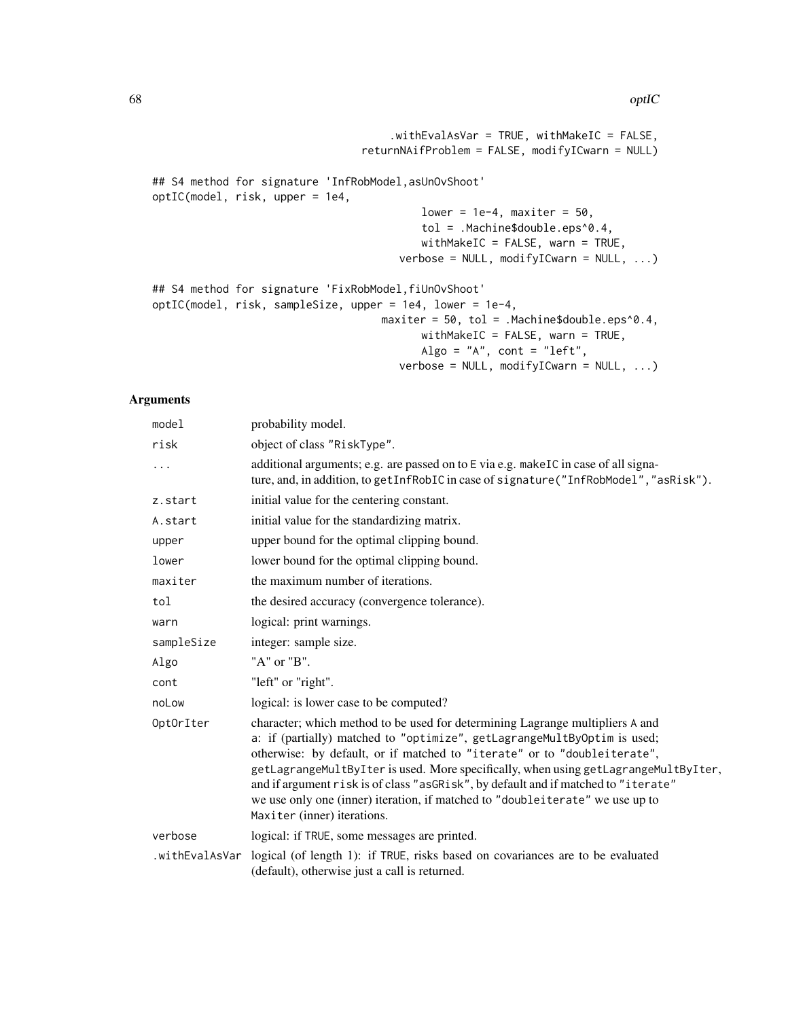```
.withEvalAsVar = TRUE, withMakeIC = FALSE,
                                 returnNAifProblem = FALSE, modifyICwarn = NULL)
## S4 method for signature 'InfRobModel,asUnOvShoot'
optIC(model, risk, upper = 1e4,
                                          lower = 1e-4, maxiter = 50,
                                          tol = .Machine$double.eps^0.4,
                                          withMakeIC = FALSE, warn = TRUE,
                                       verbose = NULL, modifyICwarn = NULL, ...)
## S4 method for signature 'FixRobModel,fiUnOvShoot'
optIC(model, risk, sampleSize, upper = 1e4, lower = 1e-4,
                                    maxiter = 50, tol = .Machine$double.eps^0.4,
                                          withMakeIC = FALSE, warn = TRUE,
                                          Algo = "A", cont = "left",
                                       verbose = NULL, modifyICwarn = NULL, ...)
```
### Arguments

| model          | probability model.                                                                                                                                                                                                                                                                                                                                                                                                                                                                                                                 |
|----------------|------------------------------------------------------------------------------------------------------------------------------------------------------------------------------------------------------------------------------------------------------------------------------------------------------------------------------------------------------------------------------------------------------------------------------------------------------------------------------------------------------------------------------------|
| risk           | object of class "RiskType".                                                                                                                                                                                                                                                                                                                                                                                                                                                                                                        |
| .              | additional arguments; e.g. are passed on to E via e.g. makeIC in case of all signa-<br>ture, and, in addition, to get InfRobIC in case of signature ("InfRobModel", "asRisk").                                                                                                                                                                                                                                                                                                                                                     |
| z.start        | initial value for the centering constant.                                                                                                                                                                                                                                                                                                                                                                                                                                                                                          |
| A.start        | initial value for the standardizing matrix.                                                                                                                                                                                                                                                                                                                                                                                                                                                                                        |
| upper          | upper bound for the optimal clipping bound.                                                                                                                                                                                                                                                                                                                                                                                                                                                                                        |
| lower          | lower bound for the optimal clipping bound.                                                                                                                                                                                                                                                                                                                                                                                                                                                                                        |
| maxiter        | the maximum number of iterations.                                                                                                                                                                                                                                                                                                                                                                                                                                                                                                  |
| tol            | the desired accuracy (convergence tolerance).                                                                                                                                                                                                                                                                                                                                                                                                                                                                                      |
| warn           | logical: print warnings.                                                                                                                                                                                                                                                                                                                                                                                                                                                                                                           |
| sampleSize     | integer: sample size.                                                                                                                                                                                                                                                                                                                                                                                                                                                                                                              |
| Algo           | "A" or "B".                                                                                                                                                                                                                                                                                                                                                                                                                                                                                                                        |
| cont           | "left" or "right".                                                                                                                                                                                                                                                                                                                                                                                                                                                                                                                 |
| noLow          | logical: is lower case to be computed?                                                                                                                                                                                                                                                                                                                                                                                                                                                                                             |
| OptOrIter      | character; which method to be used for determining Lagrange multipliers A and<br>a: if (partially) matched to "optimize", getLagrangeMultByOptim is used;<br>otherwise: by default, or if matched to "iterate" or to "doubleiterate",<br>getLagrangeMultByIter is used. More specifically, when using getLagrangeMultByIter,<br>and if argument risk is of class "asGRisk", by default and if matched to "iterate"<br>we use only one (inner) iteration, if matched to "doubleiterate" we use up to<br>Maxiter (inner) iterations. |
| verbose        | logical: if TRUE, some messages are printed.                                                                                                                                                                                                                                                                                                                                                                                                                                                                                       |
| .withEvalAsVar | logical (of length 1): if TRUE, risks based on covariances are to be evaluated<br>(default), otherwise just a call is returned.                                                                                                                                                                                                                                                                                                                                                                                                    |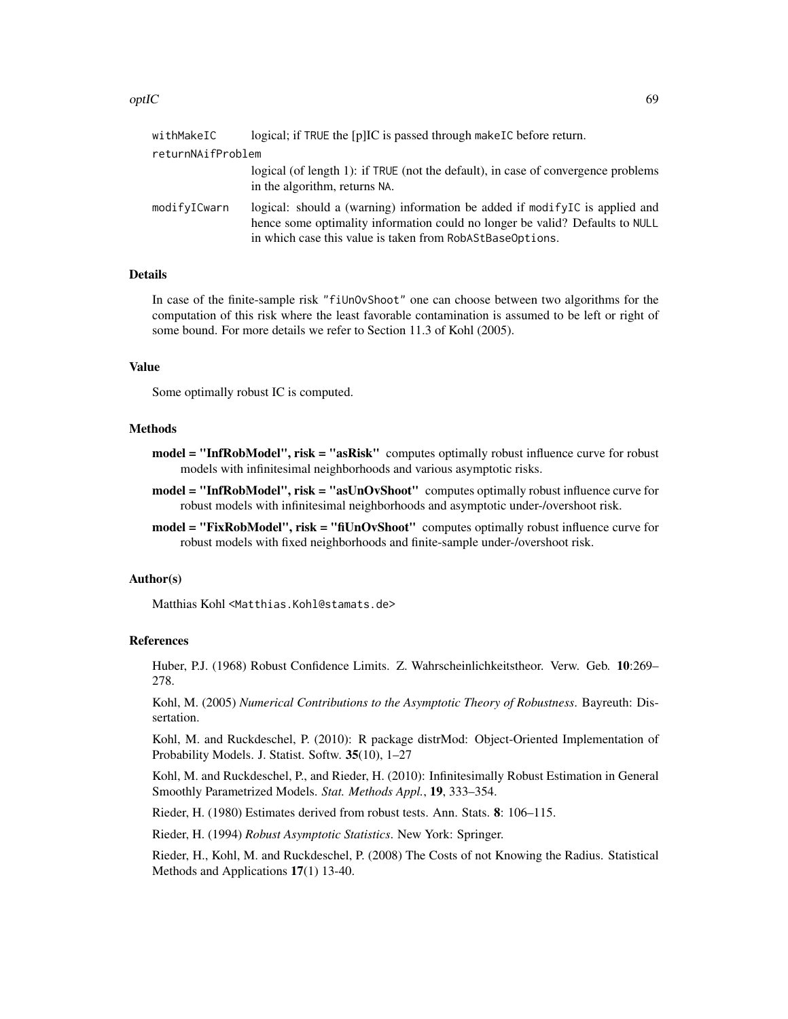#### $optC$  69

| withMakeIC        | logical; if TRUE the [p]IC is passed through make IC before return.                                                                                                                                                         |
|-------------------|-----------------------------------------------------------------------------------------------------------------------------------------------------------------------------------------------------------------------------|
| returnNAifProblem |                                                                                                                                                                                                                             |
|                   | logical (of length 1): if TRUE (not the default), in case of convergence problems<br>in the algorithm, returns NA.                                                                                                          |
| modifyICwarn      | logical: should a (warning) information be added if modify $IC$ is applied and<br>hence some optimality information could no longer be valid? Defaults to NULL<br>in which case this value is taken from RobAStBaseOptions. |

### Details

In case of the finite-sample risk "fiUnOvShoot" one can choose between two algorithms for the computation of this risk where the least favorable contamination is assumed to be left or right of some bound. For more details we refer to Section 11.3 of Kohl (2005).

# Value

Some optimally robust IC is computed.

### Methods

- model = "InfRobModel", risk = "asRisk" computes optimally robust influence curve for robust models with infinitesimal neighborhoods and various asymptotic risks.
- model = "InfRobModel", risk = "asUnOvShoot" computes optimally robust influence curve for robust models with infinitesimal neighborhoods and asymptotic under-/overshoot risk.
- model = "FixRobModel", risk = "fiUnOvShoot" computes optimally robust influence curve for robust models with fixed neighborhoods and finite-sample under-/overshoot risk.

# Author(s)

Matthias Kohl <Matthias.Kohl@stamats.de>

#### References

Huber, P.J. (1968) Robust Confidence Limits. Z. Wahrscheinlichkeitstheor. Verw. Geb. 10:269– 278.

Kohl, M. (2005) *Numerical Contributions to the Asymptotic Theory of Robustness*. Bayreuth: Dissertation.

Kohl, M. and Ruckdeschel, P. (2010): R package distrMod: Object-Oriented Implementation of Probability Models. J. Statist. Softw. 35(10), 1–27

Kohl, M. and Ruckdeschel, P., and Rieder, H. (2010): Infinitesimally Robust Estimation in General Smoothly Parametrized Models. *Stat. Methods Appl.*, 19, 333–354.

Rieder, H. (1980) Estimates derived from robust tests. Ann. Stats. 8: 106–115.

Rieder, H. (1994) *Robust Asymptotic Statistics*. New York: Springer.

Rieder, H., Kohl, M. and Ruckdeschel, P. (2008) The Costs of not Knowing the Radius. Statistical Methods and Applications 17(1) 13-40.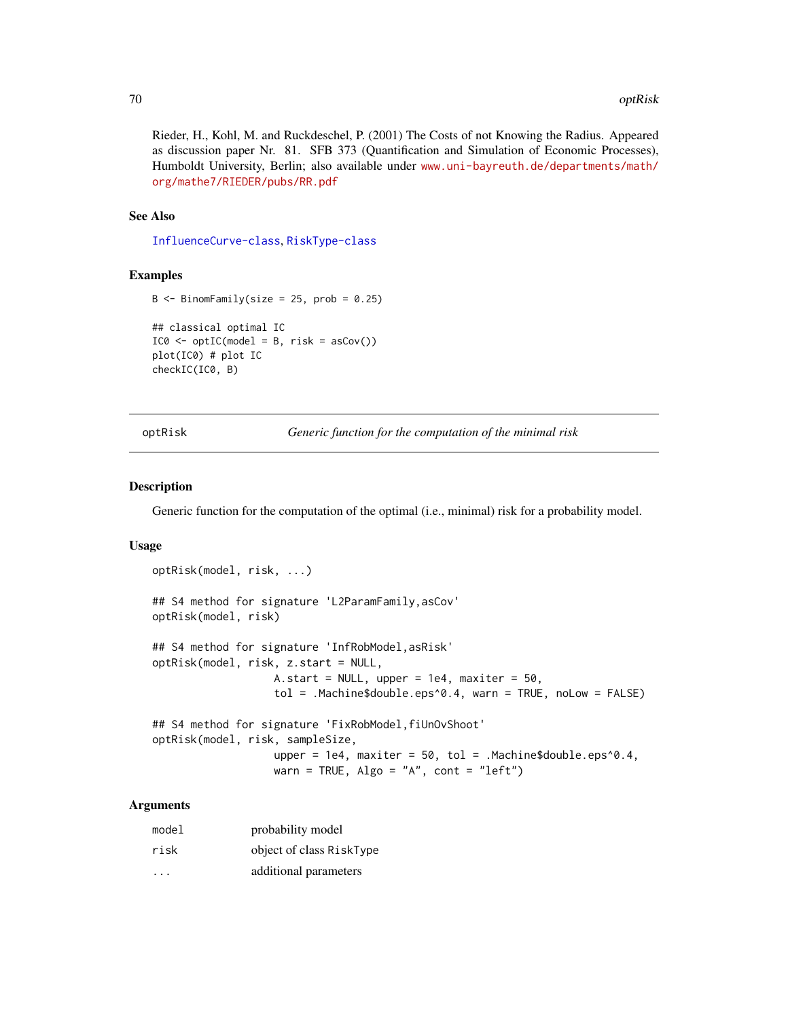#### 70 optRisk

Rieder, H., Kohl, M. and Ruckdeschel, P. (2001) The Costs of not Knowing the Radius. Appeared as discussion paper Nr. 81. SFB 373 (Quantification and Simulation of Economic Processes), Humboldt University, Berlin; also available under [www.uni-bayreuth.de/departments/math/](www.uni-bayreuth.de/departments/math/org/mathe7/RIEDER/pubs/RR.pdf) [org/mathe7/RIEDER/pubs/RR.pdf](www.uni-bayreuth.de/departments/math/org/mathe7/RIEDER/pubs/RR.pdf)

### See Also

[InfluenceCurve-class](#page-0-0), [RiskType-class](#page-0-0)

### Examples

```
B \le - BinomFamily(size = 25, prob = 0.25)
## classical optimal IC
IC0 \leq optIC(model = B, risk = asCov())plot(IC0) # plot IC
checkIC(IC0, B)
```
optRisk *Generic function for the computation of the minimal risk*

### Description

Generic function for the computation of the optimal (i.e., minimal) risk for a probability model.

# Usage

```
optRisk(model, risk, ...)
## S4 method for signature 'L2ParamFamily,asCov'
optRisk(model, risk)
## S4 method for signature 'InfRobModel,asRisk'
optRisk(model, risk, z.start = NULL,
                   A.start = NULL, upper = 1e4, maxiter = 50,
                   tol = .Machine$double.eps^0.4, warn = TRUE, noLow = FALSE)
## S4 method for signature 'FixRobModel,fiUnOvShoot'
optRisk(model, risk, sampleSize,
```

```
upper = 1e4, maxiter = 50, tol = .Machine$double.eps^0.4,
warn = TRUE, \text{Algo} = "A", \text{ cont} = "left")
```
# Arguments

| model                   | probability model        |
|-------------------------|--------------------------|
| risk                    | object of class RiskType |
| $\cdot$ $\cdot$ $\cdot$ | additional parameters    |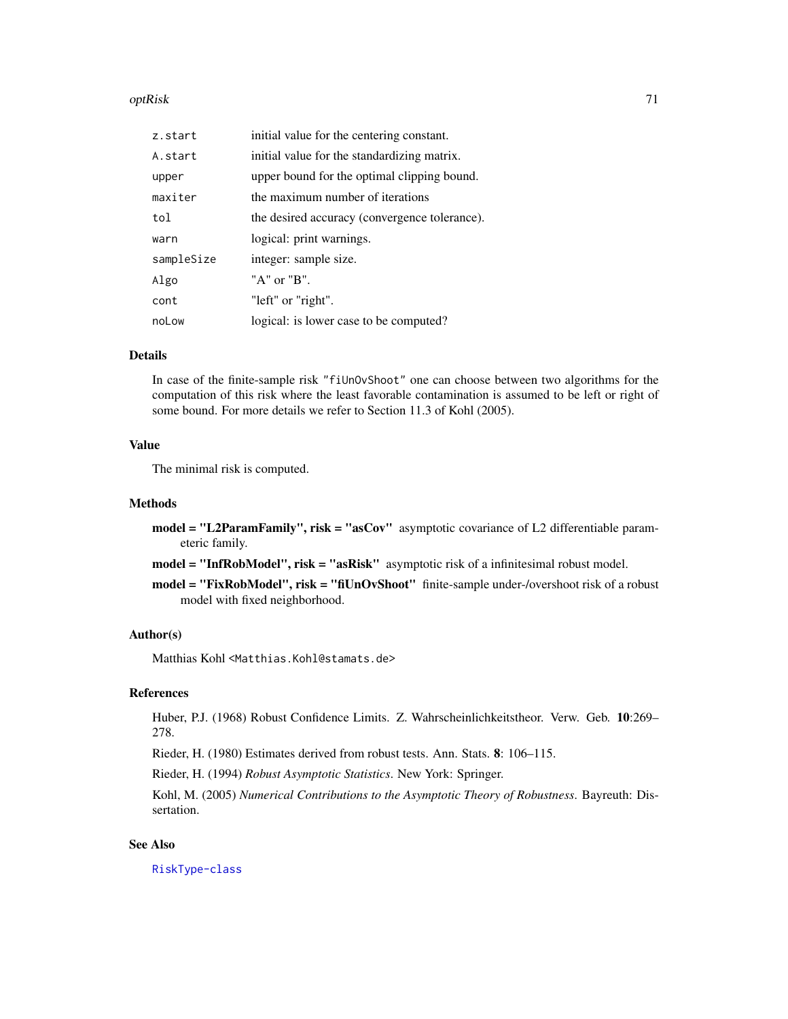#### optRisk 71

| z.start    | initial value for the centering constant.     |
|------------|-----------------------------------------------|
| A.start    | initial value for the standardizing matrix.   |
| upper      | upper bound for the optimal clipping bound.   |
| maxiter    | the maximum number of iterations              |
| tol        | the desired accuracy (convergence tolerance). |
| warn       | logical: print warnings.                      |
| sampleSize | integer: sample size.                         |
| Algo       | "A" or "B".                                   |
| cont       | "left" or "right".                            |
| noLow      | logical: is lower case to be computed?        |

#### Details

In case of the finite-sample risk "fiUnOvShoot" one can choose between two algorithms for the computation of this risk where the least favorable contamination is assumed to be left or right of some bound. For more details we refer to Section 11.3 of Kohl (2005).

# Value

The minimal risk is computed.

### Methods

model = "L2ParamFamily", risk = "asCov" asymptotic covariance of L2 differentiable parameteric family.

model = "InfRobModel", risk = "asRisk" asymptotic risk of a infinitesimal robust model.

model = "FixRobModel", risk = "fiUnOvShoot" finite-sample under-/overshoot risk of a robust model with fixed neighborhood.

## Author(s)

Matthias Kohl <Matthias.Kohl@stamats.de>

# References

Huber, P.J. (1968) Robust Confidence Limits. Z. Wahrscheinlichkeitstheor. Verw. Geb. 10:269– 278.

Rieder, H. (1980) Estimates derived from robust tests. Ann. Stats. 8: 106–115.

Rieder, H. (1994) *Robust Asymptotic Statistics*. New York: Springer.

Kohl, M. (2005) *Numerical Contributions to the Asymptotic Theory of Robustness*. Bayreuth: Dissertation.

### See Also

[RiskType-class](#page-0-0)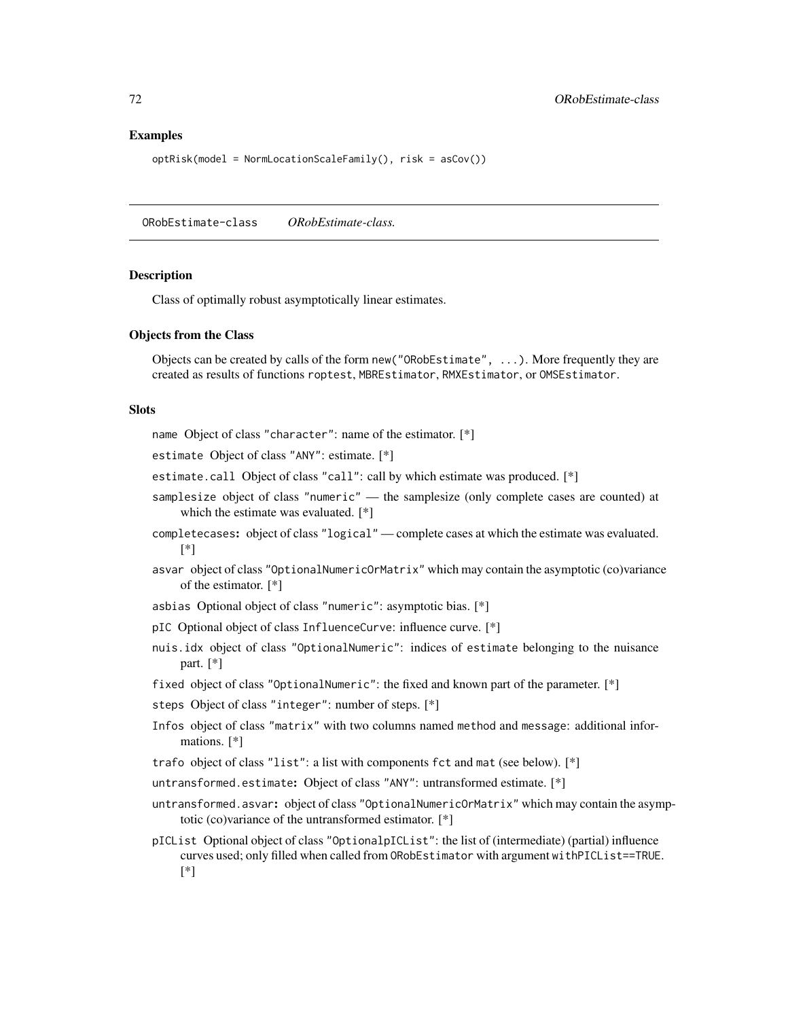### Examples

```
optRisk(model = NormLocationScaleFamily(), risk = asCov())
```
ORobEstimate-class *ORobEstimate-class.*

### Description

Class of optimally robust asymptotically linear estimates.

#### Objects from the Class

Objects can be created by calls of the form new("ORobEstimate", ...). More frequently they are created as results of functions roptest, MBREstimator, RMXEstimator, or OMSEstimator.

#### Slots

name Object of class "character": name of the estimator. [\*]

estimate Object of class "ANY": estimate. [\*]

- estimate.call Object of class "call": call by which estimate was produced. [\*]
- samplesize object of class "numeric" the samplesize (only complete cases are counted) at which the estimate was evaluated. [\*]
- completecases: object of class "logical" complete cases at which the estimate was evaluated. [\*]
- asvar object of class "OptionalNumericOrMatrix" which may contain the asymptotic (co)variance of the estimator. [\*]
- asbias Optional object of class "numeric": asymptotic bias. [\*]
- pIC Optional object of class InfluenceCurve: influence curve. [\*]
- nuis.idx object of class "OptionalNumeric": indices of estimate belonging to the nuisance part. [\*]
- fixed object of class "OptionalNumeric": the fixed and known part of the parameter. [\*]
- steps Object of class "integer": number of steps. [\*]
- Infos object of class "matrix" with two columns named method and message: additional informations. [\*]
- trafo object of class "list": a list with components fct and mat (see below). [\*]
- untransformed.estimate: Object of class "ANY": untransformed estimate. [\*]
- untransformed.asvar: object of class "OptionalNumericOrMatrix" which may contain the asymptotic (co)variance of the untransformed estimator. [\*]
- pICList Optional object of class "OptionalpICList": the list of (intermediate) (partial) influence curves used; only filled when called from ORobEstimator with argument withPICList==TRUE. [\*]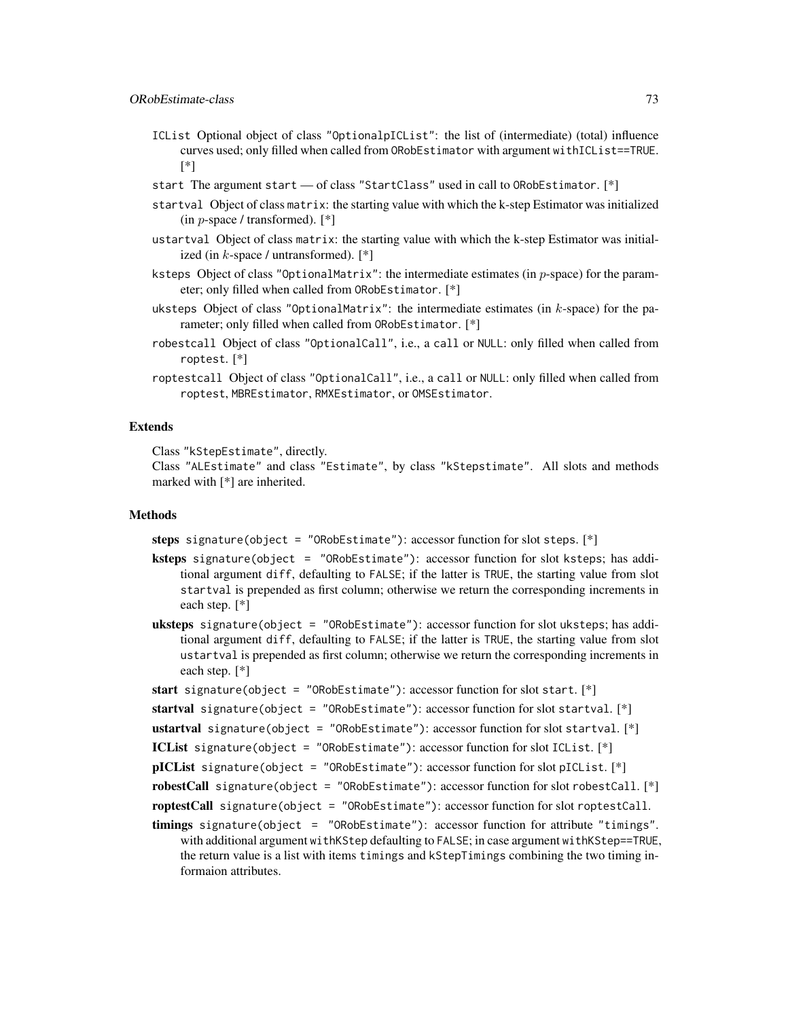- ICList Optional object of class "OptionalpICList": the list of (intermediate) (total) influence curves used; only filled when called from ORobEstimator with argument withICList==TRUE. [\*]
- start The argument start of class "StartClass" used in call to ORobEstimator. [\*]
- startval Object of class matrix: the starting value with which the k-step Estimator was initialized (in  $p$ -space / transformed).  $[$ <sup>\*</sup> $]$
- ustartval Object of class matrix: the starting value with which the k-step Estimator was initialized (in  $k$ -space / untransformed).  $[*]$
- ksteps Object of class "OptionalMatrix": the intermediate estimates (in  $p$ -space) for the parameter; only filled when called from ORobEstimator. [\*]
- uksteps Object of class "OptionalMatrix": the intermediate estimates (in k-space) for the parameter; only filled when called from ORobEstimator. [\*]
- robestcall Object of class "OptionalCall", i.e., a call or NULL: only filled when called from roptest. [\*]
- roptestcall Object of class "OptionalCall", i.e., a call or NULL: only filled when called from roptest, MBREstimator, RMXEstimator, or OMSEstimator.

#### Extends

Class "kStepEstimate", directly.

Class "ALEstimate" and class "Estimate", by class "kStepstimate". All slots and methods marked with [\*] are inherited.

## Methods

steps signature(object = "ORobEstimate"): accessor function for slot steps. [\*]

- ksteps signature(object = "ORobEstimate"): accessor function for slot ksteps; has additional argument diff, defaulting to FALSE; if the latter is TRUE, the starting value from slot startval is prepended as first column; otherwise we return the corresponding increments in each step. [\*]
- **uksteps** signature(object = "ORobEstimate"): accessor function for slot uksteps; has additional argument diff, defaulting to FALSE; if the latter is TRUE, the starting value from slot ustartval is prepended as first column; otherwise we return the corresponding increments in each step. [\*]
- start signature(object = "ORobEstimate"): accessor function for slot start.  $[*]$
- startval signature(object = "ORobEstimate"): accessor function for slot startval. [\*]
- ustartval signature(object = "ORobEstimate"): accessor function for slot startval. [\*]
- ICList signature(object = "ORobEstimate"): accessor function for slot ICList. [\*]
- pICList signature(object = "ORobEstimate"): accessor function for slot pICList. [\*]
- robestCall signature(object = "ORobEstimate"): accessor function for slot robestCall. [\*]
- roptestCall signature(object = "ORobEstimate"): accessor function for slot roptestCall.
- timings signature(object = "ORobEstimate"): accessor function for attribute "timings". with additional argument withKStep defaulting to FALSE; in case argument withKStep==TRUE, the return value is a list with items timings and kStepTimings combining the two timing informaion attributes.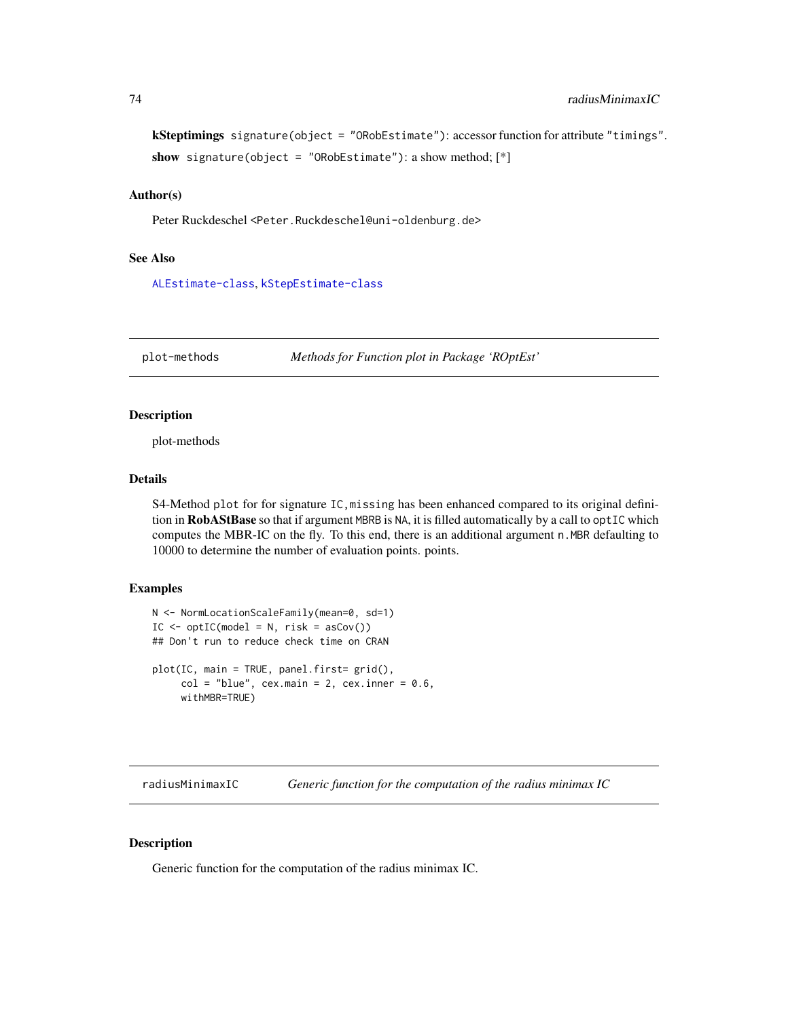```
kSteptimings signature(object = "ORobEstimate"): accessor function for attribute "timings".
show signature(object = "ORobEstimate"): a show method; [*]
```
## Author(s)

Peter Ruckdeschel <Peter.Ruckdeschel@uni-oldenburg.de>

#### See Also

[ALEstimate-class](#page-0-0), [kStepEstimate-class](#page-0-0)

plot-methods *Methods for Function plot in Package 'ROptEst'*

## Description

plot-methods

#### Details

S4-Method plot for for signature IC, missing has been enhanced compared to its original definition in RobAStBase so that if argument MBRB is NA, it is filled automatically by a call to optIC which computes the MBR-IC on the fly. To this end, there is an additional argument  $n$ . MBR defaulting to 10000 to determine the number of evaluation points. points.

## Examples

```
N <- NormLocationScaleFamily(mean=0, sd=1)
IC \leq optIC(model = N, risk = asCov())## Don't run to reduce check time on CRAN
plot(IC, main = TRUE, panel.first = grid(),col = "blue", cex.mainloop = 2, cex.inner = 0.6,withMBR=TRUE)
```
<span id="page-73-0"></span>radiusMinimaxIC *Generic function for the computation of the radius minimax IC*

# Description

Generic function for the computation of the radius minimax IC.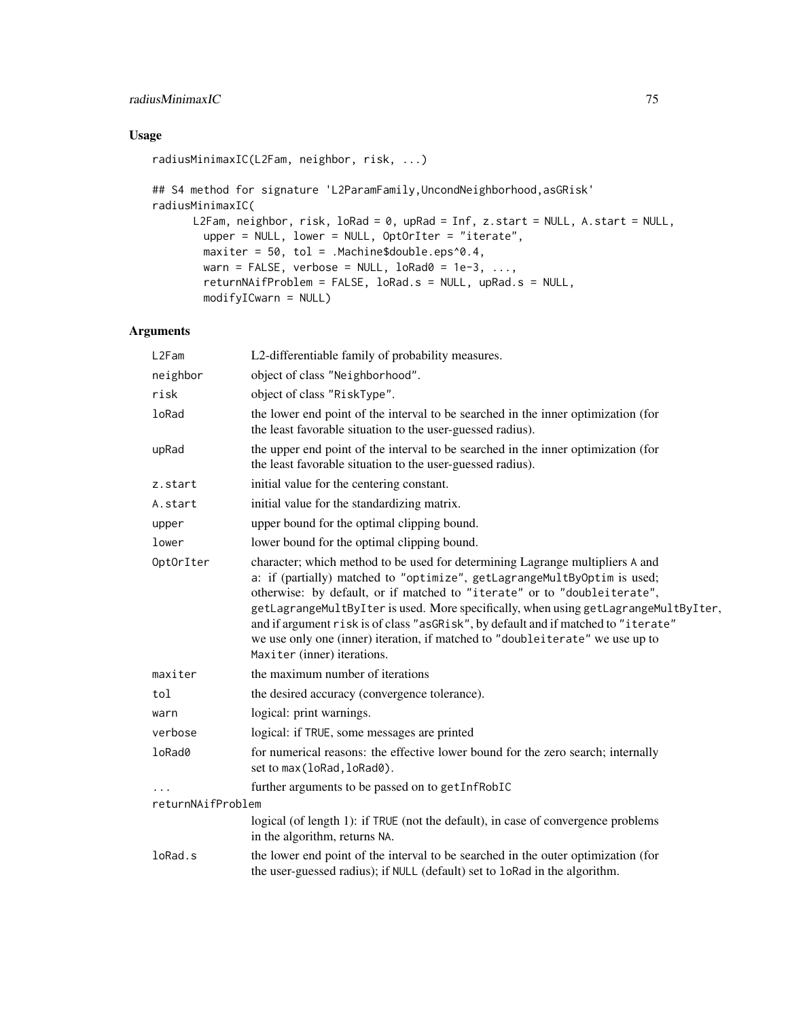# radiusMinimaxIC 75

# Usage

```
radiusMinimaxIC(L2Fam, neighbor, risk, ...)
## S4 method for signature 'L2ParamFamily,UncondNeighborhood,asGRisk'
radiusMinimaxIC(
      L2Fam, neighbor, risk, loRad = 0, upRad = Inf, z.start = NULL, A.start = NULL,
       upper = NULL, lower = NULL, OptOrIter = "iterate",
       maxiter = 50, tol = .Machine$double.eps^0.4,
       warn = FALSE, verbose = NULL, 10Rad0 = 1e-3, ...,
       returnNAifProblem = FALSE, loRad.s = NULL, upRad.s = NULL,
       modifyICwarn = NULL)
```
# Arguments

| L2Fam             | L2-differentiable family of probability measures.                                                                                                                                                                                                                                                                                                                                                                                                                                                                                  |
|-------------------|------------------------------------------------------------------------------------------------------------------------------------------------------------------------------------------------------------------------------------------------------------------------------------------------------------------------------------------------------------------------------------------------------------------------------------------------------------------------------------------------------------------------------------|
| neighbor          | object of class "Neighborhood".                                                                                                                                                                                                                                                                                                                                                                                                                                                                                                    |
| risk              | object of class "RiskType".                                                                                                                                                                                                                                                                                                                                                                                                                                                                                                        |
| loRad             | the lower end point of the interval to be searched in the inner optimization (for<br>the least favorable situation to the user-guessed radius).                                                                                                                                                                                                                                                                                                                                                                                    |
| upRad             | the upper end point of the interval to be searched in the inner optimization (for<br>the least favorable situation to the user-guessed radius).                                                                                                                                                                                                                                                                                                                                                                                    |
| z.start           | initial value for the centering constant.                                                                                                                                                                                                                                                                                                                                                                                                                                                                                          |
| A.start           | initial value for the standardizing matrix.                                                                                                                                                                                                                                                                                                                                                                                                                                                                                        |
| upper             | upper bound for the optimal clipping bound.                                                                                                                                                                                                                                                                                                                                                                                                                                                                                        |
| lower             | lower bound for the optimal clipping bound.                                                                                                                                                                                                                                                                                                                                                                                                                                                                                        |
| OptOrIter         | character; which method to be used for determining Lagrange multipliers A and<br>a: if (partially) matched to "optimize", getLagrangeMultByOptim is used;<br>otherwise: by default, or if matched to "iterate" or to "doubleiterate",<br>getLagrangeMultByIter is used. More specifically, when using getLagrangeMultByIter,<br>and if argument risk is of class "asGRisk", by default and if matched to "iterate"<br>we use only one (inner) iteration, if matched to "doubleiterate" we use up to<br>Maxiter (inner) iterations. |
| maxiter           | the maximum number of iterations                                                                                                                                                                                                                                                                                                                                                                                                                                                                                                   |
| tol               | the desired accuracy (convergence tolerance).                                                                                                                                                                                                                                                                                                                                                                                                                                                                                      |
| warn              | logical: print warnings.                                                                                                                                                                                                                                                                                                                                                                                                                                                                                                           |
| verbose           | logical: if TRUE, some messages are printed                                                                                                                                                                                                                                                                                                                                                                                                                                                                                        |
| loRad0            | for numerical reasons: the effective lower bound for the zero search; internally<br>set to max (loRad, loRad0).                                                                                                                                                                                                                                                                                                                                                                                                                    |
|                   | further arguments to be passed on to getInfRobIC                                                                                                                                                                                                                                                                                                                                                                                                                                                                                   |
| returnNAifProblem |                                                                                                                                                                                                                                                                                                                                                                                                                                                                                                                                    |
|                   | logical (of length 1): if TRUE (not the default), in case of convergence problems<br>in the algorithm, returns NA.                                                                                                                                                                                                                                                                                                                                                                                                                 |
| loRad.s           | the lower end point of the interval to be searched in the outer optimization (for<br>the user-guessed radius); if NULL (default) set to loRad in the algorithm.                                                                                                                                                                                                                                                                                                                                                                    |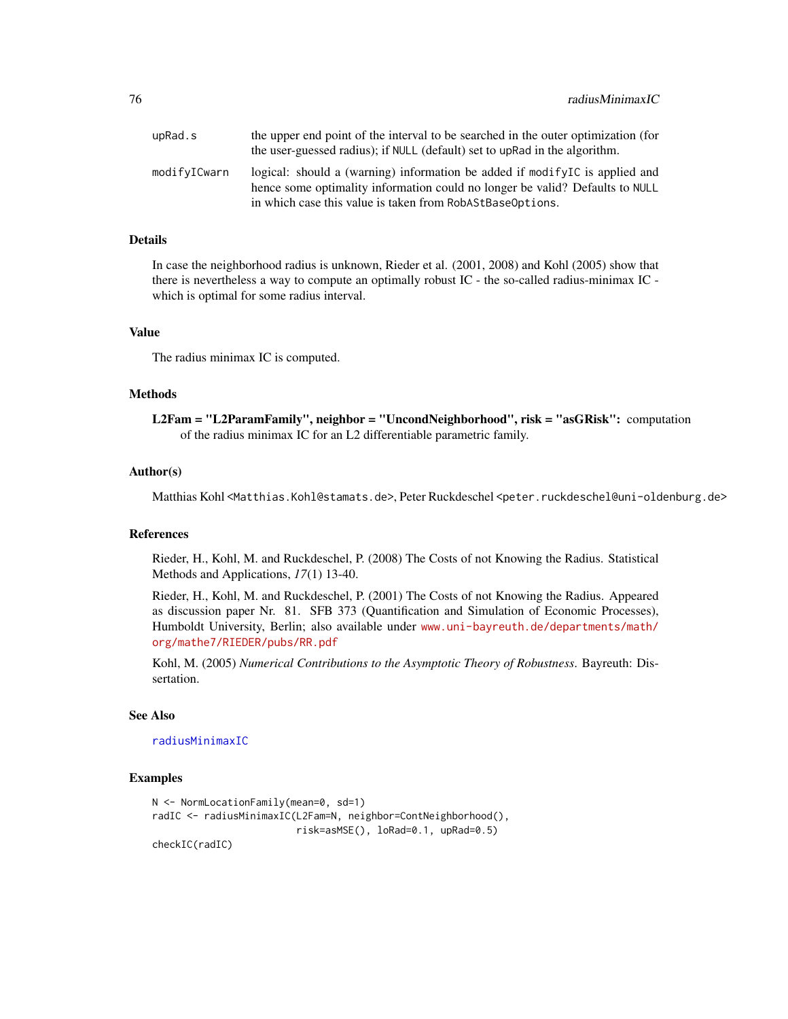<span id="page-75-0"></span>

| upRad.s      | the upper end point of the interval to be searched in the outer optimization (for<br>the user-guessed radius); if NULL (default) set to upRad in the algorithm.                                                             |
|--------------|-----------------------------------------------------------------------------------------------------------------------------------------------------------------------------------------------------------------------------|
| modifyICwarn | logical: should a (warning) information be added if modify $IC$ is applied and<br>hence some optimality information could no longer be valid? Defaults to NULL<br>in which case this value is taken from RobAStBaseOptions. |

# Details

In case the neighborhood radius is unknown, Rieder et al. (2001, 2008) and Kohl (2005) show that there is nevertheless a way to compute an optimally robust IC - the so-called radius-minimax IC which is optimal for some radius interval.

#### Value

The radius minimax IC is computed.

#### Methods

L2Fam = "L2ParamFamily", neighbor = "UncondNeighborhood", risk = "asGRisk": computation of the radius minimax IC for an L2 differentiable parametric family.

#### Author(s)

Matthias Kohl <Matthias.Kohl@stamats.de>, Peter Ruckdeschel <peter.ruckdeschel@uni-oldenburg.de>

#### **References**

Rieder, H., Kohl, M. and Ruckdeschel, P. (2008) The Costs of not Knowing the Radius. Statistical Methods and Applications, *17*(1) 13-40.

Rieder, H., Kohl, M. and Ruckdeschel, P. (2001) The Costs of not Knowing the Radius. Appeared as discussion paper Nr. 81. SFB 373 (Quantification and Simulation of Economic Processes), Humboldt University, Berlin; also available under [www.uni-bayreuth.de/departments/math/](www.uni-bayreuth.de/departments/math/org/mathe7/RIEDER/pubs/RR.pdf) [org/mathe7/RIEDER/pubs/RR.pdf](www.uni-bayreuth.de/departments/math/org/mathe7/RIEDER/pubs/RR.pdf)

Kohl, M. (2005) *Numerical Contributions to the Asymptotic Theory of Robustness*. Bayreuth: Dissertation.

# See Also

[radiusMinimaxIC](#page-73-0)

#### Examples

```
N <- NormLocationFamily(mean=0, sd=1)
radIC <- radiusMinimaxIC(L2Fam=N, neighbor=ContNeighborhood(),
                        risk=asMSE(), loRad=0.1, upRad=0.5)
checkIC(radIC)
```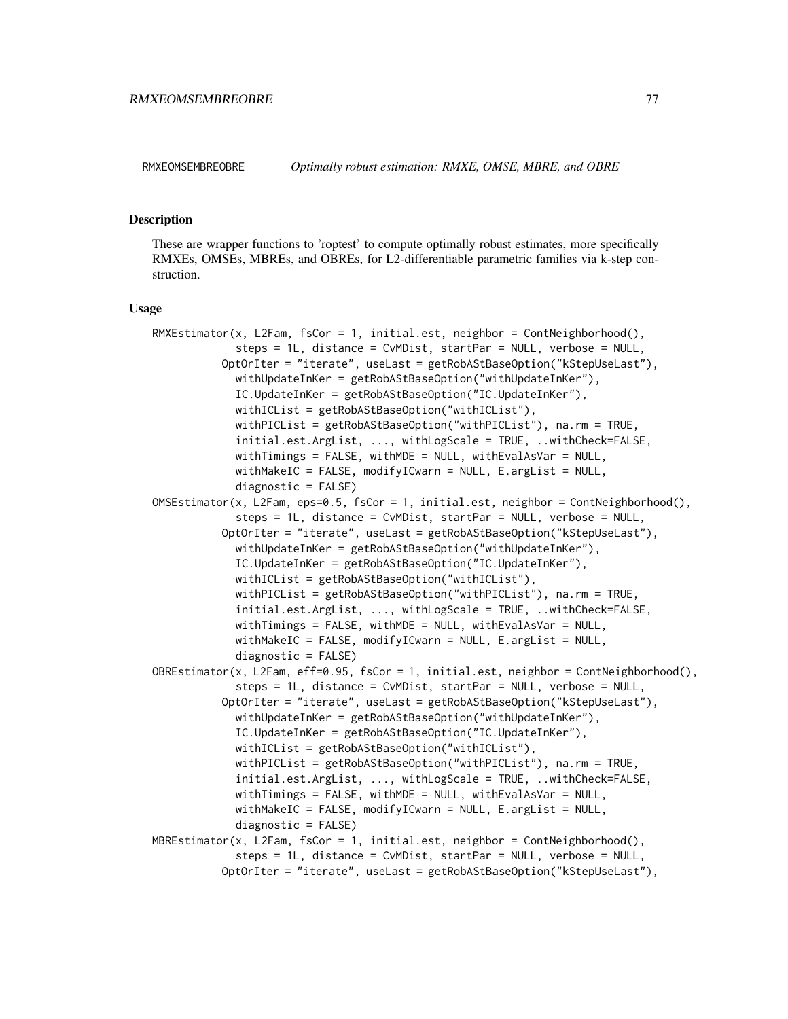<span id="page-76-0"></span>

#### Description

These are wrapper functions to 'roptest' to compute optimally robust estimates, more specifically RMXEs, OMSEs, MBREs, and OBREs, for L2-differentiable parametric families via k-step construction.

#### Usage

```
RMXEstimator(x, L2Fam, fsCor = 1, initial.est, neighbor = ContNeighborhood(),
             steps = 1L, distance = CvMDist, startPar = NULL, verbose = NULL,
          OptOrIter = "iterate", useLast = getRobAStBaseOption("kStepUseLast"),
             withUpdateInKer = getRobAStBaseOption("withUpdateInKer"),
             IC.UpdateInKer = getRobAStBaseOption("IC.UpdateInKer"),
             withICList = getRobAStBaseOption("withICList"),
             withPICList = getRobAStBaseOption("withPICList"), na.rm = TRUE,
             initial.est.ArgList, ..., withLogScale = TRUE, ..withCheck=FALSE,
             withTimings = FALSE, withMDE = NULL, withEvalAsVar = NULL,
             withMakeIC = FALSE, modifyICwarn = NULL, E.argList = NULL,
             diagnostic = FALSE)
OMSEstimator(x, L2Fam, eps=0.5, fscor = 1, initial.est, neighbor = ContNeighbourhood(),steps = 1L, distance = CvMDist, startPar = NULL, verbose = NULL,
          OptOrIter = "iterate", useLast = getRobAStBaseOption("kStepUseLast"),
             withUpdateInKer = getRobAStBaseOption("withUpdateInKer"),
             IC.UpdateInKer = getRobAStBaseOption("IC.UpdateInKer"),
             withICList = getRobAStBaseOption("withICList"),
             withPICList = getRobAStBaseOption("withPICList"), na.rm = TRUE,
             initial.est.ArgList, ..., withLogScale = TRUE, ..withCheck=FALSE,
             withTimings = FALSE, withMDE = NULL, withEvalAsVar = NULL,
            withMakeIC = FALSE, modifyICwarn = NULL, E.argList = NULL,
             diagnostic = FALSE)
OBREstimator(x, L2Fam, eff=0.95, fsCor = 1, initial.est, neighbor = ContNeighborhood(),
             steps = 1L, distance = CvMDist, startPar = NULL, verbose = NULL,
          OptOrIter = "iterate", useLast = getRobAStBaseOption("kStepUseLast"),
             withUpdateInKer = getRobAStBaseOption("withUpdateInKer"),
             IC.UpdateInKer = getRobAStBaseOption("IC.UpdateInKer"),
            withICList = getRobAStBaseOption("withICList"),
             withPICList = getRobAStBaseOption("withPICList"), na.rm = TRUE,
             initial.est.ArgList, ..., withLogScale = TRUE, ..withCheck=FALSE,
             withTimings = FALSE, withMDE = NULL, withEvalAsVar = NULL,
             withMakeIC = FALSE, modifyICwarn = NULL, E.argList = NULL,
             diagnostic = FALSE)MBREstimator(x, L2Fam, fscor = 1, initialest, neighbor = ControlWeighted),
             steps = 1L, distance = CvMDist, startPar = NULL, verbose = NULL,
          OptOrIter = "iterate", useLast = getRobAStBaseOption("kStepUseLast"),
```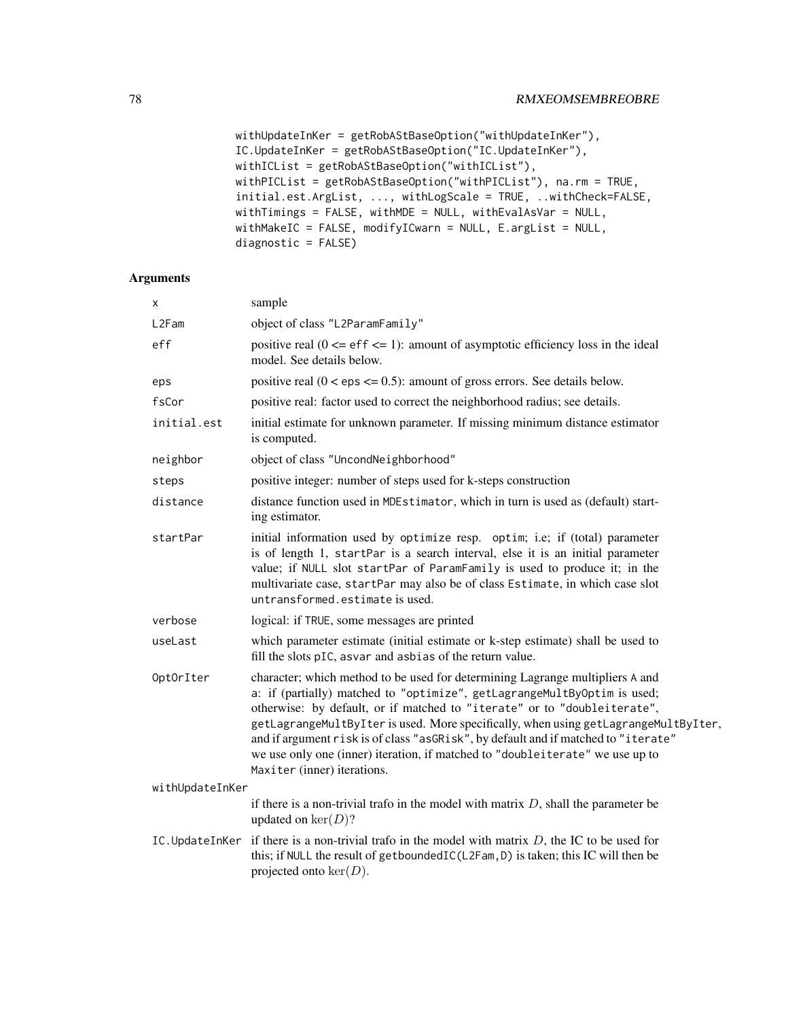```
withUpdateInKer = getRobAStBaseOption("withUpdateInKer"),
IC.UpdateInKer = getRobAStBaseOption("IC.UpdateInKer"),
withICList = getRobAStBaseOption("withICList"),
withPICList = getRobAStBaseOption("withPICList"), na.rm = TRUE,
initial.est.ArgList, ..., withLogScale = TRUE, ..withCheck=FALSE,
withTimings = FALSE, withMDE = NULL, withEvalAsVar = NULL,
withMakeIC = FALSE, modifyICwarn = NULL, E.argList = NULL,
diagnostic = FALSE)
```
# Arguments

| х               | sample                                                                                                                                                                                                                                                                                                                                                                                                                                                                                                                             |
|-----------------|------------------------------------------------------------------------------------------------------------------------------------------------------------------------------------------------------------------------------------------------------------------------------------------------------------------------------------------------------------------------------------------------------------------------------------------------------------------------------------------------------------------------------------|
| L2Fam           | object of class "L2ParamFamily"                                                                                                                                                                                                                                                                                                                                                                                                                                                                                                    |
| eff             | positive real $(0 \leq$ eff $\leq$ 1): amount of asymptotic efficiency loss in the ideal<br>model. See details below.                                                                                                                                                                                                                                                                                                                                                                                                              |
| eps             | positive real $(0 \le \text{eps} \le 0.5)$ : amount of gross errors. See details below.                                                                                                                                                                                                                                                                                                                                                                                                                                            |
| fsCor           | positive real: factor used to correct the neighborhood radius; see details.                                                                                                                                                                                                                                                                                                                                                                                                                                                        |
| initial.est     | initial estimate for unknown parameter. If missing minimum distance estimator<br>is computed.                                                                                                                                                                                                                                                                                                                                                                                                                                      |
| neighbor        | object of class "UncondNeighborhood"                                                                                                                                                                                                                                                                                                                                                                                                                                                                                               |
| steps           | positive integer: number of steps used for k-steps construction                                                                                                                                                                                                                                                                                                                                                                                                                                                                    |
| distance        | distance function used in MDEstimator, which in turn is used as (default) start-<br>ing estimator.                                                                                                                                                                                                                                                                                                                                                                                                                                 |
| startPar        | initial information used by optimize resp. optim; i.e; if (total) parameter<br>is of length 1, startPar is a search interval, else it is an initial parameter<br>value; if NULL slot startPar of ParamFamily is used to produce it; in the<br>multivariate case, startPar may also be of class Estimate, in which case slot<br>untransformed.estimate is used.                                                                                                                                                                     |
| verbose         | logical: if TRUE, some messages are printed                                                                                                                                                                                                                                                                                                                                                                                                                                                                                        |
| useLast         | which parameter estimate (initial estimate or k-step estimate) shall be used to<br>fill the slots pIC, asvar and asbias of the return value.                                                                                                                                                                                                                                                                                                                                                                                       |
| OptOrIter       | character; which method to be used for determining Lagrange multipliers A and<br>a: if (partially) matched to "optimize", getLagrangeMultByOptim is used;<br>otherwise: by default, or if matched to "iterate" or to "doubleiterate",<br>getLagrangeMultByIter is used. More specifically, when using getLagrangeMultByIter,<br>and if argument risk is of class "asGRisk", by default and if matched to "iterate"<br>we use only one (inner) iteration, if matched to "doubleiterate" we use up to<br>Maxiter (inner) iterations. |
| withUpdateInKer |                                                                                                                                                                                                                                                                                                                                                                                                                                                                                                                                    |
|                 | if there is a non-trivial trafo in the model with matrix $D$ , shall the parameter be<br>updated on $\ker(D)$ ?                                                                                                                                                                                                                                                                                                                                                                                                                    |
| IC.UpdateInKer  | if there is a non-trivial trafo in the model with matrix $D$ , the IC to be used for<br>this; if NULL the result of getboundedIC(L2Fam, D) is taken; this IC will then be<br>projected onto $\ker(D)$ .                                                                                                                                                                                                                                                                                                                            |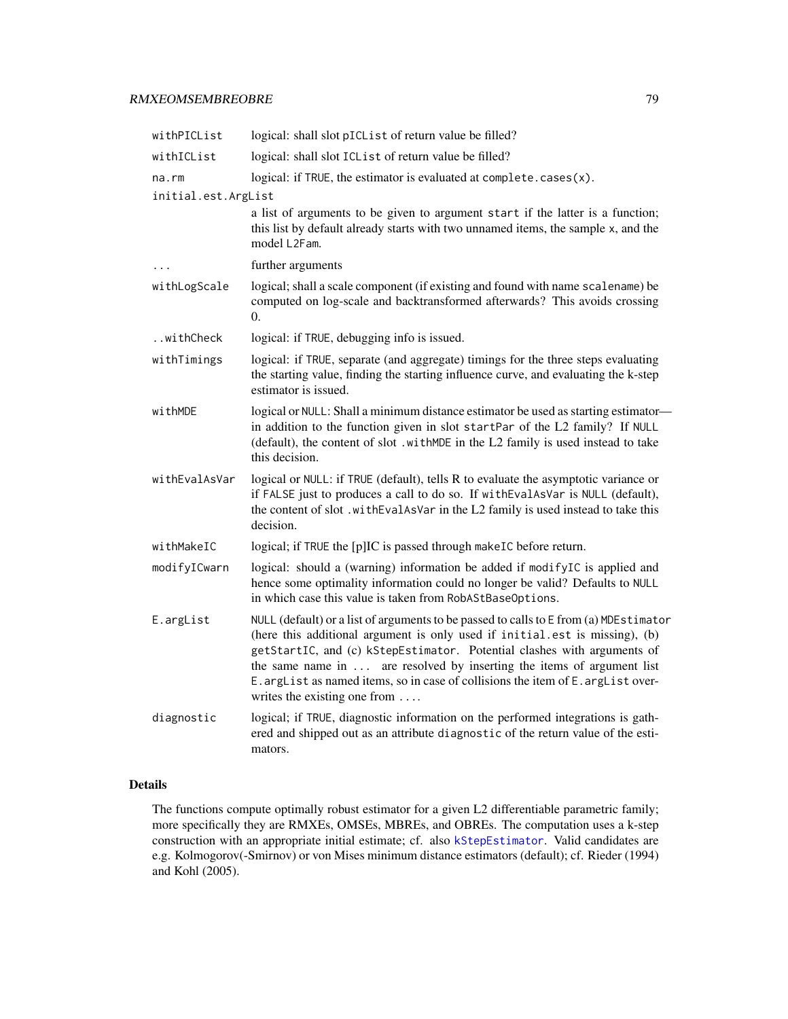# <span id="page-78-0"></span>RMXEOMSEMBREOBRE 79

| withPICList         | logical: shall slot pICList of return value be filled?                                                                                                                                                                                                                                                                                                                                                                                                |
|---------------------|-------------------------------------------------------------------------------------------------------------------------------------------------------------------------------------------------------------------------------------------------------------------------------------------------------------------------------------------------------------------------------------------------------------------------------------------------------|
| withICList          | logical: shall slot ICList of return value be filled?                                                                                                                                                                                                                                                                                                                                                                                                 |
| $na$ . $rm$         | logical: if TRUE, the estimator is evaluated at complete.cases $(x)$ .                                                                                                                                                                                                                                                                                                                                                                                |
| initial.est.ArgList |                                                                                                                                                                                                                                                                                                                                                                                                                                                       |
|                     | a list of arguments to be given to argument start if the latter is a function;<br>this list by default already starts with two unnamed items, the sample x, and the<br>model L2Fam.                                                                                                                                                                                                                                                                   |
|                     | further arguments                                                                                                                                                                                                                                                                                                                                                                                                                                     |
| withLogScale        | logical; shall a scale component (if existing and found with name scalename) be<br>computed on log-scale and backtransformed afterwards? This avoids crossing<br>0.                                                                                                                                                                                                                                                                                   |
| withCheck           | logical: if TRUE, debugging info is issued.                                                                                                                                                                                                                                                                                                                                                                                                           |
| withTimings         | logical: if TRUE, separate (and aggregate) timings for the three steps evaluating<br>the starting value, finding the starting influence curve, and evaluating the k-step<br>estimator is issued.                                                                                                                                                                                                                                                      |
| withMDE             | logical or NULL: Shall a minimum distance estimator be used as starting estimator-<br>in addition to the function given in slot startPar of the L2 family? If NULL<br>(default), the content of slot .withMDE in the L2 family is used instead to take<br>this decision.                                                                                                                                                                              |
| withEvalAsVar       | logical or NULL: if TRUE (default), tells R to evaluate the asymptotic variance or<br>if FALSE just to produces a call to do so. If with EvalAsVar is NULL (default),<br>the content of slot. with EvalAsVar in the L2 family is used instead to take this<br>decision.                                                                                                                                                                               |
| withMakeIC          | logical; if TRUE the [p]IC is passed through makeIC before return.                                                                                                                                                                                                                                                                                                                                                                                    |
| modifyICwarn        | logical: should a (warning) information be added if modifyIC is applied and<br>hence some optimality information could no longer be valid? Defaults to NULL<br>in which case this value is taken from RobAStBaseOptions.                                                                                                                                                                                                                              |
| E.argList           | NULL (default) or a list of arguments to be passed to calls to E from (a) MDEstimator<br>(here this additional argument is only used if initial.est is missing), (b)<br>getStartIC, and (c) kStepEstimator. Potential clashes with arguments of<br>the same name in  are resolved by inserting the items of argument list<br>E. argList as named items, so in case of collisions the item of E. argList over-<br>writes the existing one from $\dots$ |
| diagnostic          | logical; if TRUE, diagnostic information on the performed integrations is gath-<br>ered and shipped out as an attribute diagnostic of the return value of the esti-<br>mators.                                                                                                                                                                                                                                                                        |

# Details

The functions compute optimally robust estimator for a given L2 differentiable parametric family; more specifically they are RMXEs, OMSEs, MBREs, and OBREs. The computation uses a k-step construction with an appropriate initial estimate; cf. also [kStepEstimator](#page-0-0). Valid candidates are e.g. Kolmogorov(-Smirnov) or von Mises minimum distance estimators (default); cf. Rieder (1994) and Kohl (2005).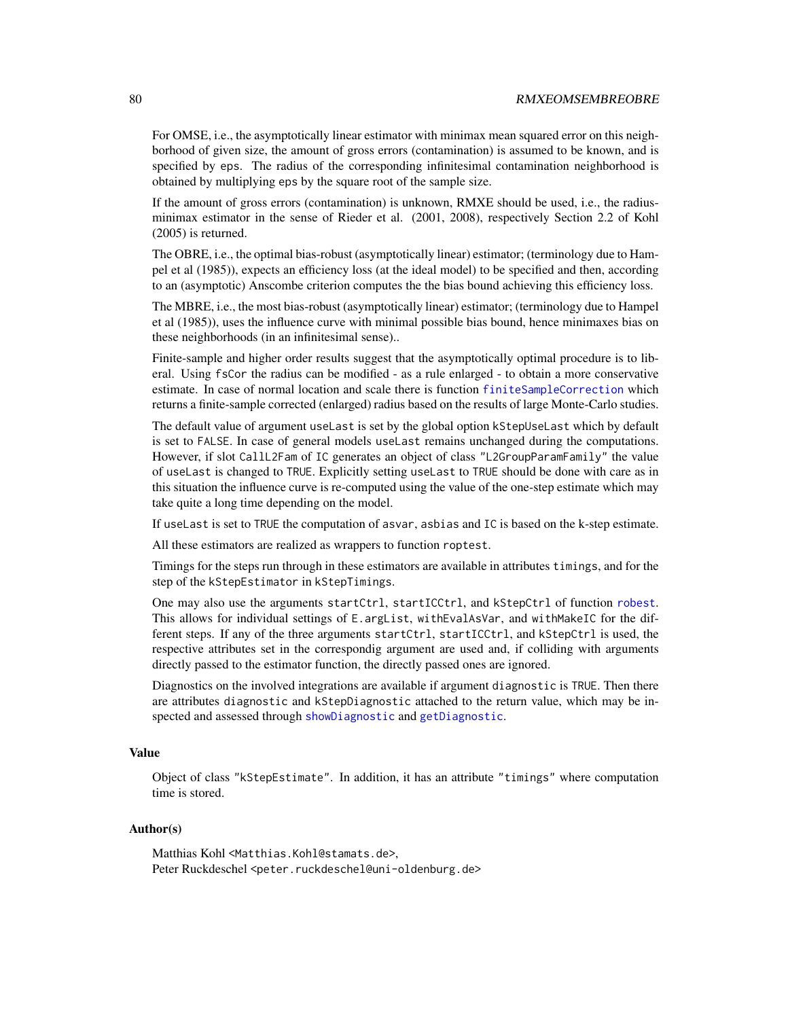# <span id="page-79-0"></span>80 RMXEOMSEMBREOBRE

For OMSE, i.e., the asymptotically linear estimator with minimax mean squared error on this neighborhood of given size, the amount of gross errors (contamination) is assumed to be known, and is specified by eps. The radius of the corresponding infinitesimal contamination neighborhood is obtained by multiplying eps by the square root of the sample size.

If the amount of gross errors (contamination) is unknown, RMXE should be used, i.e., the radiusminimax estimator in the sense of Rieder et al. (2001, 2008), respectively Section 2.2 of Kohl (2005) is returned.

The OBRE, i.e., the optimal bias-robust (asymptotically linear) estimator; (terminology due to Hampel et al (1985)), expects an efficiency loss (at the ideal model) to be specified and then, according to an (asymptotic) Anscombe criterion computes the the bias bound achieving this efficiency loss.

The MBRE, i.e., the most bias-robust (asymptotically linear) estimator; (terminology due to Hampel et al (1985)), uses the influence curve with minimal possible bias bound, hence minimaxes bias on these neighborhoods (in an infinitesimal sense)..

Finite-sample and higher order results suggest that the asymptotically optimal procedure is to liberal. Using fsCor the radius can be modified - as a rule enlarged - to obtain a more conservative estimate. In case of normal location and scale there is function [finiteSampleCorrection](#page-0-0) which returns a finite-sample corrected (enlarged) radius based on the results of large Monte-Carlo studies.

The default value of argument useLast is set by the global option kStepUseLast which by default is set to FALSE. In case of general models useLast remains unchanged during the computations. However, if slot CallL2Fam of IC generates an object of class "L2GroupParamFamily" the value of useLast is changed to TRUE. Explicitly setting useLast to TRUE should be done with care as in this situation the influence curve is re-computed using the value of the one-step estimate which may take quite a long time depending on the model.

If useLast is set to TRUE the computation of asvar, asbias and IC is based on the k-step estimate.

All these estimators are realized as wrappers to function roptest.

Timings for the steps run through in these estimators are available in attributes timings, and for the step of the kStepEstimator in kStepTimings.

One may also use the arguments startCtrl, startICCtrl, and kStepCtrl of function [robest](#page-81-0). This allows for individual settings of E.argList, withEvalAsVar, and withMakeIC for the different steps. If any of the three arguments startCtrl, startICCtrl, and kStepCtrl is used, the respective attributes set in the correspondig argument are used and, if colliding with arguments directly passed to the estimator function, the directly passed ones are ignored.

Diagnostics on the involved integrations are available if argument diagnostic is TRUE. Then there are attributes diagnostic and kStepDiagnostic attached to the return value, which may be inspected and assessed through [showDiagnostic](#page-0-0) and [getDiagnostic](#page-0-0).

## Value

Object of class "kStepEstimate". In addition, it has an attribute "timings" where computation time is stored.

## Author(s)

Matthias Kohl <Matthias.Kohl@stamats.de>, Peter Ruckdeschel <peter.ruckdeschel@uni-oldenburg.de>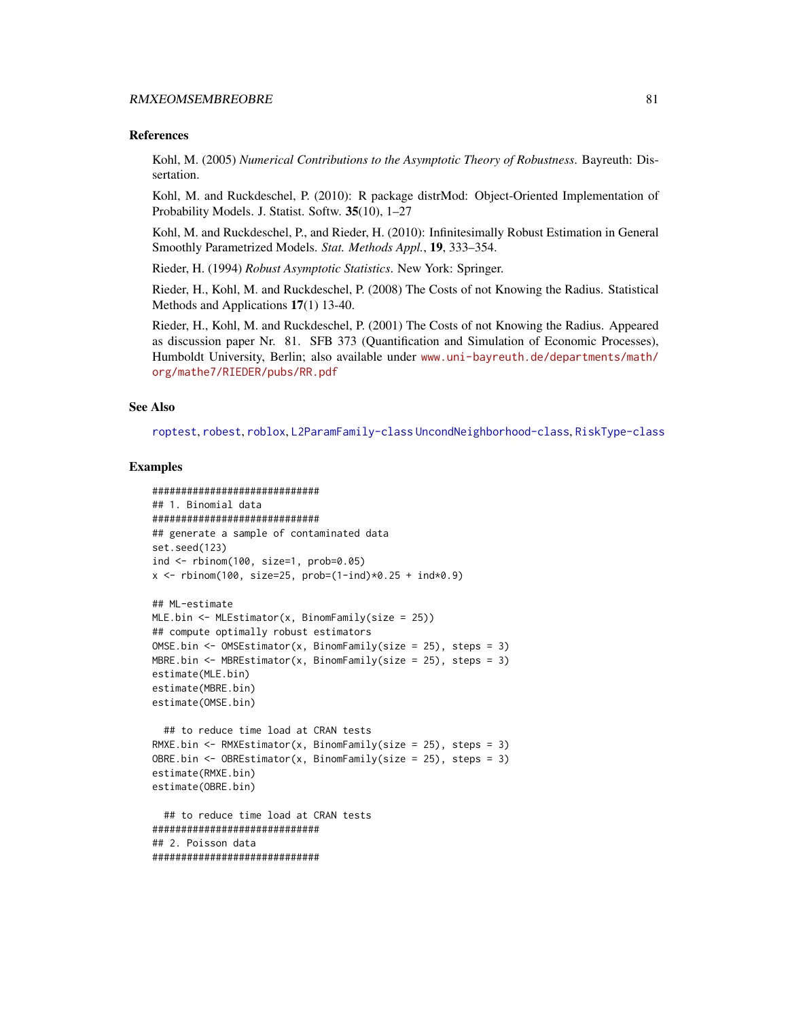#### <span id="page-80-0"></span>RMXEOMSEMBREOBRE 81

#### References

Kohl, M. (2005) *Numerical Contributions to the Asymptotic Theory of Robustness*. Bayreuth: Dissertation.

Kohl, M. and Ruckdeschel, P. (2010): R package distrMod: Object-Oriented Implementation of Probability Models. J. Statist. Softw. 35(10), 1–27

Kohl, M. and Ruckdeschel, P., and Rieder, H. (2010): Infinitesimally Robust Estimation in General Smoothly Parametrized Models. *Stat. Methods Appl.*, 19, 333–354.

Rieder, H. (1994) *Robust Asymptotic Statistics*. New York: Springer.

Rieder, H., Kohl, M. and Ruckdeschel, P. (2008) The Costs of not Knowing the Radius. Statistical Methods and Applications 17(1) 13-40.

Rieder, H., Kohl, M. and Ruckdeschel, P. (2001) The Costs of not Knowing the Radius. Appeared as discussion paper Nr. 81. SFB 373 (Quantification and Simulation of Economic Processes), Humboldt University, Berlin; also available under [www.uni-bayreuth.de/departments/math/](www.uni-bayreuth.de/departments/math/org/mathe7/RIEDER/pubs/RR.pdf) [org/mathe7/RIEDER/pubs/RR.pdf](www.uni-bayreuth.de/departments/math/org/mathe7/RIEDER/pubs/RR.pdf)

#### See Also

[roptest](#page-86-0), [robest](#page-81-0), [roblox](#page-0-0), [L2ParamFamily-class](#page-0-0) [UncondNeighborhood-class](#page-0-0), [RiskType-class](#page-0-0)

### Examples

```
#############################
## 1. Binomial data
#############################
## generate a sample of contaminated data
set.seed(123)
ind <- rbinom(100, size=1, prob=0.05)
x \le - rbinom(100, size=25, prob=(1-ind)*0.25 + ind*0.9)
## ML-estimate
MLE.bin \leq- MLEstimator(x, BinomFamily(size = 25))
## compute optimally robust estimators
OMSE.bin <- OMSEstimator(x, BinomFamily(size = 25), steps = 3)
MBRE.bin <- MBREstimator(x, BinomFamily(size = 25), steps = 3)
```

```
estimate(MLE.bin)
estimate(MBRE.bin)
estimate(OMSE.bin)
```

```
## to reduce time load at CRAN tests
RMXE.bin <- RMXEstimator(x, BinomFamily(size = 25), steps = 3)
OBRE.bin <- OBREstimator(x, BinomFamily(size = 25), steps = 3)
estimate(RMXE.bin)
estimate(OBRE.bin)
```

```
## to reduce time load at CRAN tests
#############################
## 2. Poisson data
#############################
```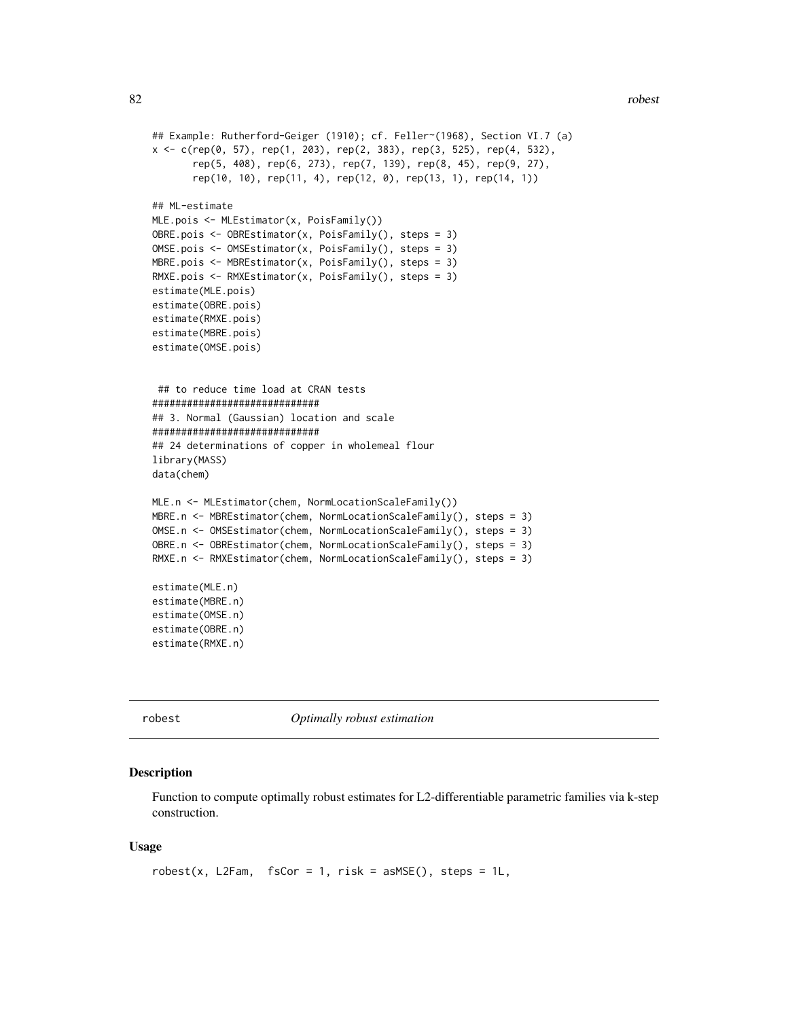```
## Example: Rutherford-Geiger (1910); cf. Feller~(1968), Section VI.7 (a)
x <- c(rep(0, 57), rep(1, 203), rep(2, 383), rep(3, 525), rep(4, 532),
       rep(5, 408), rep(6, 273), rep(7, 139), rep(8, 45), rep(9, 27),
       rep(10, 10), rep(11, 4), rep(12, 0), rep(13, 1), rep(14, 1))
## ML-estimate
MLE.pois <- MLEstimator(x, PoisFamily())
OBRE.pois <- OBREstimator(x, PoisFamily(), steps = 3)
OMSE.pois <- OMSEstimator(x, PoisFamily(), steps = 3)
MBRE.pois <- MBREstimator(x, PoisFamily(), steps = 3)
RMXE.pois <- RMXEstimator(x, PoisFamily(), steps = 3)
estimate(MLE.pois)
estimate(OBRE.pois)
estimate(RMXE.pois)
estimate(MBRE.pois)
estimate(OMSE.pois)
 ## to reduce time load at CRAN tests
#############################
## 3. Normal (Gaussian) location and scale
#############################
## 24 determinations of copper in wholemeal flour
library(MASS)
data(chem)
MLE.n <- MLEstimator(chem, NormLocationScaleFamily())
MBRE.n <- MBREstimator(chem, NormLocationScaleFamily(), steps = 3)
OMSE.n <- OMSEstimator(chem, NormLocationScaleFamily(), steps = 3)
OBRE.n <- OBREstimator(chem, NormLocationScaleFamily(), steps = 3)
RMXE.n <- RMXEstimator(chem, NormLocationScaleFamily(), steps = 3)
estimate(MLE.n)
estimate(MBRE.n)
estimate(OMSE.n)
estimate(OBRE.n)
estimate(RMXE.n)
```
robest *Optimally robust estimation*

#### Description

Function to compute optimally robust estimates for L2-differentiable parametric families via k-step construction.

## Usage

```
robest(x, L2Fam, fsCor = 1, risk = asMSE(), steps = 1L,
```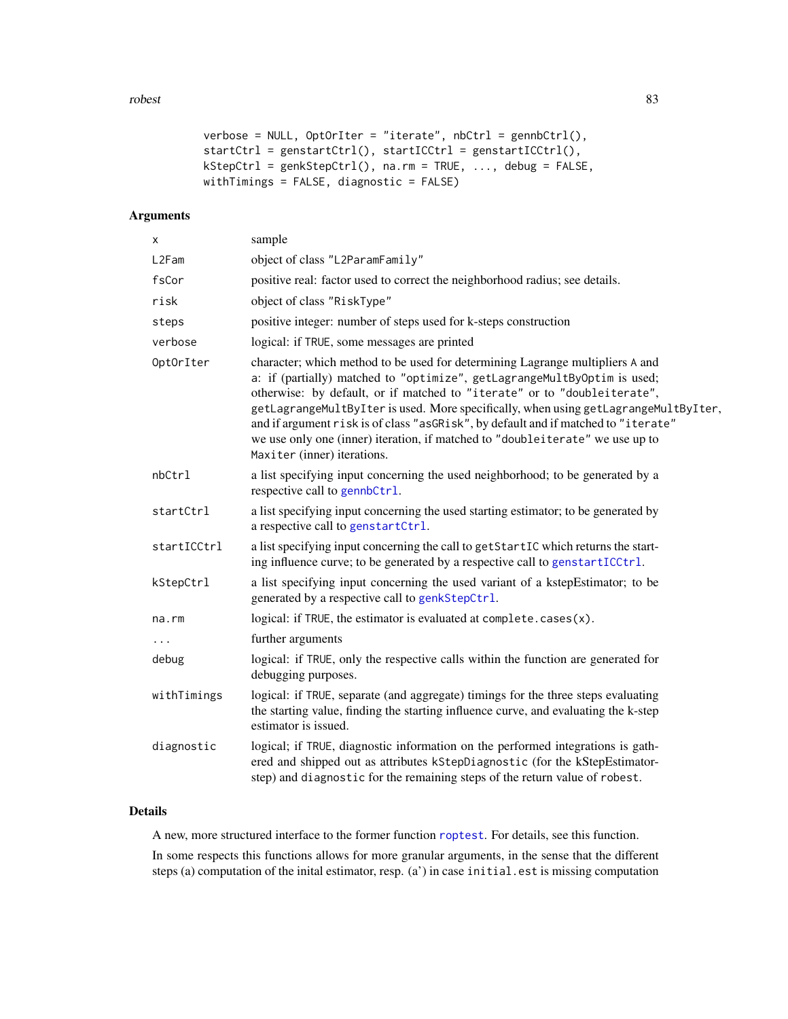#### <span id="page-82-0"></span>robest 83

```
verbose = NULL, OptOrIter = "iterate", nbCtrl = gennbCtrl(),
startCtrl = genstartCtrl(), startICCtrl = genstartICCtrl(),
kStepCtrl = genkStepCtrl(), na.rm = TRUE, ..., debug = FALSE,
withTimings = FALSE, diagnostic = FALSE)
```
# Arguments

| sample                                                                                                                                                                                                                                                                                                                                                                                                                                                                                                                             |
|------------------------------------------------------------------------------------------------------------------------------------------------------------------------------------------------------------------------------------------------------------------------------------------------------------------------------------------------------------------------------------------------------------------------------------------------------------------------------------------------------------------------------------|
| object of class "L2ParamFamily"                                                                                                                                                                                                                                                                                                                                                                                                                                                                                                    |
| positive real: factor used to correct the neighborhood radius; see details.                                                                                                                                                                                                                                                                                                                                                                                                                                                        |
| object of class "RiskType"                                                                                                                                                                                                                                                                                                                                                                                                                                                                                                         |
| positive integer: number of steps used for k-steps construction                                                                                                                                                                                                                                                                                                                                                                                                                                                                    |
| logical: if TRUE, some messages are printed                                                                                                                                                                                                                                                                                                                                                                                                                                                                                        |
| character; which method to be used for determining Lagrange multipliers A and<br>a: if (partially) matched to "optimize", getLagrangeMultByOptim is used;<br>otherwise: by default, or if matched to "iterate" or to "doubleiterate",<br>getLagrangeMultByIter is used. More specifically, when using getLagrangeMultByIter,<br>and if argument risk is of class "asGRisk", by default and if matched to "iterate"<br>we use only one (inner) iteration, if matched to "doubleiterate" we use up to<br>Maxiter (inner) iterations. |
| a list specifying input concerning the used neighborhood; to be generated by a<br>respective call to gennbCtrl.                                                                                                                                                                                                                                                                                                                                                                                                                    |
| a list specifying input concerning the used starting estimator; to be generated by<br>a respective call to genstartCtrl.                                                                                                                                                                                                                                                                                                                                                                                                           |
| a list specifying input concerning the call to getStartIC which returns the start-<br>ing influence curve; to be generated by a respective call to genstartICCtrl.                                                                                                                                                                                                                                                                                                                                                                 |
| a list specifying input concerning the used variant of a kstepEstimator; to be<br>generated by a respective call to genkStepCtrl.                                                                                                                                                                                                                                                                                                                                                                                                  |
| logical: if TRUE, the estimator is evaluated at complete.cases(x).                                                                                                                                                                                                                                                                                                                                                                                                                                                                 |
| further arguments                                                                                                                                                                                                                                                                                                                                                                                                                                                                                                                  |
| logical: if TRUE, only the respective calls within the function are generated for<br>debugging purposes.                                                                                                                                                                                                                                                                                                                                                                                                                           |
| logical: if TRUE, separate (and aggregate) timings for the three steps evaluating<br>the starting value, finding the starting influence curve, and evaluating the k-step<br>estimator is issued.                                                                                                                                                                                                                                                                                                                                   |
| logical; if TRUE, diagnostic information on the performed integrations is gath-<br>ered and shipped out as attributes kStepDiagnostic (for the kStepEstimator-<br>step) and diagnostic for the remaining steps of the return value of robest.                                                                                                                                                                                                                                                                                      |
|                                                                                                                                                                                                                                                                                                                                                                                                                                                                                                                                    |

# Details

A new, more structured interface to the former function [roptest](#page-86-0). For details, see this function.

In some respects this functions allows for more granular arguments, in the sense that the different steps (a) computation of the inital estimator, resp. (a') in case initial.est is missing computation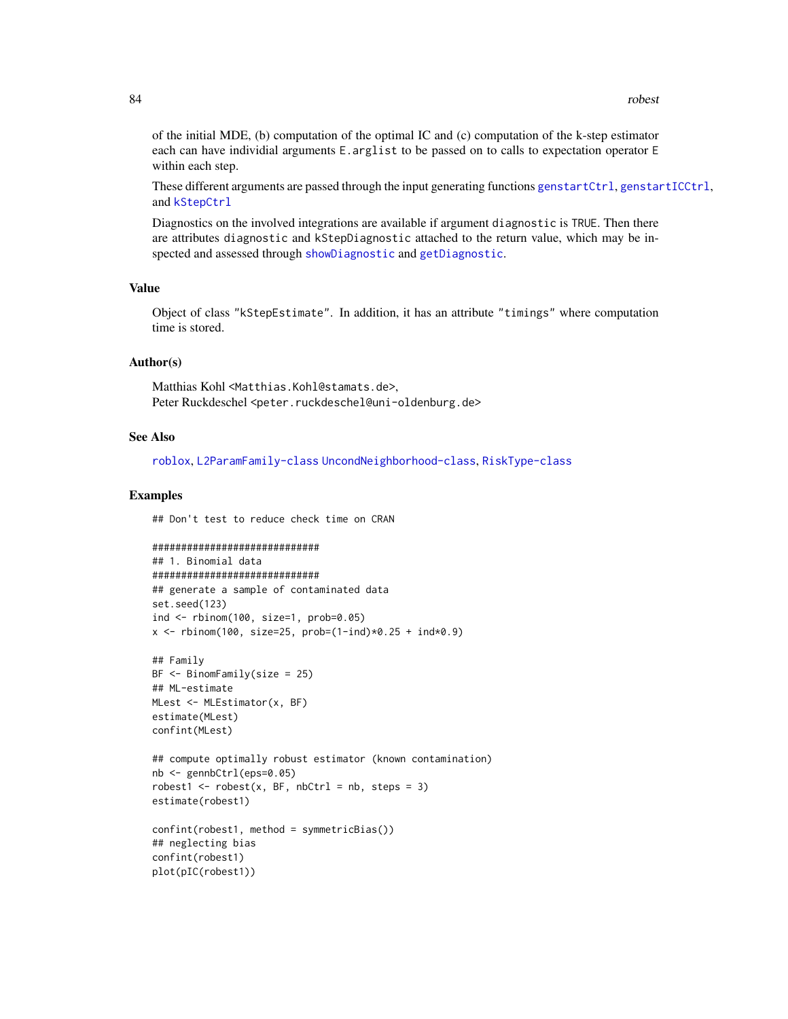<span id="page-83-0"></span>of the initial MDE, (b) computation of the optimal IC and (c) computation of the k-step estimator each can have individial arguments E. arglist to be passed on to calls to expectation operator E within each step.

These different arguments are passed through the input generating functions [genstartCtrl](#page-59-1), [genstartICCtrl](#page-59-1), and [kStepCtrl](#page-59-1)

Diagnostics on the involved integrations are available if argument diagnostic is TRUE. Then there are attributes diagnostic and kStepDiagnostic attached to the return value, which may be inspected and assessed through [showDiagnostic](#page-0-0) and [getDiagnostic](#page-0-0).

#### Value

Object of class "kStepEstimate". In addition, it has an attribute "timings" where computation time is stored.

#### Author(s)

Matthias Kohl <Matthias.Kohl@stamats.de>, Peter Ruckdeschel <peter.ruckdeschel@uni-oldenburg.de>

#### See Also

[roblox](#page-0-0), [L2ParamFamily-class](#page-0-0) [UncondNeighborhood-class](#page-0-0), [RiskType-class](#page-0-0)

#### Examples

## Don't test to reduce check time on CRAN

```
#############################
## 1. Binomial data
#############################
## generate a sample of contaminated data
set.seed(123)
ind <- rbinom(100, size=1, prob=0.05)
x \le rbinom(100, size=25, prob=(1-ind)*0.25 + ind*0.9)
```

```
## Family
BF <- BinomFamily(size = 25)
## ML-estimate
MLest <- MLEstimator(x, BF)
estimate(MLest)
confint(MLest)
```

```
## compute optimally robust estimator (known contamination)
nb <- gennbCtrl(eps=0.05)
robest1 <- \text{cobest}(x, BF, \text{nbCtrl} = nb, \text{steps} = 3)estimate(robest1)
```

```
confint(robest1, method = symmetricBias())
## neglecting bias
confint(robest1)
plot(pIC(robest1))
```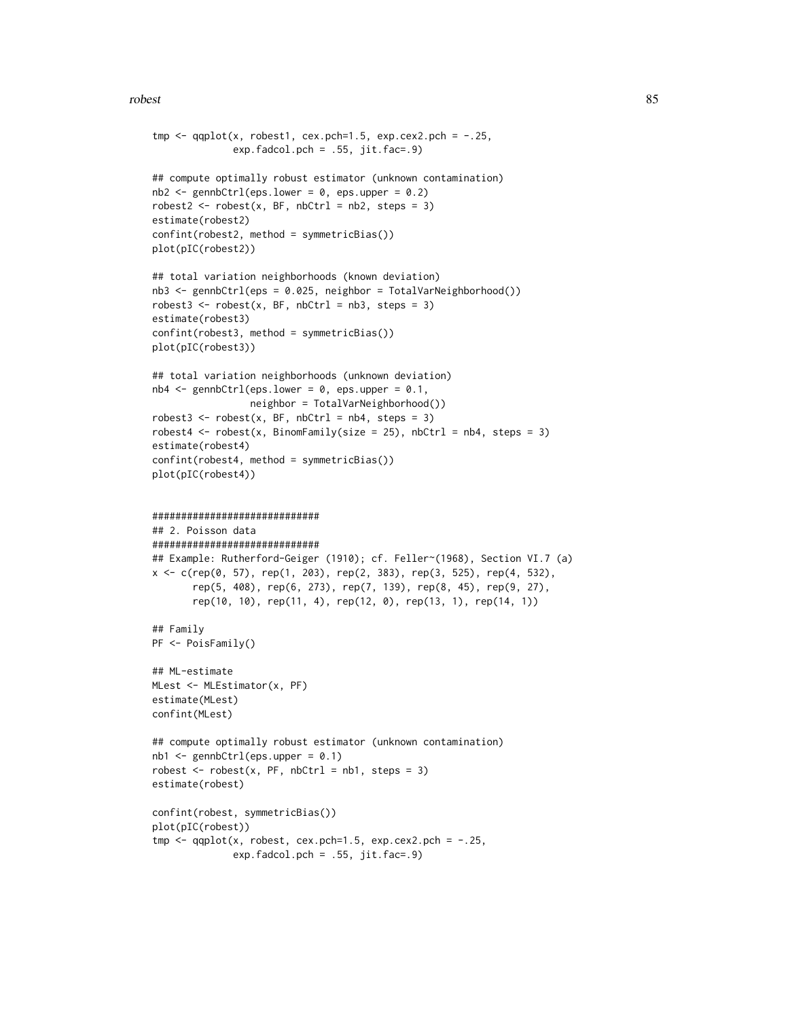#### robest 85

```
tmp \leftarrow qqplot(x, robest1, cex.pch=1.5, exp.cex2.pch = -.25,exp.fadcol.pch = .55, jit.fac=.9)## compute optimally robust estimator (unknown contamination)
nb2 < - gennbCtrl(eps.lower = 0, eps.upper = 0.2)
robest2 <- \text{robest}(x, BF, nbCtr1 = nb2, steps = 3)estimate(robest2)
confint(robest2, method = symmetricBias())
plot(pIC(robest2))
## total variation neighborhoods (known deviation)
nb3 <- gennbCtrl(eps = 0.025, neighbor = TotalVarNeighborhood())
robest3 <- robot(x, BF, nbctr1 = nb3, steps = 3)estimate(robest3)
confint(robest3, method = symmetricBias())
plot(pIC(robest3))
## total variation neighborhoods (unknown deviation)
nb4 \le gennbCtrl(eps.lower = 0, eps.upper = 0.1,
                 neighbor = TotalVarNeighborhood())
robest3 <- \text{robest}(x, BF, \text{nbCtrl} = \text{nb4}, \text{steps} = 3)robest4 \le robest(x, BinomFamily(size = 25), nbCtrl = nb4, steps = 3)
estimate(robest4)
confint(robest4, method = symmetricBias())
plot(pIC(robest4))
#############################
## 2. Poisson data
#############################
## Example: Rutherford-Geiger (1910); cf. Feller~(1968), Section VI.7 (a)
x <- c(rep(0, 57), rep(1, 203), rep(2, 383), rep(3, 525), rep(4, 532),
       rep(5, 408), rep(6, 273), rep(7, 139), rep(8, 45), rep(9, 27),
       rep(10, 10), rep(11, 4), rep(12, 0), rep(13, 1), rep(14, 1))
## Family
PF <- PoisFamily()
## ML-estimate
MLest <- MLEstimator(x, PF)
estimate(MLest)
confint(MLest)
## compute optimally robust estimator (unknown contamination)
nb1 < - gennbCtrl(eps.upper = 0.1)
robest \leq robest(x, PF, nbCtrl = nb1, steps = 3)
estimate(robest)
confint(robest, symmetricBias())
plot(pIC(robest))
tmp \leq qqplot(x, robest, cex.pch=1.5, exp.cex2.pch = -.25,exp.fadcol.pch = .55, jit.fac=.9)
```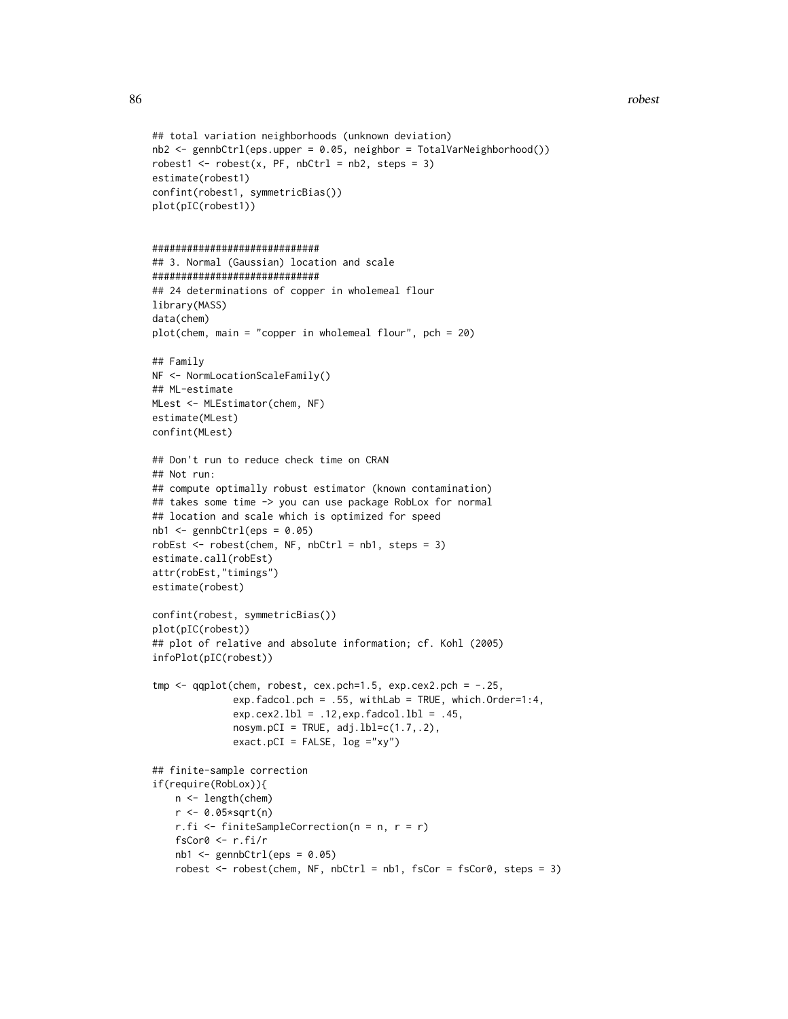```
## total variation neighborhoods (unknown deviation)
nb2 <- gennbCtrl(eps.upper = 0.05, neighbor = TotalVarNeighborhood())
robest1 <- \text{cobest}(x, PF, \text{nbCtrl} = nb2, \text{steps} = 3)estimate(robest1)
confint(robest1, symmetricBias())
plot(pIC(robest1))
#############################
## 3. Normal (Gaussian) location and scale
#############################
## 24 determinations of copper in wholemeal flour
library(MASS)
data(chem)
plot(chem, main = "copper in wholemeal flour", pch = 20)
## Family
NF <- NormLocationScaleFamily()
## ML-estimate
MLest <- MLEstimator(chem, NF)
estimate(MLest)
confint(MLest)
## Don't run to reduce check time on CRAN
## Not run:
## compute optimally robust estimator (known contamination)
## takes some time -> you can use package RobLox for normal
## location and scale which is optimized for speed
nb1 < - gennbCtrl(eps = 0.05)
robEst <- robest(chem, NF, nbCtrl = nb1, steps = 3)
estimate.call(robEst)
attr(robEst,"timings")
estimate(robest)
confint(robest, symmetricBias())
plot(pIC(robest))
## plot of relative and absolute information; cf. Kohl (2005)
infoPlot(pIC(robest))
tmp \leq qqplot(chem, robest, cex.pch=1.5, exp.cex2.pch = -.25,exp.fadcol.pch = .55, withLab = TRUE, which.Order=1:4,
              exp.cex2.lbl = .12,exp.fadcol.lbl = .45,
              nosym.pCI = TRUE, adj.lbl=c(1.7,.2),exact.pCI = FALSE, log = "xy")## finite-sample correction
if(require(RobLox)){
   n <- length(chem)
    r <- 0.05*sqrt(n)
   r.fi <- finiteSampleCorrection(n = n, r = r)
    fsCor0 <- r.fi/r
    nb1 < - gennbCtrl(eps = 0.05)
    robest \leq robest(chem, NF, nbCtrl = nb1, fsCor = fsCor0, steps = 3)
```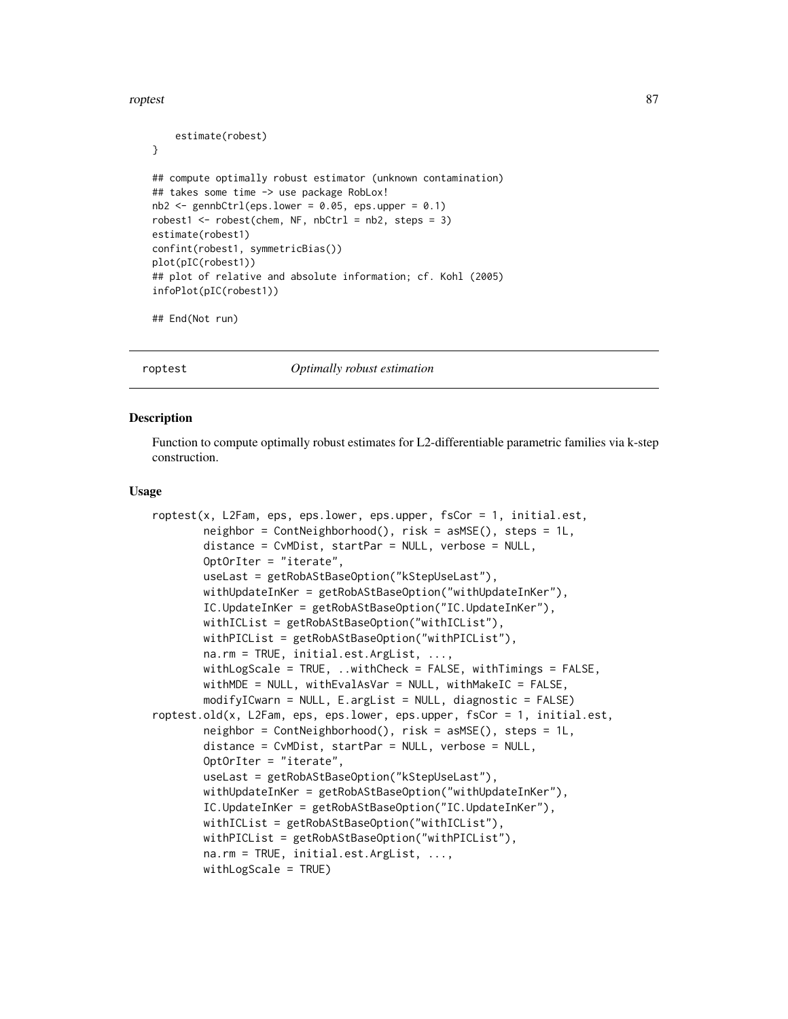#### <span id="page-86-1"></span>roptest 87

```
estimate(robest)
}
## compute optimally robust estimator (unknown contamination)
## takes some time -> use package RobLox!
nb2 < - gennbCtrl(eps.lower = 0.05, eps.upper = 0.1)
robest1 <- robest(chem, NF, nbCtrl = nb2, steps = 3)
estimate(robest1)
confint(robest1, symmetricBias())
plot(pIC(robest1))
## plot of relative and absolute information; cf. Kohl (2005)
infoPlot(pIC(robest1))
```

```
## End(Not run)
```
<span id="page-86-0"></span>roptest *Optimally robust estimation*

# **Description**

Function to compute optimally robust estimates for L2-differentiable parametric families via k-step construction.

#### Usage

```
roptest(x, L2Fam, eps, eps.lower, eps.upper, fsCor = 1, initial.est,
       neighbor = ContNeighborhood(), risk = asMSE(), steps = 1L,
       distance = CvMDist, startPar = NULL, verbose = NULL,
       OptOrIter = "iterate",
       useLast = getRobAStBaseOption("kStepUseLast"),
       withUpdateInKer = getRobAStBaseOption("withUpdateInKer"),
       IC.UpdateInKer = getRobAStBaseOption("IC.UpdateInKer"),
       withICList = getRobAStBaseOption("withICList"),
       withPICList = getRobAStBaseOption("withPICList"),
       na.rm = TRUE, initial.est.ArgList, ...,
       withLogScale = TRUE, ..withCheck = FALSE, withTimings = FALSE,
       withMDE = NULL, withEvalAsVar = NULL, withMakeIC = FALSE,
       modifyICwarn = NULL, E.argList = NULL, diagnostic = FALSE)
roptest.old(x, L2Fam, eps, eps.lower, eps.upper, fsCor = 1, initial.est,
       neighbor = ContNeighborhood(), risk = asMSE(), steps = 1L,
       distance = CvMDist, startPar = NULL, verbose = NULL,
       OptOrIter = "iterate",
       useLast = getRobAStBaseOption("kStepUseLast"),
       withUpdateInKer = getRobAStBaseOption("withUpdateInKer"),
       IC.UpdateInKer = getRobAStBaseOption("IC.UpdateInKer"),
       withICList = getRobAStBaseOption("withICList"),
       withPICList = getRobAStBaseOption("withPICList"),
       na.rm = TRUE, initial.est.ArgList, ...,
       withLogScale = TRUE)
```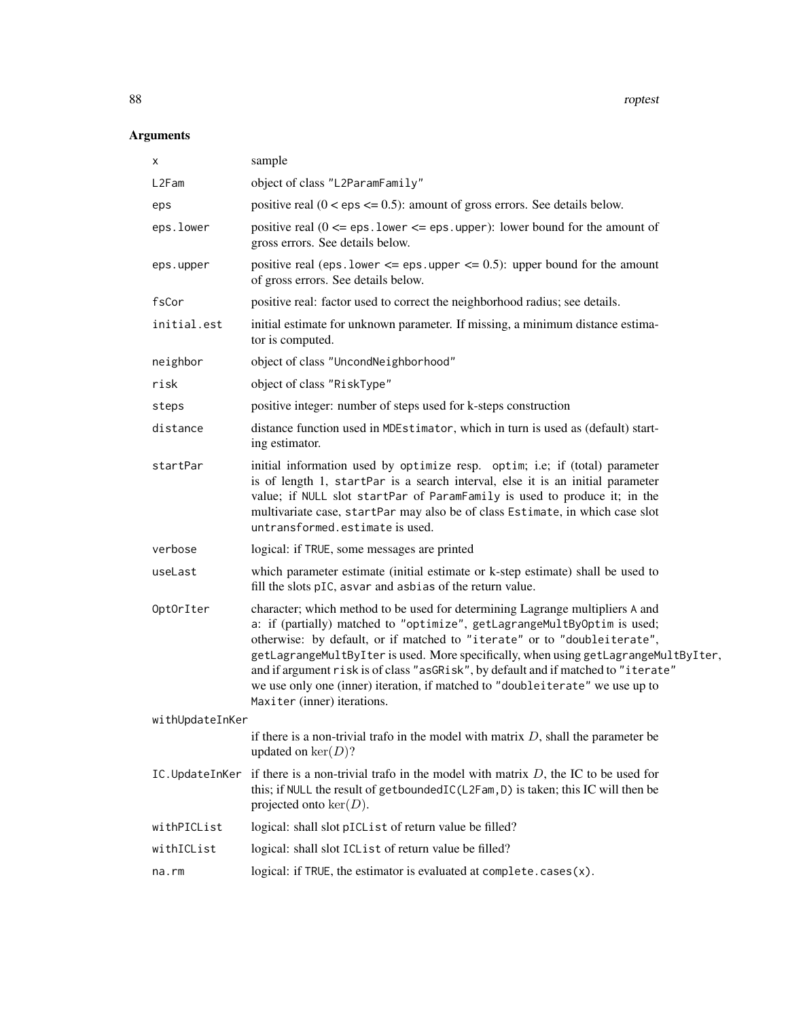# Arguments

| x               | sample                                                                                                                                                                                                                                                                                                                                                                                                                                                                                                                             |
|-----------------|------------------------------------------------------------------------------------------------------------------------------------------------------------------------------------------------------------------------------------------------------------------------------------------------------------------------------------------------------------------------------------------------------------------------------------------------------------------------------------------------------------------------------------|
| L2Fam           | object of class "L2ParamFamily"                                                                                                                                                                                                                                                                                                                                                                                                                                                                                                    |
| eps             | positive real $(0 < eps \le 0.5)$ : amount of gross errors. See details below.                                                                                                                                                                                                                                                                                                                                                                                                                                                     |
| eps.lower       | positive real $(0 \le \text{eps} \cdot \text{lower} \le \text{eps} \cdot \text{upper})$ : lower bound for the amount of<br>gross errors. See details below.                                                                                                                                                                                                                                                                                                                                                                        |
| eps.upper       | positive real (eps. lower $\leq$ eps. upper $\leq$ 0.5): upper bound for the amount<br>of gross errors. See details below.                                                                                                                                                                                                                                                                                                                                                                                                         |
| fsCor           | positive real: factor used to correct the neighborhood radius; see details.                                                                                                                                                                                                                                                                                                                                                                                                                                                        |
| initial.est     | initial estimate for unknown parameter. If missing, a minimum distance estima-<br>tor is computed.                                                                                                                                                                                                                                                                                                                                                                                                                                 |
| neighbor        | object of class "UncondNeighborhood"                                                                                                                                                                                                                                                                                                                                                                                                                                                                                               |
| risk            | object of class "RiskType"                                                                                                                                                                                                                                                                                                                                                                                                                                                                                                         |
| steps           | positive integer: number of steps used for k-steps construction                                                                                                                                                                                                                                                                                                                                                                                                                                                                    |
| distance        | distance function used in MDEstimator, which in turn is used as (default) start-<br>ing estimator.                                                                                                                                                                                                                                                                                                                                                                                                                                 |
| startPar        | initial information used by optimize resp. optim; i.e; if (total) parameter<br>is of length 1, startPar is a search interval, else it is an initial parameter<br>value; if NULL slot startPar of ParamFamily is used to produce it; in the<br>multivariate case, startPar may also be of class Estimate, in which case slot<br>untransformed.estimate is used.                                                                                                                                                                     |
| verbose         | logical: if TRUE, some messages are printed                                                                                                                                                                                                                                                                                                                                                                                                                                                                                        |
| useLast         | which parameter estimate (initial estimate or k-step estimate) shall be used to<br>fill the slots pIC, asvar and asbias of the return value.                                                                                                                                                                                                                                                                                                                                                                                       |
| OptOrIter       | character; which method to be used for determining Lagrange multipliers A and<br>a: if (partially) matched to "optimize", getLagrangeMultByOptim is used;<br>otherwise: by default, or if matched to "iterate" or to "doubleiterate",<br>getLagrangeMultByIter is used. More specifically, when using getLagrangeMultByIter,<br>and if argument risk is of class "asGRisk", by default and if matched to "iterate"<br>we use only one (inner) iteration, if matched to "doubleiterate" we use up to<br>Maxiter (inner) iterations. |
| withUpdateInKer |                                                                                                                                                                                                                                                                                                                                                                                                                                                                                                                                    |
|                 | if there is a non-trivial trafo in the model with matrix $D$ , shall the parameter be<br>updated on $\ker(D)$ ?                                                                                                                                                                                                                                                                                                                                                                                                                    |
| IC.UpdateInKer  | if there is a non-trivial trafo in the model with matrix $D$ , the IC to be used for<br>this; if NULL the result of getboundedIC(L2Fam, D) is taken; this IC will then be<br>projected onto $\ker(D)$ .                                                                                                                                                                                                                                                                                                                            |
| withPICList     | logical: shall slot pICList of return value be filled?                                                                                                                                                                                                                                                                                                                                                                                                                                                                             |
| withICList      | logical: shall slot ICList of return value be filled?                                                                                                                                                                                                                                                                                                                                                                                                                                                                              |
| na.rm           | logical: if TRUE, the estimator is evaluated at complete.cases(x).                                                                                                                                                                                                                                                                                                                                                                                                                                                                 |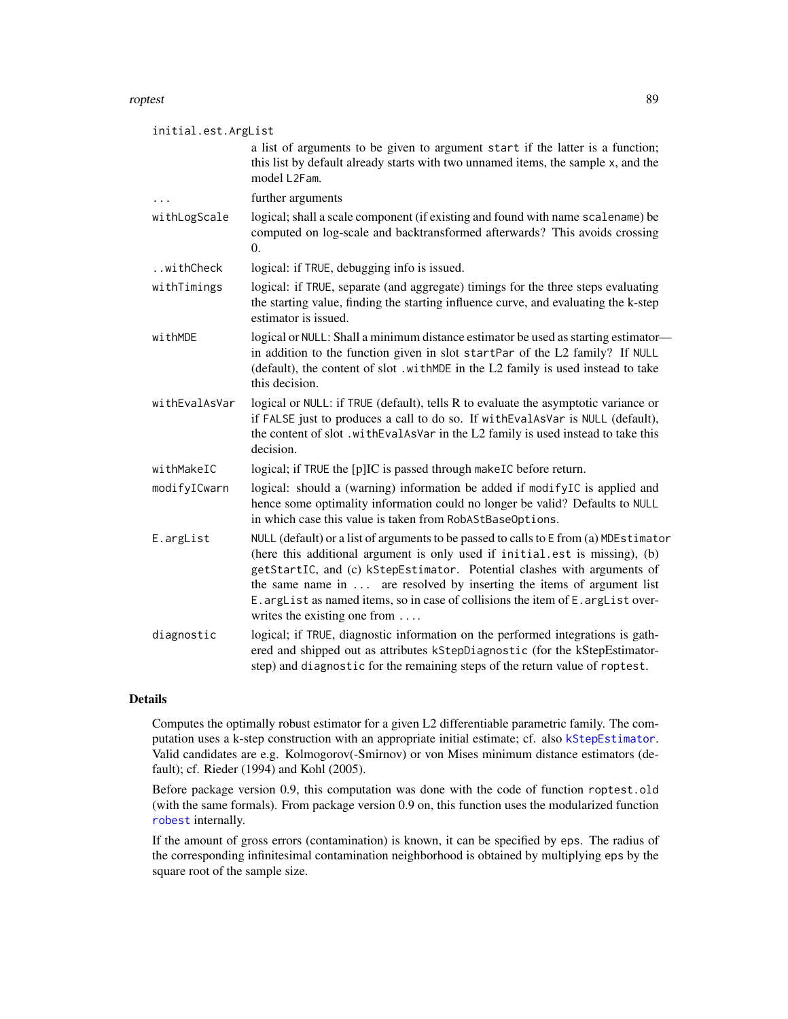<span id="page-88-0"></span>roptest 89

| initial.est.ArgList |                                                                                                                                                                                                                                                                                                                                                                                                                                                       |  |
|---------------------|-------------------------------------------------------------------------------------------------------------------------------------------------------------------------------------------------------------------------------------------------------------------------------------------------------------------------------------------------------------------------------------------------------------------------------------------------------|--|
|                     | a list of arguments to be given to argument start if the latter is a function;<br>this list by default already starts with two unnamed items, the sample x, and the<br>model L2Fam.                                                                                                                                                                                                                                                                   |  |
|                     | further arguments                                                                                                                                                                                                                                                                                                                                                                                                                                     |  |
| withLogScale        | logical; shall a scale component (if existing and found with name scalename) be<br>computed on log-scale and backtransformed afterwards? This avoids crossing<br>$\Omega$ .                                                                                                                                                                                                                                                                           |  |
| withCheck           | logical: if TRUE, debugging info is issued.                                                                                                                                                                                                                                                                                                                                                                                                           |  |
| withTimings         | logical: if TRUE, separate (and aggregate) timings for the three steps evaluating<br>the starting value, finding the starting influence curve, and evaluating the k-step<br>estimator is issued.                                                                                                                                                                                                                                                      |  |
| withMDE             | logical or NULL: Shall a minimum distance estimator be used as starting estimator-                                                                                                                                                                                                                                                                                                                                                                    |  |
|                     | in addition to the function given in slot startPar of the L2 family? If NULL<br>(default), the content of slot .withMDE in the L2 family is used instead to take<br>this decision.                                                                                                                                                                                                                                                                    |  |
| withEvalAsVar       | logical or NULL: if TRUE (default), tells R to evaluate the asymptotic variance or<br>if FALSE just to produces a call to do so. If withEvalAsVar is NULL (default),<br>the content of slot. with EvalAsVar in the L2 family is used instead to take this<br>decision.                                                                                                                                                                                |  |
| withMakeIC          | logical; if TRUE the [p]IC is passed through makeIC before return.                                                                                                                                                                                                                                                                                                                                                                                    |  |
| modifyICwarn        | logical: should a (warning) information be added if modifyIC is applied and<br>hence some optimality information could no longer be valid? Defaults to NULL<br>in which case this value is taken from RobAStBaseOptions.                                                                                                                                                                                                                              |  |
| E.argList           | NULL (default) or a list of arguments to be passed to calls to E from (a) MDEstimator<br>(here this additional argument is only used if initial.est is missing), (b)<br>getStartIC, and (c) kStepEstimator. Potential clashes with arguments of<br>the same name in  are resolved by inserting the items of argument list<br>E. argList as named items, so in case of collisions the item of E. argList over-<br>writes the existing one from $\dots$ |  |
| diagnostic          | logical; if TRUE, diagnostic information on the performed integrations is gath-<br>ered and shipped out as attributes kStepDiagnostic (for the kStepEstimator-<br>step) and diagnostic for the remaining steps of the return value of roptest.                                                                                                                                                                                                        |  |

# Details

Computes the optimally robust estimator for a given L2 differentiable parametric family. The computation uses a k-step construction with an appropriate initial estimate; cf. also [kStepEstimator](#page-0-0). Valid candidates are e.g. Kolmogorov(-Smirnov) or von Mises minimum distance estimators (default); cf. Rieder (1994) and Kohl (2005).

Before package version 0.9, this computation was done with the code of function roptest.old (with the same formals). From package version 0.9 on, this function uses the modularized function [robest](#page-81-0) internally.

If the amount of gross errors (contamination) is known, it can be specified by eps. The radius of the corresponding infinitesimal contamination neighborhood is obtained by multiplying eps by the square root of the sample size.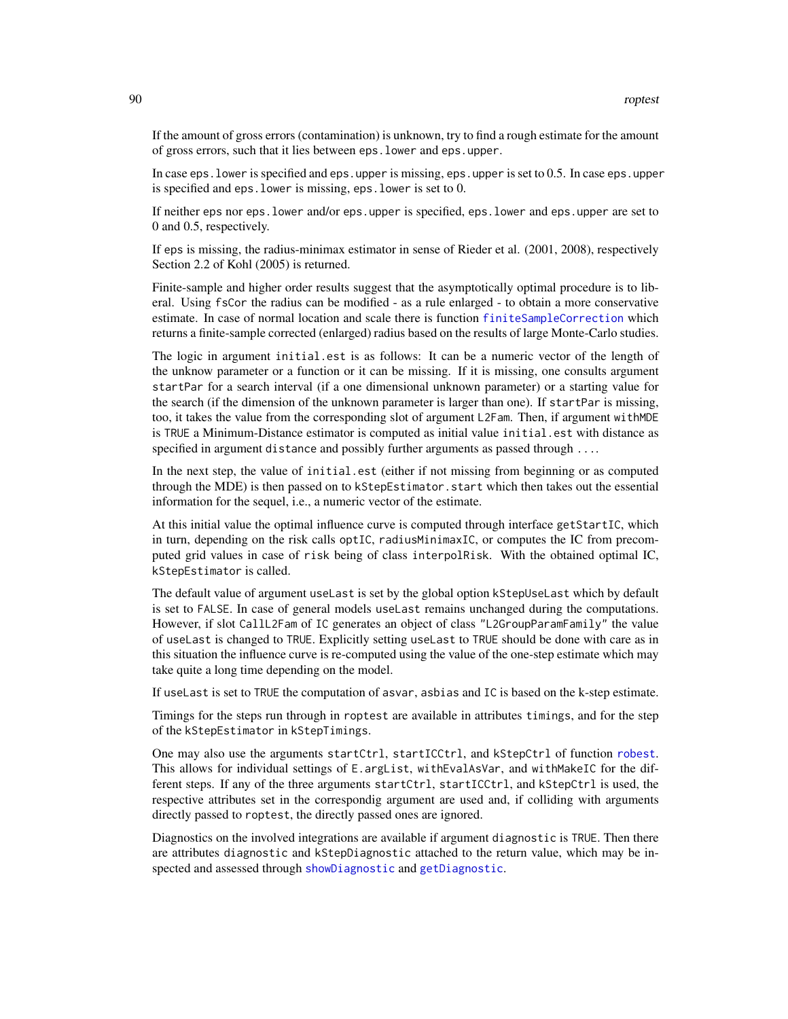<span id="page-89-0"></span>If the amount of gross errors (contamination) is unknown, try to find a rough estimate for the amount of gross errors, such that it lies between eps.lower and eps.upper.

In case eps.lower is specified and eps.upper is missing, eps.upper is set to 0.5. In case eps.upper is specified and eps.lower is missing, eps.lower is set to 0.

If neither eps nor eps.lower and/or eps.upper is specified, eps.lower and eps.upper are set to 0 and 0.5, respectively.

If eps is missing, the radius-minimax estimator in sense of Rieder et al. (2001, 2008), respectively Section 2.2 of Kohl (2005) is returned.

Finite-sample and higher order results suggest that the asymptotically optimal procedure is to liberal. Using fsCor the radius can be modified - as a rule enlarged - to obtain a more conservative estimate. In case of normal location and scale there is function [finiteSampleCorrection](#page-0-0) which returns a finite-sample corrected (enlarged) radius based on the results of large Monte-Carlo studies.

The logic in argument initial.est is as follows: It can be a numeric vector of the length of the unknow parameter or a function or it can be missing. If it is missing, one consults argument startPar for a search interval (if a one dimensional unknown parameter) or a starting value for the search (if the dimension of the unknown parameter is larger than one). If startPar is missing, too, it takes the value from the corresponding slot of argument L2Fam. Then, if argument withMDE is TRUE a Minimum-Distance estimator is computed as initial value initial.est with distance as specified in argument distance and possibly further arguments as passed through ....

In the next step, the value of initial.est (either if not missing from beginning or as computed through the MDE) is then passed on to kStepEstimator.start which then takes out the essential information for the sequel, i.e., a numeric vector of the estimate.

At this initial value the optimal influence curve is computed through interface getStartIC, which in turn, depending on the risk calls optIC, radiusMinimaxIC, or computes the IC from precomputed grid values in case of risk being of class interpolRisk. With the obtained optimal IC, kStepEstimator is called.

The default value of argument useLast is set by the global option kStepUseLast which by default is set to FALSE. In case of general models useLast remains unchanged during the computations. However, if slot CallL2Fam of IC generates an object of class "L2GroupParamFamily" the value of useLast is changed to TRUE. Explicitly setting useLast to TRUE should be done with care as in this situation the influence curve is re-computed using the value of the one-step estimate which may take quite a long time depending on the model.

If useLast is set to TRUE the computation of asvar, asbias and IC is based on the k-step estimate.

Timings for the steps run through in roptest are available in attributes timings, and for the step of the kStepEstimator in kStepTimings.

One may also use the arguments startCtrl, startICCtrl, and kStepCtrl of function [robest](#page-81-0). This allows for individual settings of E.argList, withEvalAsVar, and withMakeIC for the different steps. If any of the three arguments startCtrl, startICCtrl, and kStepCtrl is used, the respective attributes set in the correspondig argument are used and, if colliding with arguments directly passed to roptest, the directly passed ones are ignored.

Diagnostics on the involved integrations are available if argument diagnostic is TRUE. Then there are attributes diagnostic and kStepDiagnostic attached to the return value, which may be inspected and assessed through [showDiagnostic](#page-0-0) and [getDiagnostic](#page-0-0).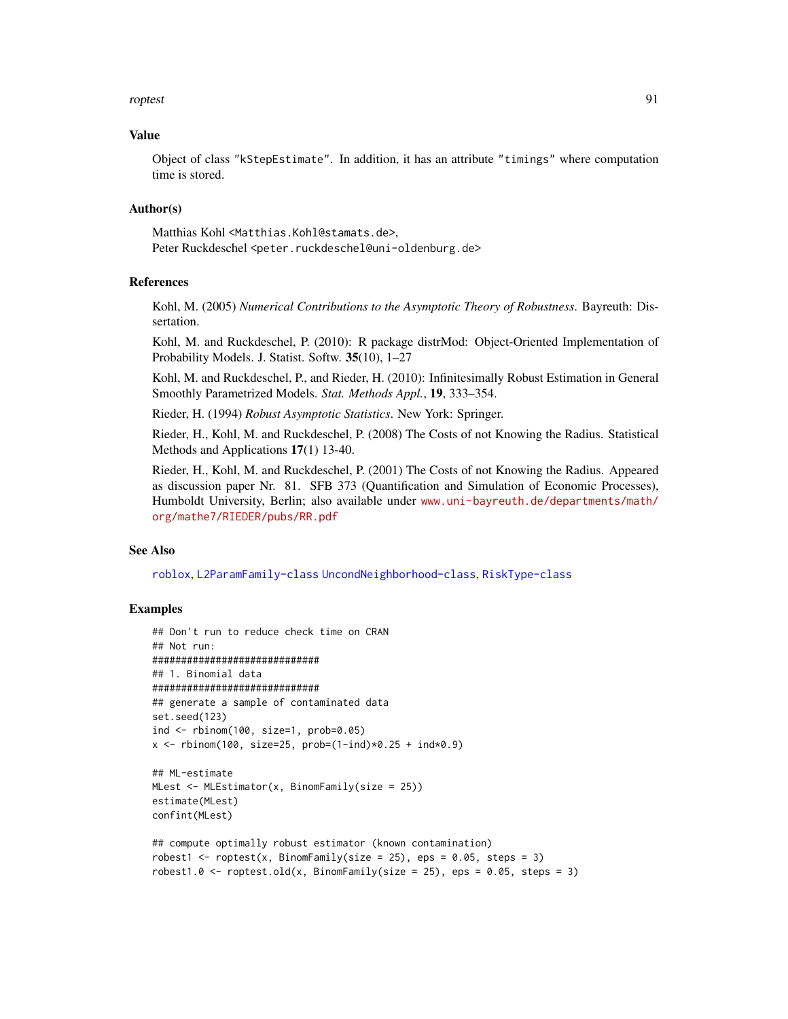#### <span id="page-90-0"></span>roptest 91

## Value

Object of class "kStepEstimate". In addition, it has an attribute "timings" where computation time is stored.

#### Author(s)

Matthias Kohl <Matthias.Kohl@stamats.de>, Peter Ruckdeschel <peter.ruckdeschel@uni-oldenburg.de>

# References

Kohl, M. (2005) *Numerical Contributions to the Asymptotic Theory of Robustness*. Bayreuth: Dissertation.

Kohl, M. and Ruckdeschel, P. (2010): R package distrMod: Object-Oriented Implementation of Probability Models. J. Statist. Softw. 35(10), 1–27

Kohl, M. and Ruckdeschel, P., and Rieder, H. (2010): Infinitesimally Robust Estimation in General Smoothly Parametrized Models. *Stat. Methods Appl.*, 19, 333–354.

Rieder, H. (1994) *Robust Asymptotic Statistics*. New York: Springer.

Rieder, H., Kohl, M. and Ruckdeschel, P. (2008) The Costs of not Knowing the Radius. Statistical Methods and Applications 17(1) 13-40.

Rieder, H., Kohl, M. and Ruckdeschel, P. (2001) The Costs of not Knowing the Radius. Appeared as discussion paper Nr. 81. SFB 373 (Quantification and Simulation of Economic Processes), Humboldt University, Berlin; also available under [www.uni-bayreuth.de/departments/math/](www.uni-bayreuth.de/departments/math/org/mathe7/RIEDER/pubs/RR.pdf) [org/mathe7/RIEDER/pubs/RR.pdf](www.uni-bayreuth.de/departments/math/org/mathe7/RIEDER/pubs/RR.pdf)

# See Also

[roblox](#page-0-0), [L2ParamFamily-class](#page-0-0) [UncondNeighborhood-class](#page-0-0), [RiskType-class](#page-0-0)

## Examples

```
## Don't run to reduce check time on CRAN
## Not run:
#############################
## 1. Binomial data
#############################
## generate a sample of contaminated data
set.seed(123)
ind <- rbinom(100, size=1, prob=0.05)
x <- rbinom(100, size=25, prob=(1-ind)*0.25 + ind*0.9)
## ML-estimate
MLest <- MLEstimator(x, BinomFamily(size = 25))
estimate(MLest)
confint(MLest)
## compute optimally robust estimator (known contamination)
robest1 <- roptest(x, BinomFamily(size = 25), eps = 0.05, steps = 3)
robest1.0 \le roptest.old(x, BinomFamily(size = 25), eps = 0.05, steps = 3)
```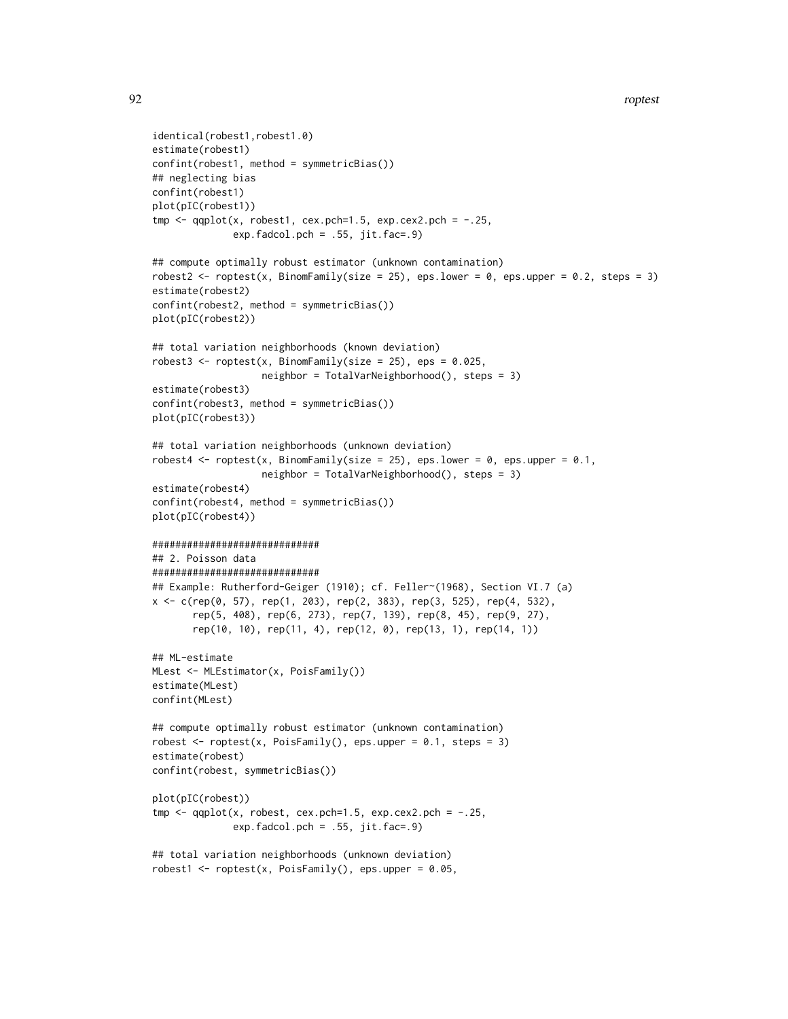```
identical(robest1,robest1.0)
estimate(robest1)
confint(robest1, method = symmetricBias())
## neglecting bias
confint(robest1)
plot(pIC(robest1))
tmp \leq qqplot(x, robest1, cex.pch=1.5, exp.cex2.pch = -.25,exp.fadcol.pch = .55, jit.fac = .9)## compute optimally robust estimator (unknown contamination)
robest2 <- roptest(x, BinomFamily(size = 25), eps.lower = 0, eps.upper = 0.2, steps = 3)
estimate(robest2)
confint(robest2, method = symmetricBias())
plot(pIC(robest2))
## total variation neighborhoods (known deviation)
robest3 <- roptest(x, BinomFamily(size = 25), eps = 0.025,
                   neighbor = TotalVarNeighborhood(), steps = 3)
estimate(robest3)
confint(robest3, method = symmetricBias())
plot(pIC(robest3))
## total variation neighborhoods (unknown deviation)
robest4 <- roptest(x, BinomFamily(size = 25), eps.lower = 0, eps.upper = 0.1,
                   neighbor = TotalVarNeighborhood(), steps = 3)
estimate(robest4)
confint(robest4, method = symmetricBias())
plot(pIC(robest4))
#############################
## 2. Poisson data
#############################
## Example: Rutherford-Geiger (1910); cf. Feller~(1968), Section VI.7 (a)
x <- c(rep(0, 57), rep(1, 203), rep(2, 383), rep(3, 525), rep(4, 532),
       rep(5, 408), rep(6, 273), rep(7, 139), rep(8, 45), rep(9, 27),
       rep(10, 10), rep(11, 4), rep(12, 0), rep(13, 1), rep(14, 1))
## ML-estimate
MLest <- MLEstimator(x, PoisFamily())
estimate(MLest)
confint(MLest)
## compute optimally robust estimator (unknown contamination)
robest \leq roptest(x, PoisFamily(), eps.upper = 0.1, steps = 3)
estimate(robest)
confint(robest, symmetricBias())
plot(pIC(robest))
tmp \leftarrow qqplot(x, robest, cex.pch=1.5, exp.cex2.pch = -.25,exp.fadcol.pch = .55, jit.fac=.9)
```

```
## total variation neighborhoods (unknown deviation)
robest1 <- roptest(x, PoisFamily(), eps.upper = 0.05,
```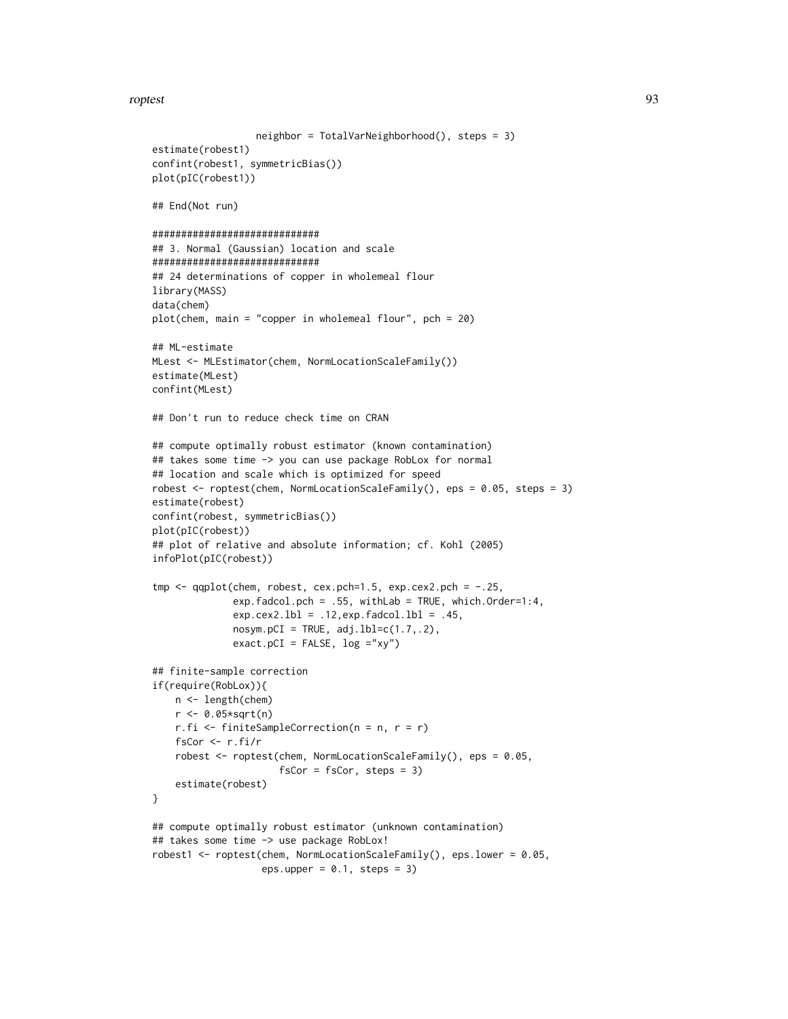#### roptest to the control of the control of the control of the control of the control of the control of the control of the control of the control of the control of the control of the control of the control of the control of t

```
neighbor = TotalVarNeighborhood(), steps = 3)
estimate(robest1)
confint(robest1, symmetricBias())
plot(pIC(robest1))
## End(Not run)
#############################
## 3. Normal (Gaussian) location and scale
#############################
## 24 determinations of copper in wholemeal flour
library(MASS)
data(chem)
plot(chem, main = "copper in wholemeal flour", pch = 20)
## ML-estimate
MLest <- MLEstimator(chem, NormLocationScaleFamily())
estimate(MLest)
confint(MLest)
## Don't run to reduce check time on CRAN
## compute optimally robust estimator (known contamination)
## takes some time -> you can use package RobLox for normal
## location and scale which is optimized for speed
robest <- roptest(chem, NormLocationScaleFamily(), eps = 0.05, steps = 3)
estimate(robest)
confint(robest, symmetricBias())
plot(pIC(robest))
## plot of relative and absolute information; cf. Kohl (2005)
infoPlot(pIC(robest))
tmp < -qqplot(chem, robest, cex.pch=1.5, exp.cex2.pch = -.25,exp.fadcol.pch = .55, withLab = TRUE, which.Order=1:4,
              exp.cex2.1b1 = .12, exp.fadcol.1b1 = .45,nosym.pCI = TRUE, adj.lbl=c(1.7,.2),exact.pCI = FALSE, log = "xy")## finite-sample correction
if(require(RobLox)){
    n <- length(chem)
    r <- 0.05*sqrt(n)
    r.fi <- finiteSampleCorrection(n = n, r = r)
    fsCor <- r.fi/r
    robest <- roptest(chem, NormLocationScaleFamily(), eps = 0.05,
                      fsCor = fsCor, steps = 3)
    estimate(robest)
}
## compute optimally robust estimator (unknown contamination)
## takes some time -> use package RobLox!
robest1 <- roptest(chem, NormLocationScaleFamily(), eps.lower = 0.05,
                   eps.upper = 0.1, steps = 3)
```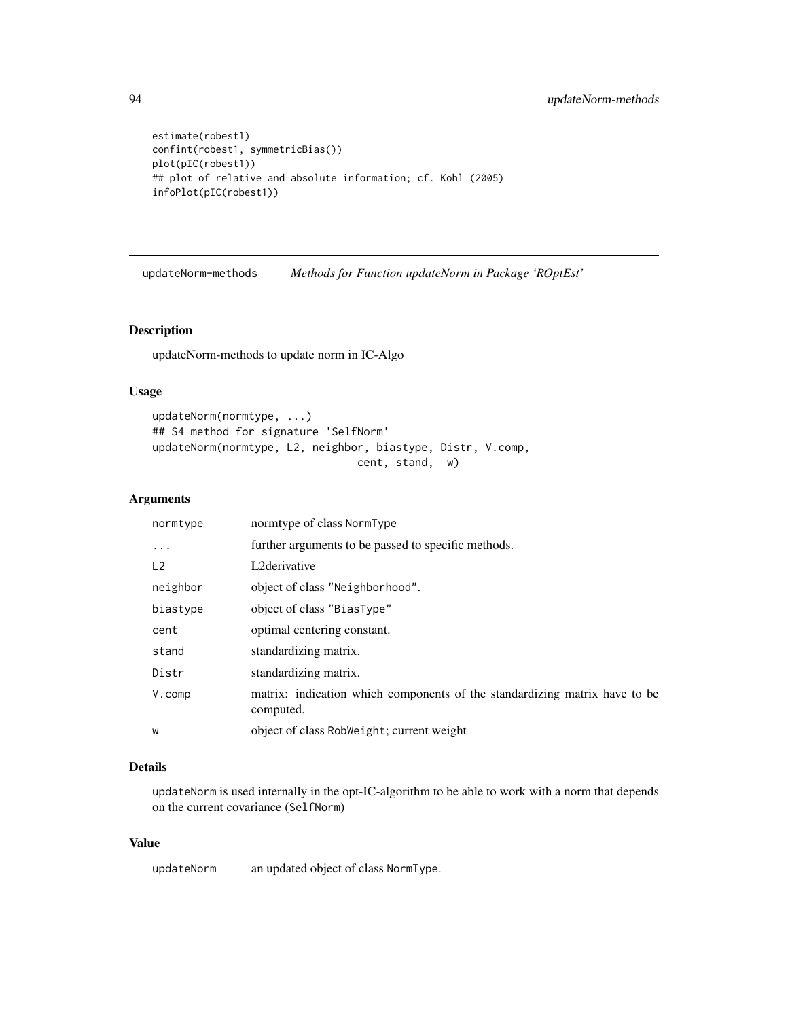```
estimate(robest1)
confint(robest1, symmetricBias())
plot(pIC(robest1))
## plot of relative and absolute information; cf. Kohl (2005)
infoPlot(pIC(robest1))
```
updateNorm-methods *Methods for Function updateNorm in Package 'ROptEst'*

## Description

updateNorm-methods to update norm in IC-Algo

# Usage

```
updateNorm(normtype, ...)
## S4 method for signature 'SelfNorm'
updateNorm(normtype, L2, neighbor, biastype, Distr, V.comp,
                                cent, stand, w)
```
#### Arguments

| normtype       | normtype of class NormType                                                              |
|----------------|-----------------------------------------------------------------------------------------|
| $\cdot$        | further arguments to be passed to specific methods.                                     |
| L <sub>2</sub> | L2derivative                                                                            |
| neighbor       | object of class "Neighborhood".                                                         |
| biastype       | object of class "BiasType"                                                              |
| cent           | optimal centering constant.                                                             |
| stand          | standardizing matrix.                                                                   |
| Distr          | standardizing matrix.                                                                   |
| $V$ . COMP     | matrix: indication which components of the standardizing matrix have to be<br>computed. |
| W              | object of class RobWeight; current weight                                               |

## Details

updateNorm is used internally in the opt-IC-algorithm to be able to work with a norm that depends on the current covariance (SelfNorm)

# Value

updateNorm an updated object of class NormType.

<span id="page-93-0"></span>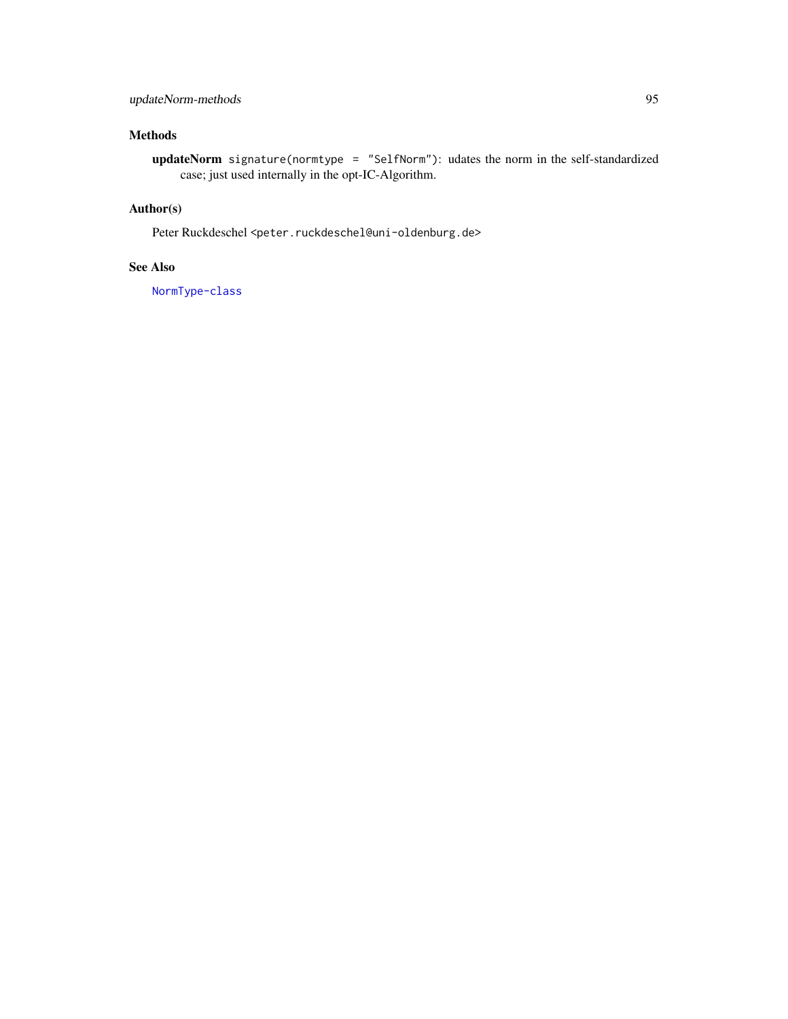# updateNorm-methods 95

# Methods

updateNorm signature(normtype = "SelfNorm"): udates the norm in the self-standardized case; just used internally in the opt-IC-Algorithm.

# Author(s)

Peter Ruckdeschel <peter.ruckdeschel@uni-oldenburg.de>

# See Also

[NormType-class](#page-0-0)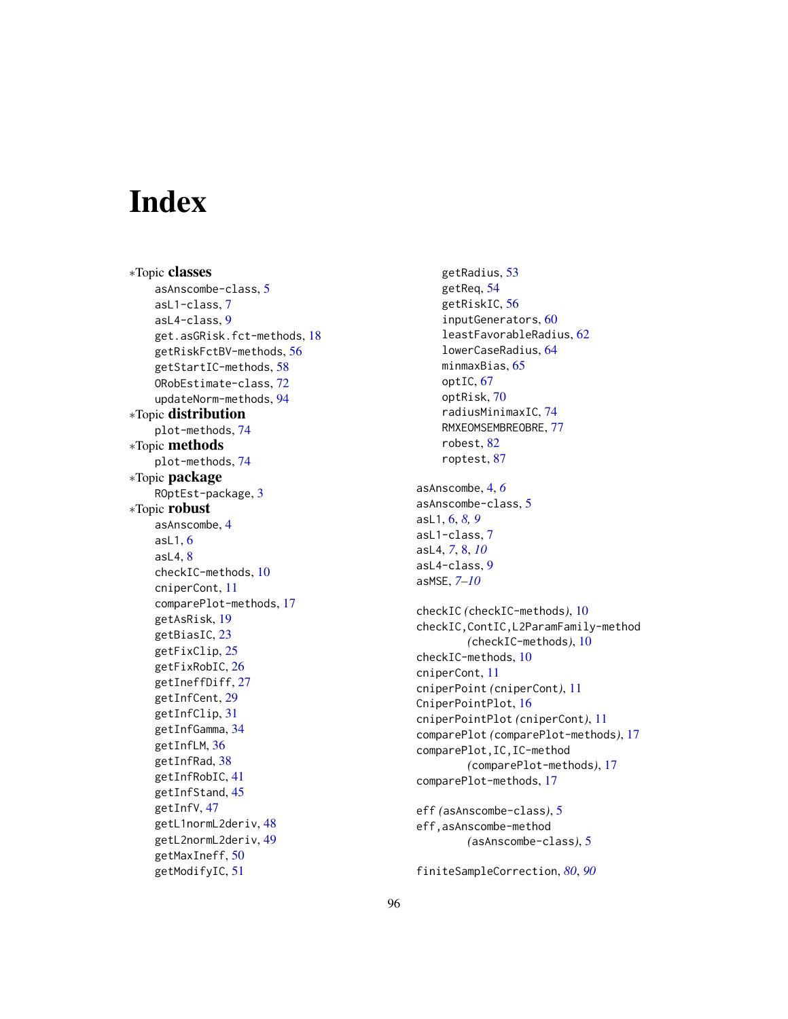# Index

∗Topic classes asAnscombe-class, [5](#page-4-0) asL1-class, [7](#page-6-0) asL4-class, [9](#page-8-0) get.asGRisk.fct-methods, [18](#page-17-0) getRiskFctBV-methods, [56](#page-55-0) getStartIC-methods, [58](#page-57-0) ORobEstimate-class, [72](#page-71-0) updateNorm-methods, [94](#page-93-0) ∗Topic distribution plot-methods, [74](#page-73-1) ∗Topic methods plot-methods, [74](#page-73-1) ∗Topic package ROptEst-package, [3](#page-2-0) ∗Topic robust asAnscombe, [4](#page-3-0) as $L1, 6$  $L1, 6$ asL4, [8](#page-7-0) checkIC-methods, [10](#page-9-0) cniperCont, [11](#page-10-0) comparePlot-methods, [17](#page-16-0) getAsRisk, [19](#page-18-0) getBiasIC, [23](#page-22-0) getFixClip, [25](#page-24-0) getFixRobIC, [26](#page-25-0) getIneffDiff, [27](#page-26-0) getInfCent, [29](#page-28-0) getInfClip, [31](#page-30-0) getInfGamma, [34](#page-33-0) getInfLM, [36](#page-35-0) getInfRad, [38](#page-37-0) getInfRobIC, [41](#page-40-0) getInfStand, [45](#page-44-0) getInfV, [47](#page-46-0) getL1normL2deriv, [48](#page-47-0) getL2normL2deriv, [49](#page-48-0) getMaxIneff, [50](#page-49-0) getModifyIC, [51](#page-50-0)

getRadius, [53](#page-52-0) getReq, [54](#page-53-0) getRiskIC, [56](#page-55-0) inputGenerators, [60](#page-59-2) leastFavorableRadius, [62](#page-61-0) lowerCaseRadius, [64](#page-63-0) minmaxBias, [65](#page-64-0) optIC, [67](#page-66-0) optRisk, [70](#page-69-0) radiusMinimaxIC, [74](#page-73-1) RMXEOMSEMBREOBRE, [77](#page-76-0) robest, [82](#page-81-1) roptest, [87](#page-86-1) asAnscombe, [4,](#page-3-0) *[6](#page-5-0)* asAnscombe-class, [5](#page-4-0) asL1, [6,](#page-5-0) *[8,](#page-7-0) [9](#page-8-0)* asL1-class, [7](#page-6-0) asL4, *[7](#page-6-0)*, [8,](#page-7-0) *[10](#page-9-0)* asL4-class, [9](#page-8-0) asMSE, *[7–](#page-6-0)[10](#page-9-0)* checkIC *(*checkIC-methods*)*, [10](#page-9-0) checkIC,ContIC,L2ParamFamily-method *(*checkIC-methods*)*, [10](#page-9-0) checkIC-methods, [10](#page-9-0) cniperCont, [11](#page-10-0) cniperPoint *(*cniperCont*)*, [11](#page-10-0) CniperPointPlot, [16](#page-15-0) cniperPointPlot *(*cniperCont*)*, [11](#page-10-0) comparePlot *(*comparePlot-methods*)*, [17](#page-16-0) comparePlot,IC,IC-method *(*comparePlot-methods*)*, [17](#page-16-0) comparePlot-methods, [17](#page-16-0)

```
eff (asAnscombe-class), 5
eff,asAnscombe-method
        (asAnscombe-class), 5
```

```
finiteSampleCorrection, 80, 90
```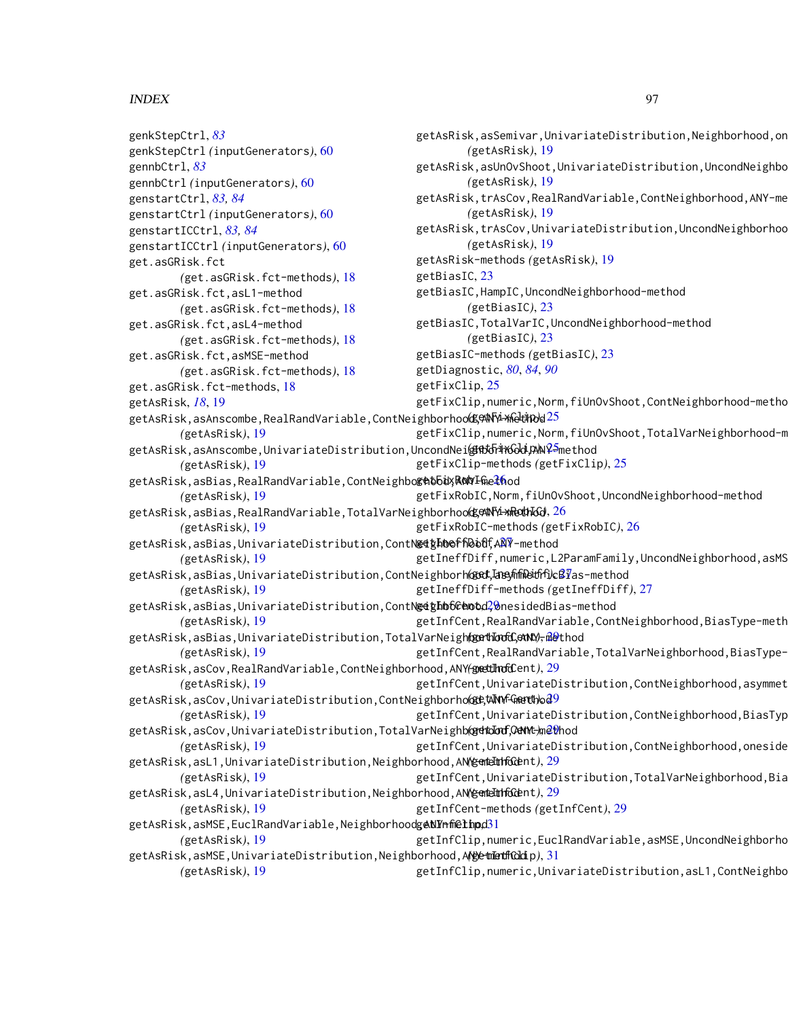# INDEX  $\sim$  97

genkStepCtrl, *[83](#page-82-0)*

genstartCtrl, *[83,](#page-82-0) [84](#page-83-0)*

get.asGRisk.fct

genstartICCtrl, *[83,](#page-82-0) [84](#page-83-0)*

gennbCtrl, *[83](#page-82-0)*

genkStepCtrl *(*inputGenerators*)*, [60](#page-59-2)

genstartCtrl *(*inputGenerators*)*, [60](#page-59-2)

genstartICCtrl *(*inputGenerators*)*, [60](#page-59-2)

*(*get.asGRisk.fct-methods*)*, [18](#page-17-0)

*(*get.asGRisk.fct-methods*)*, [18](#page-17-0)

*(*get.asGRisk.fct-methods*)*, [18](#page-17-0)

*(*get.asGRisk.fct-methods*)*, [18](#page-17-0)

gennbCtrl *(*inputGenerators*)*, [60](#page-59-2)

get.asGRisk.fct,asL1-method

get.asGRisk.fct,asL4-method

get.asGRisk.fct,asMSE-method

*(*getAsRisk*)*, [19](#page-18-0)

get.asGRisk.fct-methods, [18](#page-17-0)

getAsRisk,asSemivar,UnivariateDistribution,Neighborhood,on *(*getAsRisk*)*, [19](#page-18-0) getAsRisk,asUnOvShoot,UnivariateDistribution,UncondNeighbo *(*getAsRisk*)*, [19](#page-18-0) getAsRisk,trAsCov,RealRandVariable,ContNeighborhood,ANY-me *(*getAsRisk*)*, [19](#page-18-0)

getAsRisk,trAsCov,UnivariateDistribution,UncondNeighborhoo *(*getAsRisk*)*, [19](#page-18-0)

getAsRisk-methods *(*getAsRisk*)*, [19](#page-18-0)

getBiasIC, [23](#page-22-0)

getBiasIC,HampIC,UncondNeighborhood-method *(*getBiasIC*)*, [23](#page-22-0)

getBiasIC,TotalVarIC,UncondNeighborhood-method *(*getBiasIC*)*, [23](#page-22-0)

getBiasIC-methods *(*getBiasIC*)*, [23](#page-22-0)

getDiagnostic, *[80](#page-79-0)*, *[84](#page-83-0)*, *[90](#page-89-0)*

getFixClip, [25](#page-24-0)

getAsRisk, *[18](#page-17-0)*, [19](#page-18-0)

getAsRisk,asAnscombe,RealRandVariable,ContNeighborhoo**dge\Ni-xheldpo**d[25](#page-24-0)

getFixClip,numeric,Norm,fiUnOvShoot,TotalVarNeighborhood-m

getFixClip,numeric,Norm,fiUnOvShoot,ContNeighborhood-metho

getAsRisk,asAnscombe,UnivariateDistribution,UncondNei**@ft5i\*xGdi,AN**¥<sup>5</sup>method *(*getAsRisk*)*, [19](#page-18-0) getFixClip-methods *(*getFixClip*)*, [25](#page-24-0)

getAsRisk,asBias,RealRandVariable,ContNeighbo**&Atbi**yA**NYI**m[eth](#page-25-0)od

*(*getAsRisk*)*, [19](#page-18-0) getAsRisk,asBias,RealRandVariable,TotalVarNeighborhoo**dgetNY4-xRedhGd**,[26](#page-25-0) *(*getAsRisk*)*, [19](#page-18-0) getAsRisk,asBias,UnivariateDistribution,ContN**@iţhbeff|bbdf,[ANY](#page-26-0)-**method getFixRobIC,Norm,fiUnOvShoot,UncondNeighborhood-method getFixRobIC-methods *(*getFixRobIC*)*, [26](#page-25-0)

*(*getAsRisk*)*, [19](#page-18-0) getIneffDiff,numeric,L2ParamFamily,UncondNeighborhood,asMS

getAsRisk,asBias,UnivariateDistribution,ContNeighborh**@ed,IasyfifiDedfi)cB1/**as-method

*(*getAsRisk*)*, [19](#page-18-0) getIneffDiff-methods *(*getIneffDiff*)*, [27](#page-26-0)

getAsRisk,asBias,UnivariateDistribution,ContN**@ighb6GAotd**?0nesidedBias-method *(*getAsRisk*)*, [19](#page-18-0) getInfCent, RealRandVariable, ContNeighborhood, BiasType-meth

getAsRisk,asBias,UnivariateDistribution,TotalVarNeigh**(gert\IoodC,ent)**)<del>,</del>@@thod

*(*getAsRisk*)*, [19](#page-18-0) getAsRisk,asCov,RealRandVariable,ContNeighborhood,ANY-method *(*getInfCent*)*, [29](#page-28-0) getInfCent, RealRandVariable, TotalVarNeighborhood, BiasType-

*(*getAsRisk*)*, [19](#page-18-0) getAsRisk,asCov,UnivariateDistribution,ContNeighborho**@et&NYnfGeerthod<sup>9</sup>** getInfCent,UnivariateDistribution,ContNeighborhood,asymmet

*(*getAsRisk*)*, [19](#page-18-0) getAsRisk,asCov,UnivariateDistribution,TotalVarNeighb@**dtoIod,OdNt-**)m<mark>et</mark>hod *(*getAsRisk*)*, [19](#page-18-0) getInfCent,UnivariateDistribution,ContNeighborhood,BiasTyp getInfCent, UnivariateDistribution, ContNeighborhood, oneside

getAsRisk,asL1,UnivariateDistribution,Neighborhood,ANY**@qdeIdthGde**nt),[29](#page-28-0)

*(*getAsRisk*)*, [19](#page-18-0) getAsRisk,asL4,UnivariateDistribution,Neighborhood,ANY<del>GQneTulhGe</del>nt),[29](#page-28-0) getInfCent,UnivariateDistribution,TotalVarNeighborhood,Bia

*(*getAsRisk*)*, [19](#page-18-0) getInfCent-methods *(*getInfCent*)*, [29](#page-28-0)

getAsRisk,asMSE,EuclRandVariable,Neighborhoodg**eNYnfiethpd**[31](#page-30-0)

*(*getAsRisk*)*, [19](#page-18-0) getAsRisk,asMSE,UnivariateDistribution,Neighborhood,ANY-method *(*getInfClip*)*, [31](#page-30-0) getInfClip,numeric,EuclRandVariable,asMSE,UncondNeighborho

*(*getAsRisk*)*, [19](#page-18-0)

getInfClip,numeric,UnivariateDistribution,asL1,ContNeighbo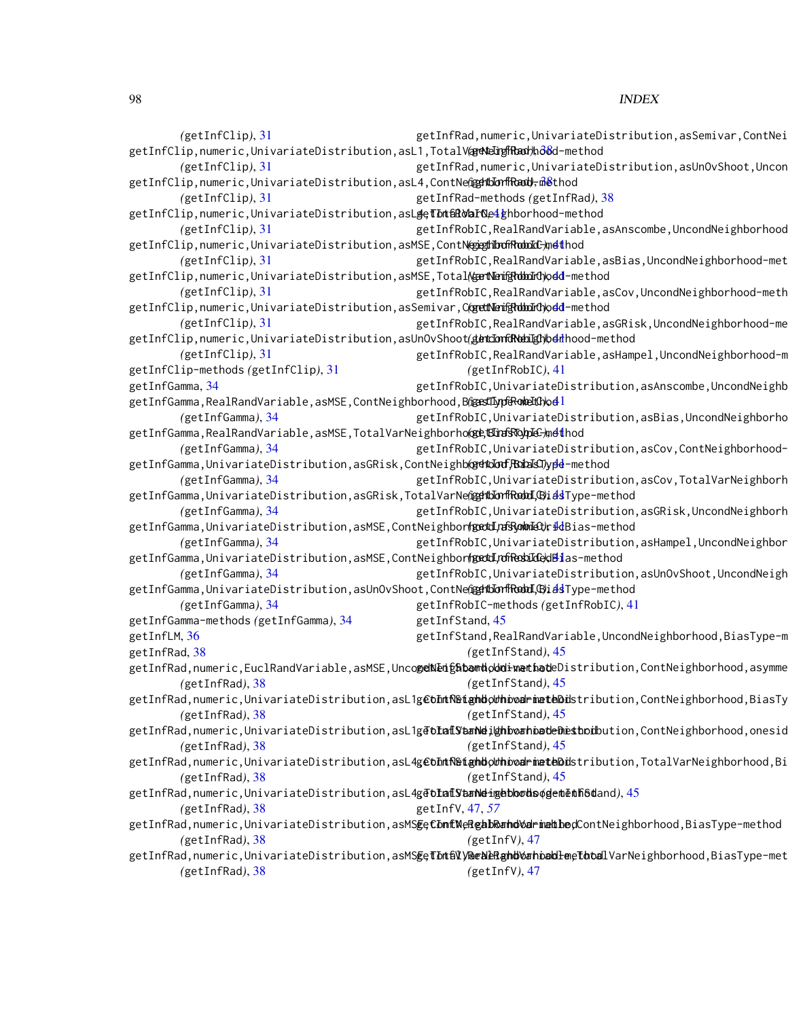*(*getInfClip*)*, [31](#page-30-0) getInfClip,numeric,UnivariateDistribution,asL1,TotalV@**rNeIrgfRad**)ho&d-method *(*getInfClip*)*, [31](#page-30-0) getInfClip,numeric,UnivariateDistribution,asL4,ContNe@**gdtbIonfRadd**,m&thod *(*getInfClip*)*, [31](#page-30-0) getInfClip,numeric,UnivariateDistribution,asL**geTInt&RohINe4g**hborhood-method *(*getInfClip*)*, [31](#page-30-0) getInfClip,numeric,UnivariateDistribution,asMSE,ContN**@egthboffRoboIc**),n**et**lhod *(*getInfClip*)*, [31](#page-30-0) getInfClip,numeric,UnivariateDistribution,asMSE,Total**(&ertNemighdboIcl)odd-**method *(*getInfClip*)*, [31](#page-30-0) getInfClip,numeric,UnivariateDistribution,asSemivar,C**@etNemfgldboIrO**)o<mark>dd-</mark>method *(*getInfClip*)*, [31](#page-30-0) getInfClip,numeric,UnivariateDistribution,asUnOvShoot(**gencIonGRNebiIgh)**beihood-method *(*getInfClip*)*, [31](#page-30-0) getInfClip-methods *(*getInfClip*)*, [31](#page-30-0) getInfGamma, [34](#page-33-0) getInfGamma,RealRandVariable,asMSE,ContNeighborhood,B@**estLyp&RobeltC)od**l *(*getInfGamma*)*, [34](#page-33-0) getInfGamma,RealRandVariable,asMSE,TotalVarNeighborho**@e,ETiraSTo.pIe-**)m**et**hod *(*getInfGamma*)*, [34](#page-33-0) getInfGamma,UnivariateDistribution,asGRisk,ContNeighb**(gehdorf)BdalsJ)ypd-**method *(*getInfGamma*)*, [34](#page-33-0) getInfGamma,UnivariateDistribution,asGRisk,TotalVarNe@**gdtblonfkodoI,@i**dsType-method *(*getInfGamma*)*, [34](#page-33-0) getInfGamma,UnivariateDistribution,asMSE,ContNeighbor**(gedd,nfs}ohnd3),id**Bias-method *(*getInfGamma*)*, [34](#page-33-0) getInfGamma,UnivariateDistribution,asMSE,ContNeighbor**(getLLnfRediIde)dBi**as-method *(*getInfGamma*)*, [34](#page-33-0) getInfGamma,UnivariateDistribution,asUnOvShoot,ContNe@**gdtblonfkodoI,@i**dsType-method *(*getInfGamma*)*, [34](#page-33-0) getInfGamma-methods *(*getInfGamma*)*, [34](#page-33-0) getInfLM, [36](#page-35-0) getInfRad, [38](#page-37-0) getInfRad,numeric,EuclRandVariable,asMSE,Unco**geNeigŝibandoodimenhat**eDistribution,ContNeighborhood,asymme *(*getInfRad*)*, [38](#page-37-0) getInfRad,numeric,UnivariateDistribution,asL1g**€bhtR§tighbodhioodrinateDis**tribution,ContNeighborhood,BiasTy *(*getInfRad*)*, [38](#page-37-0) getInfRad,numeric,UnivariateDistribution,asL1g**TolafSaaNeighboahoodeDheshod**bution,ContNeighborhood,onesid *(*getInfRad*)*, [38](#page-37-0) getInfRad,numeric,UnivariateDistribution,asL4g**€bhtR§tighbodhioodrinateDis**tribution,TotalVarNeighborhood,Bi *(*getInfRad*)*, [38](#page-37-0) getInfRad,numeric,UnivariateDistribution,asL4g**TotaflYaaNeigebbodas@g**em<mark>ēbh6d</mark>and),[45](#page-44-0) *(*getInfRad*)*, [38](#page-37-0) getInfRad,numeric,UnivariateDistribution,asMS**EeCDnfNeRgabRandVarmehhoc**ContNeighborhood,BiasType-method *(*getInfRad*)*, [38](#page-37-0) getInfRad,numeric,UnivariateDistribution,asMS**EeTInt&lV&ealeRghdVarhoodle**e**Thodl**VarNeighborhood,BiasType-met *(*getInfRad*)*, [38](#page-37-0) getInfRad,numeric,UnivariateDistribution,asSemivar,ContNei getInfRad,numeric,UnivariateDistribution,asUnOvShoot,Uncon getInfRad-methods *(*getInfRad*)*, [38](#page-37-0) getInfRobIC, RealRandVariable, asAnscombe, UncondNeighborhood getInfRobIC, RealRandVariable, asBias, UncondNeighborhood-met getInfRobIC, RealRandVariable, asCov, UncondNeighborhood-meth getInfRobIC, RealRandVariable, asGRisk, UncondNeighborhood-me getInfRobIC,RealRandVariable,asHampel,UncondNeighborhood-m *(*getInfRobIC*)*, [41](#page-40-0) getInfRobIC,UnivariateDistribution,asAnscombe,UncondNeighb getInfRobIC, UnivariateDistribution, asBias, UncondNeighborho getInfRobIC, UnivariateDistribution, asCov, ContNeighborhoodgetInfRobIC, UnivariateDistribution, asCov, TotalVarNeighborh getInfRobIC, UnivariateDistribution, asGRisk, UncondNeighborh getInfRobIC,UnivariateDistribution,asHampel,UncondNeighbor getInfRobIC, UnivariateDistribution, asUnOvShoot, UncondNeigh getInfRobIC-methods *(*getInfRobIC*)*, [41](#page-40-0) getInfStand, [45](#page-44-0) getInfStand,RealRandVariable,UncondNeighborhood,BiasType-m *(*getInfStand*)*, [45](#page-44-0) *(*getInfStand*)*, [45](#page-44-0) *(*getInfStand*)*, [45](#page-44-0) *(*getInfStand*)*, [45](#page-44-0) *(*getInfStand*)*, [45](#page-44-0) getInfV, [47,](#page-46-0) *[57](#page-56-0) (*getInfV*)*, [47](#page-46-0) *(*getInfV*)*, [47](#page-46-0)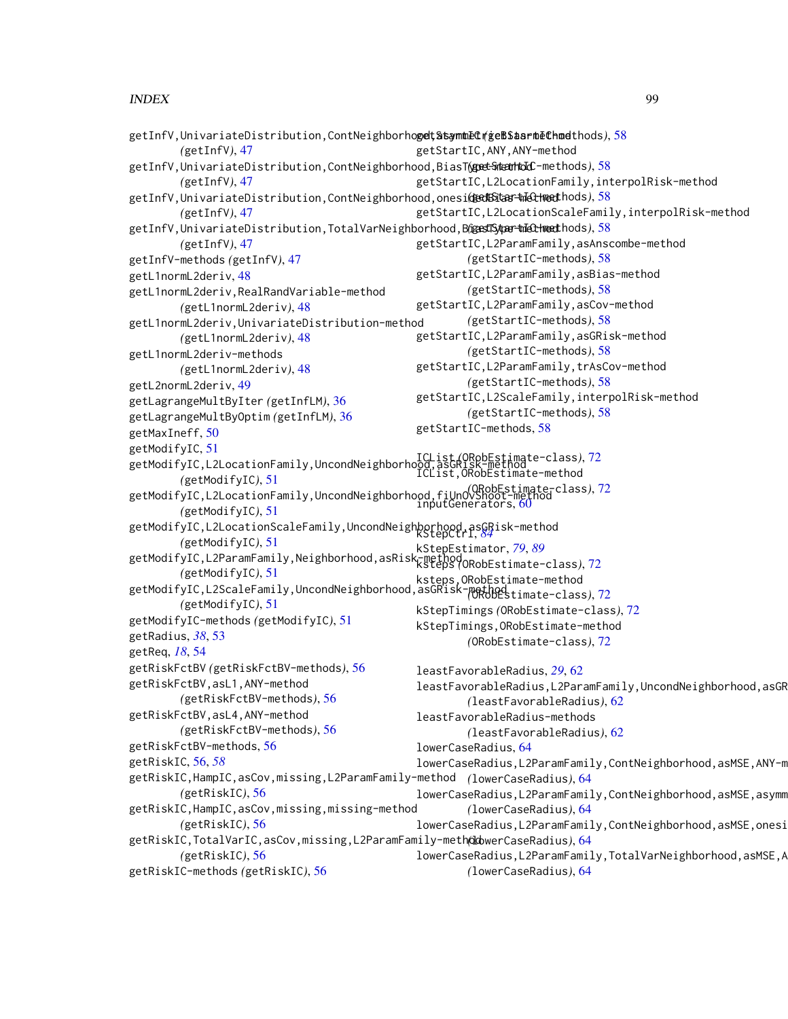```
getInfV,UnivariateDistribution,ContNeighborhogel;StsymmetrigeBSaarmethods58
       (getInfV), 47
58
        (getInfV), 47
getInfV,UnivariateDistribution,ContNeighborhood,onesi(gedBitar-tnIet-met58
       (getInfV), 47
getInfV,UnivariateDistribution,TotalVarNeighborhood,Bl@estSyper-tnIethmet58
       (getInfV), 47
getInfV-methods (getInfV), 47
getL1normL2deriv, 48
getL1normL2deriv,RealRandVariable-method
       (getL1normL2deriv), 48
getL1normL2deriv,UnivariateDistribution-method
       (getL1normL2deriv), 48
getL1normL2deriv-methods
       (getL1normL2deriv), 48
getL2normL2deriv, 49
getLagrangeMultByIter (getInfLM), 36
getLagrangeMultByOptim (getInfLM), 36
getMaxIneff, 50
getModifyIC, 51
getModifyIC,L2LocationFamily,UncondNeighborhood,asGRisk-method
ICList (ORobEstimate-class), 72
       (getModifyIC), 51
getModifyIC,L2LocationFamily,UncondNeighborhood,fiUnOvShoot-method
(ORobEstimate-class), 72
       (getModifyIC), 51
getModifyIC,L2LocationScaleFamily,UncondNeighborhood,asGRisk-method
kStepCtrl, 84
       (getModifyIC), 51
getModifyIC,L2ParamFamily,Neighborhood,asRisk-method
kStepEstimator, 79, 89
       (getModifyIC), 51
getModifyIC,L2ScaleFamily,UncondNeighborhood,asGRisk-method
(ORobEstimate-class), 72
       (getModifyIC), 51
getModifyIC-methods (getModifyIC), 51
getRadius, 38, 53
getReq, 18, 54
getRiskFctBV (getRiskFctBV-methods), 56
getRiskFctBV,asL1,ANY-method
       (getRiskFctBV-methods), 56
getRiskFctBV,asL4,ANY-method
       (getRiskFctBV-methods), 56
getRiskFctBV-methods, 56
getRiskIC, 56, 58
getRiskIC,HampIC,asCov,missing,L2ParamFamily-method
(lowerCaseRadius), 64
        (getRiskIC), 56
getRiskIC,HampIC,asCov,missing,missing-method
       (getRiskIC), 56
64
       (getRiskIC), 56
getRiskIC-methods (getRiskIC), 56
                                             getStartIC,ANY,ANY-method
                                             getStartIC,L2LocationFamily,interpolRisk-method
                                             getStartIC,L2LocationScaleFamily,interpolRisk-method
                                             getStartIC,L2ParamFamily,asAnscombe-method
                                                     (getStartIC-methods), 58
                                             getStartIC,L2ParamFamily,asBias-method
                                                     (getStartIC-methods), 58
                                             getStartIC,L2ParamFamily,asCov-method
                                                     (getStartIC-methods), 58
                                             getStartIC,L2ParamFamily,asGRisk-method
                                                     (getStartIC-methods), 58
                                             getStartIC,L2ParamFamily,trAsCov-method
                                                     (getStartIC-methods), 58
                                             getStartIC,L2ScaleFamily,interpolRisk-method
                                                     (getStartIC-methods), 58
                                             getStartIC-methods, 58
                                             ICList,ORobEstimate-method
                                             inputGenerators, 60
                                             ksteps (ORobEstimate-class), 72
                                             ksteps,ORobEstimate-method
                                             kStepTimings (ORobEstimate-class), 72
                                             kStepTimings,ORobEstimate-method
                                                     (ORobEstimate-class), 72
                                             leastFavorableRadius, 29, 62
                                             leastFavorableRadius,L2ParamFamily,UncondNeighborhood,asGR
                                                     (leastFavorableRadius), 62
                                             leastFavorableRadius-methods
                                                     (leastFavorableRadius), 62
                                             lowerCaseRadius, 64
                                             lowerCaseRadius,L2ParamFamily,ContNeighborhood,asMSE,ANY-m
                                             lowerCaseRadius,L2ParamFamily,ContNeighborhood,asMSE,asymm
                                                     (lowerCaseRadius), 64
                                             lowerCaseRadius,L2ParamFamily,ContNeighborhood,asMSE,onesi
                                             lowerCaseRadius,L2ParamFamily,TotalVarNeighborhood,asMSE,A
                                                     (lowerCaseRadius), 64
```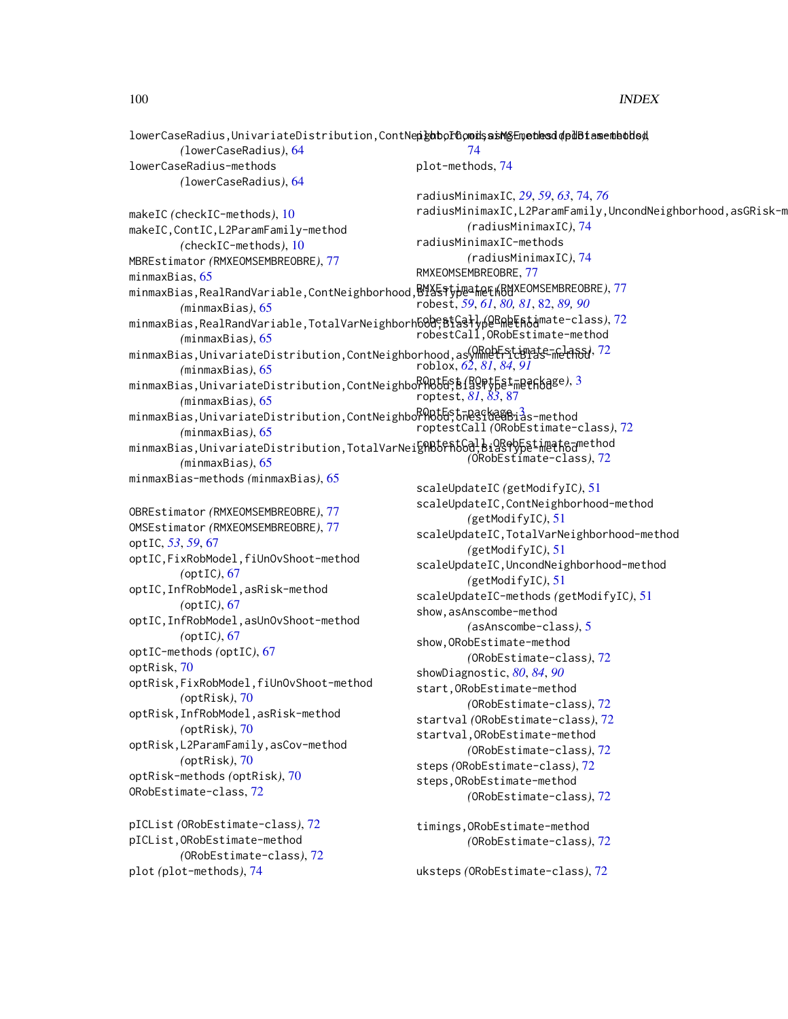$l$ owerCaseRadius,UnivariateDistribution,ContNe**n ghtorGoods asMSE ue hesd de dBfase** the bude *(*lowerCaseRadius*)*, [64](#page-63-0) lowerCaseRadius-methods *(*lowerCaseRadius*)*, [64](#page-63-0) makeIC *(*checkIC-methods*)*, [10](#page-9-0) makeIC,ContIC,L2ParamFamily-method *(*checkIC-methods*)*, [10](#page-9-0) MBREstimator *(*RMXEOMSEMBREOBRE*)*, [77](#page-76-0) minmaxBias, [65](#page-64-0) minmaxBias,RealRandVariable,ContNeighborhood, $\mathsf{B4\%}\mathsf{Spp}$ a $\mathsf{A}\mathsf{B}\mathsf{B4\%}$ EOMSEMBREOBRE*)*,[77](#page-76-0) *(*minmaxBias*)*, [65](#page-64-0) minmaxBias,RealRandVariable,TotalVarNeighborh<mark>680;BtGslyp@BAeFAti</mark>mate-class),[72](#page-71-0) *(*minmaxBias*)*, [65](#page-64-0) minmaxBias,UnivariateDistribution,ContNeighborhood,asymmetricBias-method *(*ORobEstimate-class*)*, [72](#page-71-0) *(*minmaxBias*)*, [65](#page-64-0) minmaxBias,UnivariateDistribution,ContNeighbo<sup>RO</sup>R65&S\${gQP\$&E<sup>t</sup>meth6age),[3](#page-2-0) *(*minmaxBias*)*, [65](#page-64-0) minmaxBias,UnivariateDistribution,ContNeighbor<code>RQb&St</code>TesstaeaBi $\hat{a}$ s-method *(*minmaxBias*)*, [65](#page-64-0) minmaxBias,UnivariateDistribution,TotalVarNei**gAB6FA66d,BiQR9VF&Limathea**method *(*minmaxBias*)*, [65](#page-64-0) minmaxBias-methods *(*minmaxBias*)*, [65](#page-64-0) OBREstimator *(*RMXEOMSEMBREOBRE*)*, [77](#page-76-0) OMSEstimator *(*RMXEOMSEMBREOBRE*)*, [77](#page-76-0) optIC, *[53](#page-52-0)*, *[59](#page-58-0)*, [67](#page-66-0) optIC,FixRobModel,fiUnOvShoot-method *(*optIC*)*, [67](#page-66-0) optIC,InfRobModel,asRisk-method *(*optIC*)*, [67](#page-66-0) optIC,InfRobModel,asUnOvShoot-method *(*optIC*)*, [67](#page-66-0) optIC-methods *(*optIC*)*, [67](#page-66-0) optRisk, [70](#page-69-0) optRisk,FixRobModel,fiUnOvShoot-method *(*optRisk*)*, [70](#page-69-0) optRisk,InfRobModel,asRisk-method *(*optRisk*)*, [70](#page-69-0) optRisk,L2ParamFamily,asCov-method *(*optRisk*)*, [70](#page-69-0) optRisk-methods *(*optRisk*)*, [70](#page-69-0) ORobEstimate-class, [72](#page-71-0) pICList *(*ORobEstimate-class*)*, [72](#page-71-0) pICList,ORobEstimate-method *(*ORobEstimate-class*)*, [72](#page-71-0) plot *(*plot-methods*)*, [74](#page-73-1) [74](#page-73-1) plot-methods, [74](#page-73-1) radiusMinimaxIC, *[29](#page-28-0)*, *[59](#page-58-0)*, *[63](#page-62-0)*, [74,](#page-73-1) *[76](#page-75-0)* radiusMinimaxIC,L2ParamFamily,UncondNeighborhood,asGRisk-m *(*radiusMinimaxIC*)*, [74](#page-73-1) radiusMinimaxIC-methods *(*radiusMinimaxIC*)*, [74](#page-73-1) RMXEOMSEMBREOBRE, [77](#page-76-0) robest, *[59](#page-58-0)*, *[61](#page-60-0)*, *[80,](#page-79-0) [81](#page-80-0)*, [82,](#page-81-1) *[89,](#page-88-0) [90](#page-89-0)* robestCall,ORobEstimate-method roblox, *[62](#page-61-0)*, *[81](#page-80-0)*, *[84](#page-83-0)*, *[91](#page-90-0)* roptest, *[81](#page-80-0)*, *[83](#page-82-0)*, [87](#page-86-1) roptestCall *(*ORobEstimate-class*)*, [72](#page-71-0) *(*ORobEstimate-class*)*, [72](#page-71-0) scaleUpdateIC *(*getModifyIC*)*, [51](#page-50-0) scaleUpdateIC,ContNeighborhood-method *(*getModifyIC*)*, [51](#page-50-0) scaleUpdateIC,TotalVarNeighborhood-method *(*getModifyIC*)*, [51](#page-50-0) scaleUpdateIC,UncondNeighborhood-method *(*getModifyIC*)*, [51](#page-50-0) scaleUpdateIC-methods *(*getModifyIC*)*, [51](#page-50-0) show,asAnscombe-method *(*asAnscombe-class*)*, [5](#page-4-0) show,ORobEstimate-method *(*ORobEstimate-class*)*, [72](#page-71-0) showDiagnostic, *[80](#page-79-0)*, *[84](#page-83-0)*, *[90](#page-89-0)* start,ORobEstimate-method *(*ORobEstimate-class*)*, [72](#page-71-0) startval *(*ORobEstimate-class*)*, [72](#page-71-0) startval,ORobEstimate-method *(*ORobEstimate-class*)*, [72](#page-71-0) steps *(*ORobEstimate-class*)*, [72](#page-71-0) steps,ORobEstimate-method *(*ORobEstimate-class*)*, [72](#page-71-0) timings,ORobEstimate-method *(*ORobEstimate-class*)*, [72](#page-71-0) uksteps *(*ORobEstimate-class*)*, [72](#page-71-0)